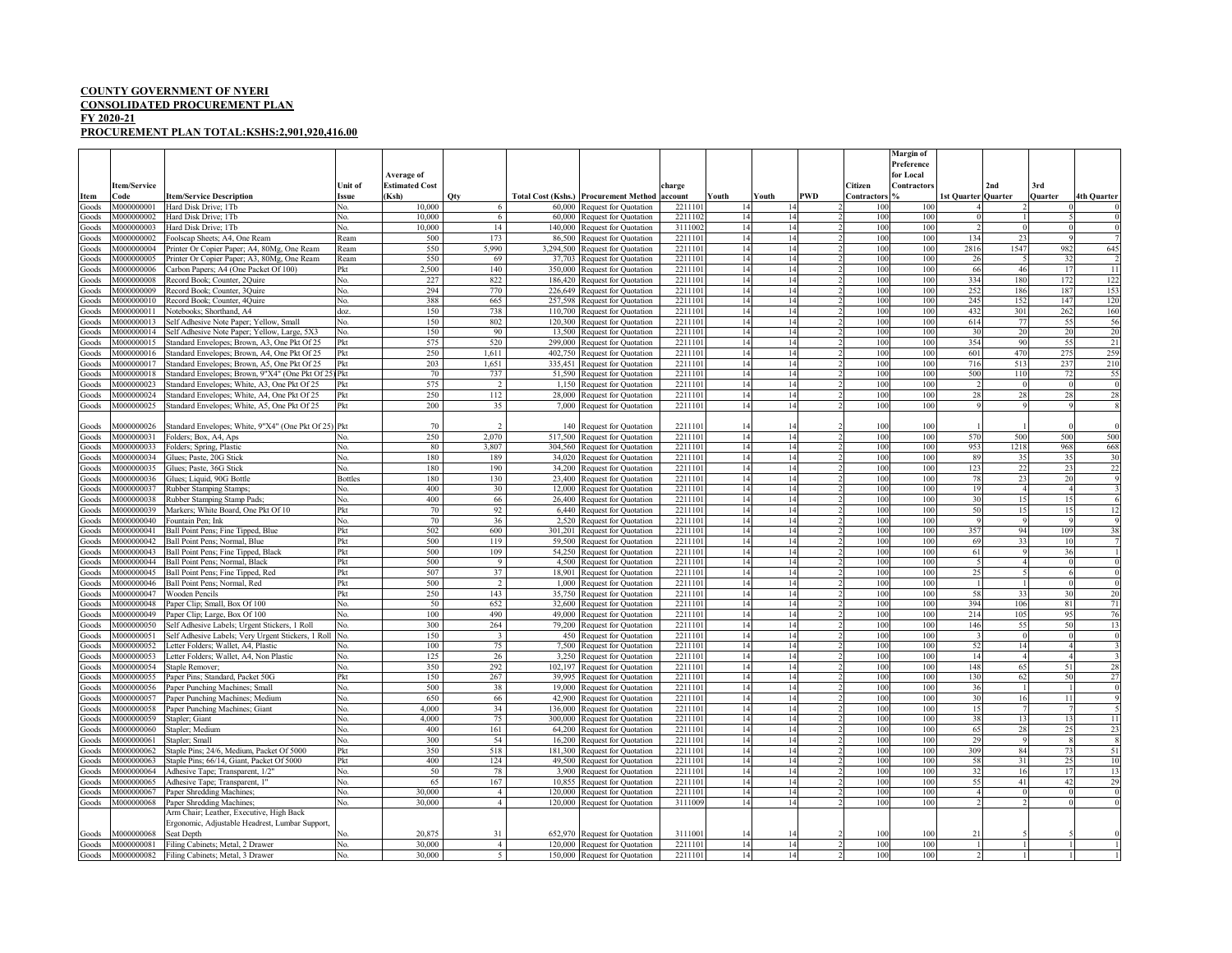## **COUNTY GOVERNMENT OF NYERI**

## **CONSOLIDATED PROCUREMENT PLAN**

## **FY 2020-21**

## **PROCUREMENT PLAN TOTAL:KSHS:2,901,920,416.00**

|                    |                          |                                                                                           |                |                                     |                                  |         |                                                                |                    |          |          |            |             | <b>Margin of</b><br>Preference |                            |                |                      |                      |
|--------------------|--------------------------|-------------------------------------------------------------------------------------------|----------------|-------------------------------------|----------------------------------|---------|----------------------------------------------------------------|--------------------|----------|----------|------------|-------------|--------------------------------|----------------------------|----------------|----------------------|----------------------|
|                    | Item/Service             |                                                                                           | Unit of        | Average of<br><b>Estimated Cost</b> |                                  |         |                                                                | charge             |          |          |            | Citizen     | for Local<br>Contractors       |                            | 2nd            | 3rd                  |                      |
| Item               | Code                     | <b>Item/Service Description</b>                                                           | <b>ssue</b>    | (Ksh)                               | Qty                              |         | <b>Total Cost (Kshs.) Procurement Method</b>                   | account            | Youth    | Youth    | <b>PWD</b> | Contractors |                                | <b>1st Quarter Quarter</b> |                | <b>Quarter</b>       | <b>4th Quarter</b>   |
| Goods              | M000000001               | Hard Disk Drive; 1Tb                                                                      | Nο.            | 10,000                              |                                  |         | 60,000 Request for Quotation                                   | 221110             |          |          |            | 100         | 10 <sub>l</sub>                |                            |                |                      | $\theta$             |
| Goods              | M000000002               | Hard Disk Drive: 1Tb                                                                      | No.            | 10.000                              | -6                               |         | 60,000 Request for Quotation                                   | 2211102            | 14       | 14       |            | 100         | 100                            |                            |                |                      | $\overline{0}$       |
| Goods              | M000000003               | Hard Disk Drive; 1Tb                                                                      | No.            | 10,000                              | 14                               |         | 140,000 Request for Quotation                                  | 3111002            | 14       | 14       |            | 100         | 100                            |                            |                |                      | $\overline{0}$       |
| ioods              | M000000002               | Foolscap Sheets; A4, One Ream                                                             | Ream           | 500                                 | 173                              |         | 86,500 Request for Quotation                                   | 2211101            | 14       | 14       |            | 100         | 100                            | 134                        | 2 <sup>1</sup> |                      |                      |
| doods              | M000000004               | Printer Or Copier Paper; A4, 80Mg, One Ream                                               | Ream           | 550                                 | 5,990                            |         | 3,294,500 Request for Quotation                                | 2211101            | 14       | 14       |            | 100         | 100                            | 2816                       | 1547           | 982                  | 645                  |
| doods              | A000000005               | Printer Or Copier Paper; A3, 80Mg, One Ream                                               | Ream           | 550                                 | 69                               |         | 37,703 Request for Quotation                                   | 2211101            | 14       | 14       |            | 100         | 100                            | 26                         |                | 32                   |                      |
| doods              | M000000006               | Carbon Papers; A4 (One Packet Of 100)                                                     | Pkt            | 2.500                               | 140                              |         | 350,000 Request for Quotation                                  | 2211101            | 14       | 14       |            | 100         | 100                            | 66                         | 46             | 17                   | 11                   |
| doods              | M000000008<br>4000000009 | Record Book; Counter, 2Quire                                                              | No.<br>N٥      | 227<br>294                          | 822                              |         | 186,420 Request for Quotation                                  | 2211101<br>2211101 | 14<br>14 | 14<br>14 |            | 100<br>100  | 100<br>100                     | 334<br>252                 | 180<br>186     | 172<br>187           | 122                  |
| ioods<br>doods     | M000000010               | Record Book; Counter, 3Quire<br>Record Book; Counter, 4Quire                              | No.            | 388                                 | 770<br>665                       |         | 226,649 Request for Quotation<br>257,598 Request for Quotation | 2211101            | 14       | 14       |            | 100         | 100                            | 245                        | 152            | 147                  | 153<br>120           |
| ioods              | M000000011               | Notebooks: Shorthand, A4                                                                  | doz.           | 150                                 | 738                              |         | 110,700 Request for Quotation                                  | 2211101            | 14       | 14       |            | 100         | 100                            | 432                        | 301            | 262                  | 160                  |
| aboof <sup>3</sup> | M000000013               | Self Adhesive Note Paper; Yellow, Small                                                   | No.            | 150                                 | 802                              |         | 120,300 Request for Quotation                                  | 2211101            | 14       | 14       |            | 100         | 100                            | 614                        |                | 55                   | 56                   |
| ioods              | M000000014               | Self Adhesive Note Paper; Yellow, Large, 5X3                                              | No.            | 150                                 | 90                               |         | 13,500 Request for Quotation                                   | 2211101            | 14       | 14       |            | 100         | 100                            | 30                         | 20             | 20                   | 20                   |
| ioods              | M000000015               | Standard Envelopes; Brown, A3, One Pkt Of 25                                              | Pkt            | 575                                 | 520                              |         | 299,000 Request for Quotation                                  | 2211101            | 14       | 14       |            | 100         | 100                            | 354                        | 90             | 55                   | 21                   |
| ioods              | M000000016               | Standard Envelopes; Brown, A4, One Pkt Of 25                                              | Pkt            | 250                                 | 1,611                            |         | 402,750 Request for Quotation                                  | 2211101            | 14       | 14       |            | 100         | 100                            | 601                        | 470            | 275                  | 259                  |
| ioods              | 4000000017               | Standard Envelopes; Brown, A5, One Pkt Of 25                                              | Pkt            | 203                                 | 1.651                            |         | 335,451 Request for Quotation                                  | 2211101            | 14       | 14       |            | 100         | 100                            | 716                        | 513            | 237                  | 210                  |
| ioods              | 4000000018               | Standard Envelopes; Brown, 9"X4" (One Pkt Of 25) Pkt                                      |                | 70                                  | 737                              |         | 51,590 Request for Quotation                                   | 2211101            | 14       | 14       |            | 100         | 100                            | 500                        | 110            | 72                   | 55                   |
| doods              | A000000023               | Standard Envelopes; White, A3, One Pkt Of 25                                              | Pkt            | 575                                 | 2                                |         | 1,150 Request for Quotation                                    | 2211101            | 14       | 14       |            | 100         | 100                            |                            | $\Omega$       |                      | $\overline{0}$       |
| ioods              | 4000000024               | Standard Envelopes; White, A4, One Pkt Of 25                                              | Pkt            | 250                                 | 112                              |         | 28,000 Request for Quotation                                   | 2211101            | 14       | 14       |            | 100         | 100                            | 28                         | 28             | 28                   | 28                   |
| Goods              | M000000025               | Standard Envelopes; White, A5, One Pkt Of 25                                              | Pkt            | 200                                 | 35                               |         | 7,000 Request for Quotation                                    | 2211101            | 14       | 14       |            | 100         | 100                            |                            |                |                      | -8                   |
|                    |                          |                                                                                           |                |                                     |                                  |         |                                                                |                    |          |          |            |             |                                |                            |                |                      |                      |
| Goods              | 4000000026               | Standard Envelopes; White, 9"X4" (One Pkt Of 25) Pkt                                      |                | 70                                  |                                  |         | 140 Request for Quotation                                      | 221110             | 14       |          |            | 100         | 100                            |                            |                |                      |                      |
| ioods              | M000000031               | Folders: Box, A4, Aps                                                                     | N٥             | 250                                 | 2.070                            |         | 517,500 Request for Ouotation                                  | 2211101            | 14       | 14       |            | 100         | 100                            | 570                        | 500            | 500                  | 500                  |
| ioods              | M000000033               | Folders; Spring, Plastic                                                                  | No.            | 80                                  | 3.807                            |         | 304,560 Request for Quotation                                  | 2211101            | 14       | 14       |            | 100         | 100                            | 953                        | 1218           | 968                  | 668                  |
| ioods<br>ioods     | M000000034<br>4000000035 | Glues; Paste, 20G Stick                                                                   | No.<br>No.     | 180<br>180                          | 189<br>190                       |         | 34,020 Request for Quotation                                   | 2211101<br>2211101 | 14       | 14<br>14 |            | 100<br>100  | 100<br>100                     | 89<br>123                  | 35             | 3 <sup>5</sup><br>23 | 30                   |
| Goods              | M000000036               | Glues; Paste, 36G Stick<br>Glues; Liquid, 90G Bottle                                      | <b>Bottles</b> | 180                                 | 130                              |         | 34,200 Request for Quotation<br>23,400 Request for Quotation   | 2211101            | 14<br>14 | 14       |            | 100         | 100                            | 78                         | 23             | 20                   | 22<br>-9             |
| doods              | 4000000037               | Rubber Stamping Stamps;                                                                   | No.            | 400                                 | 30                               |         | 12,000 Request for Quotation                                   | 2211101            | 14       | 14       |            | 100         | 100                            | 19                         |                |                      |                      |
| ioods              | 4000000038               | Rubber Stamping Stamp Pads:                                                               | No.            | 400                                 | 66                               |         | 26,400 Request for Quotation                                   | 2211101            | 14       | 14       |            | 100         | 100                            | 30                         | 15             | 15                   | -6                   |
| doods              | M000000039               | Markers; White Board, One Pkt Of 10                                                       | Pkt            | 70                                  | 92                               |         | 6,440 Request for Quotation                                    | 2211101            | 14       | 14       |            | 100         | 100                            | 50                         |                | 15                   | 12                   |
| ioods              | 4000000040               | Fountain Pen: Ink                                                                         | Nο.            | 70                                  | 36                               |         | 2,520 Request for Quotation                                    | 2211101            | 14       | 14       |            | 100         | 100                            |                            |                |                      | -9                   |
| doods              | M000000041               | Ball Point Pens; Fine Tipped, Blue                                                        | Pkt            | 502                                 | 600                              |         | 301,201 Request for Quotation                                  | 2211101            | 14       | 14       |            | 100         | 100                            | 357                        | 94             | 109                  | 38                   |
| ioods              | M000000042               | Ball Point Pens; Normal, Blue                                                             | Pkt            | 500                                 | 119                              |         | 59,500 Request for Quotation                                   | 2211101            | 14       | 14       |            | 100         | 100                            | 69                         | 33             | 10                   |                      |
| ioods              | M000000043               | Ball Point Pens; Fine Tipped, Black                                                       | Pkt            | 500                                 | 109                              |         | 54,250 Request for Quotation                                   | 2211101            | 14       | 14       |            | 100         | 100                            | 61                         |                | $\mathfrak{z}_\ell$  |                      |
| ioods              | A000000044               | Ball Point Pens; Normal, Black                                                            | Pkt            | 500                                 | 9                                |         | 4,500 Request for Quotation                                    | 2211101            | 14       | 14       |            | 100         | 100                            |                            |                |                      | $\theta$             |
| ioods              | M000000045               | Ball Point Pens; Fine Tipped, Red                                                         | Pkt            | 507                                 | 37                               |         | 18,901 Request for Quotation                                   | 2211101            | 14       | 14       |            | 100         | 100                            | 25                         |                |                      | $\overline{0}$       |
| doods              | M000000046               | Ball Point Pens; Normal, Red                                                              | Pkt            | 500                                 | $\overline{2}$                   |         | 1,000 Request for Quotation                                    | 221110             | 14       | 14       |            | 100         | 100                            |                            |                |                      | $\overline{0}$       |
| ioods              | M000000047               | <b>Wooden Pencils</b>                                                                     | Pkt            | 250                                 | 143                              |         | 35,750 Request for Quotation                                   | 2211101            | 14       | 14       |            | 100         | 100                            | 58                         | 33             | 30                   | 20                   |
| Goods              | M000000048               | Paper Clip; Small, Box Of 100                                                             | No.            | 50                                  | 652                              |         | 32,600 Request for Quotation                                   | 2211101            | 14       | 14       |            | 100         | 100                            | 394                        | 106            | 81                   | 71                   |
| doods              | M000000049<br>4000000050 | Paper Clip; Large, Box Of 100                                                             | No.            | 100<br>300                          | 490                              |         | 49,000 Request for Quotation                                   | 2211101            | 14       | 14<br>14 |            | 100<br>100  | 100<br>100                     | 214                        | 105<br>54      | 95                   | 76                   |
| doods              | M000000051               | Self Adhesive Labels; Urgent Stickers, 1 Roll                                             | No.            | 150                                 | 264                              |         | 79,200 Request for Quotation                                   | 2211101<br>2211101 | 14<br>14 |          |            | 100         | 100                            | 146                        |                | 50                   | 13<br>$\overline{0}$ |
| doods<br>ioods     | 4000000052               | Self Adhesive Labels; Very Urgent Stickers, 1 Roll<br>Letter Folders; Wallet, A4, Plastic | No.<br>Nο.     | 100                                 | 3<br>75                          |         | 450 Request for Quotation<br>7,500 Request for Quotation       | 2211101            | 14       | 14<br>14 |            | 100         | 100                            | 52                         | 14             |                      |                      |
| ioods              | M000000053               | Letter Folders; Wallet, A4, Non Plastic                                                   | No.            | 125                                 | 26                               |         | 3,250 Request for Quotation                                    | 2211101            | 14       | 14       |            | 100         | 100                            | 14                         |                |                      |                      |
| <b>cods</b>        | 4000000054               | Staple Remover;                                                                           | No.            | 350                                 | 292                              |         | 102.197 Request for Ouotation                                  | 2211101            | 14       | 14       |            | 100         | 100                            | 148                        | 65             | 51                   | 28                   |
| Goods              | M000000055               | Paper Pins; Standard, Packet 50G                                                          | Pkt            | 150                                 | 267                              |         | 39,995 Request for Quotation                                   | 2211101            | 14       | 14       |            | 100         | 100                            | 130                        | 62             | 50                   | 27                   |
| doods              | 4000000056               | Paper Punching Machines; Small                                                            | No.            | 500                                 | 38                               |         | 19,000 Request for Quotation                                   | 2211101            | 14       | 14       |            | 100         | 100                            | 36                         |                |                      | $\overline{0}$       |
| ioods              | 4000000057               | Paper Punching Machines; Medium                                                           | No.            | 650                                 | 66                               |         | 42,900 Request for Quotation                                   | 2211101            | 14       | 14       |            | 100         | 100                            | 30                         | 16             | 11                   | $\mathbf{Q}$         |
| ioods              | M000000058               | Paper Punching Machines; Giant                                                            | No.            | 4,000                               | 34                               |         | 136,000 Request for Quotation                                  | 2211101            | 14       | 14       |            | 100         | 100                            | 15                         |                |                      |                      |
| doods              | 4000000059               | Stapler; Giant                                                                            | No.            | 4,000                               | 75                               |         | 300,000 Request for Quotation                                  | 2211101            | 14       | 14       |            | 100         | 100                            | 38                         |                | 13                   | 11                   |
| Goods              | M000000060               | Stapler; Medium                                                                           | No.            | 400                                 | 161                              |         | 64,200 Request for Quotation                                   | 2211101            | 14       | 14       |            | 100         | 100                            | 65                         | 28             | 25                   | 23                   |
| doods              | M000000061               | Stapler; Small                                                                            | No.            | 300                                 | 54                               |         | 16,200 Request for Quotation                                   | 2211101            | 14       | 14       |            | 100         | 100                            | 29                         |                |                      | $\mathbf{\hat{x}}$   |
| ioods              | 4000000062               | Staple Pins; 24/6, Medium, Packet Of 5000                                                 | Pkt            | 350                                 | 518                              | 181,300 | Request for Quotation                                          | 2211101            | 14       | 14       |            | 100         | 100                            | 309                        | 84             | 73                   | 51                   |
| ioods              | M000000063               | Staple Pins; 66/14, Giant, Packet Of 5000                                                 | Pkt            | 400                                 | 124                              |         | 49,500 Request for Quotation                                   | 2211101            | 14       | 14       |            | 100         | 100                            | 58                         |                |                      | 10                   |
| <b>cods</b>        | M000000064               | Adhesive Tape; Transparent, 1/2"                                                          | No.            | 50                                  | 78                               |         | 3.900 Request for Ouotation                                    | 2211101            | 14       | 14       |            | 100         | 100                            | 32                         | 16             | $\overline{1}$       | 13                   |
| doods              | M000000065               | Adhesive Tape; Transparent, 1"                                                            | No.            | 65                                  | 167                              |         | 10,855 Request for Quotation                                   | 2211101            | 14       | 14       |            | 100         | 100                            | 55                         | 41             | 42                   | 29                   |
| doods              | M000000067               | Paper Shredding Machines                                                                  | No.<br>No.     | 30,000<br>30,000                    | $\overline{4}$<br>$\overline{a}$ |         | 120,000 Request for Quotation                                  | 2211101<br>3111009 | 14<br>14 | 14<br>14 |            | 100<br>100  | 100<br>100                     |                            | $\Omega$       |                      | $\Omega$<br>$\Omega$ |
| Goods              | M000000068               | Paper Shredding Machines;<br>Arm Chair; Leather, Executive, High Back                     |                |                                     |                                  |         | 120,000 Request for Quotation                                  |                    |          |          |            |             |                                |                            |                |                      |                      |
|                    |                          | Ergonomic, Adjustable Headrest, Lumbar Support,                                           |                |                                     |                                  |         |                                                                |                    |          |          |            |             |                                |                            |                |                      |                      |
| Goods              | M000000068               | Seat Depth                                                                                |                | 20,875                              | 31                               | 652,970 | Request for Quotation                                          | 311100             |          |          |            | 100         | 100                            | 21                         |                |                      | $\theta$             |
| Goods              | M000000081               | Filing Cabinets; Metal, 2 Drawer                                                          | No.            | 30,000                              | $\overline{4}$                   |         | 120,000 Request for Quotation                                  | 2211101            | 14       | 14       |            | 100         | 100                            |                            |                |                      |                      |
| Goods              |                          | M000000082 Filing Cabinets; Metal, 3 Drawer                                               | No.            | 30,000                              | $\overline{5}$                   |         | 150,000 Request for Quotation                                  | 2211101            | 14       | 14       |            | 100         | 100                            |                            |                |                      |                      |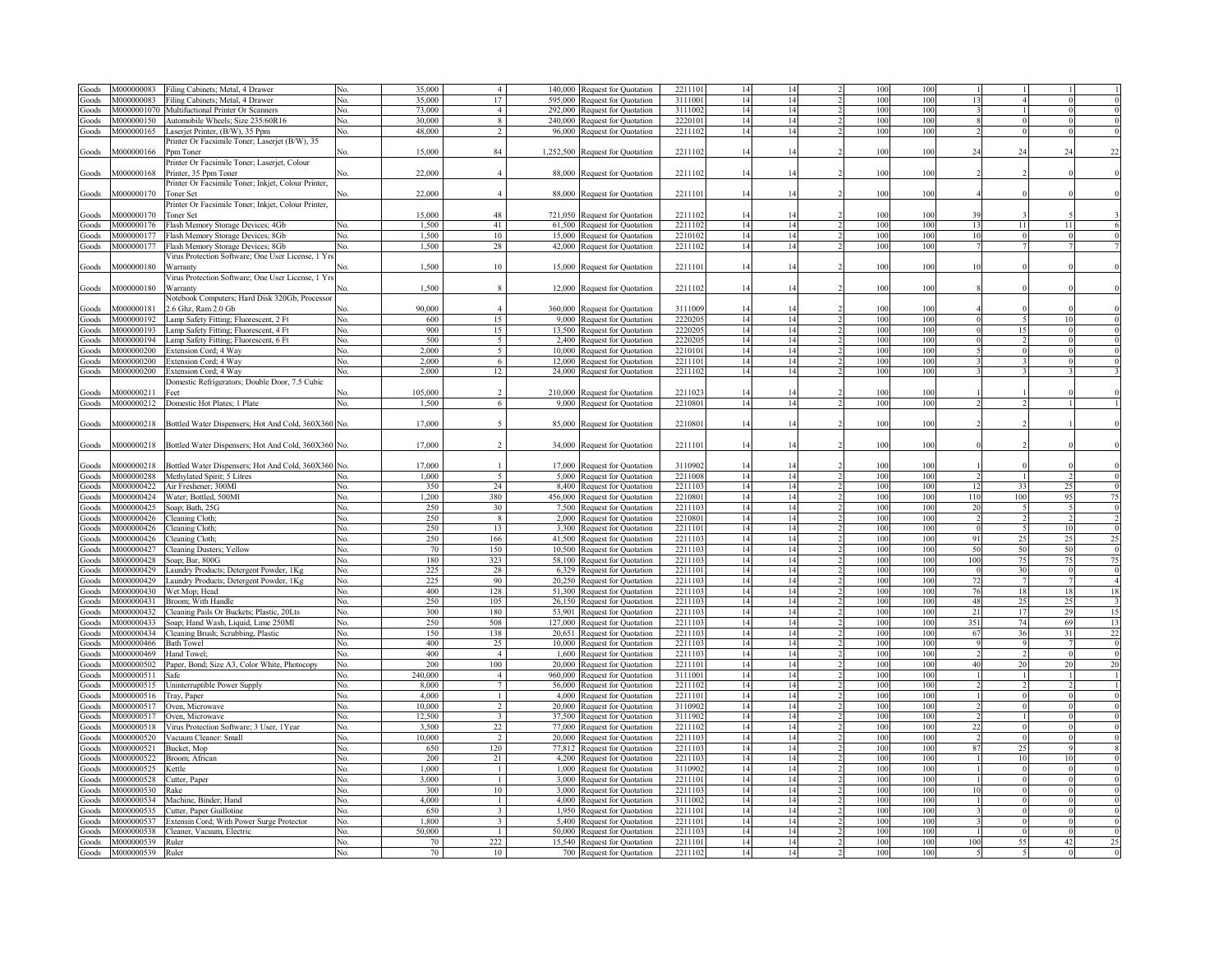| Goods          | M000000083               | Filing Cabinets; Metal, 4 Drawer                               |     | 35.000   | $\overline{4}$          |         | 140,000 Request for Quotation                             | 2211101           | 14       |          | 100        | 10         |            |          |                            |
|----------------|--------------------------|----------------------------------------------------------------|-----|----------|-------------------------|---------|-----------------------------------------------------------|-------------------|----------|----------|------------|------------|------------|----------|----------------------------|
| ioods          | M000000083               | Filing Cabinets; Metal, 4 Drawer                               | No. | 35,000   | 17                      |         | 595,000 Request for Quotation                             | 311100            | 14       |          | 100        | 100        |            |          |                            |
|                |                          |                                                                |     |          |                         |         |                                                           |                   |          | 14       |            |            |            |          |                            |
| ioods          | M0000001070              | Multifuctional Printer Or Scanners                             | No. | 73,000   | $\overline{4}$          |         | 292,000 Request for Quotation                             | 3111002           | 14       |          | 100        | 100        |            |          |                            |
| ioods          | M000000150               | Automobile Wheels; Size 235/60R16                              | No. | 30.000   | 8                       |         | 240,000 Request for Quotation                             | 2220101           | 14       | 14       | 100        | 100        |            |          |                            |
| Goods          | M000000165               | Laserjet Printer, (B/W), 35 Ppm                                | No. | 48,000   | $\overline{2}$          |         | 96,000 Request for Quotation                              | 2211102           | 14       |          | 100        | 100        |            |          |                            |
|                |                          | Printer Or Facsimile Toner; Laserjet (B/W), 35                 |     |          |                         |         |                                                           |                   |          |          |            |            |            |          |                            |
| Goods          | M000000166               | pm Toner                                                       | No. | 15,000   | 84                      |         | 1,252,500 Request for Quotation                           | 2211102           |          |          | 100        | 100        | 24         |          |                            |
|                |                          | Printer Or Facsimile Toner; Laserjet, Colour                   |     |          |                         |         |                                                           |                   |          |          |            |            |            |          |                            |
| Goods          | M000000168               | Printer, 35 Ppm Toner                                          | No. | 22,000   | $\overline{4}$          |         | 88,000 Request for Quotation                              | 2211102           | 14       | 14       | 100        | 100        |            |          |                            |
|                |                          |                                                                |     |          |                         |         |                                                           |                   |          |          |            |            |            |          |                            |
|                |                          | Printer Or Facsimile Toner; Inkjet, Colour Printer,            |     |          |                         |         |                                                           |                   |          |          |            |            |            |          |                            |
| Goods          | M000000170               | <b>Toner Set</b>                                               |     | 22,000   | $\overline{4}$          |         | 88,000 Request for Quotation                              | 221110            | 14       |          | 100        | 100        |            |          |                            |
|                |                          | Printer Or Facsimile Toner; Inkjet, Colour Printer,            |     |          |                         |         |                                                           |                   |          |          |            |            |            |          |                            |
| Goods          | M000000170               | <b>Toner Set</b>                                               |     | 15,000   | 48                      |         | 721,050 Request for Quotation                             | 221110            |          |          | 100        | 100        | 39         |          |                            |
| ioods          | M000000176               | Flash Memory Storage Devices; 4Gb                              | No. | 1.500    | 41                      |         | 61,500 Request for Quotation                              | 2211102           | 14       |          | 100        | 100        | 13         |          |                            |
| oods           | V000000177               | Flash Memory Storage Devices; 8Gb                              | Nο. | 1.500    | 10                      |         | 15,000 Request for Quotation                              | 2210102           | 14       |          | 100        | 100        | 10         |          |                            |
|                |                          |                                                                |     |          |                         |         |                                                           |                   |          |          |            |            |            |          |                            |
| dooi           | M000000177               | Flash Memory Storage Devices; 8Gb                              | No. | 1,500    | 28                      |         | 42,000 Request for Quotation                              | 2211102           | 14       |          | 100        | 100        |            |          |                            |
|                |                          | Virus Protection Software; One User License, 1 Yr              |     |          |                         |         |                                                           |                   |          |          |            |            |            |          |                            |
| Goods          | M000000180               | Warranty                                                       |     | 1,500    | 10                      |         | 15,000 Request for Quotation                              | 2211101           | 14       |          | 100        | 100        | 10         |          |                            |
|                |                          | Virus Protection Software; One User License, 1 Yrs             |     |          |                         |         |                                                           |                   |          |          |            |            |            |          |                            |
| Goods          | M000000180               | Warranty                                                       |     | 1.500    | 8                       |         | 12,000 Request for Quotation                              | 2211102           | 14       |          | 100        | 100        |            |          |                            |
|                |                          | Votebook Computers; Hard Disk 320Gb, Processor                 |     |          |                         |         |                                                           |                   |          |          |            |            |            |          |                            |
|                | V1000000181              |                                                                |     |          | $\overline{4}$          | 360.000 |                                                           |                   |          |          |            | 100        |            |          |                            |
| Goods          |                          | .6 Ghz, Ram 2.0 Gb                                             |     | 90,000   |                         |         | Request for Quotation                                     | 3111009           | 14       |          | 100        |            |            |          |                            |
| Goods          | M000000192               | Lamp Safety Fitting; Fluorescent, 2 Ft                         | No. | 600      | 15                      |         | 9,000 Request for Quotation                               | 222020            | 14       | 14       | 100        | 100        |            |          | $\mathbf 0$<br>10          |
| ioods          | 4000000193               | Lamp Safety Fitting; Fluorescent, 4 Ft                         | No. | 900      | 15                      |         | 13,500 Request for Quotation                              | 222020:           | 14       |          | 100        | 100        |            |          |                            |
| ioods          | V1000000194              | Lamp Safety Fitting; Fluorescent, 6 Ft                         | No. | 500      | 5                       | 2.400   | Request for Quotation                                     | 222020:           | 14       |          | 100        | 100        |            |          |                            |
| ioods          | M000000200               | Extension Cord; 4 Way                                          | Nο. | 2,000    | 5                       | 10,000  | Request for Quotation                                     | 2210101           | 14       |          | 100        | 100        |            |          |                            |
| ioods          | M000000200               | Extension Cord; 4 Way                                          | Nο. | 2.000    | -6                      |         | 12,000 Request for Quotation                              | 2211101           | 14       | 14       | 100        | 100        |            |          |                            |
|                |                          |                                                                |     |          |                         |         |                                                           |                   |          |          |            |            |            |          |                            |
| Goods          | M000000200               | Extension Cord; 4 Way                                          | No. | 2.000    | 12                      |         | 24,000 Request for Quotation                              | 2211102           | 14       | 14       | 100        | 100        |            |          |                            |
|                |                          | Domestic Refrigerators; Double Door, 7.5 Cubic                 |     |          |                         |         |                                                           |                   |          |          |            |            |            |          |                            |
| Goods          | V000000211               | Feet                                                           |     | 105,000  | $\mathcal{D}$           | 210.000 | Request for Quotation                                     | 221102            | 14       |          | 100        | 100        |            |          |                            |
| Goods          | M000000212               | Domestic Hot Plates; 1 Plate                                   | No. | 1,500    | 6                       |         | 9,000 Request for Quotation                               | 2210801           | 14       | 14       | 100        | 100        |            |          |                            |
|                |                          |                                                                |     |          |                         |         |                                                           |                   |          |          |            |            |            |          |                            |
|                |                          |                                                                |     | 17,000   | $\sim$                  |         | 85,000 Request for Quotation                              | 2210801           | 14       |          | 100        | 100        |            |          |                            |
| Goods          |                          | M000000218 Bottled Water Dispensers; Hot And Cold, 360X360 No. |     |          |                         |         |                                                           |                   |          |          |            |            |            |          |                            |
|                |                          |                                                                |     |          |                         |         |                                                           |                   |          |          |            |            |            |          |                            |
| Goods          | M000000218               | Bottled Water Dispensers; Hot And Cold, 360X360 No.            |     | 17,000   | $\overline{2}$          | 34,000  | Request for Quotation                                     | 2211101           | 14       | 14       | 100        | 100        |            |          |                            |
|                |                          |                                                                |     |          |                         |         |                                                           |                   |          |          |            |            |            |          |                            |
| ioods          | V000000218               | Bottled Water Dispensers; Hot And Cold, 360X360                |     | 17,000   |                         | 17 000  | Request for Quotation                                     | 311090            | 14       |          | 100        | 100        |            |          |                            |
| dooi           | 4000000288               | Methylated Spirit; 5 Litres                                    | No. | 1.000    | 5                       |         | 5,000 Request for Quotation                               | 2211008           | 14       | 14       | 100        | 100        |            |          | $\overline{0}$             |
| ioods          | M000000422               | Air Freshener; 300Ml                                           | No. | 350      | 24                      |         | 8,400 Request for Quotation                               | 221110            | 14       | 14       | 100        | 100        | 12         | 33       | $\overline{0}$<br>25       |
|                |                          |                                                                |     |          |                         |         |                                                           |                   |          |          |            |            |            |          |                            |
| ioods          | M000000424               | Water; Bottled, 500Ml                                          | No. | 1,200    | 380                     |         | 456,000 Request for Quotation                             | 221080            | 14       | 14       | 100        | 100        | 110        | 100      | 75<br>95                   |
| Goods          | M000000425               | Soap; Bath, 25G                                                | No. | 250      | 30                      |         | 7,500 Request for Quotation                               | 2211103           | 14       | 14       | 100        | 100        | 20         |          | $\overline{0}$             |
| Goods          | M000000426               | Cleaning Cloth;                                                | No. | 250      | 8                       |         | 2,000 Request for Quotation                               | 2210801           | 14       | 14       | 100        | 100        |            |          | $\overline{2}$             |
| Goods          | M000000426               | Cleaning Cloth;                                                | No. | 250      | 13                      |         | 3,300 Request for Quotation                               | 2211101           | 14       | 14       | 100        | 100        | $\sqrt{ }$ | $\leq$   | $\overline{0}$<br>10       |
| Goods          | M000000426               | Cleaning Cloth;                                                | No. | 250      | 166                     |         | 41,500 Request for Quotation                              | 2211103           | 14       | 14       | 100        | 100        | 91         | 25       | 25<br>25                   |
|                |                          |                                                                |     |          | 150                     |         |                                                           |                   |          |          | 100        |            |            | 50       | $\overline{0}$<br>50       |
| Goods          | M000000427               | Cleaning Dusters; Yellow                                       | No. | 70       |                         |         | 10,500 Request for Quotation                              | 221110            | 14       | 14       |            | 100        | 50         |          |                            |
| Goods          | M000000428               | Soap; Bar, 800G                                                | No. | 180      | 323                     |         | 58,100 Request for Quotation                              | 221110            | 14       | 14       | 100        | 100        | 100        | 75       | 75<br>75                   |
| Goods          | M000000429               | Laundry Products; Detergent Powder, 1Kg                        | No. | 225      | 28                      |         | 6,329 Request for Quotation                               | 221110            | 14       | 14       | 100        | 100        |            | 30       | $\overline{0}$             |
| Goods          | M000000429               | Laundry Products; Detergent Powder, 1Kg                        | No. | 225      | 90                      |         | 20,250 Request for Quotation                              | 2211103           | 14       | 14       | 100        | 100        | 72         |          | $\overline{4}$             |
| Goods          | M000000430               | Wet Mop; Head                                                  | No. | 400      | 128                     |         | 51,300 Request for Quotation                              | 2211103           | 14       | 14       | 100        | 100        | 76         | 18       | 18<br>18                   |
| Goods          | M000000431               | Broom; With Handle                                             | No. | 250      | 105                     |         | 26,150 Request for Quotation                              | 2211103           | 14       | 14       | 100        | 100        | 48         | 25       | $\overline{3}$<br>25       |
| ioods          | M000000432               | Cleaning Pails Or Buckets; Plastic, 20Lts                      | No. | 300      | 180                     |         | 53,901 Request for Quotation                              | 221110            | 14       | 14       | 100        | 100        | 21         | 17       | 15<br>29                   |
|                |                          |                                                                |     |          |                         |         |                                                           |                   |          |          |            |            |            |          | 13                         |
| ioods          | M000000433               | Soap; Hand Wash, Liquid, Lime 250Ml                            | No. | 250      | 508                     |         | 127,000 Request for Quotation                             | 221110            | 14       | 14       | 100        | 100        | 351        | 74       | 69                         |
| ioods          | M000000434               | Cleaning Brush; Scrubbing, Plastic                             | No. | 150      | 138                     | 20.651  | Request for Quotation                                     | 221110            | 14       | 14       | 100        | 100        | 67         | 36       | 22<br>31                   |
| ioods          | V000000466               | <b>Bath Towel</b>                                              | No. | 400      | 25                      |         | 10,000 Request for Quotation                              | 221110            | 14       | 14       | 100        | 100        |            | $\Omega$ | $\Omega$                   |
| doods          | V000000469               | Hand Towel;                                                    | No. | 400      | $\overline{4}$          | 1.600   | equest for Quotation                                      | 221110            | 14       | 14       | 100        | 100        |            |          |                            |
| doods          | 4000000502               | aper, Bond; Size A3, Color White, Photocopy                    | No. | 200      | 100                     | 20.000  | <b>Request for Quotation</b>                              | 221110            | 14       | 14       | 100        | 100        | 40         |          | 20<br>20                   |
| ioods          | 4000000511               | Safe                                                           | Nο. | 240,000  | $\overline{4}$          | 960.000 | lequest for Quotation                                     | 311100            | 14       | 14       | 100        | 100        |            |          |                            |
| ioods          | 4000000515               |                                                                | Nο. | 8,000    | $7\phantom{.0}$         | 56.000  | <b>Request for Quotation</b>                              | 221110            | 14       | 14       | 100        | 100        |            |          |                            |
|                |                          | Uninterruptible Power Supply                                   |     |          |                         |         |                                                           |                   |          |          |            |            |            |          |                            |
| ioods          | 4000000516               | Tray, Paper                                                    | Nο. | 4.000    | $\mathbf{1}$            | 4.000   | <b>Request for Quotation</b>                              | 221110            | 14       | 14       | 100        | 100        |            |          |                            |
| ioods          | 4000000517               | Oven, Microwave                                                | Nο. | 10.000   | $\overline{2}$          | 20.000  | <b>Request for Quotation</b>                              | 311090            | 14       | 14       |            |            |            |          |                            |
| doods          |                          |                                                                |     |          |                         |         |                                                           |                   |          |          | 100        | 100        |            |          |                            |
|                | 4000000517               | Oven, Microwave                                                | No. | 12.500   | $\overline{\mathbf{3}}$ | 37.500  | equest for Quotation                                      | 311190            | 14       | 14       | 100        | 100        |            |          |                            |
| doods          | 4000000518               | Virus Protection Software; 3 User, 1Year                       | No. | 3.500    | 22                      | 77.000  | equest for Quotation                                      | 221110            | 14       | 14       | 100        | 100        |            |          |                            |
|                | 4000000520               |                                                                | Nο. |          | $\overline{2}$          | 20.000  |                                                           | 221110            |          | 14       | 100        | 100        |            |          |                            |
| ioods          |                          | Vacuum Cleaner: Small                                          |     | 10,000   |                         |         | lequest for Quotation                                     |                   | 14       |          |            |            |            |          |                            |
| ioods          | 4000000521               | Bucket, Mop                                                    | N٥  | 650      | 120                     | 77,812  | <b>Request for Quotation</b>                              | 221110            | 14       | 14       | 100        | 100        | 87         |          |                            |
| ioods          | 4000000522               | Broom; African                                                 | N٥  | 200      | 21                      | 4,200   | <b>Request for Quotation</b>                              | 221110            | 14       | 14       | 100        | 100        |            | 10       |                            |
| ioods          | 4000000525               | ettle                                                          | N٥  | 1.000    | $\mathbf{1}$            | 1,000   | <b>Request for Quotation</b>                              | 311090            | 14       | 14       | 100        | 100        |            |          |                            |
| doods          | 4000000528               | utter, Paper                                                   | Nο. | 3.000    | $\mathbf{1}$            | 3,000   | <b>Request for Quotation</b>                              | 221110            | 14       | 14       | 100        | 100        |            |          |                            |
| doods          | M000000530               | ≀ake                                                           | Nο. | 300      | 10                      | 3,000   |                                                           | 221110            | 14       | 14       | 100        | 100        | 10         |          |                            |
|                | 4000000534               |                                                                | Nο. |          | $\overline{1}$          | 4.000   | Request for Quotation                                     |                   |          |          |            |            |            |          |                            |
| ioods          |                          | Machine, Binder; Hand                                          |     | 4.000    |                         |         | <b>Request for Quotation</b>                              | 3111002           | 14       | 14       | 100        | 100        |            |          |                            |
| ioods          | 4000000535               | utter, Paper Guillotine                                        | N٥  | 650      | $\overline{\mathbf{3}}$ | 1950    | <b>Request for Quotation</b>                              | 221110            | 14       | 14       | 100        | 100        |            |          |                            |
| ioods          | 4000000532               | xtensin Cord; With Power Surge Protector                       | Nο. | 1.800    | $\overline{\mathbf{3}}$ |         | 5,400 Request for Quotation                               | 221110            | 14       | 14       | 100        | 100        |            |          | $\overline{0}$             |
| ioods          | 4000000538               | leaner, Vacuum, Electric                                       | Nο. | 50,000   | $\overline{1}$          |         | 50,000 Request for Quotation                              | 221110            | 14       | 14       | 100        | 100        |            |          | $\overline{0}$<br>$\Omega$ |
| Goods<br>Goods | V000000539<br>M000000539 | Ruler<br>Ruler                                                 | Nο. | 70<br>70 | 222<br>10               |         | 15,540 Request for Quotation<br>700 Request for Quotation | 221110<br>2211102 | 14<br>14 | 14<br>14 | 100<br>100 | 100<br>100 | 100        | 55       | 25<br>42                   |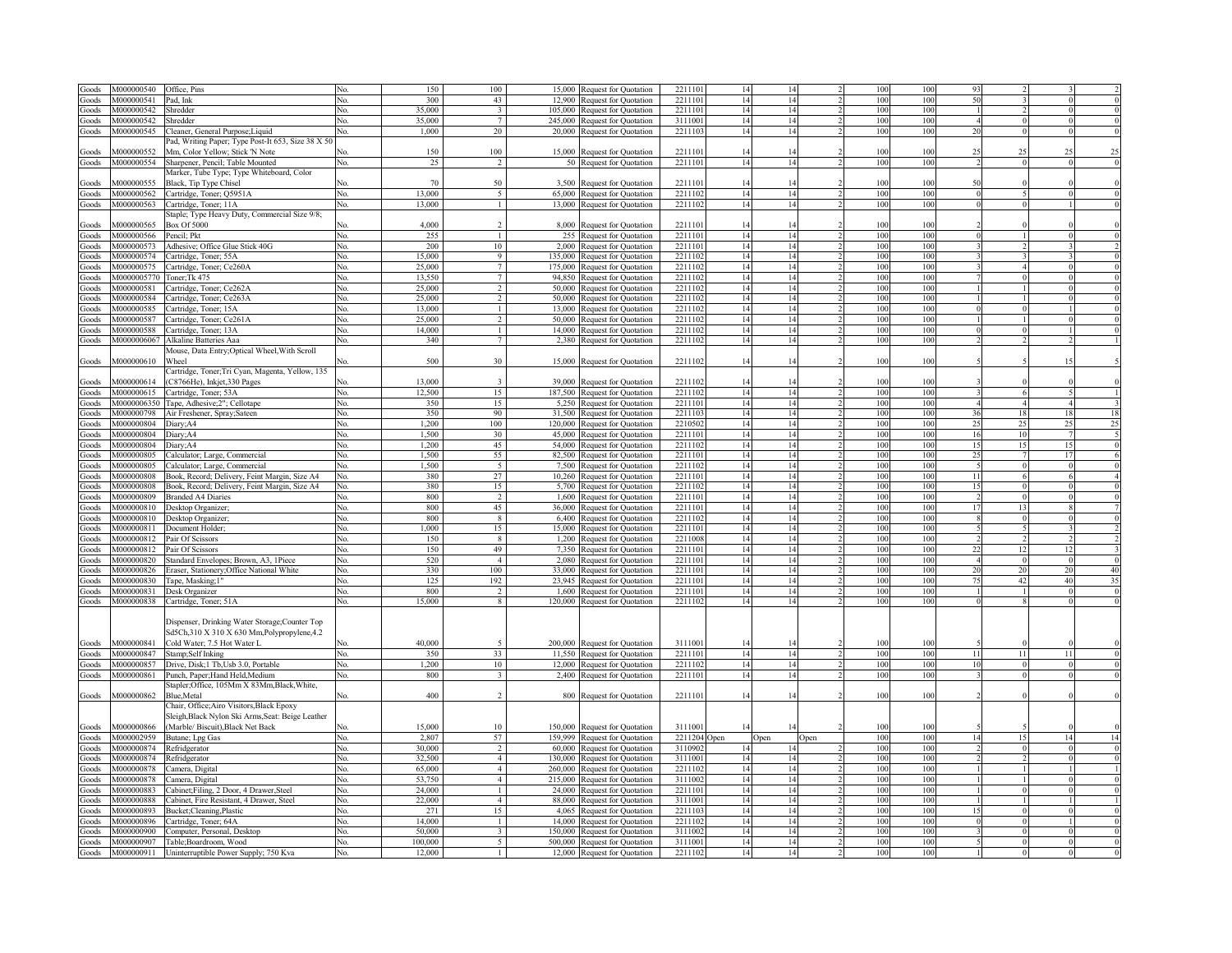| Goods                  | M000000540        | Office, Pins                                                                                                                        |     | 150     | 100                      |        | 15,000 Request for Quotation  | 221110  | 14          | 14   |      | 100 | 100 | 93              |                |     |                 |
|------------------------|-------------------|-------------------------------------------------------------------------------------------------------------------------------------|-----|---------|--------------------------|--------|-------------------------------|---------|-------------|------|------|-----|-----|-----------------|----------------|-----|-----------------|
| Goods                  | M000000541        | Pad, Ink                                                                                                                            | No. | 300     | 43                       | 12,900 | Request for Quotation         | 221110  | 14          | 14   |      | 100 | 100 | 50              |                |     |                 |
|                        |                   |                                                                                                                                     |     | 35,000  | $\mathbf{3}$             |        |                               |         | 14          | 14   |      | 100 | 100 |                 |                |     |                 |
| Goods                  | M000000542        | Shredder                                                                                                                            | No. |         |                          |        | 105,000 Request for Quotation | 221110  |             |      |      |     |     |                 |                |     |                 |
| Goods                  | M000000542        | Shredder                                                                                                                            | No. | 35,000  | $7\phantom{.0}$          |        | 245,000 Request for Quotation | 3111001 | 14          | 14   |      | 100 | 100 |                 | $\Omega$       |     |                 |
| Goods                  | M000000545        | Cleaner, General Purpose; Liquid                                                                                                    | No. | 1,000   | 20                       |        | 20,000 Request for Quotation  | 2211103 | 14          | 14   |      | 100 | 100 | 20              | $\theta$       |     |                 |
|                        |                   | Pad, Writing Paper; Type Post-It 653, Size 38 X 50                                                                                  |     |         |                          |        |                               |         |             |      |      |     |     |                 |                |     |                 |
| Goods                  | M000000552        | Mm, Color Yellow; Stick 'N Note                                                                                                     |     | 150     | 100                      |        | 15,000 Request for Quotation  | 221110  | 14          | 14   |      | 100 | 100 | 25              | 25             |     |                 |
| Goods                  | M000000554        | Sharpener, Pencil; Table Mounted                                                                                                    | No. | 25      | $\overline{\phantom{a}}$ |        | 50 Request for Quotation      | 2211101 | 14          | 14   |      | 100 | 100 |                 | $\Omega$       |     |                 |
|                        |                   |                                                                                                                                     |     |         |                          |        |                               |         |             |      |      |     |     |                 |                |     |                 |
|                        |                   | Marker, Tube Type; Type Whiteboard, Color                                                                                           |     |         |                          |        |                               |         |             |      |      |     |     |                 |                |     |                 |
| Goods                  | M000000555        | Black, Tip Type Chisel                                                                                                              | No. | 70      | 50                       | 3,500  | <b>Request for Quotation</b>  | 221110  | 14          | 14   |      | 100 | 100 | 50              |                |     |                 |
| Goods                  | M000000562        | Cartridge, Toner; Q5951A                                                                                                            | No. | 13,000  | $\sim$                   |        | 65,000 Request for Quotation  | 2211102 | 14          | 14   |      | 100 | 100 | $\Omega$        |                |     |                 |
| Goods                  | M000000563        | Cartridge, Toner; 11A                                                                                                               | No. | 13,000  | $\mathbf{1}$             |        | 13,000 Request for Quotation  | 2211102 | 14          | 14   |      | 100 | 100 |                 |                |     |                 |
|                        |                   | taple; Type Heavy Duty, Commercial Size 9/8;                                                                                        |     |         |                          |        |                               |         |             |      |      |     |     |                 |                |     |                 |
|                        |                   |                                                                                                                                     |     |         |                          |        |                               |         |             |      |      |     |     |                 |                |     |                 |
| Goods                  | M000000565        | Box Of 5000                                                                                                                         |     | 4,000   |                          |        | 8,000 Request for Quotation   | 221110  |             |      |      | 100 | 100 |                 |                |     |                 |
| Goods                  | M000000566        | Pencil; Pkt                                                                                                                         | No. | 255     | $\mathbf{1}$             |        | 255 Request for Quotation     | 2211101 | 14          | 14   |      | 100 | 100 |                 |                |     |                 |
| Goods                  | M000000573        | Adhesive; Office Glue Stick 40G                                                                                                     | No. | 200     | 10                       |        | 2,000 Request for Quotation   | 221110  | 14          | 14   |      | 100 | 100 |                 |                |     |                 |
| Goods                  | M000000574        | Cartridge, Toner; 55A                                                                                                               | No. | 15,000  | -9                       |        | 135,000 Request for Quotation | 2211102 | 14          | 14   |      | 100 | 100 |                 |                |     |                 |
| Goods                  | M000000575        | Cartridge, Toner; Ce260A                                                                                                            | No. | 25,000  | $\tau$                   |        | 175,000 Request for Quotation | 221110  | 14          | 14   |      | 100 | 100 |                 |                |     |                 |
| Goods                  | M0000005770       | oner;Tk 475                                                                                                                         | No. | 13.550  | $\tau$                   |        | 94,850 Request for Quotation  | 221110  | 14          | 14   |      | 100 | 100 |                 |                |     |                 |
|                        |                   |                                                                                                                                     |     |         |                          |        |                               |         |             |      |      |     |     |                 |                |     |                 |
| Goods                  | M000000581        | Cartridge, Toner; Ce262A                                                                                                            | No. | 25,000  | $\mathcal{D}$            |        | 50,000 Request for Quotation  | 221110  | 14          | 14   |      | 100 | 100 |                 |                |     |                 |
| Goods                  | M000000584        | Cartridge, Toner; Ce263A                                                                                                            | No. | 25,000  | 2                        | 50.000 | Request for Quotation         | 221110  | 14          | 14   |      | 100 | 100 |                 |                |     |                 |
| Goods                  | M000000585        | Cartridge, Toner; 15A                                                                                                               | No. | 13.000  | $\mathbf{1}$             | 13.000 | Request for Quotation         | 221110  | 14          | 14   |      | 100 | 100 |                 |                |     |                 |
| Goods                  | M000000587        | Cartridge, Toner; Ce261A                                                                                                            | No. | 25,000  | $\overline{2}$           |        | 50,000 Request for Quotation  | 221110  | 14          | 14   |      | 100 | 100 |                 |                |     |                 |
| Goods                  | M000000588        | Cartridge, Toner; 13A                                                                                                               | No. | 14,000  | $\mathbf{1}$             |        | 14,000 Request for Quotation  | 221110  | 14          | 14   |      | 100 | 100 |                 | $\overline{0}$ |     |                 |
|                        |                   |                                                                                                                                     |     |         | $\tau$                   |        |                               |         |             |      |      |     |     |                 |                |     |                 |
| $\operatorname{Goods}$ | M0000006067       | Alkaline Batteries Aaa                                                                                                              | No. | 340     |                          |        | 2,380 Request for Quotation   | 2211102 | 14          | 14   |      | 100 | 100 |                 |                |     |                 |
|                        |                   | Mouse, Data Entry; Optical Wheel, With Scroll                                                                                       |     |         |                          |        |                               |         |             |      |      |     |     |                 |                |     |                 |
| Goods                  | M000000610        | <b>Vheel</b>                                                                                                                        | Nο. | 500     | 30                       |        | 15,000 Request for Quotation  | 2211102 | 14          | 14   |      | 100 | 100 |                 |                |     |                 |
|                        |                   | Cartridge, Toner; Tri Cyan, Magenta, Yellow, 135                                                                                    |     |         |                          |        |                               |         |             |      |      |     |     |                 |                |     |                 |
| Goods                  | M000000614        | C8766He), Inkjet, 330 Pages                                                                                                         | N٥  | 13,000  | $\overline{3}$           |        | 39,000 Request for Quotation  | 2211102 | 14          | 14   |      | 100 | 100 |                 |                |     |                 |
|                        | M000000615        |                                                                                                                                     |     | 12.500  | 15                       |        |                               | 2211102 |             |      |      | 100 | 100 |                 |                |     |                 |
| Goods                  |                   | Cartridge, Toner; 53A                                                                                                               | No. |         |                          |        | 187,500 Request for Quotation |         | 14          | 14   |      |     |     |                 |                |     |                 |
| Goods                  | M0000006350       | Tape, Adhesive;2"; Cellotape                                                                                                        | No. | 350     | 15                       |        | 5,250 Request for Quotation   | 221110  | 14          | 14   |      | 100 | 100 | $\overline{4}$  |                |     | F               |
| Goods                  | M000000798        | Air Freshener, Spray;Sateen                                                                                                         | No. | 350     | 90                       |        | 31,500 Request for Quotation  | 2211102 | 14          | 14   |      | 100 | 100 | 36              | 18             | 18  | 18              |
| Goods                  | M000000804        | Diary;A4                                                                                                                            | No. | 1,200   | 100                      |        | 120,000 Request for Quotation | 2210502 | 14          | 14   |      | 100 | 100 | 25              | 25             | 25  | 25              |
| Goods                  | M000000804        |                                                                                                                                     | No. | 1,500   | 30                       |        | 45,000 Request for Quotation  | 221110  | 14          | 14   |      | 100 | 100 | 16              | 10             |     |                 |
|                        |                   | Diary;A4                                                                                                                            |     |         |                          |        |                               |         |             |      |      | 100 |     |                 |                |     |                 |
| Goods                  | M000000804        | Diary;A4                                                                                                                            | No. | 1,200   | 45                       |        | 54,000 Request for Quotation  | 2211102 | 14          | 14   |      |     | 100 | 15              | 15             | 15  | $\overline{6}$  |
| Goods                  | <b>M000000805</b> | Calculator; Large, Commercial                                                                                                       | No. | 1,500   | 55                       |        | 82,500 Request for Quotation  | 221110  | 14          | 14   |      | 100 | 100 | 25              |                | -17 | $\epsilon$      |
| Goods                  | M000000805        | Calculator; Large, Commercial                                                                                                       | No. | 1,500   | 5                        |        | 7,500 Request for Quotation   | 2211102 | 14          | 14   |      | 100 | 100 |                 | $\theta$       |     |                 |
| Goods                  | M000000808        | Book, Record; Delivery, Feint Margin, Size A4                                                                                       | No. | 380     | 27                       |        | 10,260 Request for Quotation  | 221110  | 14          | 14   |      | 100 | 100 | 11              | 6              |     |                 |
| Goods                  | <b>M000000808</b> | Book, Record; Delivery, Feint Margin, Size A4                                                                                       | No. | 380     | 15                       |        |                               | 2211102 | 14          | 14   |      | 100 | 100 | 15              | $\theta$       |     |                 |
|                        |                   |                                                                                                                                     |     |         |                          |        | 5,700 Request for Quotation   |         |             |      |      |     |     |                 |                |     |                 |
| Goods                  | M000000809        | <b>Branded A4 Diaries</b>                                                                                                           | No. | 800     | $\overline{2}$           |        | 1,600 Request for Quotation   | 2211101 | 14          | 14   |      | 100 | 100 |                 | $\theta$       |     |                 |
| Goods                  | M000000810        | Desktop Organizer;                                                                                                                  | No. | 800     | 45                       |        | 36,000 Request for Quotation  | 2211101 | 14          | 14   |      | 100 | 100 | 17              | 13             |     |                 |
| Goods                  | M000000810        | Desktop Organizer;                                                                                                                  | No. | 800     | 8                        |        | 6,400 Request for Quotation   | 2211102 | 14          | 14   |      | 100 | 100 |                 |                |     |                 |
| Goods                  | M000000811        | Document Holder:                                                                                                                    | No. | 1,000   | 15                       |        | 15,000 Request for Quotation  | 221110  | 14          | 14   |      | 100 | 100 |                 |                |     |                 |
|                        | M000000812        | Pair Of Scissors                                                                                                                    | No. | 150     | $\mathbf{8}$             |        |                               | 2211008 | 14          | 14   |      | 100 | 100 |                 |                |     |                 |
| Goods                  |                   |                                                                                                                                     |     |         |                          |        | 1,200 Request for Quotation   |         |             |      |      |     |     |                 |                |     |                 |
| Goods                  | M000000812        | Pair Of Scissors                                                                                                                    | No. | 150     | 49                       |        | 7,350 Request for Quotation   | 221110  | 14          | 14   |      | 100 | 100 |                 | 12             |     |                 |
| Goods                  | M000000820        | Standard Envelopes; Brown, A3, 1Piece                                                                                               | No. | 520     | $\overline{4}$           |        | 2,080 Request for Quotation   | 221110  | 14          | 14   |      | 100 | 100 |                 |                |     |                 |
| Goods                  | M000000826        | Eraser, Stationery; Office National White                                                                                           | No. | 330     | 100                      |        | 33,000 Request for Quotation  | 221110  | 14          | 14   |      | 100 | 100 |                 | 20             |     | 40              |
| Goods                  | M000000830        | Tape, Masking;1"                                                                                                                    | No. | 125     | 192                      |        | 23,945 Request for Quotation  | 221110  | 14          | 14   |      | 100 | 100 |                 | 42             | 40  | 35              |
| Goods                  | M000000831        | Desk Organizer                                                                                                                      | No. | 800     | $\overline{2}$           |        | 1,600 Request for Quotation   | 221110  | 14          | 14   |      | 100 | 100 |                 |                |     |                 |
|                        |                   |                                                                                                                                     |     |         |                          |        |                               |         |             |      |      |     |     |                 |                |     |                 |
| Goods                  | M000000838        | Cartridge, Toner; 51A                                                                                                               | No. | 15,000  | 8                        |        | 120,000 Request for Quotation | 2211102 | 14          | 14   |      | 100 | 100 |                 |                |     |                 |
|                        |                   | Dispenser, Drinking Water Storage; Counter Top<br>Sd5Ch,310 X 310 X 630 Mm,Polypropylene,4.2                                        |     |         |                          |        |                               |         |             |      |      |     |     |                 |                |     |                 |
| Goods                  | M000000841        | Cold Water; 7.5 Hot Water L                                                                                                         | Nο  | 40,000  |                          |        | 200,000 Request for Quotation | 3111001 |             |      |      | 100 |     |                 |                |     |                 |
|                        | M000000847        |                                                                                                                                     | No. | 350     | 33                       |        |                               | 2211101 | 14          | 14   |      | 100 | 100 | 11              | 11             | 11  |                 |
| Goods                  |                   | Stamp;Self Inking                                                                                                                   |     |         |                          |        | 11,550 Request for Quotation  |         |             |      |      |     |     |                 |                |     |                 |
| Goods                  | M000000857        | Drive, Disk;1 Tb, Usb 3.0, Portable                                                                                                 | No. | 1.200   | 10                       |        | 12,000 Request for Quotation  | 2211102 | 14          | 14   |      | 100 | 100 | 10              |                |     |                 |
| Goods                  | M000000861        | Punch, Paper; Hand Held, Medium                                                                                                     | Nο. | 800     | $\overline{\mathbf{a}}$  |        | 2,400 Request for Quotation   | 221110  | 14          | 14   |      | 100 | 100 |                 |                |     |                 |
| Goods                  | M000000862        | Stapler;Office, 105Mm X 83Mm,Black,White,<br>Blue,Metal                                                                             | No. | 400     | $\mathcal{L}$            |        | 800 Request for Quotation     | 2211101 | 14          | 14   |      | 100 | 100 |                 |                |     |                 |
| Goods                  | M000000866        | Chair, Office; Airo Visitors, Black Epoxy<br>Sleigh, Black Nylon Ski Arms, Seat: Beige Leather<br>(Marble/ Biscuit), Black Net Back | N٥  | 15,000  | 10                       |        | 150,000 Request for Quotation | 3111001 |             |      |      | 100 | 100 |                 |                |     |                 |
| Goods                  | M000002959        | Butane; Lpg Gas                                                                                                                     | No. | 2,807   | 57                       |        | 159,999 Request for Quotation | 2211204 | <b>Open</b> | Open | Open | 100 | 100 | $\overline{14}$ | 15             | 14  | $\overline{14}$ |
| Goods                  | M000000874        | Refridgerator                                                                                                                       | No. | 30,000  | $\overline{2}$           |        | 60,000 Request for Quotation  | 3110902 | 14          | 14   |      | 100 | 100 |                 | $\Omega$       |     |                 |
|                        |                   |                                                                                                                                     |     | 32,500  | $\overline{4}$           |        |                               | 3111001 | 14          | 14   |      | 100 | 100 |                 | $\mathcal{D}$  |     |                 |
| Goods                  | M000000874        | Refridgerator                                                                                                                       | No. |         |                          |        | 130,000 Request for Quotation |         |             |      |      |     |     |                 |                |     |                 |
| Goods                  | M000000878        | Camera, Digital                                                                                                                     | No. | 65,000  | $\overline{4}$           |        | 260,000 Request for Quotation | 2211102 | 14          | 14   |      | 100 | 100 |                 |                |     |                 |
| Goods                  | M000000878        | Camera, Digital                                                                                                                     | No. | 53,750  | $\overline{a}$           |        | 215,000 Request for Quotation | 3111002 | 14          | 14   |      | 100 | 100 |                 |                |     |                 |
| Goods                  | M000000883        | Cabinet; Filing, 2 Door, 4 Drawer, Steel                                                                                            | No. | 24,000  | $\mathbf{1}$             |        | 24,000 Request for Quotation  | 2211101 | 14          | 14   |      | 100 | 100 |                 | $\Omega$       |     |                 |
| Goods                  | M000000888        | Cabinet, Fire Resistant, 4 Drawer, Steel                                                                                            | No. | 22,000  | $\overline{4}$           |        | 88,000 Request for Quotation  | 3111001 | 14          | 14   |      | 100 | 100 |                 |                |     |                 |
| Goods                  | M000000893        | Bucket; Cleaning, Plastic                                                                                                           | No. | 271     | 15                       |        | 4,065 Request for Quotation   | 221110  | 14          | 14   |      | 100 | 100 |                 |                |     |                 |
|                        |                   |                                                                                                                                     |     |         |                          |        |                               |         |             |      |      |     |     |                 |                |     |                 |
| Goods                  | M000000896        | Cartridge, Toner; 64A                                                                                                               | No. | 14,000  |                          |        | 14,000 Request for Quotation  | 2211102 | 14          | 14   |      | 100 | 100 |                 |                |     |                 |
| Goods                  | M000000900        | Computer, Personal, Desktop                                                                                                         | No. | 50,000  | $\ddot{\mathbf{3}}$      |        | 150,000 Request for Quotation | 3111002 | 14          | 14   |      | 100 | 100 |                 |                |     |                 |
| Goods                  | M000000907        | Table;Boardroom, Wood                                                                                                               | No. | 100.000 |                          |        | 500,000 Request for Quotation | 311100  | 14          | 14   |      | 100 | 100 |                 |                |     |                 |
| Goods                  | M000000911        | Uninterruptible Power Supply; 750 Kva                                                                                               | No. | 12,000  |                          |        | 12,000 Request for Quotation  | 2211102 | 14          | 14   |      | 100 | 100 |                 |                |     |                 |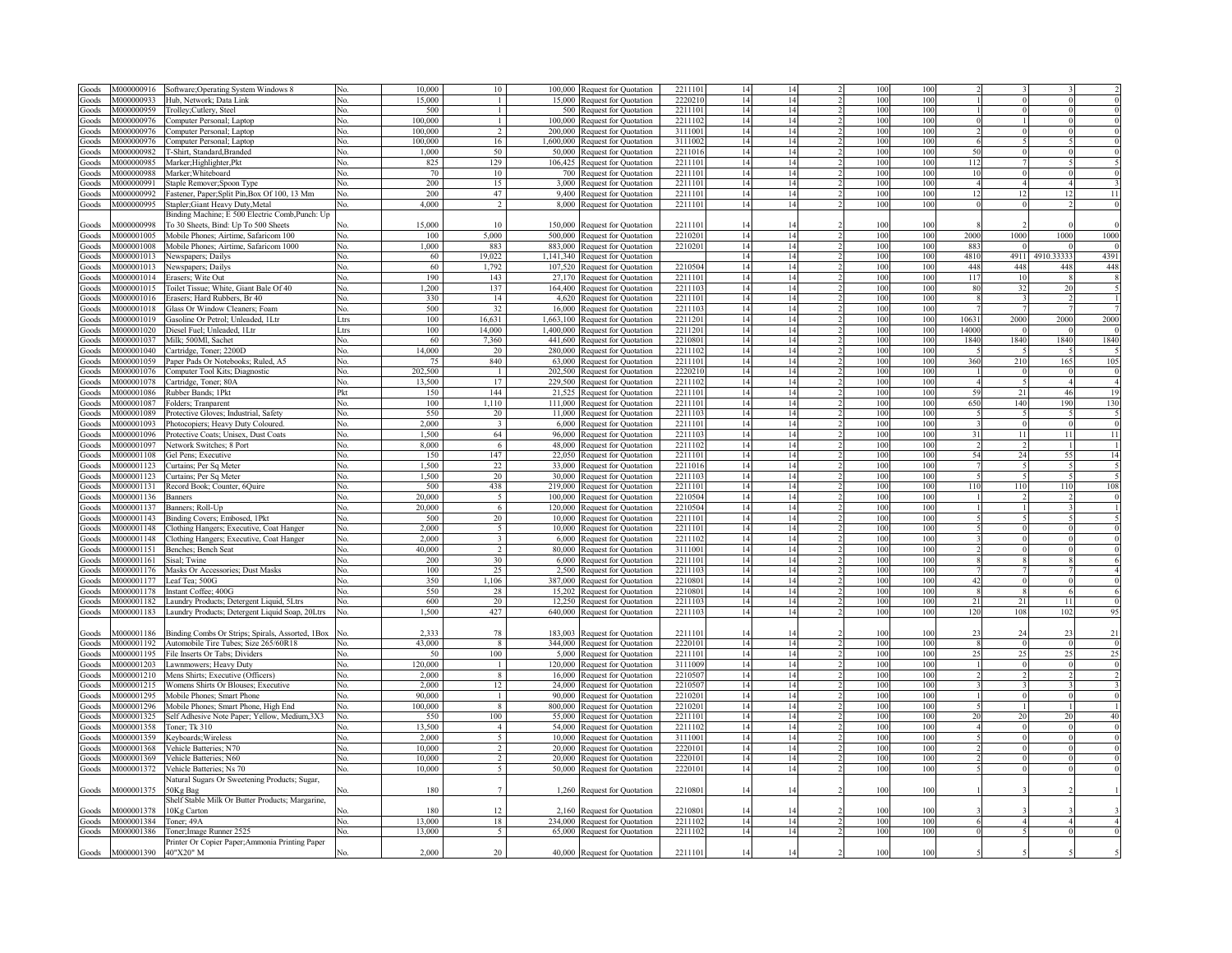| Goods          | M000000916  | Software; Operating System Windows 8                       |            | 10,000         | 10                       | 100,000<br>Request for Quotation | 221110  | 14 |    |                 | 100 |       |          |            |                 |
|----------------|-------------|------------------------------------------------------------|------------|----------------|--------------------------|----------------------------------|---------|----|----|-----------------|-----|-------|----------|------------|-----------------|
| Goods          | M000000933  | Hub. Network: Data Link                                    | No.        | 15,000         |                          | 15,000<br>Request for Quotation  | 222021  | 14 | 14 | 100             | 100 |       |          |            |                 |
| Goods          | M000000959  | Trolley;Cutlery, Steel                                     | No.        | 500            | $\mathbf{1}$             | 500 Request for Quotation        | 221110  | 14 | 14 | 100             | 100 |       |          |            |                 |
| Goods          | M000000976  |                                                            | No.        | 100,000        | $\mathbf{1}$             |                                  | 221110  | 14 | 14 | 100             | 100 |       |          |            |                 |
|                |             | Computer Personal; Laptop                                  |            |                | $\overline{2}$           | 100,000 Request for Quotation    |         |    |    |                 |     |       |          |            |                 |
| Goods          | v1000000976 | Computer Personal; Laptop                                  | Nο.        | 100,000        |                          | 200,000 Request for Quotation    | 311100  | 14 | 14 | 100             | 100 |       |          |            |                 |
| Goods          | M000000976  | Computer Personal; Laptop                                  | Nο         | 100.000        | 16                       | 1,600,000 Request for Quotation  | 311100  | 14 | 14 | 100             | 100 |       |          |            |                 |
| Goods          | M000000982  | <b>F-Shirt</b> , Standard, Branded                         | Nο         | 1.000          | 50                       | 50,000 Request for Quotation     | 221101  | 14 | 14 | 100             | 100 | 50    |          |            |                 |
| Goods          | M000000985  | Marker; Highlighter, Pkt                                   | No.        | 825            | 129                      | 106,425 Request for Quotation    | 221110  | 14 | 14 | 100             | 100 | 112   |          |            |                 |
| Goods          | M000000988  | Marker: Whiteboard                                         | No.        | 70             | 10                       | 700 Request for Quotation        | 221110  | 14 | 14 | 100             | 100 | 10    |          |            |                 |
| Goods          | M000000991  | Staple Remover; Spoon Type                                 | Nο         | 200            | 15                       | 3,000 Request for Quotation      | 221110  | 14 | 14 | 100             | 100 |       |          |            |                 |
| Goods          | M000000992  | Fastener, Paper; Split Pin, Box Of 100, 13 Mm              | Nο         | 200            | 47                       | 9.400<br>Request for Quotation   | 221110  | 14 | 14 | 100             | 100 | 12    | 12       | 12         | $\overline{11}$ |
| Goods          | M000000995  | Stapler; Giant Heavy Duty, Metal                           | Nο         | 4.000          | 2                        | 8,000 Request for Quotation      | 221110  | 14 | 14 | 100             | 100 |       |          |            |                 |
|                |             |                                                            |            |                |                          |                                  |         |    |    |                 |     |       |          |            |                 |
|                |             | Binding Machine; E 500 Electric Comb, Punch: Up            |            |                |                          |                                  |         |    |    |                 |     |       |          |            |                 |
| Goods          | V1000000998 | To 30 Sheets, Bind: Up To 500 Sheets                       |            | 15,000         | 10                       | 150,000 Request for Quotation    | 221110  | 14 |    | 100             | 100 |       |          |            | $\mathbf 0$     |
| Goods          | M000001005  | Mobile Phones; Airtime, Safaricom 100                      | No.        | 100            | 5,000                    | 500,000 Request for Quotation    | 221020  | 14 | 14 | 100             | 100 | 2000  | 1000     | 1000       | 1000            |
| Goods          | M000001008  | Mobile Phones; Airtime, Safaricom 1000                     | No.        | 1,000          | 883                      | 883,000 Request for Quotation    | 221020  | 14 | 14 | 100             | 100 | 883   |          |            | $\Omega$        |
| Goods          | M000001013  | Newspapers; Dailys                                         | No.        | 60             | 19.022                   | 1,141,340 Request for Quotation  |         | 14 | 14 | 100             | 100 | 4810  | 4911     | 4910.33333 | 4391            |
| Goods          | M000001013  | Newspapers; Dailys                                         | No.        | 60             | 1,792                    | 107,520 Request for Quotation    | 221050  | 14 | 14 | 100             | 100 | 448   | 448      | 448        | 448             |
| Goods          | M000001014  | Erasers; Wite Out                                          | No.        | 190            | 143                      | 27,170 Request for Quotation     | 221110  | 14 | 14 | 100             | 100 | 117   | 10       |            |                 |
| Goods          | M000001015  | Toilet Tissue; White, Giant Bale Of 40                     | No.        | 0.200          | 137                      | 164,400 Request for Quotation    | 221110  | 14 | 14 | 100             | 100 | 80    | 32       | 20         |                 |
| Goods          | M000001016  | Erasers; Hard Rubbers, Br 40                               | No.        | 330            | 14                       | 4,620 Request for Quotation      | 221110  | 14 | 14 | 100             | 100 |       |          |            |                 |
|                |             |                                                            |            |                |                          |                                  |         |    |    |                 |     |       |          |            |                 |
| Goods          | M000001018  | Glass Or Window Cleaners; Foam                             | No.        | 500            | 32                       | 16,000 Request for Quotation     | 221110  | 14 | 14 | 100             | 100 |       |          |            |                 |
| Goods          | M000001019  | Gasoline Or Petrol; Unleaded, 1Ltr                         | Ltrs       | 100            | 16,631                   | 1,663,100 Request for Quotation  | 221120  | 14 | 14 | 100             | 100 | 10631 | 2000     | 2000       | 2000            |
| Goods          | M000001020  | Diesel Fuel; Unleaded, 1Ltr                                | Ltrs       | 100            | 14,000                   | 1,400,000 Request for Quotation  | 221120  | 14 | 14 | 100             | 100 | 14000 |          |            |                 |
| Goods          | M000001037  | Milk; 500Ml, Sachet                                        | No.        | 60             | 7,360                    | 441,600 Request for Quotation    | 221080  | 14 | 14 | 100             | 100 | 1840  | 1840     | 1840       | 1840            |
| Goods          | M000001040  | Cartridge, Toner; 2200D                                    | No.        | 14,000         | 20                       | 280,000 Request for Quotation    | 221110  | 14 | 14 | 100             | 100 |       |          |            |                 |
| Goods          | M000001059  | Paper Pads Or Notebooks; Ruled, A5                         | No.        | 7 <sup>s</sup> | 840                      | 63,000 Request for Quotation     | 221110  | 14 | 14 | 100             | 100 | 360   | 210      | 165        | 105             |
| Goods          | M000001076  | Computer Tool Kits; Diagnostic                             | No.        | 202,500        | $\mathbf{1}$             | 202,500 Request for Quotation    | 222021  | 14 | 14 | 100             | 100 |       |          |            | -0              |
| Goods          | V000001078  | Cartridge, Toner; 80A                                      | No.        | 13.500         | 17                       | 229,500 Request for Quotation    | 221110  | 14 | 14 | 100             | 100 |       |          |            | $\overline{4}$  |
|                |             |                                                            |            |                |                          |                                  | 221110  |    | 14 |                 |     |       | 21       |            |                 |
| Goods          | M000001086  | Rubber Bands; 1Pkt                                         | Pkt        | 150            | 144                      | 21,525 Request for Quotation     |         | 14 |    | 100             | 100 | 59    |          | 46         | 19              |
| Goods          | M000001087  | Folders; Tranparent                                        | No.        | 100            | 1,110                    | 111,000 Request for Quotation    | 221110  | 14 | 14 | 100             | 100 | 650   | 140      | 190        | 130             |
| Goods          | M000001089  | Protective Gloves; Industrial, Safety                      | No.        | 550            | 20                       | 11,000 Request for Quotation     | 221110  | 14 | 14 | 100             | 100 |       |          |            |                 |
| Goods          | M000001093  | Photocopiers; Heavy Duty Coloured.                         | No.        | 2.000          | $\overline{\mathbf{3}}$  | 6,000 Request for Quotation      | 221110  | 14 | 14 | 100             | 100 |       |          |            | $\overline{0}$  |
| Goods          | M000001096  | Protective Coats; Unisex, Dust Coats                       | No.        | 1,500          | 64                       | 96,000<br>Request for Quotation  | 221110  | 14 | 14 | 100             | 100 | 31    | 11       | 11         | 11              |
| Goods          | M000001097  | Network Switches; 8 Port                                   | No.        | 8,000          | 6                        | 48,000 Request for Quotation     | 221110  | 14 | 14 | 100             | 100 |       |          |            | -1              |
| Goods          | M000001108  | Gel Pens: Executive                                        | No.        | 150            | 147                      | 22,050 Request for Ouotation     | 221110  | 14 | 14 | 100             | 100 | 54    | 24       | 55         | 14              |
| Goods          | M000001123  | Curtains; Per Sq Meter                                     | No.        | 1.500          | 22                       | 33,000 Request for Quotation     | 221101  | 14 | 14 | 100             | 100 |       |          |            |                 |
| <b>Goods</b>   | M000001123  |                                                            | No.        | 1.500          | 20                       |                                  | 2211102 | 14 | 14 | 100             | 100 |       |          |            |                 |
|                |             | Curtains; Per Sq Meter                                     |            |                |                          | 30,000 Request for Quotation     |         |    |    |                 |     |       |          |            |                 |
| <b>Goods</b>   | M000001131  | Record Book; Counter, 6Quire                               | No.        | 500            | 438                      | 219,000 Request for Quotation    | 2211101 | 14 | 14 | 100             | 100 | 110   | 110      | 110        | 108             |
| Goods          | M000001136  | Banners                                                    | No.        | 20,000         | $\overline{5}$           | 100,000 Request for Quotation    | 221050  | 14 | 14 | 100             | 100 |       |          |            | $\mathbf 0$     |
| Goods          | M000001137  | Banners; Roll-Up                                           | No.        | 20.000         | 6                        | 120,000 Request for Quotation    | 2210504 | 14 | 14 | 100             | 100 |       |          |            |                 |
| Goods          | M000001143  | Binding Covers; Embosed, 1Pkt                              | No.        | 500            | 20                       | 10,000 Request for Quotation     | 221110  | 14 | 14 | 100             | 100 |       |          |            |                 |
| Goods          | M000001148  | Clothing Hangers; Executive, Coat Hanger                   | No.        | 2.000          | $\sim$                   | 10,000 Request for Quotation     | 221110  | 14 | 14 | 100             | 100 |       |          |            | $\mathbf 0$     |
| Goods          | M000001148  | Clothing Hangers; Executive, Coat Hanger                   | No.        | 2.000          | $\overline{3}$           | 6,000 Request for Quotation      | 2211102 | 14 | 14 | 100             | 100 |       |          |            | $\overline{0}$  |
|                | M000001151  |                                                            |            | 40,000         | $\overline{2}$           | 80,000 Request for Quotation     | 311100  | 14 | 14 | 100             | 100 |       |          |            | $\overline{0}$  |
| Goods<br>Goods | M000001161  | Benches; Bench Seat<br>Sisal: Twine                        | No.<br>No. | 200            | $30^{\circ}$             |                                  | 221110  | 14 | 14 | 100             | 100 |       |          |            | -6              |
|                |             |                                                            |            | 100            |                          | 6,000 Request for Quotation      |         |    |    | 100             |     |       |          |            | $\overline{4}$  |
| Goods          | M000001176  | Masks Or Accessories; Dust Masks                           | No.        |                | 25                       | 2,500 Request for Quotation      | 221110  | 14 | 14 |                 | 100 |       |          |            |                 |
| Goods          | M000001177  | Leaf Tea; 500G                                             | No.        | 350            | 1,106                    | 387,000 Request for Quotation    | 221080  | 14 | 14 | 100             | 100 | 42    |          |            | $\overline{0}$  |
| Goods          | M000001178  | Instant Coffee; 400G                                       | No.        | 550            | 28                       | 15,202 Request for Quotation     | 2210801 | 14 | 14 | 100             | 100 |       | 8        |            | 6               |
| Goods          | M000001182  | Laundry Products; Detergent Liquid, 5Ltrs                  | No.        | 600            | 20                       | 12,250 Request for Quotation     | 221110  | 14 | 14 | 100             | 100 | 21    | 21       | 11         | $\overline{0}$  |
| Goods          |             | M000001183 Laundry Products; Detergent Liquid Soap, 20Ltrs | No.        | 1,500          | 427                      | 640,000 Request for Quotation    | 221110  | 14 | 14 | 100             | 100 | 120   | 108      | 102        | 95              |
|                |             |                                                            |            |                |                          |                                  |         |    |    |                 |     |       |          |            |                 |
| Goods          | M000001186  | Binding Combs Or Strips; Spirals, Assorted, 1Box           |            | 2,333          | 78                       | 183,003 Request for Quotation    | 221110  | 14 |    | 100             | 100 | 23    |          |            | 21              |
| Goods          | M000001192  | Automobile Tire Tubes; Size 265/60R18                      | No.        | 43,000         | $\mathbf{8}$             | 344,000 Request for Quotation    | 2220101 | 14 | 14 | 100             | 100 |       | $\Omega$ |            | $\overline{0}$  |
|                |             |                                                            |            | 50             |                          |                                  |         |    | 14 | 100             |     | 25    | 25       |            | 25              |
| Goods          | M000001195  | File Inserts Or Tabs; Dividers                             | No.        |                | 100                      | 5,000 Request for Quotation      | 221110  | 14 |    |                 | 100 |       |          |            |                 |
| Goods          | M000001203  | Lawnmowers; Heavy Duty                                     | No.        | 120,000        | $\overline{1}$           | 120,000 Request for Quotation    | 3111009 | 14 | 14 | 100             | 100 |       |          |            |                 |
| Goods          | M000001210  | Mens Shirts; Executive (Officers)                          | No.        | 2.000          | 8                        | 16,000 Request for Quotation     | 221050  | 14 | 14 | 100             | 100 |       |          |            |                 |
| Goods          | M000001215  | Womens Shirts Or Blouses; Executive                        | No.        | 2.000          | 12                       | 24,000 Request for Quotation     | 221050  | 14 | 14 | 100             | 100 |       |          |            |                 |
| Goods          | M000001295  | Mobile Phones; Smart Phone                                 | No.        | 90,000         | $\mathbf{1}$             | 90,000 Request for Quotation     | 221020  | 14 | 14 | 100             | 100 |       |          |            |                 |
| Goods          | M000001296  | Mobile Phones; Smart Phone, High End                       | No.        | 100,000        | 8                        | 800,000 Request for Quotation    | 221020  | 14 | 14 | 100             | 100 |       |          |            |                 |
| Goods          | M000001325  | Self Adhesive Note Paper; Yellow, Medium, 3X3              | No.        | 550            | 100                      | 55,000 Request for Quotation     | 221110  | 14 |    | 100             | 100 |       |          |            | 40              |
| Goods          | M000001358  | Toner; Tk 310                                              | No.        | 13.500         | $\overline{4}$           | 54,000 Request for Quotation     | 221110  | 14 | 14 | 100             | 100 |       |          |            |                 |
| Goods          | M000001359  | Keyboards; Wireless                                        | Nο.        | 2.000          | $\sim$                   |                                  | 311100  | 14 | 14 | 100             | 100 |       |          |            |                 |
|                |             |                                                            |            |                |                          | 10,000 Request for Quotation     |         |    |    |                 |     |       |          |            |                 |
| Goods          | M000001368  | Vehicle Batteries; N70                                     | Nο.        | 10,000         | $\overline{2}$           | 20,000 Request for Quotation     | 222010  | 14 |    | 100             | 100 |       |          |            |                 |
| Goods          | M000001369  | Vehicle Batteries; N60                                     | No.        | 10,000         | $\overline{2}$           | 20,000 Request for Quotation     | 222010  | 14 |    | 100             | 100 |       |          |            |                 |
| Goods          | M000001372  | Vehicle Batteries; Ns 70                                   | Nο         | 10,000         | $\tilde{\mathcal{L}}$    | 50,000 Request for Quotation     | 222010  | 14 |    | 100             | 100 |       |          |            |                 |
|                |             | Natural Sugars Or Sweetening Products; Sugar,              |            |                |                          |                                  |         |    |    |                 |     |       |          |            |                 |
| Goods          | M000001375  | 50Kg Bag                                                   |            | 180            |                          | 1,260 Request for Quotation      | 221080  | 14 |    | 100             | 100 |       |          |            |                 |
|                |             | Shelf Stable Milk Or Butter Products; Margarine,           |            |                |                          |                                  |         |    |    |                 |     |       |          |            |                 |
| Goods          | M000001378  | 10Kg Carton                                                |            | 180            | 12                       | 2,160 Request for Quotation      | 221080  | 14 |    | 100             | 100 |       |          |            |                 |
| Goods          | M000001384  | Toner; 49A                                                 | Nο.        | 13,000         | 18                       | 234,000 Request for Quotation    | 221110  | 14 | 14 | 10 <sub>0</sub> | 100 |       |          |            |                 |
|                | M000001386  |                                                            | NΩ         | 13,000         | $\overline{\phantom{a}}$ |                                  | 221110  | 14 | 14 | 100             | 100 |       |          |            |                 |
| Goods          |             | Toner; Image Runner 2525                                   |            |                |                          | 65,000 Request for Quotation     |         |    |    |                 |     |       |          |            |                 |
|                |             | Printer Or Copier Paper; Ammonia Printing Paper            |            |                |                          |                                  |         |    |    |                 |     |       |          |            |                 |
| Goods          | M000001390  | 40"X20" M                                                  |            | 2.000          | 20                       | 40,000 Request for Quotation     | 2211101 | 14 |    | 100             | 100 |       |          |            |                 |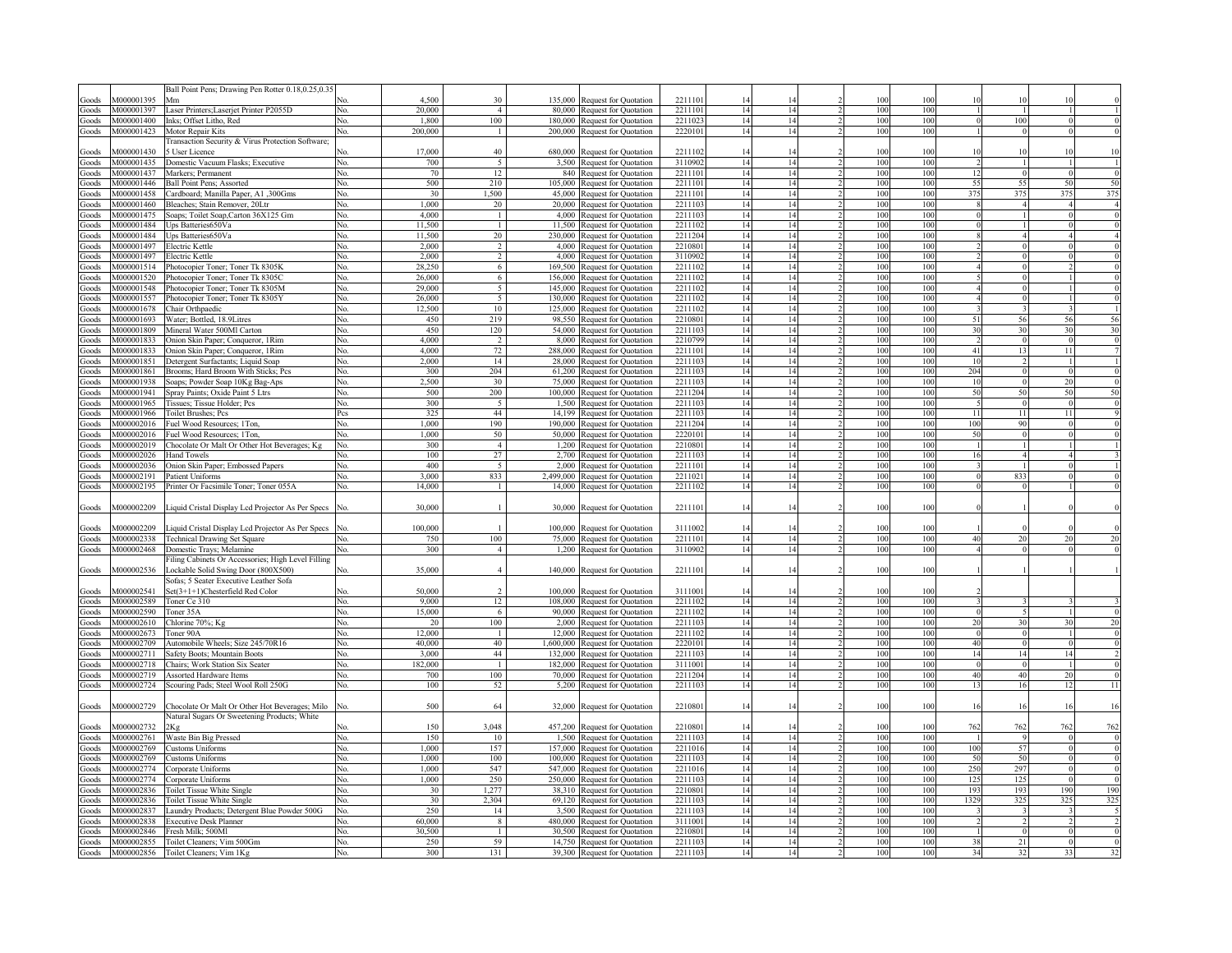|                    |            | Ball Point Pens; Drawing Pen Rotter 0.18,0.25,0.35                |     |            |                |           |                                                              |                   |          |          |            |            |            |                        |                    |                              |
|--------------------|------------|-------------------------------------------------------------------|-----|------------|----------------|-----------|--------------------------------------------------------------|-------------------|----------|----------|------------|------------|------------|------------------------|--------------------|------------------------------|
| ioods              | V000001395 | Mm                                                                |     | 4.500      | 30             | 135,000   | Request for Quotation                                        | 221110            | 14       |          | 100        | 100        | 10         |                        |                    |                              |
| ioods              | M000001397 |                                                                   | No. | 20,000     | $\overline{a}$ | 80,000    | Request for Quotation                                        | 221110            | 14       | 14       | 100        | 100        |            |                        |                    |                              |
|                    |            | Laser Printers; Laserjet Printer P2055D                           |     |            |                |           |                                                              |                   |          | 14       |            |            |            |                        |                    |                              |
| ioods              | M000001400 | Inks; Offset Litho, Red                                           | No. | 1,800      | 100            | 180,000   | Request for Quotation                                        | 2211023           | 14       |          | 100        | 100        | - C        | 100                    |                    |                              |
| ioods              | M000001423 | Motor Repair Kits                                                 | No. | 200,000    | $\mathbf{1}$   | 200,000   | Request for Quotation                                        | 222010            | 14       | 14       | 100        | 100        |            | $\Omega$               |                    |                              |
|                    |            | Transaction Security & Virus Protection Software;                 |     |            |                |           |                                                              |                   |          |          |            |            |            |                        |                    |                              |
| Goods              | M000001430 | 5 User Licence                                                    |     | 17,000     | 40             | 680,000   | Request for Quotation                                        | 2211102           | 14       |          | 100        | 100        | 10         | 10                     |                    |                              |
| ioods              | M000001435 | Domestic Vacuum Flasks; Executive                                 | No. | 700        | 5              |           | 3,500 Request for Quotation                                  | 3110902           | 14       | 14       | 100        | 100        |            | $\overline{1}$         |                    |                              |
| Goods              | M000001437 | Markers; Permanent                                                | No. | 70         | 12             |           | 840 Request for Quotation                                    | 2211101           | 14       | 14       | 100        | 100        | 12         | $\Omega$               | $\Omega$           | $\epsilon$                   |
| Goods              | M000001446 | Ball Point Pens; Assorted                                         | No. | 500        | 210            | 105,000   | Request for Quotation                                        | 2211101           | 14       | 14       | 100        | 100        | 55         | 55                     | 50                 | 50                           |
| ioods              | M000001458 | Cardboard; Manilla Paper, A1,300Gms                               | No. | 30         | 1,500          | 45,000    | Request for Quotation                                        | 2211101           | 14       | 14       | 100        | 100        | 375        | 375                    | 375                | 375                          |
| ioods              | M000001460 | Bleaches; Stain Remover, 20Ltr                                    | No. | 1,000      | 20             | 20.000    | Request for Quotation                                        | 2211103           | 14       | 14       | 100        | 100        |            | $\boldsymbol{\Lambda}$ |                    |                              |
| ioods              | M000001475 | Soaps; Toilet Soap, Carton 36X125 Gm                              | No. | 4.000      | $\mathbf{1}$   | 4,000     | Request for Quotation                                        | 2211103           | 14       | 14       | 100        | 100        |            |                        |                    |                              |
|                    |            |                                                                   |     |            | $\mathbf{1}$   |           |                                                              |                   |          | 14       |            | 100        |            |                        |                    |                              |
| ioods              | M000001484 | Jps Batteries650Va                                                | No. | 11,500     |                | 11,500    | Request for Quotation                                        | 221110            | 14       |          | 100        |            |            |                        |                    |                              |
| oods               | M000001484 | Ups Batteries650Va                                                | No. | 11,500     | 20             | 230,000   | Request for Quotation                                        | 2211204           | 14       | 14       | 100        | 100        |            |                        |                    |                              |
| oods               | M000001497 | Electric Kettle                                                   | No. | 2,000      | 2              | 4,000     | Request for Quotation                                        | 2210801           | 14       | 14       | 100        | 100        |            |                        |                    |                              |
| oods               | M000001497 | Electric Kettle                                                   | No. | 2,000      | $\overline{2}$ | 4,000     | Request for Quotation                                        | 3110902           | 14       | 14       | 100        | 100        |            |                        |                    |                              |
| oods               | 4000001514 | Photocopier Toner; Toner Tk 8305K                                 | Nο. | 28.250     | 6              | 169,500   | Request for Quotation                                        | 221110            | 14       | 14       | 100        | 100        |            |                        |                    |                              |
| oods               | 4000001520 | Photocopier Toner; Toner Tk 8305C                                 | No. | 26.000     | 6              | 156.000   | Request for Quotation                                        | 221110            | 14       | 14       | 100        | 100        |            |                        |                    |                              |
| oods               | 4000001548 | Photocopier Toner; Toner Tk 8305M                                 | No. | 29,000     | 5              | 145.000   | Request for Quotation                                        | 221110            | 14       | 14       | 100        | 100        |            |                        |                    |                              |
| oods               | 4000001557 | Photocopier Toner; Toner Tk 8305Y                                 | No. | 26,000     | 5              | 130,000   | Request for Quotation                                        | 221110            | 14       | 14       | 100        | 100        |            |                        | $\mathbf{0}$       |                              |
| oods               | 4000001678 | Chair Orthpaedic                                                  | No. | 12,500     | 10             | 125,000   | Request for Quotation                                        | 221110            | 14       | 14       | 100        | 100        |            |                        |                    |                              |
| oods               | 4000001693 | Water; Bottled, 18.9Litres                                        | No. | 450        | 219            | 98.550    | Request for Quotation                                        | 221080            | 14       | 14       | 100        | 100        | 51         | 56                     |                    |                              |
| oods               | 4000001809 | Mineral Water 500Ml Carton                                        | No. | 450        | 120            | 54,000    | Request for Quotation                                        | 221110            | 14       | 14       | 100        | 100        | 30         | 30                     |                    | $\frac{56}{30}$              |
|                    | 4000001833 |                                                                   |     | 4,000      |                | 8.000     |                                                              | 221079            | 14       | 14       | 100        | 100        |            |                        |                    |                              |
| ioods              |            | Onion Skin Paper; Conqueror, 1Rim                                 | No. |            | 2              |           | Request for Quotation                                        |                   |          |          |            |            |            |                        |                    |                              |
| ioods              | 4000001833 | Onion Skin Paper; Conqueror, 1Rim                                 | No. | 4.000      | 72             | 288.000   | Request for Quotation                                        | 221110            | 14       | 14       | 100        | 100        | 41         | 13                     |                    |                              |
| doods              | 4000001851 | Detergent Surfactants; Liquid Soap                                | No. | 2,000      | 14             | 28.000    | Request for Quotation                                        | 221110            | 14       | 14       | 100        | 100        | 10         |                        | $\overline{c}$     |                              |
| ioods              | 4000001861 | Brooms; Hard Broom With Sticks; Pcs                               | No. | 300        | 204            | 61,200    | Request for Quotation                                        | 221110            | 14       | 14       | 100        | 100        | 204        |                        | $\boldsymbol{0}$   |                              |
| ioods              | M000001938 | Soaps; Powder Soap 10Kg Bag-Aps                                   | No. | 2.500      | 30             | 75,000    | Request for Quotation                                        | 221110            | 14       | 14       | 100        | 100        | 10         |                        | $\mathbf{0}$<br>20 | $\epsilon$                   |
| ioods              | M000001941 | Spray Paints; Oxide Paint 5 Ltrs                                  | No. | 500        | 200            | 100,000   | Request for Quotation                                        | 2211204           | 14       | 14       | 100        | 100        | 50         | 50                     | 50                 | 50                           |
| ioods              | M000001965 | Tissues; Tissue Holder; Pcs                                       | No. | 300        | 5              | 1.500     | Request for Quotation                                        | 2211103           | 14       | 14       | 100        | 100        |            |                        | $\theta$           | $\epsilon$                   |
| doods              | M000001966 | <b>Toilet Brushes</b> ; Pcs                                       | Pcs | 325        | 44             | 14.199    | Request for Quotation                                        | 221110            | 14       | 14       | 100        | 100        | 11         | 11                     | -11                |                              |
| ioods              | 4000002016 | Fuel Wood Resources; 1Ton,                                        | No. | 1.000      | 190            | 190.000   | Request for Quotation                                        | 2211204           | 14       | 14       | 100        | 100        | 100        | 90                     |                    |                              |
| ioods              | 4000002016 | Fuel Wood Resources; 1Ton,                                        | No. | 1,000      | 50             | 50,000    | <b>Request for Quotation</b>                                 | 222010            | 14       | 14       | 100        | 100        | 50         |                        |                    |                              |
| ioods              | 4000002019 | Chocolate Or Malt Or Other Hot Beverages; Kg                      | No. | 300        | $\overline{4}$ | 1.200     | <b>Request for Quotation</b>                                 | 221080            | 14       | 14       | 100        | 100        |            |                        |                    |                              |
|                    |            |                                                                   |     |            |                |           |                                                              |                   |          |          |            |            |            |                        |                    |                              |
| aboof <sup>3</sup> | M000002026 | <b>Hand Towels</b>                                                | Nο. | 100        | 27             | 2.700     | Request for Quotation                                        | 2211103           | 14       | 14       | 100        | 100        | 16         |                        |                    |                              |
| <b>Toods</b>       | M000002036 | Onion Skin Paper; Embossed Papers                                 | No. | 400        | 5              | 2.000     | Request for Quotation                                        | 2211101           | 14       | 14       | 100        | 100        |            |                        |                    |                              |
|                    |            |                                                                   |     |            |                |           |                                                              |                   |          |          |            |            |            |                        |                    |                              |
| Goods              | M000002191 | Patient Uniforms                                                  | No. | 3,000      | 833            | 2.499.000 | Request for Quotation                                        | 2211021           | 14       | 14       | 100        | 100        | $\Omega$   | 833                    |                    |                              |
| Goods              | M000002195 | Printer Or Facsimile Toner; Toner 055A                            | No. | 14,000     | $\overline{1}$ | 14,000    | Request for Quotation                                        | 2211102           | 14       | 14       | 100        | 100        | $\sqrt{ }$ |                        |                    |                              |
|                    |            |                                                                   |     |            |                |           |                                                              |                   |          |          |            |            |            |                        |                    |                              |
| Goods              | M000002209 | Liquid Cristal Display Lcd Projector As Per Specs                 | No. | 30,000     |                |           |                                                              | 2211101           | 14       | 14       | 100        | 100        |            |                        |                    |                              |
|                    |            |                                                                   |     |            |                |           | 30,000 Request for Quotation                                 |                   |          |          |            |            |            |                        |                    |                              |
|                    |            |                                                                   |     |            |                |           |                                                              |                   |          |          |            |            |            |                        |                    |                              |
| Goods              | M000002209 | Liquid Cristal Display Lcd Projector As Per Specs                 |     | 100,000    |                |           | 100,000 Request for Quotation                                | 3111002           | 14       |          | 100        | 100        |            |                        |                    |                              |
| Goods              | M000002338 | <b>Technical Drawing Set Square</b>                               | No. | 750        | 100            |           | 75,000 Request for Quotation                                 | 2211101           | 14       | 14       | 100        | 100        | 40         | 20                     | 20                 |                              |
| Goods              | M000002468 | Domestic Trays; Melamine                                          | No. | 300        | $\overline{4}$ |           | 1,200 Request for Quotation                                  | 3110902           | 14       | 14       | 100        | 100        |            |                        | $\theta$           |                              |
|                    |            | Filing Cabinets Or Accessories; High Level Filling                |     |            |                |           |                                                              |                   |          |          |            |            |            |                        |                    |                              |
| Goods              | M000002536 | Lockable Solid Swing Door (800X500)                               | No. | 35,000     | $\overline{4}$ |           | 140,000 Request for Quotation                                | 2211101           | 14       | 14       | 100        | 100        |            |                        |                    |                              |
|                    |            | Sofas; 5 Seater Executive Leather Sofa                            |     |            |                |           |                                                              |                   |          |          |            |            |            |                        |                    |                              |
| Goods              | V000002541 | Set(3+1+1)Chesterfield Red Color                                  |     | 50,000     | $\mathcal{L}$  | 100,000   | Request for Quotation                                        | 311100            | 14       | 14       | 100        | 100        |            |                        |                    |                              |
| Goods              | M000002589 | Toner Ce 310                                                      | No. | 9,000      | 12             |           | 108,000 Request for Quotation                                | 2211102           | 14       | 14       | 100        | 100        |            |                        |                    |                              |
| Goods              | M000002590 | Toner 35A                                                         | No. | 15,000     | 6              |           | 90,000 Request for Quotation                                 | 2211102           | 14       | 14       | 100        | 100        | - C        |                        |                    |                              |
| ioods              | M000002610 | Chlorine 70%; Kg                                                  | No. | 20         | 100            |           | 2,000 Request for Quotation                                  | 221110            | 14       | 14       | 100        | 100        | 20         | 30                     |                    |                              |
| ioods              | M000002673 | Toner 90A                                                         | No. | 12,000     | -1             |           |                                                              | 2211102           | 14       | 14       | 100        | 100        | $\sqrt{ }$ |                        | $\theta$           |                              |
|                    |            |                                                                   |     |            |                |           | 12,000 Request for Quotation                                 |                   |          |          |            |            |            |                        | $\Omega$           |                              |
| ioods              | M000002709 | Automobile Wheels; Size 245/70R16                                 | No. | 40,000     | 40             | 1,600,000 | Request for Quotation                                        | 222010            | 14       | 14       | 100        | 100        | 40         |                        |                    |                              |
| ioods              | M000002711 | Safety Boots; Mountain Boots                                      | No. | 3,000      | 44             | 132,000   | Request for Quotation                                        | 221110            | 14       | 14       | 100        | 100        | 14         | 14                     | 14                 |                              |
| doods              | 4000002718 | Chairs; Work Station Six Seater                                   | No. | 182,000    | $\overline{1}$ | 182.000   | <b>Request for Quotation</b>                                 | 3111001           | 14       | 14       | 100        | 100        |            |                        | $\theta$           |                              |
| ioods              | M000002719 | Assorted Hardware Items                                           | Nο. | 700        | 100            | 70.000    | <b>Request for Quotation</b>                                 | 2211204           | 14       | 14       | 100        | 100        | 40         | 40                     | 20                 |                              |
| Goods              | M000002724 | Scouring Pads; Steel Wool Roll 250G                               | No. | 100        | 52             | 5,200     | Request for Quotation                                        | 221110            | 14       | 14       | 100        | 100        | 13         | 16                     | 12                 |                              |
|                    |            |                                                                   |     |            |                |           |                                                              |                   |          |          |            |            |            |                        |                    |                              |
| Goods              | 4000002729 | Chocolate Or Malt Or Other Hot Beverages; Milo                    | Nο. | 500        | 64             |           | 32,000 Request for Quotation                                 | 221080            | 14       |          | 100        | 100        | 16         |                        |                    |                              |
|                    |            | Natural Sugars Or Sweetening Products; White                      |     |            |                |           |                                                              |                   |          |          |            |            |            |                        |                    |                              |
| Goods              | 4000002732 |                                                                   |     | 150        | 3.048          |           | 457,200 Request for Quotation                                | 221080            |          |          | 100        | 100        | 762        | 762                    | 762                | $\overline{20}$<br>20<br>762 |
| ioods              | V000002761 | Waste Bin Big Pressed                                             | Nο. | 150        | 10             |           | 1,500 Request for Quotation                                  | 221110            | 14       | 14       | 100        | 100        |            |                        | 9                  |                              |
| ioods              | 4000002769 | Customs Uniforms                                                  | N٥  | 1.000      | 157            |           |                                                              | 221101            | 14       | 14       | 100        | 100        | 100        | 57                     |                    |                              |
|                    |            |                                                                   |     |            |                | 100.000   | 157,000 Request for Quotation                                | 221110            |          | 14       | 100        |            |            | 50                     |                    |                              |
| ioods              | 4000002769 | Customs Uniforms                                                  |     | 1,000      | 100            |           | Request for Quotation                                        |                   | 14       | 14       | 100        | 100        | 50         |                        |                    |                              |
| ioods              | 4000002774 | Corporate Uniforms                                                |     | 1.000      | 547            | 547,000   | Request for Quotation                                        | 221101            | 14       |          |            | 100        | 250        | 297                    |                    |                              |
| doods              | 4000002774 | Corporate Uniforms                                                | N٥  | 1.000      | 250            | 250,000   | Request for Quotation                                        | 221110            | 14       | 14       | 100        | 100        | 125        | 125                    |                    |                              |
| ioods              | v000002836 | <b>Toilet Tissue White Single</b>                                 | Nο. | 30         | 1.277          | 38,310    | Request for Quotation                                        | 221080            | 14       | 14       | 100        | 100        | 193        | 193                    | 190                | 190                          |
| ioods              | V000002836 | <b>Toilet Tissue White Single</b>                                 |     | 30         | 2.304          | 69,120    | Request for Quotation                                        | 221110            | 14       | 14       | 100        | 100        | 1329       | 325                    | 325                | 325                          |
| ioods              | 4000002837 | aundry Products; Detergent Blue Powder 500G                       | N٥  | 250        | 14             | 3,500     | <b>Request for Quotation</b>                                 | 221110            | 14       | 14       | 100        | 100        |            |                        |                    |                              |
| ioods              | 4000002838 | <b>Executive Desk Planner</b>                                     | Jο  | 60,000     | 8              | 480,000   | Request for Quotation                                        | 311100            | 14       | 14       | 100        | 100        |            |                        |                    |                              |
| ioods              | 4000002846 | Fresh Milk: 500Ml                                                 | Nο. | 30,500     | $\top$         | 30,500    | Request for Quotation                                        | 221080            | 14       | 14       | 100        | 100        |            |                        |                    |                              |
| Goods<br>Goods     | M000002855 | Toilet Cleaners; Vim 500Gm<br>M000002856 Toilet Cleaners; Vim 1Kg | Nο. | 250<br>300 | 59<br>131      |           | 14,750 Request for Quotation<br>39,300 Request for Quotation | 221110<br>2211103 | 14<br>14 | 14<br>14 | 100<br>100 | 100<br>100 | 38<br>34   | 21<br>32               | 33                 |                              |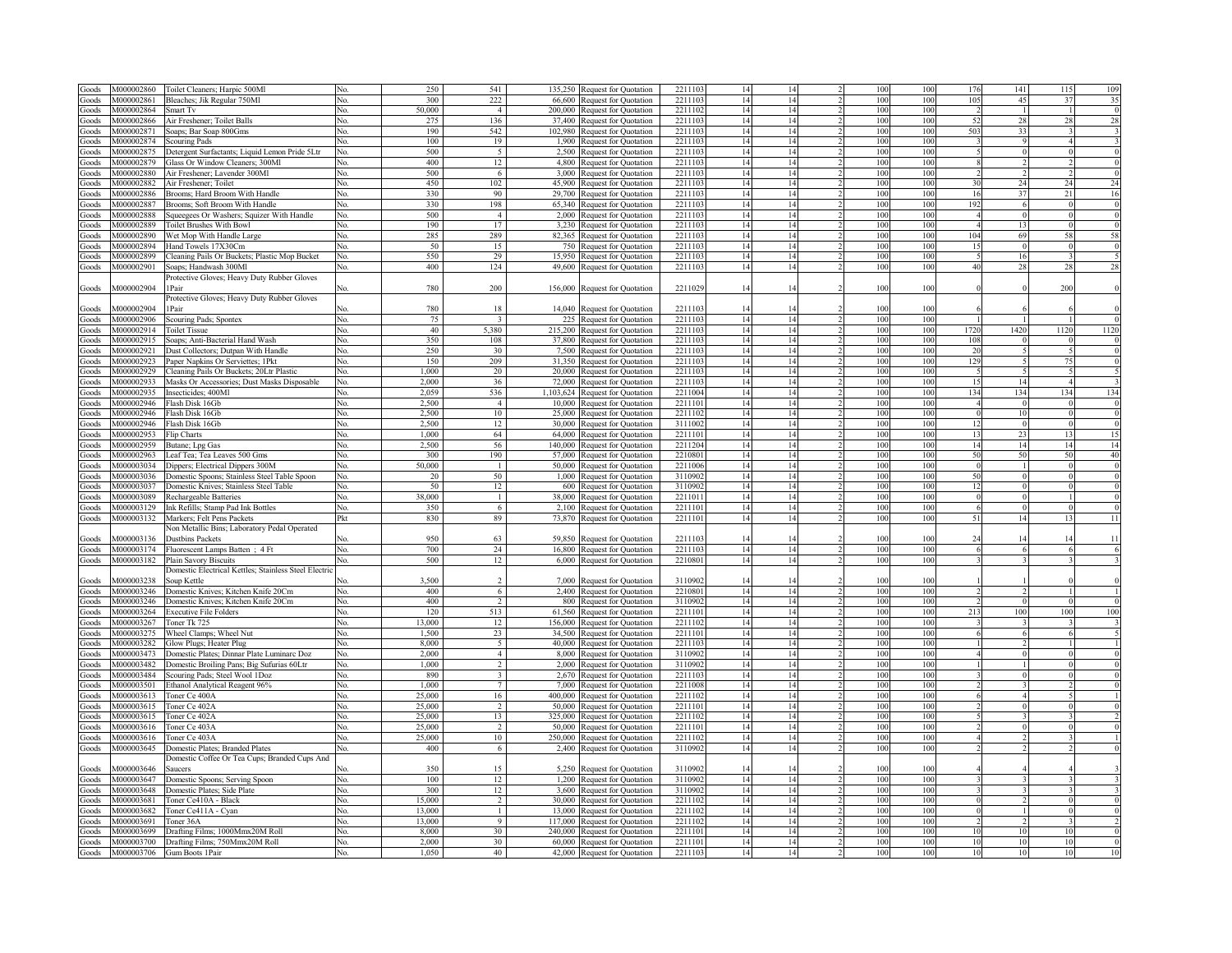| Goods        | M000002860               | Toilet Cleaners; Harpic 500M                          |     | 250    | 541                     |          | 135,250 Request for Quotation   | 2211103 |    |    |            | 100 | 176             | 141                     |      | 109  |
|--------------|--------------------------|-------------------------------------------------------|-----|--------|-------------------------|----------|---------------------------------|---------|----|----|------------|-----|-----------------|-------------------------|------|------|
| Goods        | M000002861               | Bleaches; Jik Regular 750Ml                           | No. | 300    | 222                     |          | 66,600 Request for Quotation    | 2211103 | 14 | 14 | 100        | 100 | 10 <sup>5</sup> | 45                      | 37   | 35   |
| Goods        | M000002864               | Smart Tv                                              | No. | 50,000 | $\overline{4}$          |          | 200,000 Request for Quotation   | 2211102 | 14 | 14 | 100        | 100 |                 |                         |      |      |
| Goods        | M000002866               | Air Freshener; Toilet Balls                           | No. | 275    | 136                     |          | 37,400 Request for Quotation    | 221110  | 14 | 14 | 100        | 100 | -52             | 28                      | 28   | 28   |
| Goods        | M000002871               | Soaps; Bar Soap 800Gms                                | No. | 190    | 542                     |          | 102,980 Request for Quotation   | 221110  | 14 | 14 | 100        | 100 | 503             | 33                      |      |      |
|              | M000002874               |                                                       | Nο  | 100    | 19                      |          |                                 | 221110  |    | 14 | 100        |     |                 |                         |      |      |
| Goods        |                          | Scouring Pads                                         |     |        |                         |          | 1,900 Request for Quotation     |         | 14 |    |            | 100 |                 |                         |      |      |
| Goods        | M000002875               | Detergent Surfactants; Liquid Lemon Pride 5Ltr        | No. | 500    | $\sim$                  |          | 2.500 Request for Ouotation     | 2211103 | 14 | 14 | 100        | 100 |                 |                         |      |      |
| Goods        | M000002879               | Glass Or Window Cleaners: 300Ml                       | No. | 400    | 12                      |          | 4,800 Request for Ouotation     | 2211103 | 14 | 14 | 100        | 100 |                 |                         |      |      |
| Goods        | M000002880               | Air Freshener; Lavender 300Ml                         | No. | 500    | 6                       |          | 3,000 Request for Quotation     | 221110  | 14 | 14 | 100        | 100 |                 |                         |      |      |
| Goods        | M000002882               | Air Freshener; Toilet                                 | No. | 450    | 102                     |          | 45,900 Request for Quotation    | 2211103 | 14 | 14 | 100        | 100 | $\overline{3}$  | 24                      | 24   |      |
| Goods        | M000002886               | Brooms; Hard Broom With Handle                        | No. | 330    | 90                      |          | 29,700 Request for Quotation    | 2211103 | 14 | 14 | 100        | 100 | 16              | 37                      | 21   |      |
| Goods        | M000002887               | Brooms: Soft Broom With Handle                        | No. | 330    | 198                     |          | 65,340 Request for Quotation    | 221110  | 14 | 14 | 100        | 100 | 192             | 6                       |      |      |
| Goods        | M000002888               | Squeegees Or Washers; Squizer With Handle             | No. | 500    | $\overline{4}$          |          | 2,000 Request for Quotation     | 2211103 | 14 | 14 | 100        | 100 | $\overline{4}$  | $\Omega$                |      |      |
| Goods        | M000002889               | <b>Toilet Brushes With Bowl</b>                       | No. | 190    | 17                      |          | 3,230 Request for Quotation     | 2211103 | 14 | 14 | 100        | 100 |                 | 13                      |      |      |
| Goods        | M000002890               | Wet Mop With Handle Large                             | Nο. | 285    | 289                     |          | 82,365 Request for Quotation    | 221110  | 14 | 14 | 100        | 100 | 104             | 69                      |      |      |
|              | M000002894               | Hand Towels 17X30Cm                                   | N٥  | 50     | 15                      | 750      |                                 | 221110  | 14 | 14 | 100        | 100 | 15              | $\Omega$                |      |      |
| Goods        |                          |                                                       |     | 550    | 29                      | 15.950   | <b>Request for Quotation</b>    | 221110  |    | 14 | 100        |     |                 | 16                      |      |      |
| Goods        | M000002899               | leaning Pails Or Buckets; Plastic Mop Bucket          | Nο  |        |                         |          | <b>Request for Quotation</b>    |         | 14 |    |            | 100 |                 |                         |      |      |
| Goods        | M000002901               | Soaps; Handwash 300Ml                                 | No. | 400    | 124                     |          | 49,600 Request for Quotation    | 221110  | 14 | 14 | 100        | 100 | $\overline{40}$ | 28                      |      |      |
|              |                          | Protective Gloves; Heavy Duty Rubber Gloves           |     |        |                         |          |                                 |         |    |    |            |     |                 |                         |      |      |
| Goods        | M000002904               | 1Pair                                                 |     | 780    | 200                     |          | 156,000 Request for Quotation   | 2211029 | 14 | 14 | 100        | 100 |                 |                         | 200  |      |
|              |                          | Protective Gloves; Heavy Duty Rubber Gloves           |     |        |                         |          |                                 |         |    |    |            |     |                 |                         |      |      |
| Goods        | M000002904               | 1Pair                                                 |     | 780    | 18                      |          | 14,040 Request for Quotation    | 2211103 | 14 | 14 | 100        | 100 |                 |                         |      |      |
| Goods        | M000002906               | Scouring Pads; Spontex                                | No. | 75     | $\overline{\mathbf{3}}$ |          | 225 Request for Quotation       | 2211103 | 14 | 14 | 100        | 100 |                 |                         |      |      |
| Goods        | M000002914               | <b>Toilet Tissue</b>                                  | No. | 40     | 5.380                   |          | 215,200 Request for Quotation   | 2211103 | 14 | 14 | 100        | 100 | 1720            | 1420                    | 1120 | 1120 |
| Goods        | M000002915               | Soaps; Anti-Bacterial Hand Wash                       | No. | 350    | 108                     |          | 37,800 Request for Quotation    | 2211103 | 14 | 14 | 100        | 100 | 108             | $\theta$                |      |      |
| Goods        | M000002921               | Dust Collectors; Dutpan With Handle                   | No. | 250    | 30                      |          | 7,500 Request for Quotation     | 2211103 | 14 | 14 | 100        | 100 | 20              |                         |      |      |
|              |                          |                                                       | No. | 150    | 209                     |          |                                 | 2211103 | 14 | 14 |            | 100 | 129             |                         |      |      |
| Goods        | M000002923               | Paper Napkins Or Serviettes; 1Pkt                     |     |        |                         |          | 31,350 Request for Quotation    |         |    |    | 100        |     |                 |                         |      |      |
| Goods        | M000002929               | Cleaning Pails Or Buckets; 20Ltr Plastic              | No. | 1,000  | 20                      |          | 20,000 Request for Quotation    | 2211103 | 14 | 14 | 100        | 100 |                 | $\tilde{\mathcal{L}}$   |      |      |
| Goods        | M000002933               | Masks Or Accessories; Dust Masks Disposable           | No. | 2,000  | 36                      |          | 72,000 Request for Quotation    | 2211103 | 14 | 14 | 100        | 100 | 15              | 14                      |      |      |
| Goods        | M000002935               | Insecticides; 400Ml                                   | Nο  | 2,059  | 536                     |          | 1,103,624 Request for Quotation | 2211004 | 14 | 14 | 100        | 100 | 134             | 134                     | 134  | 134  |
| Goods        | M000002946               | Flash Disk 16Gb                                       |     | 2,500  | $\overline{4}$          |          | 10,000 Request for Quotation    | 221110  | 14 | 14 | 100        | 100 |                 |                         |      |      |
| Goods        | M000002946               | Flash Disk 16Gb                                       |     | 2,500  | 10                      |          | 25,000 Request for Quotation    | 2211102 | 14 | 14 | 100        | 10  |                 | 10                      |      |      |
| Goods        | M000002946               | Flash Disk 16Gb                                       | No. | 2.500  | 12                      |          | 30,000 Request for Quotation    | 311100  | 14 | 14 | 100        | 10  | 12              |                         |      |      |
| Goods        | M000002953               | Flip Charts                                           | No. | 1.000  | 64                      |          | 64,000 Request for Quotation    | 2211101 | 14 | 14 | 100        | 10  | 13              | 23                      |      |      |
| Goods        | M000002959               | Butane; Lpg Gas                                       | No. | 2,500  | 56                      |          | 140,000 Request for Quotation   | 221120  | 14 | 14 | 100        | 10  | 14              | 14                      |      |      |
| Goods        | M000002963               | Leaf Tea; Tea Leaves 500 Gms                          | No. | 300    | 190                     | 57,000   | Request for Ouotation           | 2210801 | 14 | 14 | 100        | 100 | 50              | 50                      |      |      |
|              |                          |                                                       |     |        |                         |          |                                 |         |    |    |            |     |                 |                         |      |      |
| Goods        | M000003034               | Dippers; Electrical Dippers 300M                      | No. | 50,000 |                         | 50,000 1 | Request for Quotation           | 2211006 | 14 | 14 | 100        | 100 |                 |                         |      |      |
| Goods        | M000003036               | Domestic Spoons; Stainless Steel Table Spoon          | No. | 20     | 50                      | 1.000    | equest for Quotation            | 3110902 | 14 | 14 | 100        | 100 | 50              |                         |      |      |
| Goods        | M000003037               | Domestic Knives; Stainless Steel Table                | No. | 50     | 12                      | 600      | equest for Quotation            | 3110902 | 14 | 14 | 100        | 100 | 12              |                         |      |      |
| Goods        | M000003089               | Rechargeable Batteries                                | No. | 38.000 | $\mathbf{1}$            | 38.000   | <b>Request for Quotation</b>    | 221101  | 14 | 14 | 100        | 100 |                 |                         |      |      |
| Goods        | M000003129               | Ink Refills; Stamp Pad Ink Bottles                    | No. | 350    | 6                       |          | 2,100 Request for Quotation     | 221110  | 14 | 14 | 100        | 100 |                 |                         |      |      |
| Goods        | M000003132               | Markers; Felt Pens Packets                            | Pkt | 830    | 89                      |          | 73,870 Request for Quotation    | 2211101 | 14 | 14 | 100        | 100 | 51              | 14                      |      | 11   |
|              |                          | Von Metallic Bins; Laboratory Pedal Operated          |     |        |                         |          |                                 |         |    |    |            |     |                 |                         |      |      |
| Goods        | M000003136               | <b>Dustbins Packets</b>                               |     | 950    | 63                      |          | 59,850 Request for Quotation    | 2211103 | 14 | 14 | 100        | 100 | 24              | 14                      |      | 11   |
| Goods        | M000003174               | Fluorescent Lamps Batten; 4 Ft                        | No. | 700    | 24                      |          | 16,800 Request for Quotation    | 2211103 | 14 | 14 | 100        | 100 |                 | 6                       |      |      |
| Goods        | M000003182               | Plain Savory Biscuits                                 | No. | 500    | 12                      |          | 6,000 Request for Quotation     | 2210801 | 14 | 14 | 100        | 100 |                 | $\overline{\mathbf{3}}$ |      |      |
|              |                          | Oomestic Electrical Kettles; Stainless Steel Electric |     |        |                         |          |                                 |         |    |    |            |     |                 |                         |      |      |
|              |                          |                                                       |     |        | $\mathcal{L}$           |          |                                 |         |    |    |            | 100 |                 |                         |      |      |
| Goods        | M000003238               | Soup Kettle                                           |     | 3,500  |                         |          | 7,000 Request for Quotation     | 3110902 | 14 | 14 | 100        |     |                 |                         |      |      |
| Goods        | M000003246               | Domestic Knives; Kitchen Knife 20Cm                   | No. | 400    | 6                       |          | 2.400 Request for Ouotation     | 2210801 | 14 | 14 | 100        | 100 |                 |                         |      |      |
| <b>Goods</b> | M000003246               | Domestic Knives; Kitchen Knife 20Cm                   | No. | 400    | $\overline{2}$          |          | 800 Request for Quotation       | 3110902 | 14 | 14 | 100        | 100 |                 |                         |      |      |
| <b>Goods</b> | M000003264               | <b>Executive File Folders</b>                         | No. | 120    | 513                     |          | 61,560 Request for Quotation    | 2211101 | 14 | 14 | 100        | 100 | 213             | 100                     | 100  | 100  |
| Goods        | M000003267               | Toner Tk 725                                          | No. | 13,000 | 12                      |          | 156,000 Request for Quotation   | 2211102 | 14 | 14 | 100        | 100 |                 |                         |      |      |
| Goods        | M000003275               | Wheel Clamps; Wheel Nut                               | No. | 1.500  | 23                      |          | 34,500 Request for Quotation    | 2211101 | 14 | 14 | 100        | 100 |                 |                         |      |      |
| Goods        | M000003282               | Glow Plugs; Heater Plug                               | No. | 8,000  | $\sim$                  |          | 40,000 Request for Quotation    | 221110  | 14 | 14 | 100        | 100 |                 |                         |      |      |
| Goods        | M000003473               | Domestic Plates; Dinnar Plate Luminarc Doz            | No. | 2.000  | $\overline{4}$          |          | 8,000 Request for Quotation     | 3110902 | 14 | 14 | 100        | 100 |                 |                         |      |      |
| Goods        | M000003482               | Domestic Broiling Pans; Big Sufurias 60Ltr            | No. | 1,000  | 2                       |          | 2,000 Request for Quotation     | 3110902 | 14 | 14 | 100        | 100 |                 |                         |      |      |
| Goods        | M000003484               | Scouring Pads; Steel Wool 1Doz                        | No. | 890    | $\overline{\mathbf{3}}$ |          | 2,670 Request for Quotation     | 2211103 | 14 | 14 | 100        | 100 |                 | $\Omega$                |      |      |
|              |                          |                                                       |     | 1.000  | $\tau$                  |          |                                 |         |    |    |            | 100 |                 |                         |      |      |
| Goods        | M000003501<br>M000003613 | Ethanol Analytical Reagent 96%                        | No. | 25,000 |                         |          | 7,000 Request for Quotation     | 2211008 | 14 | 14 | 100<br>100 | 100 |                 |                         |      |      |
| Goods        |                          | Toner Ce 400A                                         | No. |        | 16                      |          | 400,000 Request for Quotation   | 2211102 | 14 | 14 |            |     |                 |                         |      |      |
| Goods        | M000003615               | Toner Ce 402A                                         | No. | 25.000 | $\overline{2}$          |          | 50,000 Request for Quotation    | 2211101 | 14 | 14 | 100        | 100 |                 | $\Omega$                |      |      |
| Goods        |                          | M000003615 Toner Ce 402A                              | No. | 25.000 | 13                      |          | 325,000 Request for Quotation   | 2211102 | 14 | 14 | 100        | 100 |                 | $\mathbf{R}$            |      |      |
| Goods        | M000003616               | Toner Ce 403A                                         | No. | 25.000 | $\overline{2}$          |          | 50,000 Request for Quotation    | 221110  | 14 | 14 | 100        | 100 |                 | $\Omega$                |      |      |
| Goods        |                          | M000003616 Toner Ce 403A                              | No. | 25.000 | 10                      |          | 250,000 Request for Quotation   | 2211102 | 14 | 14 | 100        | 100 |                 |                         |      |      |
| Goods        |                          | M000003645 Domestic Plates; Branded Plates            | No. | 400    | -6                      |          | 2,400 Request for Quotation     | 3110902 | 14 | 14 | 100        | 100 |                 |                         |      |      |
|              |                          | Domestic Coffee Or Tea Cups; Branded Cups And         |     |        |                         |          |                                 |         |    |    |            |     |                 |                         |      |      |
| Goods        | M000003646               | Saucers                                               |     | 350    | 15                      |          | 5,250 Request for Quotation     | 3110902 | 14 | 14 | 100        | 100 |                 |                         |      |      |
| Goods        | M000003647               | Domestic Spoons; Serving Spoon                        | No. | 100    | 12                      |          | 1,200 Request for Quotation     | 3110902 | 14 | 14 | 100        | 100 |                 |                         |      |      |
| Goods        | M000003648               | Domestic Plates; Side Plate                           | No. | 300    | 12                      |          | 3,600 Request for Quotation     | 3110902 | 14 | 14 | 100        | 100 |                 |                         |      |      |
|              | M000003681               | Toner Ce410A - Black                                  |     | 15,000 | $\mathcal{L}$           |          |                                 | 2211102 | 14 | 14 | 100        | 100 |                 |                         |      |      |
| Goods        |                          |                                                       | No. |        |                         |          | 30,000 Request for Quotation    |         |    |    |            |     |                 |                         |      |      |
| Goods        | M000003682               | Toner Ce411A - Cyan                                   | No. | 13,000 | $\overline{1}$          |          | 13,000 Request for Quotation    | 2211102 | 14 | 14 | 100        | 100 |                 |                         |      |      |
| Goods        | M000003691               | Toner 36A                                             | No. | 13,000 | Q                       |          | 117,000 Request for Quotation   | 2211102 | 14 | 14 | 100        | 100 |                 |                         |      |      |
| Goods        | M000003699               | Drafting Films; 1000Mmx20M Roll                       | No. | 8,000  | 30                      |          | 240,000 Request for Quotation   | 221110  | 14 | 14 | 100        | 100 | 10              |                         | 10   |      |
| Goods        |                          | M000003700 Drafting Films; 750Mmx20M Roll             | No. | 2,000  | 30                      |          | 60,000 Request for Quotation    | 221110  | 14 | 14 | 100        | 100 | 10              |                         | 10   |      |
| Goods        |                          | M000003706 Gum Boots 1Pair                            | No. | 1,050  | 40                      |          | 42,000 Request for Quotation    | 2211103 | 14 | 14 | 100        | 100 | 10              | 10                      |      |      |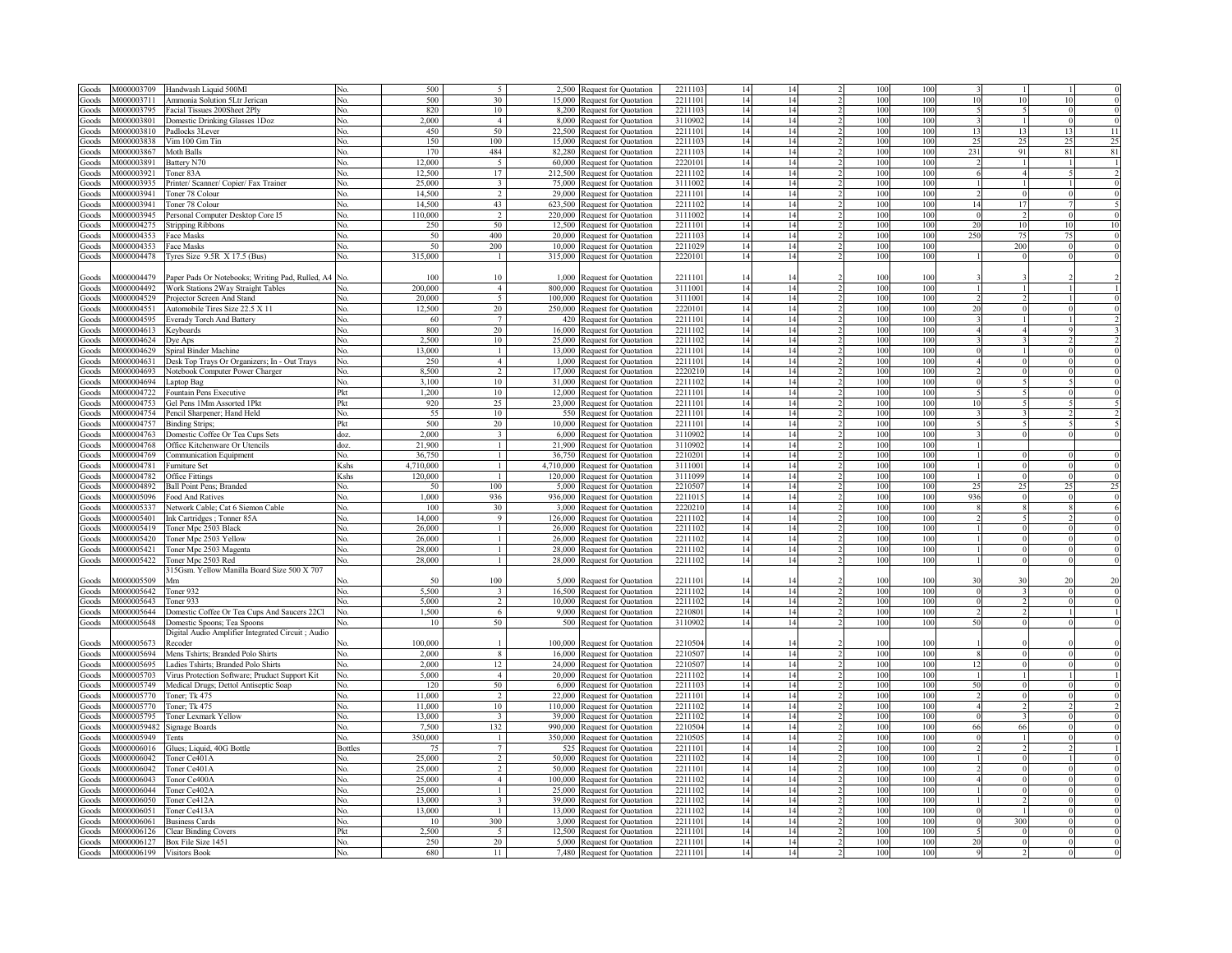| Goods              | M000003709  | Handwash Liquid 500Ml                                     | No         | 500        | $\overline{5}$           |         | 2,500 Request for Quotation                                | 221110            | 14       | 14       | 100        | 100             |                          |                         |                 |                                                                                                       |
|--------------------|-------------|-----------------------------------------------------------|------------|------------|--------------------------|---------|------------------------------------------------------------|-------------------|----------|----------|------------|-----------------|--------------------------|-------------------------|-----------------|-------------------------------------------------------------------------------------------------------|
| ioods              | M000003711  | Ammonia Solution 5Ltr Jerican                             | No.        | 500        | 30                       | 15,000  | Request for Quotation                                      | 221110            | 14       | 14       | 100        | 100             | 1 <sup>1</sup>           | 10                      |                 |                                                                                                       |
| Goods              | M000003795  | Facial Tissues 200Sheet 2Plv                              | No.        | 820        | 10                       | 8,200   | Request for Quotation                                      | 2211103           | 14       | 14       | 100        | 100             |                          | $\mathbf{5}$            |                 |                                                                                                       |
| Goods              | M000003801  | Domestic Drinking Glasses 1Doz                            | No.        | 2.000      | $\overline{4}$           | 8.000   | Request for Quotation                                      | 311090            | 14       | 14       | 100        | 100             |                          | $\overline{1}$          |                 |                                                                                                       |
| ioods              | M000003810  | Padlocks 3Lever                                           | No.        | 450        | 50                       | 22,500  | Request for Quotation                                      | 221110            | 14       | 14       | 100        | 100             | $\overline{1}$           | 13                      | 13              | 11                                                                                                    |
| Goods              | M000003838  | Vim 100 Gm Tin                                            | No.        | 150        | 100                      | 15,000  | Request for Quotation                                      | 221110            | 14       | 14       | 100        | 100             | $\overline{\phantom{a}}$ | 25                      | 25              | 2 <sup>5</sup>                                                                                        |
|                    | M000003867  | Moth Balls                                                | No.        | 170        | 484                      | 82,280  | Request for Quotation                                      | 221110            | 14       | 14       | 100        | 100             | 231                      | 91                      | $\overline{81}$ | 81                                                                                                    |
| Goods              | M000003891  |                                                           | No.        | 12.000     | $\overline{\phantom{a}}$ | 60.000  |                                                            | 222010            | 14       | 14       | 100        | 100             |                          | $\overline{1}$          |                 |                                                                                                       |
| Goods              | M000003921  | Battery N70                                               |            | 12,500     | 17                       | 212.500 | Request for Quotation                                      | 2211102           | 14       | 14       | 100        | 100             |                          | $\overline{4}$          |                 |                                                                                                       |
| Goods              |             | Toner 83A                                                 | No.        | 25,000     | $\overline{\mathbf{3}}$  | 75,000  | Request for Quotation                                      | 311100            |          | 14       | 100        | 100             |                          |                         |                 |                                                                                                       |
| Goods              | M000003935  | Printer/ Scanner/ Copier/ Fax Trainer                     | No.        |            | $\overline{\phantom{a}}$ |         | Request for Quotation                                      |                   | 14       |          |            |                 |                          | $\overline{1}$          |                 |                                                                                                       |
| Goods              | M000003941  | Toner 78 Colour                                           | No.        | 14.500     |                          | 29,000  | Request for Quotation                                      | 221110            | 14       | 14       | 100        | 100             |                          | $\Omega$                |                 |                                                                                                       |
| Goods              | M000003941  | Toner 78 Colour                                           | No.        | 14.500     | 43                       | 623.500 | Request for Quotation                                      | 2211102           | 14       | 14       | 100        | 100             | 14                       | 17                      |                 |                                                                                                       |
| Goods              | M000003945  | Personal Computer Desktop Core I5                         | No.        | 110,000    | $\mathcal{D}$            | 220,000 | Request for Quotation                                      | 3111002           | 14       | 14       | 100        | 100             |                          | $\mathcal{D}$           |                 |                                                                                                       |
| Goods              | M000004275  | <b>Stripping Ribbons</b>                                  | No.        | 250        | 50                       | 12.500  | Request for Quotation                                      | 2211101           | 14       | 14       | 100        | 100             | 2(                       | 10                      | 10              |                                                                                                       |
| Goods              | M000004353  | Face Masks                                                | No         | 50         | 400                      | 20,000  | Request for Quotation                                      | 2211103           | 14       | 14       | 100        | 100             | 250                      | 75                      | 75              |                                                                                                       |
| Goods              | M000004353  | Face Masks                                                | No.        | 50         | 200                      |         | 10,000 Request for Quotation                               | 221102            | 14       | 14       | 100        | 100             |                          | 200                     |                 |                                                                                                       |
| Goods              | M000004478  | Tyres Size $9.5R$ X 17.5 (Bus)                            | No.        | 315,000    | $\overline{1}$           |         | 315,000 Request for Quotation                              | 2220101           | 14       | 14       | 100        | 100             |                          | $\Omega$                |                 |                                                                                                       |
|                    |             |                                                           |            |            |                          |         |                                                            |                   |          |          |            |                 |                          |                         |                 |                                                                                                       |
| Goods              | 4000004479  | Paper Pads Or Notebooks; Writing Pad, Rulled, A4 No.      |            | 100        | 10                       |         | 1,000 Request for Quotation                                | 221110            | 14       | 14       | 100        | 100             |                          |                         |                 |                                                                                                       |
| Goods              | M000004492  | Work Stations 2Way Straight Tables                        | No         | 200,000    | $\overline{4}$           |         | 800,000 Request for Quotation                              | 3111001           | 14       | 14       | 100        | 100             |                          |                         |                 |                                                                                                       |
| Goods              | M000004529  | Projector Screen And Stand                                | No.        | 20.000     | $\overline{5}$           | 100 000 | Request for Quotation                                      | 311100            | 14       | 14       | 100        | 100             |                          |                         |                 |                                                                                                       |
| Goods              | M000004551  | Automobile Tires Size 22.5 X 11                           | No.        | 12,500     | 20                       | 250.000 | <b>Request for Quotation</b>                               | 222010            | 14       | 14       | 100        | 100             | 20                       |                         |                 |                                                                                                       |
|                    |             |                                                           |            |            |                          |         |                                                            |                   |          |          |            |                 |                          |                         |                 |                                                                                                       |
| Goods              | M000004595  | <b>Everady Torch And Battery</b>                          | No         | 60         |                          |         | 420 Request for Quotation                                  | 2211101           | 14       | 14       | 100        | 100             |                          |                         |                 |                                                                                                       |
| Goods              | M000004613  | Keyboards                                                 | No         | 800        | 20                       |         | 16,000 Request for Quotation                               | 221110            | 14       | 14       | 100        | 100             |                          |                         |                 |                                                                                                       |
| Foods              | M000004624  | Dve Aps                                                   | No         | 2,500      | 10                       |         | 25,000 Request for Quotation                               | 221110            | 14       | 14       | 100        | 100             |                          |                         |                 |                                                                                                       |
| Goods              | M000004629  | Spiral Binder Machine                                     | No         | 13,000     |                          | 13.000  | Request for Quotation                                      | 221110            | 14       | 14       | 100        | 100             |                          |                         |                 |                                                                                                       |
| Goods              | M000004631  | Desk Top Trays Or Organizers; In - Out Trays              | No.        | 250        | $\overline{4}$           |         | 1,000 Request for Quotation                                | 221110            | 14       | 14       | 100        | 100             |                          |                         |                 |                                                                                                       |
| Goods              | M000004693  | Notebook Computer Power Charger                           | No.        | 8.500      | $\overline{2}$           |         | 17,000 Request for Quotation                               | 222021            | 14       | 14       | 100        | 100             |                          | $\Omega$                |                 |                                                                                                       |
| doods              | M000004694  | Laptop Bag                                                | No.        | 3.100      | 10                       |         | 31,000 Request for Quotation                               | 221110            | 14       | 14       | 100        | 100             |                          |                         |                 |                                                                                                       |
| doods              | M000004722  | Fountain Pens Executive                                   | Pkt        | 1,200      | 10                       |         | 12,000 Request for Quotation                               | 221110            | 14       | 14       | 100        | 100             |                          | $\overline{5}$          |                 |                                                                                                       |
| Goods              | M000004753  | Gel Pens 1Mm Assorted 1Pkt                                | Pkt        | 920        | 25                       |         | 23,000 Request for Quotation                               | 221110            | 14       | 14       | 100        | 100             | 10                       | 5                       |                 |                                                                                                       |
| aboof <sup>3</sup> | M000004754  | Pencil Sharpener; Hand Held                               | No.        | 55         | 10                       |         | 550 Request for Quotation                                  | 2211101           | 14       | 14       | 100        | 100             |                          |                         |                 |                                                                                                       |
| aboof.             | M000004757  | <b>Binding Strips;</b>                                    | Pkt        | 500        | 20                       |         | 10,000 Request for Quotation                               | 2211101           | 14       | 14       | 100        | 100             |                          |                         |                 |                                                                                                       |
|                    |             |                                                           |            | 2.000      |                          |         |                                                            |                   |          |          |            |                 |                          |                         |                 |                                                                                                       |
| Goods              | M000004763  | Domestic Coffee Or Tea Cups Sets                          | doz.       |            | $\mathfrak{Z}$           |         | 6,000 Request for Quotation                                | 311090            | 14       | 14       | 100        | 100             |                          | $\mathbf{0}$            |                 |                                                                                                       |
| Goods              | M000004768  | Office Kitchenware Or Utencils                            | doz.       | 21,900     | -1                       |         | 21,900 Request for Quotation                               | 3110902           | 14       | 14       | 100        | 100             |                          |                         |                 |                                                                                                       |
| Goods              | M000004769  | Communication Equipment                                   | No.        | 36,750     | $\mathbf{1}$             |         | 36,750 Request for Ouotation                               | 221020            | 14       | 14       | 100        | 100             |                          | $\theta$                |                 |                                                                                                       |
| coods              | M000004781  | <b>Furniture Set</b>                                      | Kshs       | 4,710,000  | $\mathbf{1}$             |         | 4,710,000 Request for Quotation                            | 311100            | 14       | 14       | 100        | 100             |                          | $\theta$                |                 |                                                                                                       |
|                    | M000004782  | <b>Office Fittings</b>                                    | Kshs       | 120,000    | $\mathbf{1}$             |         |                                                            | 3111099           |          | 14       | 100        | 100             |                          | $\theta$                |                 |                                                                                                       |
| <b>Goods</b>       |             |                                                           |            |            |                          |         | 120,000 Request for Quotation                              |                   | 14       |          |            |                 |                          |                         |                 |                                                                                                       |
| <b>Goods</b>       | M000004892  | <b>Ball Point Pens: Branded</b>                           | No.        | 50         | 100                      |         | 5,000 Request for Quotation                                | 221050            | 14       | 14       | 100        | 100             | 2 <sup>5</sup>           | 25                      |                 |                                                                                                       |
| Goods              | M000005096  | Food And Ratives                                          | No.        | 1.000      | 936                      |         |                                                            | 221101            | 14       | 14       | 100        | 100             | 936                      | $\Omega$                |                 |                                                                                                       |
|                    | M000005337  |                                                           | No.        | 100        |                          |         | 936,000 Request for Quotation                              | 222021            | 14       |          | 100        | 100             |                          |                         |                 |                                                                                                       |
| Goods              | M000005401  | Network Cable; Cat 6 Siemon Cable                         |            | 14.000     | 30<br>Q                  |         | 3,000 Request for Quotation                                | 2211102           |          | 14       | 100        | 100             |                          |                         |                 |                                                                                                       |
| Goods              |             | Ink Cartridges; Tonner 85A                                | No.        |            |                          |         | 126,000 Request for Quotation                              |                   | 14       | 14       |            |                 |                          |                         |                 |                                                                                                       |
| Goods              | M000005419  | Toner Mpc 2503 Black                                      | No.        | 26,000     | $\mathbf{1}$             | 26.000  | Request for Quotation                                      | 221110            | 14       | 14       | 100        | 100             |                          | $\Omega$                |                 |                                                                                                       |
| Goods              | M000005420  | Toner Mpc 2503 Yellow                                     | No.        | 26,000     | $\mathbf{1}$             | 26.000  | Request for Quotation                                      | 2211102           | 14       | 14       | 100        | 100             |                          | $\Omega$                |                 |                                                                                                       |
| Goods              | M000005421  | Toner Mpc 2503 Magenta                                    | No         | 28.000     | $\mathbf{1}$             |         | 28,000 Request for Quotation                               | 221110            | 14       | 14       | 100        | 100             |                          | $\mathbf{0}$            |                 |                                                                                                       |
| Goods              | M000005422  | Toner Mpc 2503 Red                                        | No.        | 28,000     | $\overline{1}$           |         | 28,000 Request for Quotation                               | 2211102           | 14       | 14       | 100        | 10 <sub>0</sub> |                          | $\Omega$                |                 |                                                                                                       |
|                    |             | 315Gsm. Yellow Manilla Board Size 500 X 707               |            |            |                          |         |                                                            |                   |          |          |            |                 |                          |                         |                 |                                                                                                       |
| Goods              | M000005509  | Mm                                                        |            | 50         | 100                      | 5,000   | Request for Quotation                                      | 221110            | 14       | 14       | 100        | 100             | 3(                       | 30                      | 20              |                                                                                                       |
| Goods              | M000005642  | Toner 932                                                 | No.        | 5,500      | $\overline{\mathbf{3}}$  |         | 16,500 Request for Quotation                               | 2211102           | 14       | 14       | 100        | 100             |                          | $\overline{\mathbf{3}}$ | $\Omega$        |                                                                                                       |
| Goods              | M000005643  | Toner 933                                                 | No         | 5.000      | $\overline{2}$           |         | 10,000 Request for Quotation                               | 2211102           | 14       | 14       | 100        | 100             |                          | $\overline{2}$          |                 |                                                                                                       |
| Goods              | M000005644  | Domestic Coffee Or Tea Cups And Saucers 22Cl              | No         | 1,500      | 6                        |         | 9,000 Request for Quotation                                | 2210801           | 14       | 14       | 100        | 100             |                          | $\gamma$                |                 |                                                                                                       |
| Goods              | M000005648  | Domestic Spoons; Tea Spoons                               | No.        | 10         | 50                       |         | 500 Request for Quotation                                  | 3110902           | 14       | 14       | 100        | 100             | 50                       | $\Omega$                |                 |                                                                                                       |
|                    |             | Digital Audio Amplifier Integrated Circuit; Audio         |            |            |                          |         |                                                            |                   |          |          |            |                 |                          |                         |                 |                                                                                                       |
| Goods              | M000005673  | Recoder                                                   |            | 100,000    |                          |         | 100,000 Request for Quotation                              | 221050            | 14       | 14       | 100        | 100             |                          |                         |                 |                                                                                                       |
| Goods              | M000005694  |                                                           | No.        | 2,000      | 8                        |         |                                                            | 221050            | 14       | 14       | 100        | 100             |                          |                         |                 |                                                                                                       |
| coods              |             | Mens Tshirts; Branded Polo Shirts                         | No         |            |                          |         | 16,000 Request for Quotation                               |                   |          |          |            |                 | 12                       |                         |                 |                                                                                                       |
|                    | M000005695  | Ladies Tshirts; Branded Polo Shirts                       |            | 2,000      | 12                       | 24,000  | Request for Quotation                                      | 221050            | 14       | 14       | 100        | 100             |                          |                         |                 |                                                                                                       |
| Goods              | M000005703  | Virus Protection Software; Pruduct Support Kit            | No.        | 5.000      | $\overline{4}$           |         | 20,000 Request for Quotation                               | 2211102           | 14       | 14       | 100        | 100             |                          |                         |                 |                                                                                                       |
| Goods              | M000005749  | Medical Drugs; Dettol Antiseptic Soap                     | No.        | 120        | 50                       |         | 6,000 Request for Quotation                                | 2211102           | 14       | 14       | 100        | 100             | 50                       |                         |                 |                                                                                                       |
| Foods              | M000005770  | Toner: Tk 475                                             | No.        | 11,000     | 2                        |         | 22,000 Request for Quotation                               | 221110            | 14       | 14       | 100        | 100             |                          |                         |                 |                                                                                                       |
| Goods              | M000005770  | Toner: Tk 475                                             | No.        | 11,000     | 10                       |         | 110,000 Request for Quotation                              | 221110            | 14       | 14       | 100        | 100             |                          |                         |                 |                                                                                                       |
| Goods              | M000005795  | Toner Lexmark Yellow                                      | No.        | 13,000     | $\mathbf{R}$             |         | 39,000 Request for Quotation                               | 221110            | 14       | 14       | 100        | 100             |                          |                         |                 |                                                                                                       |
| Goods              | M0000059482 | <b>Signage Boards</b>                                     | No.        | 7,500      | 132                      |         | 990,000 Request for Quotation                              | 221050            | 14       | 14       | 100        | 100             | 66                       | 66                      |                 |                                                                                                       |
| Goods              | M000005949  | Tents                                                     | No.        | 350,000    | $\mathbf{1}$             |         | 350,000 Request for Quotation                              | 221050            | 14       | 14       | 100        | 100             |                          |                         |                 |                                                                                                       |
| Goods              | M000006016  | Glues; Liquid, 40G Bottle                                 | Bottles    | 75         | $7\phantom{.0}$          |         | 525 Request for Quotation                                  | 221110            | 14       | 14       | 100        | 100             |                          |                         |                 |                                                                                                       |
| Goods              | M000006042  | Toner Ce401A                                              | No.        | 25.000     | $\overline{2}$           |         | 50,000 Request for Quotation                               | 221110            | 14       | 14       | 100        | 100             |                          |                         |                 |                                                                                                       |
| Goods              | M000006042  | Toner Ce401A                                              | No.        | 25,000     | $\mathcal{D}$            |         | 50,000 Request for Quotation                               | 221110            | 14       | 14       | 100        | 100             |                          |                         |                 |                                                                                                       |
| Goods              | M000006043  | Tonor Ce400A                                              | No.        | 25,000     | $\overline{4}$           | 100,000 |                                                            | 221110            | 14       | 14       | 100        | 100             |                          |                         |                 |                                                                                                       |
| Goods              | M000006044  | Toner Ce402A                                              | No.        | 25,000     | $\mathbf{1}$             |         | Request for Quotation                                      | 221110            | 14       | 14       | 100        | 100             |                          | $\Omega$                |                 |                                                                                                       |
|                    |             | Toner Ce412A                                              | No.        |            | $\overline{\mathbf{3}}$  |         | 25,000 Request for Quotation                               |                   |          |          |            |                 |                          |                         |                 |                                                                                                       |
| Goods              | M000006050  |                                                           |            | 13,000     | $\overline{1}$           | 39,000  | Request for Quotation                                      | 221110            | 14       | 14       | 100        | 100             |                          |                         |                 |                                                                                                       |
| ioods              | M000006051  | Toner Ce413A                                              | No.        | 13,000     |                          | 13.000  | Request for Quotation                                      | 221110            | 14       | 14       | 100        | 100             |                          |                         |                 |                                                                                                       |
| ioods              | M000006061  | <b>Business Cards</b>                                     | No.        | 10         | 300                      | 3.000   | <b>Request for Quotation</b>                               | 221110            | 14       | 14       | 100        | 100             |                          | 300                     |                 |                                                                                                       |
| Goods              | 4000006126  | <b>Clear Binding Covers</b>                               | Pkt        | 2.500      | 5                        | 12.500  | Request for Quotation                                      | 221110            | 14       | 14       | 100        | 100             |                          |                         |                 |                                                                                                       |
| Goods<br>Goods     |             | M000006127 Box File Size 1451<br>M000006199 Visitors Book | No.<br>No. | 250<br>680 | 20<br>11                 |         | 5,000 Request for Quotation<br>7,480 Request for Quotation | 221110<br>2211101 | 14<br>14 | 14<br>14 | 100<br>100 | 100<br>100      | $\gamma$                 | $\Omega$                |                 | 25<br>$\epsilon$<br>$\epsilon$<br>$\epsilon$<br>$\overline{6}$<br>7<br>20<br>$\epsilon$<br>$\epsilon$ |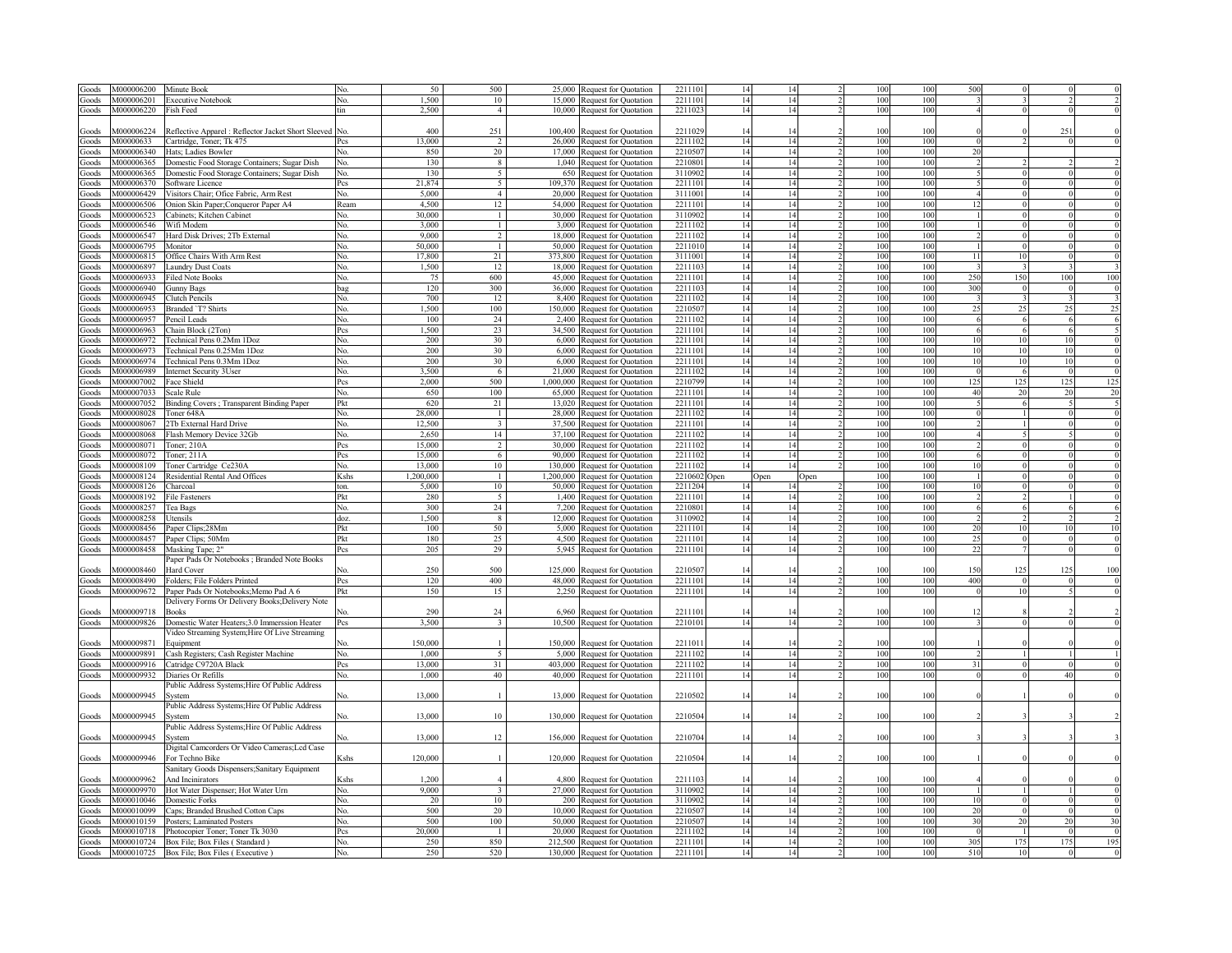| Goods          | M000006200 | Minute Book                                                                             |            | 50           | 500                     |           | 25,000 Request for Quotation                                   | 221110            | 14       |              | 100        | 100        | 500        |                 |          |                          |
|----------------|------------|-----------------------------------------------------------------------------------------|------------|--------------|-------------------------|-----------|----------------------------------------------------------------|-------------------|----------|--------------|------------|------------|------------|-----------------|----------|--------------------------|
| Goods          | M000006201 | <b>Executive Notebook</b>                                                               | No.        | 1,500        | 10                      | 15,000    | Request for Quotation                                          | 2211101           | 14       | 14           | 100        | 100        |            |                 |          |                          |
|                | M000006220 | Fish Feed                                                                               | tin        | 2.500        | $\overline{4}$          |           | 10,000 Request for Quotation                                   | 2211023           | 14       | 14           | 100        | 100        |            |                 |          |                          |
| Goods          |            |                                                                                         |            |              |                         |           |                                                                |                   |          |              |            |            |            |                 |          |                          |
|                |            |                                                                                         |            |              |                         |           |                                                                |                   |          |              |            |            |            |                 |          |                          |
| Goods          | M000006224 | Reflective Apparel : Reflector Jacket Short Sleeved                                     |            | 400          | 251                     |           | 100,400 Request for Quotation                                  | 221102            | 14       |              | 100        | 100        |            |                 | 25       |                          |
| Goods          | M00000633  | Cartridge, Toner; Tk 475                                                                | Pcs        | 13,000       | $\overline{2}$          |           | 26,000 Request for Quotation                                   | 2211102           | 14       | 14           | 100        | 100        |            |                 |          |                          |
| Goods          | M000006340 | Hats; Ladies Bowler                                                                     | No.        | 850          | 20                      |           | 17,000 Request for Quotation                                   | 2210507           | 14       | 14           | 100        | 100        | 20         |                 |          |                          |
| Goods          | M000006365 | Domestic Food Storage Containers; Sugar Dish                                            | No.        | 130          | 8                       | 1,040     | <b>Request for Quotation</b>                                   | 2210801           | 14       | 14           | 100        | 100        |            |                 |          |                          |
| Goods          | M000006365 | Domestic Food Storage Containers; Sugar Dish                                            | No.        | 130          | 5                       | 650       | Request for Quotation                                          | 3110902           | 14       | 14           | 100        | 100        |            |                 |          |                          |
| Goods          | M000006370 | Software Licence                                                                        | Pcs        | 21,874       | 5                       | 109,370   | Request for Quotation                                          | 221110            | 14       | 14           | 100        | 100        |            |                 |          |                          |
| Goods          | M000006429 | 'isitors Chair; Ofice Fabric, Arm Rest                                                  | No.        | 5,000        | $\overline{4}$          | 20,000    | Request for Quotation                                          | 3111001           | 14       | 14           | 100        | 100        |            |                 |          |                          |
| Goods          | M000006506 | Onion Skin Paper; Conqueror Paper A4                                                    | Ream       | 4,500        | 12                      | 54,000    | <b>Request for Quotation</b>                                   | 221110            | 14       | 14           | 100        | 100        |            |                 |          |                          |
|                | M000006523 | Cabinets; Kitchen Cabinet                                                               | No.        | 30,000       |                         | 30,000    |                                                                | 311090            | 14       | 14           | 100        | 100        |            |                 |          |                          |
| Goods          | M000006546 |                                                                                         |            | 3,000        | $\mathbf{1}$            | 3,000     | Request for Quotation                                          | 221110            | 14       | 14           | 100        | 100        |            |                 |          |                          |
| Goods          |            | Wifi Modem                                                                              | Nο.        |              |                         |           | <b>Request for Quotation</b>                                   |                   |          |              |            |            |            |                 |          |                          |
| Goods          | M000006547 | Hard Disk Drives; 2Tb External                                                          | No.        | 9,000        | $\overline{2}$          | 18,000    | <b>Request for Quotation</b>                                   | 221110            | 14       | 14           | 100        | 100        |            |                 |          |                          |
| Goods          | M000006795 | Monitor                                                                                 | Ńо.        | 50,000       | $\mathbf{1}$            | 50.000    | Request for Quotation                                          | 221101            | 14       | 14           | 100        | 100        |            |                 |          |                          |
| Goods          | M000006815 | Office Chairs With Arm Rest                                                             | Ńо.        | 17,800       | 21                      | 373,800   | Request for Quotation                                          | 311100            | 14       | 14           | 100        | 100        | 11         |                 |          | $\mathbf 0$              |
| Goods          | M000006897 | <b>Laundry Dust Coats</b>                                                               | No.        | 1,500        | 12                      | 18.000    | Request for Quotation                                          | 221110            | 14       | 14           | 100        | 100        |            |                 |          |                          |
| Goods          | M000006933 | <b>Filed Note Books</b>                                                                 | No.        | 75           | 600                     | 45 000    | Request for Quotation                                          | 221110            | 14       | 14           | 100        | 100        | 250        | 150             | 100      | 100                      |
| Goods          | M000006940 | <b>Gunny Bags</b>                                                                       | bag        | 120          | 300                     | 36,000    | Request for Quotation                                          | 221110            | 14       | 14           | 100        | 100        | 300        |                 |          | $\mathbf 0$              |
| Goods          | M000006945 | Clutch Pencils                                                                          | No.        | 700          | 12                      | 8.400     | Request for Quotation                                          | 221110            | 14       | 14           | 100        | 100        |            |                 |          |                          |
| Goods          | M000006953 | Branded 'T? Shirts                                                                      | No.        | 1,500        | 100                     | 150,000   | Request for Quotation                                          | 221050            | 14       | 14           | 100        | 100        | 25         |                 | 25       | 25                       |
|                | M000006957 |                                                                                         |            |              |                         | 2.400     |                                                                | 221110            |          |              |            |            |            |                 |          |                          |
| Goods          | E20200000M | Pencil Leads                                                                            | No.        | 100<br>1.500 | 24                      |           | Request for Quotation                                          | 221110            | 14       | 14<br>14     | 100        | 100        |            |                 |          | -6                       |
| Goods          |            | Chain Block (2Ton)                                                                      | Pcs        |              | 23                      | 34,500    | Request for Quotation                                          |                   | 14       |              | 100        | 100        |            |                 |          |                          |
| Goods          | M000006972 | Fechnical Pens 0.2Mm 1Doz                                                               | Nο.        | 200          | 30 <sup>2</sup>         | 6,000     | Request for Quotation                                          | 221110            | 14       | 14           | 100        | 100        | 10         | 10              | 10       | $\overline{0}$           |
| Goods          | M000006973 | Technical Pens 0.25Mm 1Doz                                                              | Nο.        | 200          | 30                      | 6,000     | Request for Quotation                                          | 2211101           | 14       | 14           | 100        | 100        | 10         | 10              | 10       | $\overline{0}$           |
| Goods          | M000006974 | Technical Pens 0.3Mm 1Doz                                                               | No.        | 200          | 30                      | 6,000     | Request for Quotation                                          | 2211101           | 14       | 14           | 100        | 100        | 10         | 10              | 10       | $\overline{0}$           |
| Goods          | M000006989 | <b>Internet Security 3User</b>                                                          | No.        | 3.500        | 6                       | 21,000    | Request for Quotation                                          | 2211102           | 14       | 14           | 100        | 100        | $\epsilon$ | 6               |          | $\overline{0}$           |
| Goods          | M000007002 | Face Shield                                                                             | Pcs        | 2,000        | 500                     | 1,000,000 | Request for Quotation                                          | 2210799           | 14       | 14           | 100        | 100        | 125        | 12 <sup>5</sup> | 125      | 125                      |
| Goods          | M000007033 | Scale Rule                                                                              | No.        | 650          | 100                     | 65,000    | Request for Quotation                                          | 2211101           | 14       | 14           | 100        | 100        | 40         | $\gamma$        | 20       | 20                       |
| Goods          | M000007052 | Binding Covers; Transparent Binding Paper                                               | Pkt        | 620          | 21                      | 13,020    | Request for Quotation                                          | 221110            | 14       | 14           | 100        | 100        |            |                 |          | 5                        |
|                | M000008028 |                                                                                         |            | 28,000       |                         | 28.000    |                                                                | 221110            | 14       | 14           | 100        | 100        |            |                 |          | $\overline{0}$           |
| Goods          |            | Toner 648A                                                                              | No.        |              | -1                      |           | Request for Quotation                                          |                   |          |              |            |            |            |                 |          |                          |
| Goods          | M000008067 | 2Tb External Hard Drive                                                                 | No.        | 12,500       | $\overline{\mathbf{3}}$ | 37,500    | Request for Quotation                                          | 221110            | 14       | 14           | 100        | 100        |            |                 |          | $\overline{0}$           |
| Goods          | M000008068 | Flash Memory Device 32Gb                                                                | No.        | 2,650        | 14                      | 37.100    | Request for Quotation                                          | 221110            | 14       | 14           | 100        | 100        |            |                 |          | $\overline{0}$           |
| Goods          | M000008071 | Toner; 210A                                                                             | Pcs        | 15,000       | 2                       | 30.000    | Request for Quotation                                          | 221110            | 14       | 14           | 100        | 100        |            |                 |          | $\overline{0}$           |
| Goods          | M000008072 | Toner; $211\overline{A}$                                                                | Pcs        | 15,000       | $6\overline{6}$         | 90.000    | Request for Quotation                                          | 221110            | 14       | 14           | 100        | 100        |            |                 |          | $\overline{0}$           |
|                | M000008109 | Toner Cartridge Ce230A                                                                  | No.        | 13,000       | 10                      | 130 000   | Request for Quotation                                          | 221110            | 14       | 14           | 100        | 100        | 10         |                 |          | $\overline{0}$           |
|                |            |                                                                                         |            |              |                         |           |                                                                |                   |          |              |            |            |            |                 |          |                          |
| Goods          |            |                                                                                         |            | 1,200,000    |                         | 1,200,000 |                                                                | 2210602           | )pen     |              | 100        | 100        |            |                 | $\Omega$ | $\overline{0}$           |
| Goods          | M000008124 | Residential Rental And Offices                                                          | Kshs       |              | $\mathbf{1}$            |           | Request for Quotation                                          |                   |          | Open<br>Open |            |            |            |                 | $\Omega$ |                          |
| Goods          | M000008126 | Charcoal                                                                                | ton.       | 5,000        | 10                      | 50,000    | Request for Quotation                                          | 2211204           | 14       | 14           | 100        | 100        | 10         |                 |          | $\overline{0}$           |
| Goods          | M000008192 | File Fasteners                                                                          | Pkt        | 280          | 5                       | 1,400     | Request for Quotation                                          | 2211101           | 14       | 14           | 100        | 100        |            |                 |          | $\overline{0}$           |
| Goods          | M000008257 | Tea Bags                                                                                | No.        | 300          | 24                      | 7,200     | Request for Quotation                                          | 2210801           | 14       | 14           | 100        | 100        |            |                 |          | $\overline{6}$           |
| Goods          | M000008258 | Utensils                                                                                | doz.       | 1,500        | 8                       | 12,000    | Request for Quotation                                          | 3110902           | 14       | 14           | 100        | 100        |            |                 |          | $\overline{\phantom{a}}$ |
| Goods          | M000008456 | Paper Clips;28Mm                                                                        | Pkt        | 100          | 50                      |           | 5,000 Request for Quotation                                    | 2211101           | 14       | 14           | 100        | 100        | 20         | 10              | 10       | 10                       |
| Goods          | M000008457 | Paper Clips; 50Mm                                                                       | Pkt        | 180          | 25                      |           | 4,500 Request for Quotation                                    | 2211101           | 14       | 14           | 100        | 100        | 25         | $\Omega$        |          | $\overline{0}$           |
| Goods          | M000008458 | Masking Tape; 2"                                                                        | Pcs        | 205          | 29                      |           | 5,945 Request for Quotation                                    | 2211101           | 14       | 14           | 100        | 100        | 22         |                 |          | $\overline{0}$           |
|                |            | Paper Pads Or Notebooks; Branded Note Books                                             |            |              |                         |           |                                                                |                   |          |              |            |            |            |                 |          |                          |
| Goods          | M000008460 | Hard Cover                                                                              | No.        | 250          | 500                     | 125,000   | <b>Request for Quotation</b>                                   | 2210507           | 14       |              | 100        | 100        | 150        | 125             | $12^s$   | 100                      |
|                | M000008490 |                                                                                         |            |              | 400                     |           |                                                                | 2211101           | 14       | 14           | 100        | 100        | 400        |                 |          | $\sqrt{ }$               |
| Goods          |            | Folders; File Folders Printed                                                           | Pcs        | 120          | 15                      |           | 48,000 Request for Quotation                                   |                   |          | 14           |            |            | $\sqrt{ }$ | 10 <sup>1</sup> |          |                          |
| Goods          | M000009672 | Paper Pads Or Notebooks; Memo Pad A 6                                                   | Pkt        | 150          |                         |           | 2,250 Request for Quotation                                    | 2211101           | 14       |              | 100        | 100        |            |                 |          | $\overline{0}$           |
|                |            | Delivery Forms Or Delivery Books; Delivery Note                                         |            |              |                         |           |                                                                |                   |          |              |            |            |            |                 |          |                          |
| Goods          | M000009718 | Books                                                                                   |            | 290          | 24                      |           | 6,960 Request for Quotation                                    | 221110            |          |              | 100        | 100        |            |                 |          |                          |
| Goods          | M000009826 | Domestic Water Heaters;3.0 Immerssion Heater                                            | Pcs        | 3.500        | $\overline{\mathbf{3}}$ |           | 10,500 Request for Quotation                                   | 2210101           | 14       | 14           | 100        | 100        |            |                 |          |                          |
|                |            | Video Streaming System; Hire Of Live Streaming                                          |            |              |                         |           |                                                                |                   |          |              |            |            |            |                 |          |                          |
| Goods          | M000009871 | Equipment                                                                               |            | 150,000      |                         | 150,000   | Request for Quotation                                          | 221101            |          |              | 100        | 100        |            |                 |          |                          |
| Goods          | M000009891 | Cash Registers; Cash Register Machine                                                   | No.        | 1,000        | 5 <sup>5</sup>          |           | 5,000 Request for Quotation                                    | 221110            | 14       | 14           | 100        | 100        |            |                 |          |                          |
| Goods          | M000009916 | Catridge C9720A Black                                                                   | Pcs        | 13.000       | 31                      |           | 403,000 Request for Quotation                                  | 221110            | 14       | 14           | 100        | 100        | 31         |                 |          |                          |
| Goods          | M000009932 | Diaries Or Refills                                                                      | Nο.        | 1,000        | 40                      |           | 40,000 Request for Quotation                                   | 221110            | 14       | 14           | 100        | 100        |            |                 |          |                          |
|                |            |                                                                                         |            |              |                         |           |                                                                |                   |          |              |            |            |            |                 |          |                          |
|                |            | Public Address Systems; Hire Of Public Address<br>svstem                                | Nο.        |              |                         |           |                                                                |                   |          |              | 100        | 100        |            |                 |          |                          |
| Goods          | M000009945 |                                                                                         |            | 13,000       |                         |           | 13,000 Request for Quotation                                   | 2210502           |          |              |            |            |            |                 |          |                          |
|                |            | Public Address Systems; Hire Of Public Address                                          |            |              |                         |           |                                                                |                   |          |              |            |            |            |                 |          |                          |
| Goods          | M000009945 | System                                                                                  | Nο.        | 13,000       | 10                      |           | 130,000 Request for Quotation                                  | 2210504           |          |              | 100        | 100        |            |                 |          |                          |
|                |            | Public Address Systems; Hire Of Public Address                                          |            |              |                         |           |                                                                |                   |          |              |            |            |            |                 |          |                          |
| Goods          | M000009945 | svstem                                                                                  | Nο.        | 13,000       | 12                      |           | 156,000 Request for Quotation                                  | 2210704           | 14       |              | 100        | 100        |            |                 |          |                          |
|                |            | Digital Camcorders Or Video Cameras;Led Case                                            |            |              |                         |           |                                                                |                   |          |              |            |            |            |                 |          |                          |
| Goods          | M000009946 | For Techno Bike                                                                         | Kshs       | 120,000      |                         |           | 120,000 Request for Quotation                                  | 2210504           |          |              | 100        | 100        |            |                 |          |                          |
|                |            |                                                                                         |            |              |                         |           |                                                                |                   |          |              |            |            |            |                 |          |                          |
| Goods          | M000009962 | Sanitary Goods Dispensers; Sanitary Equipment<br>And Incinirators                       | Kshs       | 1.200        |                         |           |                                                                | 2211103           | 14       |              | 100        | 100        |            |                 |          |                          |
|                |            |                                                                                         |            |              |                         |           | 4,800 Request for Quotation                                    |                   |          |              |            |            |            |                 |          |                          |
| Goods          | M000009970 | Hot Water Dispenser; Hot Water Urn                                                      | No.        | 9,000        | $\overline{3}$          | 27,000    | Request for Quotation                                          | 311090            | 14       | 14           | 100        | 100        |            |                 |          | $\theta$                 |
| Goods          | M000010046 | Domestic Forks                                                                          | No.        | 20           | 10                      | 200       | <b>Request for Quotation</b>                                   | 311090            | 14       | 14           | 100        | 100        | 10         |                 |          | $\overline{0}$           |
| Goods          | M000010099 | Caps; Branded Brushed Cotton Caps                                                       | No.        | 500          | 20                      | 10,000    | <b>Request for Quotation</b>                                   | 221050            | 14       | 14           | 100        | 100        | 20         |                 |          | $\overline{0}$           |
| Goods          | 4000010159 | Posters; Laminated Posters                                                              | No.        | 500          | 100                     | 50,000    | Request for Quotation                                          | 221050            | 14       | 14           | 100        | 100        | 30         | $\overline{20}$ | 20       | 30                       |
| Goods          | 4000010718 | Photocopier Toner; Toner Tk 3030                                                        | Pcs        | 20,000       | $\overline{1}$          | 20,000    | Request for Quotation                                          | 221110            | 14       | 14           | 100        | 100        | $\epsilon$ |                 | $\Omega$ | $\overline{0}$           |
| Goods<br>Goods |            | M000010724 Box File; Box Files (Standard)<br>M000010725 Box File; Box Files (Executive) | No.<br>No. | 250<br>250   | 850<br>520              |           | 212,500 Request for Quotation<br>130,000 Request for Quotation | 221110<br>2211101 | 14<br>14 | 14<br>14     | 100<br>100 | 100<br>100 | 305<br>510 | 175<br>10       | 175      | 195                      |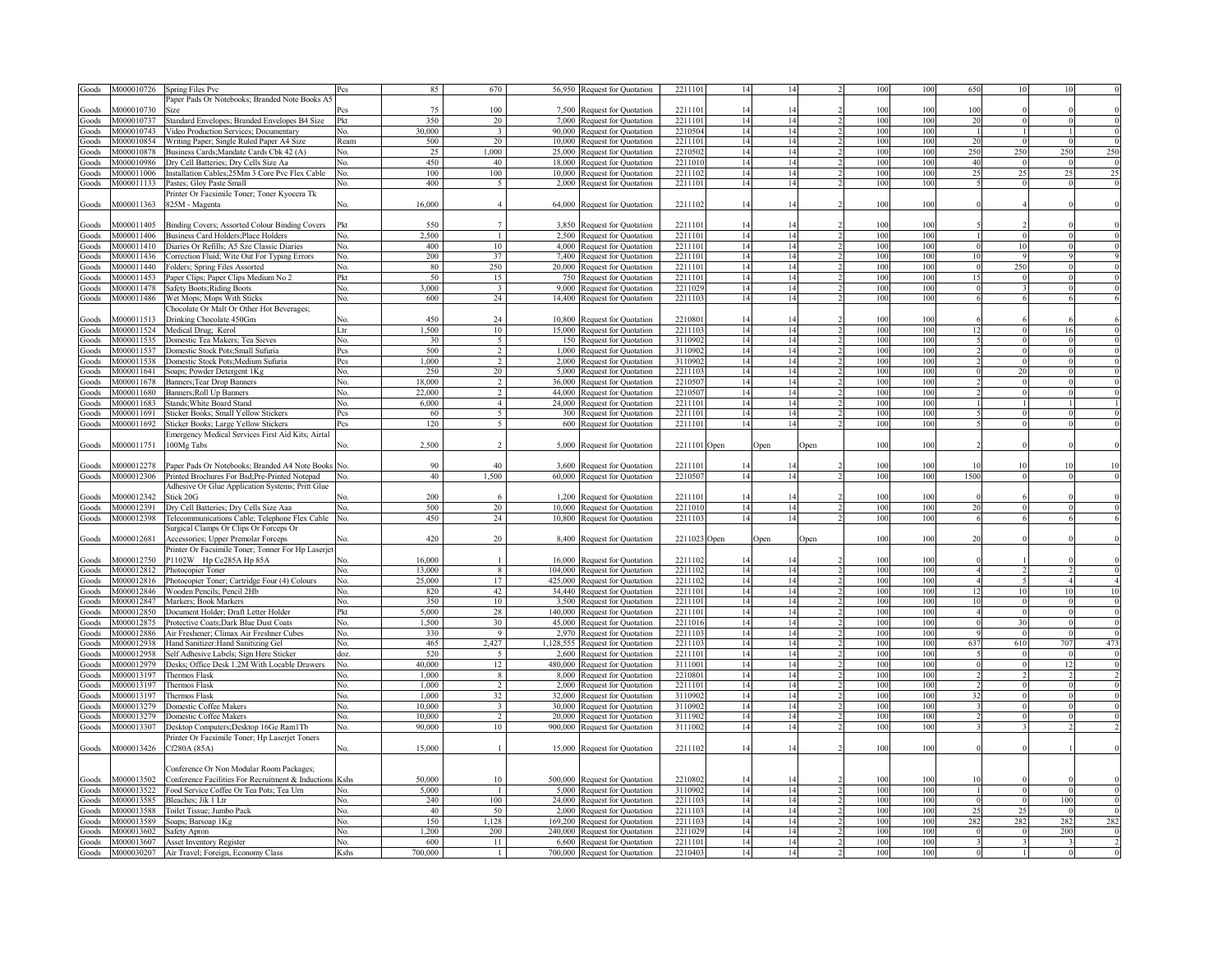| Goods | M000010726 | Spring Files Pvc                                                      |      | 85      | 670                             | 56,950 | Request for Quotation                                        | 221110       |    |      |      |     |                 | 650                    |              |     |                                                                                                              |
|-------|------------|-----------------------------------------------------------------------|------|---------|---------------------------------|--------|--------------------------------------------------------------|--------------|----|------|------|-----|-----------------|------------------------|--------------|-----|--------------------------------------------------------------------------------------------------------------|
|       |            | aper Pads Or Notebooks; Branded Note Books A:                         |      |         |                                 |        |                                                              |              |    |      |      |     |                 |                        |              |     |                                                                                                              |
| Goods | M000010730 | Size                                                                  |      | 75      | 100                             |        | 7,500 Request for Quotation                                  | 2211101      | 14 |      |      | 100 | 100             | 100                    |              |     |                                                                                                              |
| Goods | M000010737 | Standard Envelopes; Branded Envelopes B4 Size                         | Pkt  | 350     | 20                              |        | 7,000 Request for Quotation                                  | 221110       | 14 | 14   |      | 100 | 100             | 20                     | $\Omega$     |     |                                                                                                              |
|       | M000010743 |                                                                       | Nο.  | 30,000  | $\overline{\mathbf{3}}$         |        | 90,000 Request for Quotation                                 | 2210504      | 14 | 14   |      | 100 | 100             |                        |              |     |                                                                                                              |
| Goods | M000010854 | Video Production Services; Documentary                                |      | 500     | 20                              |        |                                                              | 221110       | 14 | 14   |      | 100 | 100             | 20                     |              |     |                                                                                                              |
| Goods |            | Writing Paper; Single Ruled Paper A4 Size                             | Ream |         |                                 |        | 10,000 Request for Quotation                                 |              |    |      |      |     |                 |                        |              |     |                                                                                                              |
| Goods | M000010878 | Business Cards; Mandate Cards Cbk 42 (A)                              | No.  | 25      | 1.000                           |        | 25,000 Request for Quotation                                 | 2210502      | 14 | 14   |      | 100 | 100             | 250                    | 250          | 250 | 250                                                                                                          |
| Goods | M000010986 | Dry Cell Batteries; Dry Cells Size Aa                                 | No.  | 450     | 40                              |        | 18,000 Request for Quotation                                 | 221101       | 14 | 14   |      | 100 | 100             | 40                     | $\Omega$     |     |                                                                                                              |
| Goods | M000011006 | Installation Cables;25Mm 3 Core Pvc Flex Cable                        | No.  | 100     | 100                             |        | 10,000 Request for Quotation                                 | 221110       | 14 | 14   |      | 100 | 100             | 25                     | 25           | 25  | 25                                                                                                           |
| Goods | M000011133 | Pastes; Gloy Paste Small                                              | No.  | 400     | $\overline{5}$                  |        | 2,000 Request for Quotation                                  | 221110       | 14 | 14   |      | 100 | 100             |                        | $\mathbf{0}$ |     |                                                                                                              |
|       |            | Printer Or Facsimile Toner; Toner Kyocera Tk                          |      |         |                                 |        |                                                              |              |    |      |      |     |                 |                        |              |     |                                                                                                              |
| Goods | M000011363 | 325M - Magenta                                                        | N٥   | 16,000  | $\overline{4}$                  |        | 64,000 Request for Quotation                                 | 2211102      | 14 | 14   |      | 100 | 100             |                        |              |     |                                                                                                              |
|       |            |                                                                       |      |         |                                 |        |                                                              |              |    |      |      |     |                 |                        |              |     |                                                                                                              |
| Goods | M000011405 | Binding Covers; Assorted Colour Binding Covers                        | Pkt  | 550     | $\overline{7}$                  |        | 3,850 Request for Quotation                                  | 221110       | 14 | 14   |      | 100 | 100             |                        |              |     |                                                                                                              |
| Goods | M000011406 | Business Card Holders; Place Holders                                  | No.  | 2.500   | $\mathbf{1}$                    |        | 2,500 Request for Quotation                                  | 221110       | 14 | 14   |      | 100 | 100             |                        | $\theta$     |     |                                                                                                              |
| Goods | M000011410 | Diaries Or Refills; A5 Sze Classic Diaries                            | No.  | 400     | 10                              |        | 4,000 Request for Quotation                                  | 221110       | 14 | 14   |      | 100 | 100             | £                      | 10           |     |                                                                                                              |
|       |            |                                                                       |      | 200     | 37                              |        | 7,400 Request for Quotation                                  | 2211101      | 14 | 14   |      | 100 | 100             | 10                     | $\mathbf Q$  |     |                                                                                                              |
| Goods | M000011436 | Correction Fluid; Wite Out For Typing Errors                          | No.  |         | 250                             |        |                                                              |              |    |      |      |     |                 | $\sqrt{ }$             | 250          |     |                                                                                                              |
| Goods | M000011440 | Folders; Spring Files Assorted                                        | No.  | 80      |                                 |        | 20,000 Request for Quotation                                 | 2211101      | 14 | 14   |      | 100 | 100             |                        |              |     |                                                                                                              |
| Goods | M000011453 | Paper Clips; Paper Clips Medium No 2                                  | Pkt  | 50      | 15                              |        | 750 Request for Quotation                                    | 2211101      | 14 | 14   |      | 100 | 100             | 15                     |              |     |                                                                                                              |
| Goods | M000011478 | <b>Safety Boots; Riding Boots</b>                                     | No.  | 3.000   | $\ddot{ }$                      |        | 9,000 Request for Quotation                                  | 2211029      | 14 | 14   |      | 100 | 100             |                        |              |     |                                                                                                              |
| Goods | M000011486 | Wet Mops; Mops With Sticks                                            | No.  | 600     | 24                              |        | 14,400 Request for Quotation                                 | 221110.      | 14 | 14   |      | 100 | 100             |                        |              |     |                                                                                                              |
|       |            | Chocolate Or Malt Or Other Hot Beverages;                             |      |         |                                 |        |                                                              |              |    |      |      |     |                 |                        |              |     |                                                                                                              |
| Goods | M000011513 | Drinking Chocolate 450Gm                                              |      | 450     | 24                              |        | 10,800 Request for Quotation                                 | 221080       | 14 |      |      | 100 | 100             |                        |              |     |                                                                                                              |
| Goods | M000011524 | Medical Drug; Kerol                                                   | Ltr  | 1.500   | 10                              |        | 15,000 Request for Quotation                                 | 2211103      | 14 | 14   |      | 100 | 100             | 12                     |              |     |                                                                                                              |
| Goods | M000011535 | Domestic Tea Makers; Tea Sieves                                       | No.  | 30      | $\sim$                          |        | 150 Request for Quotation                                    | 3110902      | 14 | 14   |      | 100 | 100             |                        |              |     |                                                                                                              |
| Goods | M000011537 | Domestic Stock Pots;Small Sufuria                                     | Pcs  | 500     | $\mathfrak{D}$                  |        | 1,000 Request for Quotation                                  | 3110902      | 14 | 14   |      | 100 | 10 <sup>1</sup> |                        |              |     |                                                                                                              |
| Goods | M000011538 | Domestic Stock Pots;Medium Sufuria                                    | Pcs  | 1,000   | $\mathcal{D}$                   |        | 2,000 Request for Quotation                                  | 3110902      | 14 | 14   |      | 100 | 100             |                        |              |     |                                                                                                              |
| Goods | M000011641 | Soaps; Powder Detergent 1Kg                                           | No.  | 250     | 20                              |        | 5,000 Request for Quotation                                  | 221110       | 14 | 14   |      | 100 | 100             |                        | 20           |     |                                                                                                              |
|       | M000011678 |                                                                       | No.  | 18,000  | $\mathfrak{D}$                  |        |                                                              | 221050       | 14 | 14   |      | 100 | 100             |                        |              |     |                                                                                                              |
| Goods |            | Banners; Tear Drop Banners                                            |      |         |                                 |        | 36,000 Request for Quotation                                 |              |    |      |      |     |                 |                        |              |     |                                                                                                              |
| Goods | M000011680 | Banners; Roll Up Banners                                              | No.  | 22.000  | $\overline{2}$                  |        | 44,000 Request for Quotation                                 | 221050       | 14 | 14   |      | 100 | 100             |                        |              |     |                                                                                                              |
| Goods | M000011683 | Stands; White Board Stand                                             | No.  | 6,000   | $\overline{4}$                  |        | 24,000 Request for Quotation                                 | 221110       | 14 | 14   |      | 100 | 100             |                        |              |     |                                                                                                              |
| Goods | M000011691 | Sticker Books; Small Yellow Stickers                                  | Pcs  | 60      | 5                               |        | 300 Request for Quotation                                    | 2211101      | 14 | 14   |      | 100 | 100             |                        | $\mathbf{0}$ |     |                                                                                                              |
| Goods | M000011692 | Sticker Books; Large Yellow Stickers                                  | Pcs  | 120     | $\overline{\mathbf{S}}$         |        | 600 Request for Quotation                                    | 2211101      | 14 | 14   |      | 100 | 100             |                        | $\Omega$     |     |                                                                                                              |
|       |            | <b>Emergency Medical Services First Aid Kits; Airtal</b>              |      |         |                                 |        |                                                              |              |    |      |      |     |                 |                        |              |     |                                                                                                              |
| Goods | M000011751 | 100Mg Tabs                                                            | Nο.  | 2,500   | $\overline{\mathbf{c}}$         |        | 5,000 Request for Quotation                                  | 2211101 Open |    | Open | Open | 100 | 100             |                        |              |     |                                                                                                              |
|       |            |                                                                       |      |         |                                 |        |                                                              |              |    |      |      |     |                 |                        |              |     |                                                                                                              |
| Goods | M000012278 | Paper Pads Or Notebooks; Branded A4 Note Books                        | No.  | 90      | 40                              |        | 3,600 Request for Quotation                                  | 221110       | 14 |      |      | 100 | 100             | 10                     | 10           |     |                                                                                                              |
| Goods | M000012306 | Printed Brochures For Bsd; Pre-Printed Notepad                        | No.  | 40      | 1,500                           |        | 60,000 Request for Quotation                                 | 221050       | 14 | 14   |      | 100 | 100             | 1500                   | $\theta$     |     |                                                                                                              |
|       |            |                                                                       |      |         |                                 |        |                                                              |              |    |      |      |     |                 |                        |              |     |                                                                                                              |
|       |            | Adhesive Or Glue Application Systems; Pritt Glue                      |      |         |                                 |        |                                                              |              |    |      |      |     |                 |                        |              |     |                                                                                                              |
| Goods | M000012342 | Stick 20G                                                             |      | 200     | 6                               |        | 1,200 Request for Quotation                                  | 2211101      | 14 | 14   |      | 100 | 100             |                        |              |     |                                                                                                              |
| Goods | M000012391 | Dry Cell Batteries; Dry Cells Size Aaa                                | No.  | 500     | 20                              |        | 10,000 Request for Quotation                                 | 2211010      | 14 | 14   |      | 100 | 100             | 20                     |              |     |                                                                                                              |
| Goods | M000012398 | Telecommunications Cable; Telephone Flex Cable                        | No.  | 450     | 24                              |        | 10,800 Request for Quotation                                 | 2211103      | 14 | 14   |      | 100 | 100             |                        |              |     |                                                                                                              |
|       |            | Surgical Clamps Or Clips Or Forceps Or                                |      |         |                                 |        |                                                              |              |    |      |      |     |                 |                        |              |     |                                                                                                              |
| Goods | M000012681 | Accessories; Upper Premolar Forceps                                   | Ñο.  | 420     | 20                              |        | 8,400 Request for Quotation                                  | 2211023 Open |    | Open | Open | 100 | 100             |                        |              |     |                                                                                                              |
|       |            | Printer Or Facsimile Toner; Tonner For Hp Laserje                     |      |         |                                 |        |                                                              |              |    |      |      |     |                 | 20                     |              |     |                                                                                                              |
| Goods | M000012750 | P1102W Hp Ce285A Hp 85A                                               |      |         |                                 |        |                                                              |              |    |      |      |     |                 |                        |              |     |                                                                                                              |
| Goods | M000012812 |                                                                       | N٥   | 16,000  |                                 |        |                                                              | 221110       | 14 | 14   |      | 100 | 100             |                        |              |     |                                                                                                              |
| Goods | M000012816 |                                                                       | No.  | 13,000  | $\mathbf{8}$                    |        | 16,000 Request for Quotation                                 | 221110       | 14 | 14   |      | 100 | 100             |                        |              |     |                                                                                                              |
| Goods |            | Photocopier Toner                                                     |      | 25,000  | 17                              |        | 104,000 Request for Quotation                                |              |    | 14   |      |     | 100             | $\boldsymbol{\Lambda}$ |              |     |                                                                                                              |
| Goods |            | Photocopier Toner; Cartridge Four (4) Colours                         | No.  |         |                                 |        | 425,000 Request for Quotation                                | 221110       | 14 |      |      | 100 |                 |                        |              |     |                                                                                                              |
|       | M000012846 | Wooden Pencils; Pencil 2Hb                                            | No.  | 820     | 42                              |        | 34,440 Request for Quotation                                 | 221110       | 14 | 14   |      | 100 | 100             | 12                     | 10           | 10  |                                                                                                              |
|       | M000012847 | Markers; Book Markers                                                 | No.  | 350     | 10                              |        | 3,500 Request for Quotation                                  | 221110       | 14 | 14   |      | 100 | 100             | 10                     | $\theta$     |     |                                                                                                              |
| Goods | M000012850 | Document Holder; Draft Letter Holder                                  | Pkt  | 5.000   | 28                              |        | 140,000 Request for Quotation                                | 221110       | 14 | 14   |      | 100 | 100             | $\overline{4}$         | $\theta$     |     |                                                                                                              |
| Goods | M000012875 | Protective Coats; Dark Blue Dust Coats                                | No.  | 1.500   | 30                              |        | 45,000 Request for Quotation                                 | 221101       | 14 | 14   |      | 100 | 100             | - 0                    | 30           |     |                                                                                                              |
| Goods | M000012886 | Air Freshener; Climax Air Freshner Cubes                              | No.  | 330     | 9                               |        | 2,970 Request for Quotation                                  | 221110       | 14 | 14   |      | 100 | 100             |                        | $\Omega$     |     |                                                                                                              |
| Goods | M000012938 | Hand Sanitizer: Hand Sanitizing Gel                                   | No.  | 465     | 2,427                           |        | 1,128,555 Request for Quotation                              | 2211103      | 14 | 14   |      | 100 | 100             | 637                    | 610          | 707 |                                                                                                              |
| Goods | M000012958 | Self Adhesive Labels; Sign Here Sticker                               | doz. | 520     | -5                              |        | 2,600 Request for Quotation                                  | 2211101      | 14 | 14   |      | 100 | 100             |                        |              |     |                                                                                                              |
| Goods | M000012979 | Desks; Office Desk 1.2M With Locable Drawers                          | No.  | 40,000  | 12                              |        | 480,000 Request for Quotation                                | 3111001      | 14 | 14   |      | 100 | 100             |                        | $\theta$     | 12  |                                                                                                              |
| Goods | M000013197 | Thermos Flask                                                         | No.  | 1,000   | 8                               |        | 8,000 Request for Quotation                                  | 2210801      | 14 | 14   |      | 100 | 100             |                        |              |     |                                                                                                              |
| Goods | M000013197 | <b>Thermos Flask</b>                                                  | No.  | 1,000   | $\overline{2}$                  |        | 2,000 Request for Quotation                                  | 2211101      | 14 | 14   |      | 100 | 100             |                        |              |     |                                                                                                              |
| Goods | M000013197 | Thermos Flask                                                         | No.  | 1,000   | 32                              |        | 32,000 Request for Quotation                                 | 3110902      | 14 | 14   |      | 100 | 100             | 32                     |              |     | $\overline{A}$<br>$\overline{10}$<br>$\epsilon$<br>$\overline{c}$<br>$\overline{c}$<br>$\overline{6}$<br>473 |
| Goods | M000013279 |                                                                       |      | 10.000  |                                 |        |                                                              | 311090       |    | 14   |      | 100 | 100             |                        |              |     |                                                                                                              |
|       |            | Domestic Coffee Makers                                                | No.  |         | $\overline{3}$<br>$\mathcal{D}$ |        | 30,000 Request for Quotation                                 |              | 14 | 14   |      |     |                 |                        |              |     |                                                                                                              |
| Goods | M000013279 | Domestic Coffee Makers                                                | No.  | 10.000  |                                 |        | 20,000 Request for Quotation                                 | 3111902      | 14 |      |      | 100 | 100             |                        |              |     |                                                                                                              |
| Goods | M000013307 | Desktop Computers; Desktop 16Ge Ram1Tb                                | No.  | 90,000  | $10-10$                         |        | 900,000 Request for Quotation                                | 3111002      | 14 | 14   |      | 100 | 100             |                        |              |     |                                                                                                              |
|       |            | Printer Or Facsimile Toner; Hp Laserjet Toners                        |      |         |                                 |        |                                                              |              |    |      |      |     |                 |                        |              |     |                                                                                                              |
| Goods | M000013426 | Cf280A (85A)                                                          | No.  | 15,000  |                                 |        | 15,000 Request for Quotation                                 | 2211102      |    | 14   |      | 100 | 100             |                        |              |     |                                                                                                              |
|       |            |                                                                       |      |         |                                 |        |                                                              |              |    |      |      |     |                 |                        |              |     |                                                                                                              |
|       |            | Conference Or Non Modular Room Packages;                              |      |         |                                 |        |                                                              |              |    |      |      |     |                 |                        |              |     |                                                                                                              |
| Goods | M000013502 | Conference Facilities For Recruitment & Inductions Kshs               |      | 50,000  | 10                              |        | 500,000 Request for Quotation                                | 2210802      |    |      |      | 100 |                 |                        |              |     |                                                                                                              |
| Goods | M000013522 | Food Service Coffee Or Tea Pots; Tea Urn                              | Nο.  | 5.000   | $\overline{1}$                  |        | 5,000 Request for Quotation                                  | 3110902      | 14 | 14   |      | 100 | 100             |                        |              |     |                                                                                                              |
| Goods | M000013585 | Bleaches; Jik 1 Ltr                                                   | Nο.  | 240     | 100                             |        | 24,000 Request for Quotation                                 | 221110       | 14 | 14   |      | 100 | 100             |                        |              | 100 |                                                                                                              |
| Goods | M000013588 | <b>Foilet Tissue</b> ; Jumbo Pack                                     | NΩ   | 40      | 50                              |        | 2,000 Request for Quotation                                  | 221110       | 14 |      |      | 100 | 100             | 25                     | 25           |     |                                                                                                              |
| Goods | M000013589 | Soaps; Barsoap 1Kg                                                    | No.  | 150     | 1.128                           |        | 169,200 Request for Quotation                                | 221110       | 14 |      |      | 100 | 100             | 282                    | 282          | 282 |                                                                                                              |
| Goods | M000013602 |                                                                       | No.  | 1.200   | 200                             |        | 240,000 Request for Quotation                                | 221102       | 14 |      |      | 100 | 100             |                        |              | 200 |                                                                                                              |
| Goods | M000013607 | Safety Apron                                                          | Nο.  | 600     | 11                              |        |                                                              | 221110       | 14 |      |      | 100 | 100             |                        |              |     |                                                                                                              |
| Goods | M000030207 | <b>Asset Inventory Register</b><br>Air Travel; Foreign, Economy Class | Kshs | 700.000 | $\mathbf{1}$                    |        | 6,600 Request for Quotation<br>700,000 Request for Quotation | 221040       | 14 | 14   |      | 100 | 100             |                        |              |     |                                                                                                              |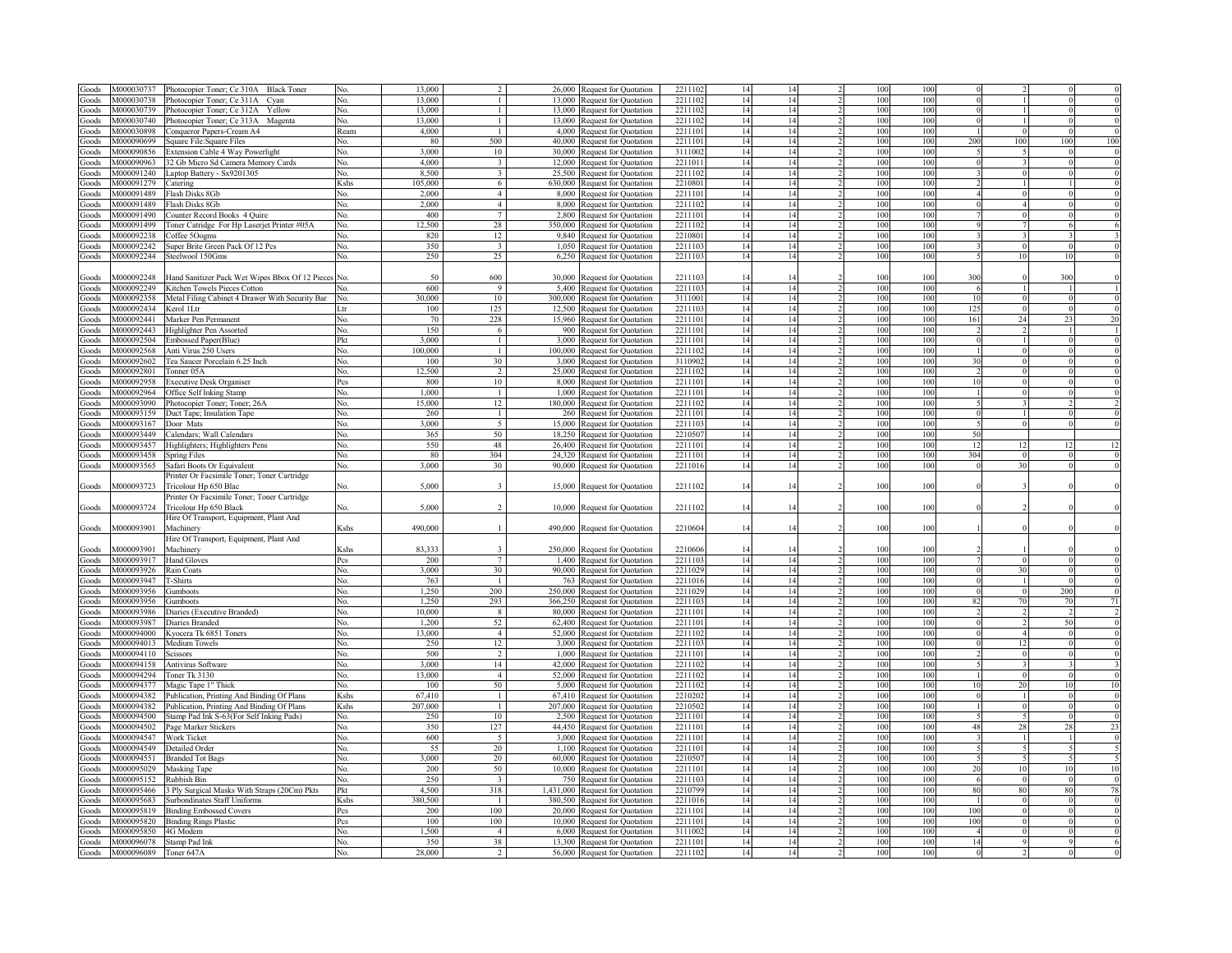| Goods  | M000030737 | Photocopier Toner; Ce 310A Black Toner          | No.            | 13.000  |                         |         | 26,000 Request for Quotation    | 221110  | 14 | 14  | 100 | 100 |                          |                |     |                 |
|--------|------------|-------------------------------------------------|----------------|---------|-------------------------|---------|---------------------------------|---------|----|-----|-----|-----|--------------------------|----------------|-----|-----------------|
| Goods  | M000030738 | Photocopier Toner; Ce 311A Cyan                 | No.            | 13.000  | $\mathbf{1}$            | 13.000  | Request for Quotation           | 2211102 | 14 | 14  | 100 | 100 |                          |                |     |                 |
| Goods  | M000030739 | Photocopier Toner; Ce 312A<br>Yellow            | No.            | 13,000  | $\mathbf{1}$            | 13,000  | Request for Quotation           | 2211102 | 14 | 14  | 100 | 100 |                          |                |     |                 |
| Goods  | M000030740 | Photocopier Toner; Ce 313A Magenta              | No.            | 13,000  | $\mathbf{1}$            | 13.000  | Request for Quotation           | 2211102 | 14 | 14  | 100 | 100 |                          |                |     |                 |
| Goods  | M000030898 | Conqueror Papers-Cream A4                       | Ream           | 4,000   | $\mathbf{1}$            | 4,000   | Request for Quotation           | 2211101 | 14 | 14  | 100 | 100 |                          | $\Omega$       |     |                 |
|        | M000090699 |                                                 |                | -80     | 500                     | 40,000  | Request for Quotation           | 2211101 | 14 | 14  | 100 | 100 | 200                      | 100            | 100 | 10 <sup>°</sup> |
| Goods  |            | Square File:Square Files                        | No.            | 3,000   | $10\,$                  |         |                                 | 3111002 | 14 | 14  | 100 | 100 |                          | $\overline{5}$ |     |                 |
| Goods  | M000090856 | Extension Cable 4 Way Powerlight                | No.            | 4,000   | $\overline{3}$          |         | 30,000 Request for Quotation    |         |    | 14  | 100 | 100 | $\Omega$                 | $\mathbf{3}$   |     |                 |
| Goods  | M000090963 | 32 Gb Micro Sd Camera Memory Cards              | No.            |         |                         |         | 12,000 Request for Quotation    | 221101  | 14 |     |     |     |                          |                |     |                 |
| Goods  | M000091240 | Laptop Battery - Sx9201305                      | No.            | 8.500   | $\overline{\mathbf{3}}$ |         | 25,500 Request for Quotation    | 221110  | 14 | 14  | 100 | 100 |                          | $\mathbf{0}$   |     |                 |
| Goods  | M000091279 | Catering                                        | Kshs           | 105,000 | 6                       |         | 630,000 Request for Quotation   | 221080  | 14 | 14  | 100 | 100 |                          |                |     |                 |
| Goods  | M000091489 | Flash Disks 8Gb                                 | No             | 2,000   | $\overline{4}$          |         | 8,000 Request for Quotation     | 2211101 | 14 | 14  | 100 | 100 |                          | $\overline{0}$ |     |                 |
| Goods  | M000091489 | Flash Disks 8Gb                                 | No             | 2,000   | $\overline{4}$          | 8.000   | Request for Quotation           | 2211102 | 14 | 14  | 100 | 100 |                          | $\overline{4}$ |     |                 |
| Goods  | M000091490 | Counter Record Books 4 Quire                    | No.            | 400     | $\overline{7}$          | 2,800   | Request for Quotation           | 221110  | 14 | 14  | 100 | 100 |                          | $\Omega$       |     |                 |
| Goods  | M000091499 | Toner Catridge For Hp Laserjet Printer #05A     | No.            | 12.500  | 28                      |         | 350,000 Request for Quotation   | 221110  | 14 | 14  | 100 | 100 |                          |                |     |                 |
| Goods  | M000092238 | Coffee 50ogms                                   | No             | 820     | 12                      |         | 9,840 Request for Quotation     | 221080  | 14 | 14  | 100 | 100 |                          |                |     |                 |
| Goods  | M000092242 | Super Brite Green Pack Of 12 Pcs                | No.            | 350     | $\overline{\mathbf{3}}$ |         | 1,050 Request for Quotation     | 221110  | 14 | 14  | 100 | 100 |                          |                |     |                 |
| Goods  | M000092244 | Steelwool 150Gms                                | No.            | 250     | 25                      |         | 6,250 Request for Quotation     | 221110  | 14 | 14  | 100 | 100 |                          | 10             |     |                 |
|        |            |                                                 |                |         |                         |         |                                 |         |    |     |     |     |                          |                |     |                 |
| Goods  | 4000092248 | Hand Sanitizer Pack Wet Wipes Bbox Of 12 Pieces | No             | 50      | 600                     |         | 30,000 Request for Quotation    | 221110  | 14 | 14  | 100 | 10  | 300                      |                | 300 |                 |
| doods  | M000092249 | Kitchen Towels Pieces Cotton                    | Nο             | 600     | 9                       |         | 5,400 Request for Quotation     | 221110  | 14 | 14  | 100 | 10  |                          | $\mathbf{1}$   |     |                 |
| ioods  | M000092358 | Metal Filing Cabinet 4 Drawer With Security Bar | No.            | 30,000  | 10                      | 300,000 | <b>Request for Quotation</b>    | 311100  | 14 | 14  | 100 | 10  | 10                       | $\theta$       |     |                 |
| Goods  | M000092434 | Kerol 1Ltr                                      | Ltr            | 100     | 125                     |         | 12,500 Request for Quotation    | 221110  | 14 | 14  | 100 | 10  | 12:                      | $\mathbf{0}$   |     |                 |
| Goods  | M000092441 | Marker Pen Permanent                            | No.            | 70      | 228                     |         | 15,960 Request for Quotation    | 221110  | 14 | 14  | 100 | 100 | 161                      | 24             |     |                 |
| doods  | M000092443 | Highlighter Pen Assorted                        | No.            | 150     | 6                       | 900     | Request for Quotation           | 2211101 | 14 | 14  | 100 | 10  |                          |                |     |                 |
| doods  | M000092504 | Embossed Paper(Blue)                            | Pkt            | 3,000   | $\mathbf{1}$            |         |                                 | 221110  | 14 | 14  | 100 | 100 |                          | $\overline{1}$ |     |                 |
|        |            |                                                 |                |         |                         |         | 3,000 Request for Quotation     |         |    |     |     |     |                          |                |     |                 |
| doods  | M000092568 | Anti Virus 250 Users                            | Nο             | 100,000 | $\mathbf{1}$            |         | 100,000 Request for Quotation   | 2211102 | 14 | 14  | 100 | 100 |                          | $\mathbf{0}$   |     |                 |
| Goods  | M000092602 | Tea Saucer Porcelain 6.25 Inch                  | No.            | 100     | 30 <sup>2</sup>         |         | 3,000 Request for Quotation     | 311090  | 14 | 14  | 100 | 100 | 3 <sup>0</sup>           | $\mathbf{0}$   |     |                 |
| doods  | M000092801 | Tonner 05A                                      | No.            | 12,500  | $\overline{2}$          |         | 25,000 Request for Quotation    | 2211102 | 14 | 14  | 100 | 100 |                          | $\theta$       |     |                 |
| aboof. | M000092958 | <b>Executive Desk Organiser</b>                 | Pcs            | 800     | 10                      |         | 8,000 Request for Quotation     | 2211101 | 14 | 14  | 100 | 100 | 10                       | $\theta$       |     |                 |
| Goods  | M000092964 | Office Self Inking Stamp                        | No.            | 1.000   | $\mathbf{1}$            |         | 1,000 Request for Quotation     | 2211101 | 14 | 14  | 100 | 100 |                          | $\theta$       |     |                 |
| aboof. | M000093090 | Photocopier Toner; Toner; 26A                   | No.            | 15,000  | 12                      |         | 180,000 Request for Quotation   | 2211102 | 14 | 14  | 100 | 100 |                          |                |     |                 |
| Goods  | M000093159 | Duct Tape; Insulation Tape                      | No.            | 260     | $\mathbf{1}$            |         | 260 Request for Quotation       | 221110  | 14 | 14  | 100 | 100 |                          |                |     |                 |
| Goods  | M000093167 | Door Mats                                       | $N_{\Omega}$   | 3,000   | 5                       | 15,000  | Request for Quotation           | 221110  | 14 | 14  | 100 | 100 |                          |                |     |                 |
| coods  | M000093449 | Calendars: Wall Calendars                       | No.            | 365     | 50                      | 18,250  | Request for Quotation           | 221050  | 14 | 14  | 100 | 100 | 50                       |                |     |                 |
| coods  | M000093457 | Highlighters; Highlighters Pens                 | No.            | 550     | 48                      | 26,400  | Request for Quotation           | 221110  | 14 | 14  | 100 | 100 | 12                       | 12             | 12  | 12              |
| Goods  | M000093458 | <b>Spring Files</b>                             | No.            | 80      | 304                     |         | 24,320 Request for Quotation    | 2211101 | 14 | 14  | 100 | 100 | 304                      | $\Omega$       |     | $\mathcal{L}$   |
| Goods  | M000093565 | Safari Boots Or Equivalent                      | No.            | 3,000   | 30                      |         | 90,000 Request for Quotation    | 2211016 | 14 | 14  | 100 | 100 |                          | 30             |     |                 |
|        |            | Printer Or Facsimile Toner; Toner Cartridge     |                |         |                         |         |                                 |         |    |     |     |     |                          |                |     |                 |
| Goods  | M000093723 | Tricolour Hp 650 Blac                           | No.            | 5,000   | $\overline{\mathbf{3}}$ |         | 15,000 Request for Quotation    | 2211102 | 14 | 14  | 100 | 100 |                          |                |     |                 |
|        |            | Printer Or Facsimile Toner; Toner Cartridge     |                |         |                         |         |                                 |         |    |     |     |     |                          |                |     |                 |
| Goods  | M000093724 | Tricolour Hp 650 Black                          | No.            | 5,000   | $\overline{2}$          |         | 10,000 Request for Quotation    | 2211102 | 14 | 14  | 100 | 100 |                          |                |     |                 |
|        |            | Hire Of Transport, Equipment, Plant And         |                |         |                         |         |                                 |         |    |     |     |     |                          |                |     |                 |
|        |            |                                                 |                | 490,000 | $\overline{1}$          |         |                                 | 2210604 |    | 14  |     |     |                          |                |     |                 |
| Goods  | M000093901 | Machinery                                       | Kshs           |         |                         |         | 490,000 Request for Quotation   |         | 14 |     | 100 | 100 |                          |                |     |                 |
|        |            | Hire Of Transport, Equipment, Plant And         |                |         |                         |         |                                 |         |    |     |     |     |                          |                |     |                 |
| Goods  | M000093901 | Machinery                                       | Kshs           | 83,333  | $\mathbf{R}$            |         | 250,000 Request for Quotation   | 2210606 | 14 | 14  | 100 | 100 |                          |                |     |                 |
| Goods  | M000093917 | <b>Hand Gloves</b>                              | Pcs            | 200     | 7                       |         | 1,400 Request for Quotation     | 221110  | 14 | -14 | 100 | 100 |                          | $\Omega$       |     | $\epsilon$      |
| Goods  | M000093926 | Rain Coats                                      | No.            | 3,000   | 30                      |         | 90,000 Request for Quotation    | 221102  | 14 | 14  | 100 | 100 |                          | 30             |     |                 |
| Goods  | M000093947 | T-Shirts                                        | No.            | 763     | $\overline{1}$          |         | 763 Request for Quotation       | 221101  | 14 | 14  | 100 | 100 |                          |                |     |                 |
| Goods  | M000093956 | Gumboots                                        | No             | 1.250   | 200                     |         | 250,000 Request for Quotation   | 221102  | 14 | 14  | 100 | 100 |                          | $\Omega$       | 200 |                 |
| Goods  | M000093956 | Gumboots                                        | No             | 1.250   | 293                     |         | 366,250 Request for Quotation   | 221110  | 14 | 14  | 100 | 100 | 82                       | 70             | 70  | 71              |
| Goods  | M000093986 | Diaries (Executive Branded)                     | No.            | 10,000  | 8                       |         | 80,000 Request for Quotation    | 2211101 | 14 | 14  | 100 | 100 |                          |                |     |                 |
| Goods  |            | M000093987 Diaries Branded                      | No.            | 1,200   | 52                      |         | 62,400 Request for Quotation    | 2211101 | 14 | 14  | 100 | 100 |                          |                | 50  |                 |
| Goods  | M000094000 | Kyocera Tk 6851 Toners                          | No.            | 13,000  | $\overline{4}$          |         | 52,000 Request for Quotation    | 2211102 | 14 | 14  | 100 | 100 |                          |                |     |                 |
| ioods  |            | M000094013 Medium Towels                        | No.            | 250     | 12                      |         | 3,000 Request for Quotation     | 221110  | 14 | 14  | 100 | 100 |                          | 12             |     |                 |
| coods  | M000094110 | Scissors                                        | No.            | 500     | $\mathcal{D}$           |         | 1,000 Request for Quotation     | 2211101 | 14 | 14  | 100 | 100 |                          |                |     |                 |
| Goods  | M000094158 | Antivirus Software                              | No.            | 3,000   | 14                      |         | 42,000 Request for Quotation    | 221110  | 14 | 14  | 100 | 100 |                          |                |     |                 |
| Goods  | M000094294 | Toner Tk 3130                                   | No.            | 13,000  | $\overline{4}$          |         | 52,000 Request for Quotation    | 221110  | 14 | 14  | 100 | 100 |                          |                |     |                 |
| Goods  | M000094377 | Magic Tape 1" Thick                             | No.            | 100     | 50                      |         | 5,000 Request for Quotation     | 221110  | 14 | 14  | 100 | 100 |                          | 20             |     |                 |
| Goods  | M000094382 | Publication, Printing And Binding Of Plans      | Kshs           | 67,410  | $\mathbf{1}$            |         | 67,410 Request for Quotation    | 221020  | 14 | 14  | 100 | 100 |                          |                |     |                 |
| Goods  | M000094382 | Publication, Printing And Binding Of Plans      | Kshs           | 207.000 | $\mathbf{1}$            |         | 207,000 Request for Quotation   | 221050  | 14 | 14  | 100 | 100 |                          |                |     |                 |
| Goods  | M000094500 | Stamp Pad Ink S-63(For Self Inking Pads)        | No.            | 250     | 10                      |         | 2,500 Request for Quotation     | 221110  | 14 | 14  | 100 | 100 |                          |                |     |                 |
|        |            |                                                 |                |         |                         |         |                                 |         |    |     |     |     |                          |                |     |                 |
| Goods  | M000094502 | Page Marker Stickers                            | No.            | 350     | 127                     |         | 44,450 Request for Quotation    | 221110  | 14 | 14  | 100 | 100 | 48                       | 28             |     |                 |
| Goods  | M000094547 | Work Ticket                                     | No.            | 600     | $\sim$                  |         | 3,000 Request for Quotation     | 221110  | 14 | 14  | 100 | 100 |                          |                |     |                 |
| Goods  | M000094549 | Detailed Order                                  | No.            | 55      | 20                      |         | 1,100 Request for Quotation     | 221110  | 14 | 14  | 100 | 100 |                          |                |     |                 |
| Goods  | M000094551 | <b>Branded Tot Bags</b>                         | N <sub>0</sub> | 3.000   | 20                      |         | 60,000 Request for Quotation    | 221050  | 14 | 14  | 100 | 100 |                          |                |     |                 |
| Goods  | M000095029 | Masking Tape                                    | No.            | 200     | 50                      |         | 10,000 Request for Quotation    | 221110  | 14 | 14  | 100 | 100 | $\overline{\mathcal{U}}$ | 10             |     |                 |
| Goods  | M000095152 | Rubbish Bin                                     | No.            | 250     | $\overline{3}$          |         | 750 Request for Quotation       | 221110  | 14 | 14  | 100 | 100 |                          | $\theta$       |     |                 |
| Goods  | M000095466 | 3 Ply Surgical Masks With Straps (20Cm) Pkts    | Pkt            | 4.500   | 318                     |         | 1,431,000 Request for Quotation | 221079  | 14 | 14  | 100 | 100 | 80                       | 80             | 80  | 78              |
| Goods  | M000095683 | Surbondinates Staff Uniforms                    | Kshs           | 380,500 | $\mathbf{1}$            | 380,500 | Request for Quotation           | 221101  | 14 | 14  | 100 | 100 |                          | $\theta$       |     |                 |
| ioods  | M000095819 | <b>Binding Embossed Covers</b>                  | Pcs            | 200     | 100                     | 20,000  | Request for Quotation           | 221110  | 14 | 14  | 100 | 100 | 100                      | $\overline{0}$ |     |                 |
| ioods  | M000095820 | <b>Binding Rings Plastic</b>                    | Pcs            | 100     | 100                     | 10,000  | Request for Quotation           | 221110  | 14 | 14  | 100 | 100 | 100                      | $\overline{0}$ |     |                 |
| Goods  | 4000095850 | 4G Modem                                        | No.            | 1.500   | $\overline{4}$          | 6.000   | Request for Quotation           | 311100  | 14 | 14  | 100 | 100 |                          | $\Omega$       |     |                 |
| Goods  | M000096078 | Stamp Pad Ink                                   | No.            | 350     | 38                      |         | 13,300 Request for Quotation    | 221110  | 14 | 14  | 100 | 100 | $\overline{14}$          | $\mathbf Q$    |     |                 |
| Goods  | M000096089 | Toner 647A                                      | No.            | 28,000  | $\overline{2}$          |         | 56,000 Request for Quotation    | 2211102 | 14 | 14  | 100 | 100 |                          |                |     |                 |
|        |            |                                                 |                |         |                         |         |                                 |         |    |     |     |     |                          |                |     |                 |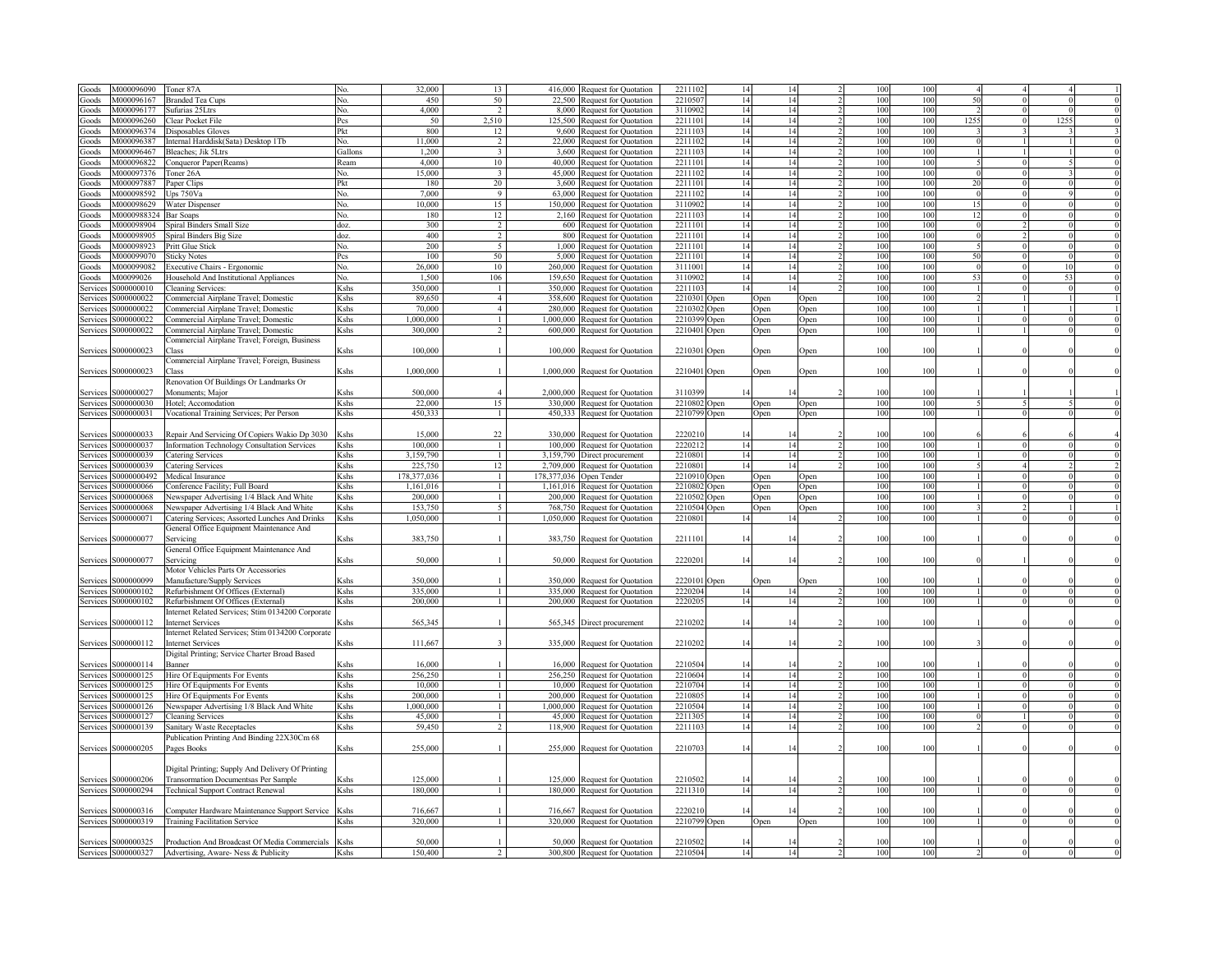| Goods          | M000096090          | Toner 87A                                         |                                                                                                                                                                                                                                          | 32,000      | 13                      | 416,000   | Request for Quotation           | 221110                  | 14   | 14   |                  | 100 | 100 |          |              |      |  |
|----------------|---------------------|---------------------------------------------------|------------------------------------------------------------------------------------------------------------------------------------------------------------------------------------------------------------------------------------------|-------------|-------------------------|-----------|---------------------------------|-------------------------|------|------|------------------|-----|-----|----------|--------------|------|--|
| ioods          | V1000096167         | <b>Branded Tea Cups</b>                           | No.                                                                                                                                                                                                                                      | 450         | 50                      | 22.500    | Request for Quotation           | 221050                  | 14   | 14   |                  | 100 | 100 | 5(       |              |      |  |
| ioods          | M000096177          | Sufurias 25Ltrs                                   | No.                                                                                                                                                                                                                                      | 4,000       | $\mathcal{D}$           | 8.000     | Request for Quotation           | 3110902                 | 14   | 14   |                  | 100 | 100 |          | $\Omega$     |      |  |
| Goods          | V1000096260         | Clear Pocket File                                 | Pcs                                                                                                                                                                                                                                      | 50          | 2.510                   | 125,500   | Request for Quotation           | 2211101                 | 14   | 14   |                  | 100 | 100 | 1255     | $\Omega$     | 1255 |  |
| Goods          | M000096374          | Disposables Gloves                                | Pkt                                                                                                                                                                                                                                      | 800         | 12                      | 9,600     | Request for Quotation           | 2211103                 | 14   | 14   |                  | 100 | 100 |          | $\mathbf{3}$ |      |  |
| Goods          | M000096387          | Internal Harddisk(Sata) Desktop 1Tb               | No.                                                                                                                                                                                                                                      | 11,000      | 2                       | 22,000    | <b>Request for Quotation</b>    | 2211102                 | 14   | 14   |                  | 100 | 100 |          |              |      |  |
| Goods          | M000096467          | Bleaches; Jik 5Ltrs                               | Gallons                                                                                                                                                                                                                                  | 1,200       | $\overline{3}$          |           | 3,600 Request for Quotation     | 2211103                 | 14   | 14   |                  | 100 | 100 |          |              |      |  |
| Goods          | M000096822          |                                                   | Ream                                                                                                                                                                                                                                     | 4,000       | 10                      |           |                                 | 2211101                 | 14   | 14   |                  | 100 | 100 |          | $\theta$     |      |  |
|                | M000097376          | Conqueror Paper(Reams)                            |                                                                                                                                                                                                                                          | 15,000      | $\overline{\mathbf{3}}$ |           | 40,000 Request for Quotation    | 2211102                 | 14   | 14   |                  | 100 | 100 | $\Omega$ | $\mathbf{0}$ |      |  |
| Goods          |                     | Toner 26A                                         | No.                                                                                                                                                                                                                                      |             | 20                      |           | 45,000 Request for Quotation    | 2211101                 |      |      |                  | 100 | 100 | 20       |              |      |  |
| Goods          | M000097887          | Paper Clips                                       | Pkt                                                                                                                                                                                                                                      | 180         | $\overline{Q}$          |           | 3,600 Request for Quotation     |                         | 14   | 14   |                  |     |     |          | $\mathbf{0}$ |      |  |
| Goods          | M000098592          | Ups 750Va                                         | No.                                                                                                                                                                                                                                      | 7,000       |                         |           | 63,000 Request for Quotation    | 2211102                 | 14   | 14   |                  | 100 | 100 | $\Omega$ | $\mathbf{0}$ |      |  |
| Goods          | M000098629          | Water Dispenser                                   | No.                                                                                                                                                                                                                                      | 10,000      | 15                      |           | 150,000 Request for Quotation   | 3110902                 | 14   | 14   |                  | 100 | 100 | 15       | $\mathbf{0}$ |      |  |
| Goods          | M0000988324         | Bar Soaps                                         | No.                                                                                                                                                                                                                                      | 180         | 12                      |           | 2,160 Request for Quotation     | 2211103                 | 14   | 14   |                  | 100 | 100 | 12       | $\theta$     |      |  |
| Goods          | M000098904          | Spiral Binders Small Size                         | doz.                                                                                                                                                                                                                                     | 300         | $\mathfrak{D}$          |           | 600 Request for Quotation       | 2211101                 | 14   | 14   |                  | 100 | 100 |          |              |      |  |
| Goods          | M000098905          | Spiral Binders Big Size                           | doz.                                                                                                                                                                                                                                     | 400         | $\mathcal{D}$           | 800       | <b>Request for Quotation</b>    | 221110                  | 14   | 14   |                  | 100 | 100 |          |              |      |  |
| Goods          | M000098923          | Pritt Glue Stick                                  | No.                                                                                                                                                                                                                                      | 200         | 5                       | 1,000     | <b>Request for Ouotation</b>    | 221110                  | 14   | 14   |                  | 100 | 100 |          |              |      |  |
| ioods          | M000099070          | <b>Sticky Notes</b>                               | Pcs                                                                                                                                                                                                                                      | 100         | 50                      | 5,000     | Request for Quotation           | 2211101                 | 14   | 14   |                  | 100 | 100 | 50       |              |      |  |
| ioods          | M000099082          | Executive Chairs - Ergonomic                      | No.                                                                                                                                                                                                                                      | 26,000      | 10                      | 260,000   | Request for Quotation           | 3111001                 | 14   | 14   |                  | 100 | 100 |          |              |      |  |
| ioods          | V100099026          | <b>Iousehold And Institutional Appliances</b>     | Nο.                                                                                                                                                                                                                                      | 1,500       | 106                     | 159,650   | Request for Quotation           | 311090                  | 14   | 14   |                  | 100 | 100 | 52       |              |      |  |
| ervice         | 000000010           | leaning Services:                                 | <shs< td=""><td>350,000</td><td></td><td>350.000</td><td><b>Request for Quotation</b></td><td>2211103</td><td>14</td><td>14</td><td></td><td>100</td><td>100</td><td></td><td></td><td></td><td></td></shs<>                             | 350,000     |                         | 350.000   | <b>Request for Quotation</b>    | 2211103                 | 14   | 14   |                  | 100 | 100 |          |              |      |  |
| service        | 000000022           | Commercial Airplane Travel; Domestic              | Kshs                                                                                                                                                                                                                                     | 89,650      | $\overline{4}$          | 358,600   | Request for Quotation           | 2210301                 | Open | Open | )pen             | 100 | 100 |          |              |      |  |
| ervice:        | 000000022           | 'ommercial Airplane Travel; Domestic              | ≤shs                                                                                                                                                                                                                                     | 70,000      | $\overline{4}$          | 280,000   | Request for Quotation           | 2210302                 | Open | )pen | ) <sub>pen</sub> | 100 | 100 |          |              |      |  |
| ervice:        | 000000022           | 'ommercial Airplane Travel; Domestic              | <shs< td=""><td>1,000,000</td><td></td><td>1.000.000</td><td>Request for Quotation</td><td>221039</td><td>Open</td><td>Open</td><td>Open</td><td>100</td><td>100</td><td></td><td></td><td></td><td></td></shs<>                         | 1,000,000   |                         | 1.000.000 | Request for Quotation           | 221039                  | Open | Open | Open             | 100 | 100 |          |              |      |  |
| Services       | 000000022           | Commercial Airplane Travel; Domestic              | Kshs                                                                                                                                                                                                                                     | 300,000     |                         |           | 600,000 Request for Quotation   | 2210401                 | Open | Open | Open             | 100 | 100 |          |              |      |  |
|                |                     | Commercial Airplane Travel; Foreign, Business     |                                                                                                                                                                                                                                          |             |                         |           |                                 |                         |      |      |                  |     |     |          |              |      |  |
| Services       | \$000000023         | `lass                                             | Kshs                                                                                                                                                                                                                                     | 100,000     |                         |           |                                 |                         |      |      |                  | 100 | 100 |          |              |      |  |
|                |                     |                                                   |                                                                                                                                                                                                                                          |             |                         |           | 100,000 Request for Quotation   | 2210301 Open            |      | Open | Open             |     |     |          |              |      |  |
|                |                     | Commercial Airplane Travel; Foreign, Business     |                                                                                                                                                                                                                                          |             |                         |           |                                 |                         |      |      |                  |     |     |          |              |      |  |
| Services       | \$000000023         | <b>Tlass</b>                                      | Kshs                                                                                                                                                                                                                                     | 1,000,000   | $\mathbf{1}$            |           | 1,000,000 Request for Quotation | 2210401 Open            |      | Open | Open             | 100 | 100 |          |              |      |  |
|                |                     | Renovation Of Buildings Or Landmarks Or           |                                                                                                                                                                                                                                          |             |                         |           |                                 |                         |      |      |                  |     |     |          |              |      |  |
| Services       | 6000000027          | Monuments: Maior                                  | <shs< td=""><td>500,000</td><td><math>\overline{4}</math></td><td></td><td>2,000,000 Request for Quotation</td><td>311039</td><td></td><td></td><td></td><td>100</td><td>100</td><td></td><td></td><td></td><td></td></shs<>             | 500,000     | $\overline{4}$          |           | 2,000,000 Request for Quotation | 311039                  |      |      |                  | 100 | 100 |          |              |      |  |
| Services       | \$000000030         | Hotel: Accomodation                               | Kshs                                                                                                                                                                                                                                     | 22,000      | 15                      |           | 330,000 Request for Quotation   | 2210802 Open            |      | )pen | <b>Open</b>      | 100 | 100 |          |              |      |  |
| Services       | S000000031          | Vocational Training Services; Per Person          | Kshs                                                                                                                                                                                                                                     | 450,333     | $\mathbf{1}$            |           | 450,333 Request for Quotation   | 2210799                 | Open | Open | Open             | 100 | 100 |          |              |      |  |
|                |                     |                                                   |                                                                                                                                                                                                                                          |             |                         |           |                                 |                         |      |      |                  |     |     |          |              |      |  |
| Services       | \$000000033         | Repair And Servicing Of Copiers Wakio Dp 3030     | <shs< td=""><td>15,000</td><td>22</td><td></td><td>330,000 Request for Quotation</td><td>222021</td><td>14</td><td></td><td></td><td>100</td><td>100</td><td></td><td></td><td></td><td></td></shs<>                                     | 15,000      | 22                      |           | 330,000 Request for Quotation   | 222021                  | 14   |      |                  | 100 | 100 |          |              |      |  |
| Services       | S000000037          | Information Technology Consultation Services      | Kshs                                                                                                                                                                                                                                     | 100,000     | -1                      |           | 100,000 Request for Quotation   | 2220212                 | 14   | 14   |                  | 100 | 100 |          |              |      |  |
| Services       | 3000000039          | Catering Services                                 | Kshs                                                                                                                                                                                                                                     | 3.159.790   | $\mathbf{1}$            |           | 3,159,790 Direct procurement    | 2210801                 | 14   | 14   |                  | 100 | 100 |          | $\theta$     |      |  |
| Services       | \$000000039         | Catering Services                                 | <b>K</b> shs                                                                                                                                                                                                                             | 225,750     | 12                      |           | 2,709,000 Request for Quotation | 2210801                 | 14   | 14   |                  | 100 | 100 |          |              |      |  |
|                |                     |                                                   |                                                                                                                                                                                                                                          |             |                         |           |                                 |                         |      |      |                  |     |     |          |              |      |  |
| Services       | S0000000492         | Medical Insurance                                 | <b>K</b> shs                                                                                                                                                                                                                             | 178,377,036 | $\mathbf{1}$            |           |                                 |                         |      | Open | Open             | 100 | 100 |          | $\theta$     |      |  |
| <b>Service</b> | \$000000066         |                                                   | <b>K</b> shs                                                                                                                                                                                                                             | 1.161.016   | $\mathbf{1}$            |           | 178,377,036 Open Tender         | 2210910 Open<br>2210802 |      |      |                  | 100 | 100 |          | $\theta$     |      |  |
|                |                     | Conference Facility; Full Board                   |                                                                                                                                                                                                                                          |             | $\mathbf{1}$            |           | 1,161,016 Request for Quotation |                         | Open | Open | Open             |     |     |          | $\theta$     |      |  |
| Service:       | \$000000068         | Newspaper Advertising 1/4 Black And White         | Kshs                                                                                                                                                                                                                                     | 200,000     | $\tilde{\mathcal{L}}$   |           | 200,000 Request for Quotation   | 2210502                 | Open | Open | Open             | 100 | 100 |          |              |      |  |
| Service:       | \$000000068         | Newspaper Advertising 1/4 Black And White         | Kshs                                                                                                                                                                                                                                     | 153,750     |                         |           | 768,750 Request for Quotation   | 2210504                 | Open | Open | Open             | 100 | 100 |          |              |      |  |
| Services       | S000000071          | Catering Services; Assorted Lunches And Drinks    | Kshs                                                                                                                                                                                                                                     | 1,050,000   | $\mathbf{1}$            |           | 1,050,000 Request for Quotation | 2210801                 | 14   | 14   |                  | 100 | 100 |          |              |      |  |
|                |                     | General Office Equipment Maintenance And          |                                                                                                                                                                                                                                          |             |                         |           |                                 |                         |      |      |                  |     |     |          |              |      |  |
| Services       | S000000077          | Servicing                                         | Kshs                                                                                                                                                                                                                                     | 383,750     | $\overline{1}$          |           | 383,750 Request for Quotation   | 2211101                 | 14   | 14   |                  | 100 | 100 |          |              |      |  |
|                |                     | General Office Equipment Maintenance And          |                                                                                                                                                                                                                                          |             |                         |           |                                 |                         |      |      |                  |     |     |          |              |      |  |
| Services       | S000000077          | Servicing                                         | Kshs                                                                                                                                                                                                                                     | 50,000      | $\overline{1}$          |           | 50,000 Request for Quotation    | 2220201                 | 14   | 14   |                  | 100 | 100 |          |              |      |  |
|                |                     | Motor Vehicles Parts Or Accessories               |                                                                                                                                                                                                                                          |             |                         |           |                                 |                         |      |      |                  |     |     |          |              |      |  |
| Service:       | 3000000099          | Manufacture/Supply Services                       | <shs< td=""><td>350,000</td><td><math>\overline{1}</math></td><td></td><td>350,000 Request for Quotation</td><td>2220101 Open</td><td></td><td>Open</td><td>Open</td><td>100</td><td>100</td><td></td><td></td><td></td><td></td></shs<> | 350,000     | $\overline{1}$          |           | 350,000 Request for Quotation   | 2220101 Open            |      | Open | Open             | 100 | 100 |          |              |      |  |
| Services       | S000000102          | Refurbishment Of Offices (External)               | Kshs                                                                                                                                                                                                                                     | 335,000     | $\mathbf{1}$            |           | 335,000 Request for Quotation   | 2220204                 | 14   | 14   |                  | 100 | 100 |          |              |      |  |
|                | Services S000000102 | Refurbishment Of Offices (External)               | Kshs                                                                                                                                                                                                                                     | 200,000     | $\mathbf{1}$            |           | 200,000 Request for Quotation   | 2220205                 | 14   | 14   |                  | 100 | 100 |          |              |      |  |
|                |                     | Internet Related Services; Stim 0134200 Corporate |                                                                                                                                                                                                                                          |             |                         |           |                                 |                         |      |      |                  |     |     |          |              |      |  |
|                | Services S000000112 | <b>Internet Services</b>                          | <shs< td=""><td>565,345</td><td><math>\mathbf{1}</math></td><td></td><td>565,345 Direct procurement</td><td>2210202</td><td>14</td><td>14</td><td></td><td>100</td><td>100</td><td></td><td></td><td></td><td></td></shs<>               | 565,345     | $\mathbf{1}$            |           | 565,345 Direct procurement      | 2210202                 | 14   | 14   |                  | 100 | 100 |          |              |      |  |
|                |                     | Internet Related Services; Stim 0134200 Corporate |                                                                                                                                                                                                                                          |             |                         |           |                                 |                         |      |      |                  |     |     |          |              |      |  |
| Services       | S000000112          | <b>Internet Services</b>                          | Kshs                                                                                                                                                                                                                                     | 111,667     | $\mathbf{3}$            |           | 335,000 Request for Quotation   | 2210202                 | 14   | 14   |                  | 100 | 100 |          |              |      |  |
|                |                     | Digital Printing; Service Charter Broad Based     |                                                                                                                                                                                                                                          |             |                         |           |                                 |                         |      |      |                  |     |     |          |              |      |  |
| Services       | \$000000114         | Banner                                            | Kshs                                                                                                                                                                                                                                     | 16.000      |                         |           |                                 | 2210504                 | 14   | 14   |                  | 100 | 100 |          |              |      |  |
|                |                     |                                                   |                                                                                                                                                                                                                                          |             | $\mathbf{1}$            |           | 16,000 Request for Quotation    |                         |      |      |                  |     | 100 |          |              |      |  |
| Services       | S000000125          | Hire Of Equipments For Events                     | Kshs                                                                                                                                                                                                                                     | 256,250     | $\mathbf{1}$            |           | 256,250 Request for Quotation   | 2210604                 | 14   | 14   |                  | 100 |     |          |              |      |  |
| Service:       | S000000125          | Hire Of Equipments For Events                     | Kshs                                                                                                                                                                                                                                     | 10,000      | $\mathbf{1}$            |           | 10,000 Request for Quotation    | 2210704                 | 14   | 14   |                  | 100 | 100 |          |              |      |  |
| Service:       | S000000125          | Hire Of Equipments For Events                     | Kshs                                                                                                                                                                                                                                     | 200.000     |                         |           | 200,000 Request for Quotation   | 221080:                 | 14   | 14   |                  | 100 | 100 |          |              |      |  |
| Service        | \$000000126         | Newspaper Advertising 1/8 Black And White         | Kshs                                                                                                                                                                                                                                     | 1.000.000   | $\mathbf{1}$            |           | 1,000,000 Request for Quotation | 2210504                 | 14   | 14   |                  | 100 | 100 |          |              |      |  |
| Service:       | \$000000127         | <b>Cleaning Services</b>                          | Kshs                                                                                                                                                                                                                                     | 45,000      | $\mathbf{1}$            |           | 45,000 Request for Quotation    | 221130                  | 14   | 14   |                  | 100 | 100 |          |              |      |  |
| Services       | S000000139          | Sanitary Waste Receptacles                        | Kshs                                                                                                                                                                                                                                     | 59,450      | $\mathcal{D}$           |           | 118,900 Request for Quotation   | 221110                  | 14   | 14   |                  | 100 | 100 |          |              |      |  |
|                |                     | Publication Printing And Binding 22X30Cm 68       |                                                                                                                                                                                                                                          |             |                         |           |                                 |                         |      |      |                  |     |     |          |              |      |  |
| Services       | S000000205          | Pages Books                                       | Kshs                                                                                                                                                                                                                                     | 255,000     |                         |           | 255,000 Request for Quotation   | 221070                  | 14   |      |                  | 100 | 100 |          |              |      |  |
|                |                     |                                                   |                                                                                                                                                                                                                                          |             |                         |           |                                 |                         |      |      |                  |     |     |          |              |      |  |
|                |                     | Digital Printing; Supply And Delivery Of Printing |                                                                                                                                                                                                                                          |             |                         |           |                                 |                         |      |      |                  |     |     |          |              |      |  |
| Services       | S000000206          | Transormation Documentsas Per Sample              | Kshs                                                                                                                                                                                                                                     | 125.000     |                         |           | 125,000 Request for Quotation   | 221050                  |      |      |                  | 100 |     |          |              |      |  |
| Services       | S000000294          | <b>Technical Support Contract Renewal</b>         | Kshs                                                                                                                                                                                                                                     | 180.000     | $\mathbf{1}$            |           | 180,000 Request for Quotation   | 221131                  | 14   | 14   |                  | 100 | 100 |          |              |      |  |
|                |                     |                                                   |                                                                                                                                                                                                                                          |             |                         |           |                                 |                         |      |      |                  |     |     |          |              |      |  |
| Services       | 000000316           | Computer Hardware Maintenance Support Service     | Kshs                                                                                                                                                                                                                                     | 716,667     |                         |           | 716,667 Request for Quotation   | 222021                  |      |      |                  | 100 | 100 |          |              |      |  |
| Services       | \$000000319         | <b>Training Facilitation Service</b>              | <b>K</b> shs                                                                                                                                                                                                                             | 320.000     |                         |           | 320,000 Request for Quotation   | 2210799 Open            |      | Open | Open             | 100 | 100 |          |              |      |  |
|                |                     |                                                   |                                                                                                                                                                                                                                          |             |                         |           |                                 |                         |      |      |                  |     |     |          |              |      |  |
| Services       | \$000000325         | Production And Broadcast Of Media Commercials     | Kshs                                                                                                                                                                                                                                     | 50.000      |                         |           | 50,000 Request for Quotation    | 221050                  |      |      |                  | 100 |     |          |              |      |  |
|                | Services S000000327 | Advertising, Aware- Ness & Publicity              | Kshs                                                                                                                                                                                                                                     | 150,400     | $\overline{2}$          |           | 300,800 Request for Quotation   | 221050                  |      | 14   |                  | 100 | 100 |          |              |      |  |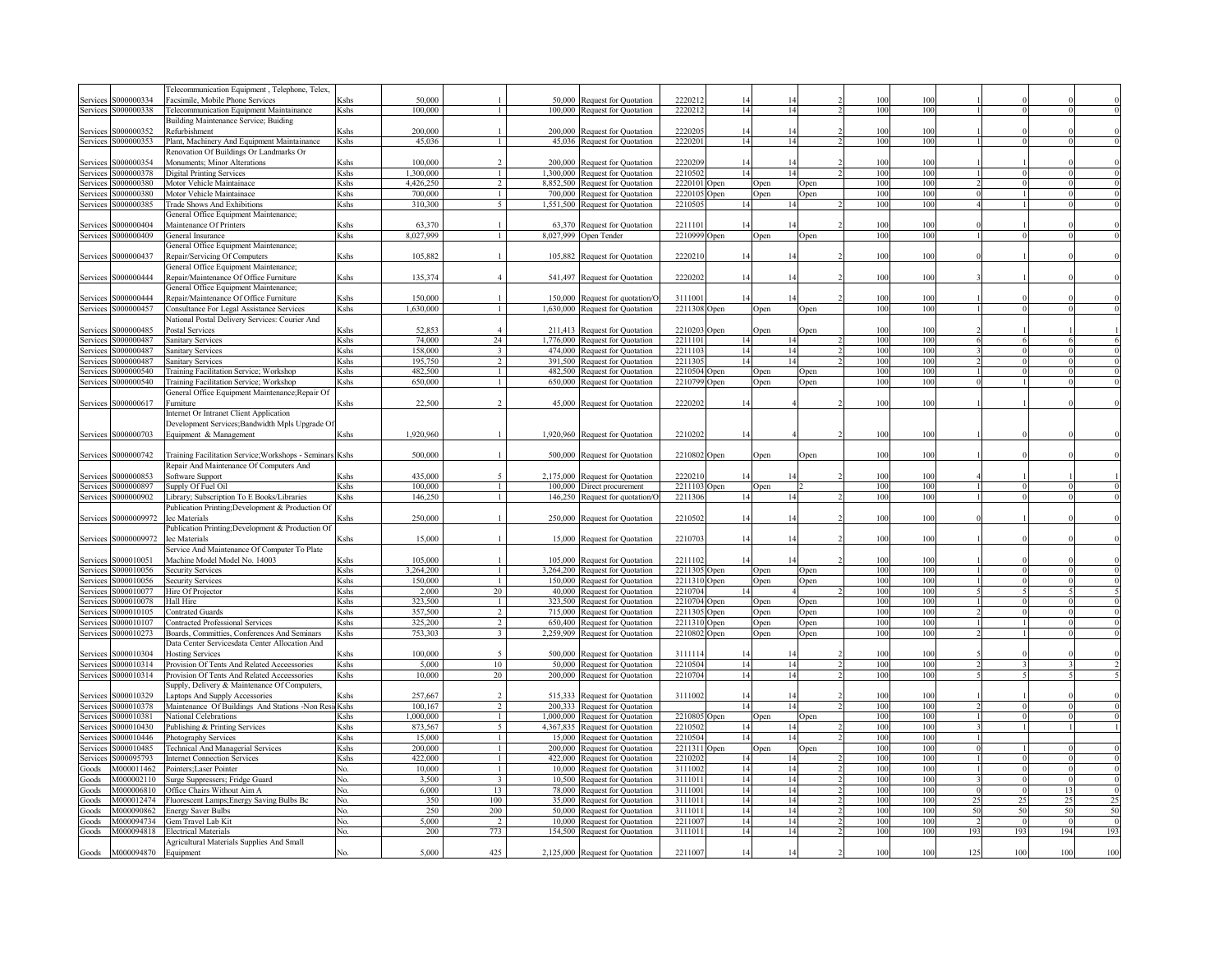|                                      | Felecommunication Equipment, Telephone, Telex,                                                 |                                                                                                                                                                                                                                                     |                  |                |           |                                 |                   |             |      |      |            |            |     |          |          |                |
|--------------------------------------|------------------------------------------------------------------------------------------------|-----------------------------------------------------------------------------------------------------------------------------------------------------------------------------------------------------------------------------------------------------|------------------|----------------|-----------|---------------------------------|-------------------|-------------|------|------|------------|------------|-----|----------|----------|----------------|
| \$000000334<br>Services              | Facsimile, Mobile Phone Services                                                               | Kshs                                                                                                                                                                                                                                                | 50,000           |                | 50.000    | Request for Quotation           | 222021            |             |      |      | 100        | 100        |     |          |          |                |
| \$000000338<br>Services              | <b>Felecommunication Equipment Maintainance</b>                                                | Kshs                                                                                                                                                                                                                                                | 100,000          | $\mathbf{1}$   | 100,000   | Request for Quotation           | 2220212           | 14          | 14   |      | 100        | 100        |     |          |          |                |
|                                      | Building Maintenance Service; Buiding                                                          |                                                                                                                                                                                                                                                     |                  |                |           |                                 |                   |             |      |      |            |            |     |          |          |                |
| \$000000352<br>Services              | Refurbishment                                                                                  | <shs< td=""><td>200,000</td><td></td><td>200,000</td><td>Request for Quotation</td><td>222020:</td><td>14</td><td></td><td></td><td>100</td><td>100</td><td></td><td></td><td></td><td></td></shs<>                                                 | 200,000          |                | 200,000   | Request for Quotation           | 222020:           | 14          |      |      | 100        | 100        |     |          |          |                |
| 3000000353<br>Services               | Plant, Machinery And Equipment Maintainance                                                    | Kshs                                                                                                                                                                                                                                                | 45,036           | $\mathbf{1}$   | 45.036    | <b>Request for Quotation</b>    | 2220201           | 14          | 14   |      | 100        | 100        |     |          |          |                |
|                                      | Renovation Of Buildings Or Landmarks Or                                                        |                                                                                                                                                                                                                                                     |                  |                |           |                                 |                   |             |      |      |            |            |     |          |          |                |
| \$000000354<br>Service               | Monuments; Minor Alterations                                                                   | <shs< td=""><td>100,000</td><td><math>\mathcal{L}</math></td><td>200,000</td><td>Request for Quotation</td><td>2220209</td><td>14</td><td>14</td><td></td><td>100</td><td>100</td><td></td><td></td><td></td><td></td></shs<>                       | 100,000          | $\mathcal{L}$  | 200,000   | Request for Quotation           | 2220209           | 14          | 14   |      | 100        | 100        |     |          |          |                |
| \$000000378<br>Services              | <b>Digital Printing Services</b>                                                               | Kshs                                                                                                                                                                                                                                                | 1,300,000        | $\mathbf{1}$   | 1,300,000 | Request for Quotation           | 2210502           | 14          | 14   |      | 100        | 100        |     |          |          |                |
| 3000000380<br>Service                | Motor Vehicle Maintainace                                                                      | Kshs                                                                                                                                                                                                                                                | 4,426,250        | $\overline{2}$ | 8,852,500 | Request for Quotation           | 2220101           | <b>Open</b> | Open | Open | 100        | 100        |     |          |          |                |
| 5000000380<br>Service                | Motor Vehicle Maintainace                                                                      | Kshs                                                                                                                                                                                                                                                | 700,000          | $\overline{1}$ | 700,000   | <b>Request for Quotation</b>    | 2220105           | )pen        | Open | Open | 100        | 100        |     |          |          |                |
| \$000000385<br>Services              | <b>Trade Shows And Exhibitions</b>                                                             | Kshs                                                                                                                                                                                                                                                | 310,300          | 5              | 1,551,500 | Request for Quotation           | 221050:           | 14          | 14   |      | 100        | 100        |     |          |          |                |
|                                      | General Office Equipment Maintenance;                                                          |                                                                                                                                                                                                                                                     |                  |                |           |                                 |                   |             |      |      |            |            |     |          |          |                |
| S000000404<br>Services               | Maintenance Of Printers                                                                        | Kshs                                                                                                                                                                                                                                                | 63,370           |                | 63,370    | Request for Quotation           | 221110            |             |      |      | 100        | 100        |     |          |          |                |
| S000000409<br>Services               | General Insurance                                                                              | Kshs                                                                                                                                                                                                                                                | 8,027,999        | $\mathbf{1}$   | 8,027,999 | Open Tender                     | 2210999           | <b>Open</b> | Open | Open | 100        | 100        |     |          |          |                |
|                                      | General Office Equipment Maintenance;                                                          |                                                                                                                                                                                                                                                     |                  |                |           |                                 |                   |             |      |      |            |            |     |          |          |                |
| Services S000000437                  | Repair/Servicing Of Computers                                                                  | Kshs                                                                                                                                                                                                                                                | 105,882          |                |           | 105,882 Request for Quotation   | 2220210           | 14          |      |      | 100        | 100        |     |          |          |                |
|                                      | General Office Equipment Maintenance;                                                          |                                                                                                                                                                                                                                                     |                  |                |           |                                 |                   |             |      |      |            |            |     |          |          |                |
| S000000444<br>Services               | Repair/Maintenance Of Office Furniture                                                         | Kshs                                                                                                                                                                                                                                                | 135,374          | $\overline{4}$ |           | 541,497 Request for Quotation   | 2220202           | 14          |      |      | 100        | 100        |     |          |          |                |
|                                      | General Office Equipment Maintenance;                                                          |                                                                                                                                                                                                                                                     |                  |                |           |                                 |                   |             |      |      |            |            |     |          |          |                |
| S000000444<br>Services               | Repair/Maintenance Of Office Furniture                                                         | Kshs                                                                                                                                                                                                                                                | 150,000          |                | 150,000   | Request for quotation/C         | 3111001           | 14          |      |      | 100        | 100        |     |          |          |                |
| S000000457<br>Services               | Consultance For Legal Assistance Services                                                      | Kshs                                                                                                                                                                                                                                                | 1,630,000        | $\mathbf{1}$   |           | 1,630,000 Request for Quotation | 2211308           | <b>Open</b> | Open | Open | 100        | 100        |     |          |          |                |
|                                      | Vational Postal Delivery Services: Courier And                                                 |                                                                                                                                                                                                                                                     |                  |                |           |                                 |                   |             |      |      |            |            |     |          |          |                |
| \$000000485<br>Services              | Postal Services                                                                                | <shs< td=""><td>52,853</td><td><math>\overline{4}</math></td><td>211,413</td><td><b>Request for Quotation</b></td><td>2210203</td><td><b>Dpen</b></td><td>Open</td><td>Open</td><td>100</td><td>100</td><td></td><td></td><td></td><td></td></shs<> | 52,853           | $\overline{4}$ | 211,413   | <b>Request for Quotation</b>    | 2210203           | <b>Dpen</b> | Open | Open | 100        | 100        |     |          |          |                |
| S000000487                           | Sanitary Services                                                                              | Kshs                                                                                                                                                                                                                                                | 74,000           | 24             | 1,776,000 | Request for Quotation           | 2211101           | 14          | 14   |      | 100        | 100        |     |          |          |                |
| Services<br>\$000000487              |                                                                                                |                                                                                                                                                                                                                                                     | 158,000          | $\overline{3}$ | 474,000   |                                 | 2211103           | 14          | 14   |      | 100        | 100        |     |          |          |                |
| Services                             | Sanitary Services                                                                              | Kshs                                                                                                                                                                                                                                                |                  |                |           | Request for Quotation           |                   |             | 14   |      |            |            |     |          |          |                |
| \$000000487<br>Services              | Sanitary Services                                                                              | <shs< td=""><td>195,750</td><td><math>\overline{2}</math></td><td>391,500</td><td>Request for Quotation</td><td>221130</td><td>14</td><td></td><td></td><td>100</td><td>100</td><td></td><td></td><td></td><td></td></shs<>                         | 195,750          | $\overline{2}$ | 391,500   | Request for Quotation           | 221130            | 14          |      |      | 100        | 100        |     |          |          |                |
| \$000000540<br>Services              | <b>Training Facilitation Service; Workshop</b>                                                 | <shs< td=""><td>482,500</td><td><math>\mathbf{1}</math></td><td>482,500</td><td>Request for Quotation</td><td>2210504</td><td>pen</td><td>Open</td><td>)pen</td><td>100</td><td>100</td><td></td><td></td><td></td><td></td></shs<>                 | 482,500          | $\mathbf{1}$   | 482,500   | Request for Quotation           | 2210504           | pen         | Open | )pen | 100        | 100        |     |          |          |                |
| S000000540<br>Services               | <b>Training Facilitation Service; Workshop</b>                                                 | <shs< td=""><td>650,000</td><td><math>\mathbf{1}</math></td><td></td><td>650,000 Request for Quotation</td><td>2210799</td><td>)pen</td><td>Open</td><td>Open</td><td>100</td><td>100</td><td></td><td></td><td></td><td></td></shs<>               | 650,000          | $\mathbf{1}$   |           | 650,000 Request for Quotation   | 2210799           | )pen        | Open | Open | 100        | 100        |     |          |          |                |
|                                      | General Office Equipment Maintenance; Repair Of                                                |                                                                                                                                                                                                                                                     |                  |                |           |                                 |                   |             |      |      |            |            |     |          |          |                |
| Services S000000617                  | <sup>2</sup> urniture                                                                          | Kshs                                                                                                                                                                                                                                                | 22,500           | $\mathcal{D}$  | 45,000    | Request for Quotation           | 2220202           | 14          |      |      | 100        | 100        |     |          |          |                |
|                                      | internet Or Intranet Client Application                                                        |                                                                                                                                                                                                                                                     |                  |                |           |                                 |                   |             |      |      |            |            |     |          |          |                |
|                                      | Development Services; Bandwidth Mpls Upgrade Of                                                |                                                                                                                                                                                                                                                     |                  |                |           |                                 |                   |             |      |      |            |            |     |          |          |                |
| Services S000000703                  | Equipment & Management                                                                         | Kshs                                                                                                                                                                                                                                                | 1,920,960        | $\overline{1}$ |           | 1,920,960 Request for Quotation | 2210202           | 14          |      |      | 100        | 100        |     |          |          |                |
|                                      |                                                                                                |                                                                                                                                                                                                                                                     |                  |                |           |                                 |                   |             |      |      |            |            |     |          |          |                |
| Services S000000742                  | Fraining Facilitation Service; Workshops - Seminars                                            | Kshs                                                                                                                                                                                                                                                | 500,000          | $\overline{1}$ |           | 500,000 Request for Quotation   | 2210802 Open      |             | Open | Open | 100        | 100        |     |          |          |                |
|                                      | Repair And Maintenance Of Computers And                                                        |                                                                                                                                                                                                                                                     |                  |                |           |                                 |                   |             |      |      |            |            |     |          |          |                |
| \$000000853<br>Services              | Software Support                                                                               | <shs< td=""><td>435,000</td><td>5</td><td>2,175,000</td><td>Request for Quotation</td><td>2220210</td><td>14</td><td></td><td></td><td>100</td><td>100</td><td></td><td></td><td></td><td></td></shs<>                                              | 435,000          | 5              | 2,175,000 | Request for Quotation           | 2220210           | 14          |      |      | 100        | 100        |     |          |          |                |
| \$000000897<br>Services              | Supply Of Fuel Oil                                                                             | Kshs                                                                                                                                                                                                                                                | 100,000          | $\mathbf{1}$   | 100,000   | Direct procurement              | 2211103           | <b>Open</b> | Open |      | 100        | 100        |     |          |          |                |
| S000000902<br>Services               | Library; Subscription To E Books/Libraries                                                     | Kshs                                                                                                                                                                                                                                                | 146,250          | -1             |           | 146,250 Request for quotation/O | 2211306           | 14          | 14   |      | 100        | 100        |     |          |          |                |
|                                      | Publication Printing; Development & Production Of                                              |                                                                                                                                                                                                                                                     |                  |                |           |                                 |                   |             |      |      |            |            |     |          |          |                |
| Services S0000009972                 | ec Materials                                                                                   | Kshs                                                                                                                                                                                                                                                | 250,000          |                |           | 250,000 Request for Quotation   | 2210502           | 14          |      |      | 100        | 100        |     |          |          |                |
|                                      | Publication Printing; Development & Production Of                                              |                                                                                                                                                                                                                                                     |                  |                |           |                                 |                   |             |      |      |            |            |     |          |          |                |
| Services S0000009972                 | Iec Materials                                                                                  | Kshs                                                                                                                                                                                                                                                | 15,000           |                |           | 15,000 Request for Quotation    | 2210703           | 14          | 14   |      | 100        | 100        |     |          |          |                |
|                                      | Service And Maintenance Of Computer To Plate                                                   |                                                                                                                                                                                                                                                     |                  |                |           |                                 |                   |             |      |      |            |            |     |          |          |                |
| \$000010051<br>Services              | Machine Model Model No. 14003                                                                  | Kshs                                                                                                                                                                                                                                                | 105,000          |                | 105 000   | Request for Quotation           | 2211102           | 14          | 14   |      | 100        | 100        |     |          |          |                |
| S000010056<br>Services               | <b>Security Services</b>                                                                       | Kshs                                                                                                                                                                                                                                                | 3.264,200        | -1             | 3,264,200 | <b>Request for Quotation</b>    | 2211305           | Open        | Open | Open | 100        | 100        |     |          |          | $\overline{0}$ |
| \$000010056<br>Services              | Security Services                                                                              | Kshs                                                                                                                                                                                                                                                | 150,000          | $\mathbf{1}$   | 150,000   | Request for Quotation           | 2211310 Open      |             | Open | Open | 100        | 100        |     |          |          | $\overline{0}$ |
| S000010077<br>Services               | Hire Of Projector                                                                              | Kshs                                                                                                                                                                                                                                                | 2,000            | 20             | 40.000    | Request for Quotation           | 2210704           | 14          |      |      | 100        | 100        |     |          |          |                |
| S000010078<br>Services               | Hall Hire                                                                                      | Kshs                                                                                                                                                                                                                                                | 323,500          | -1             | 323.500   | Request for Quotation           | 2210704           | <b>Open</b> | Open | Open | 100        | 100        |     |          |          | $\overline{0}$ |
| S000010105<br>Services               | <b>Contrated Guards</b>                                                                        | Kshs                                                                                                                                                                                                                                                | 357,500          | $\overline{2}$ |           | 715,000 Request for Quotation   | 2211305 Open      |             |      |      | 100        | 100        |     |          |          | $\overline{0}$ |
| S000010107<br>Services               | <b>Contracted Professional Services</b>                                                        | Kshs                                                                                                                                                                                                                                                | 325,200          | $\overline{2}$ |           | 650,400 Request for Quotation   | 2211310 Open      |             | Open | Open | 100        | 100        |     |          |          | $\overline{0}$ |
|                                      |                                                                                                |                                                                                                                                                                                                                                                     | 753,303          | $\overline{3}$ |           |                                 |                   |             | Open | Open | 100        | 100        |     |          |          |                |
| S000010273<br><b>Services</b>        | Boards, Committies, Conferences And Seminars<br>Data Center Servicesdata Center Allocation And | Kshs                                                                                                                                                                                                                                                |                  |                |           | 2,259,909 Request for Quotation | 2210802 Open      |             | Open | Open |            |            |     |          |          |                |
|                                      |                                                                                                |                                                                                                                                                                                                                                                     |                  |                |           |                                 |                   |             |      |      |            |            |     |          |          |                |
| S000010304<br>Services<br>S000010314 | <b>Hosting Services</b>                                                                        | Kshs<br>Kshs                                                                                                                                                                                                                                        | 100,000<br>5,000 | 10             | 500,000   | Request for Quotation           | 311111<br>2210504 | 14          | 14   |      | 100<br>100 | 100<br>100 |     |          |          |                |
| Services                             | Provision Of Tents And Related Acceessories                                                    |                                                                                                                                                                                                                                                     |                  |                |           | 50,000 Request for Quotation    |                   |             |      |      |            |            |     |          |          |                |
| S000010314<br>Services               | Provision Of Tents And Related Acceessories                                                    | Kshs                                                                                                                                                                                                                                                | 10,000           | 20             |           | 200,000 Request for Quotation   | 221070            | 14          | 14   |      | 100        | 100        |     |          |          |                |
|                                      | Supply, Delivery & Maintenance Of Computers,                                                   |                                                                                                                                                                                                                                                     |                  |                |           |                                 |                   |             |      |      |            |            |     |          |          |                |
| \$000010329<br>Services              | Laptops And Supply Accessories                                                                 | Kshs                                                                                                                                                                                                                                                | 257,667          |                | 515,333   | <b>Request for Quotation</b>    | 3111002           |             |      |      | 100        | 100        |     |          |          |                |
| S000010378<br>Services               | Maintenance Of Buildings And Stations -Non Re                                                  | Kshs                                                                                                                                                                                                                                                | 100,167          | 2              |           | 200,333 Request for Quotation   |                   | 14          | 14   |      | 100        | 100        |     |          |          |                |
| \$000010381<br>Service               | <b>National Celebrations</b>                                                                   | Kshs                                                                                                                                                                                                                                                | 1,000,000        |                |           | 1,000,000 Request for Quotation | 2210805           | <b>Onen</b> | Open | Open | 100        | 100        |     |          |          |                |
| \$000010430<br>Service               | Publishing & Printing Services                                                                 | Kshs                                                                                                                                                                                                                                                | 873.567          | $\sim$         |           | 4,367,835 Request for Quotation | 2210502           | 14          | 14   |      | 100        | 100        |     |          |          |                |
| \$000010446<br>Service               | Photography Services                                                                           | <shs< td=""><td>15,000</td><td></td><td>15.000</td><td><b>Request for Quotation</b></td><td>221050</td><td>14</td><td>14</td><td></td><td>100</td><td>100</td><td></td><td></td><td></td><td></td></shs<>                                           | 15,000           |                | 15.000    | <b>Request for Quotation</b>    | 221050            | 14          | 14   |      | 100        | 100        |     |          |          |                |
| \$000010485<br>Service               | <b>Technical And Managerial Services</b>                                                       | <shs< td=""><td>200.000</td><td></td><td>200.000</td><td><b>Request for Quotation</b></td><td>2211311</td><td>)pen</td><td>Open</td><td>Open</td><td>100</td><td>100</td><td></td><td></td><td></td><td></td></shs<>                                | 200.000          |                | 200.000   | <b>Request for Quotation</b>    | 2211311           | )pen        | Open | Open | 100        | 100        |     |          |          |                |
| \$000095793<br>Service               | <b>Internet Connection Services</b>                                                            | <shs< td=""><td>422.000</td><td></td><td>422.000</td><td><b>Request for Quotation</b></td><td>221020</td><td>14</td><td></td><td></td><td>100</td><td>100</td><td></td><td></td><td></td><td></td></shs<>                                           | 422.000          |                | 422.000   | <b>Request for Quotation</b>    | 221020            | 14          |      |      | 100        | 100        |     |          |          |                |
| M000011462<br>Goods                  | Pointers; Laser Pointer                                                                        | ÑΔ                                                                                                                                                                                                                                                  | 10,000           |                | 10,000    | Request for Quotation           | 311100            | 14          | 14   |      | 100        | 100        |     |          |          |                |
| M000002110<br>Goods                  | Surge Suppressers; Fridge Guard                                                                | Nο.                                                                                                                                                                                                                                                 | 3.500            | $\overline{3}$ | 10,500    | Request for Quotation           | 311101            | 14          | 14   |      | 100        | 100        |     |          |          |                |
| M000006810<br>Goods                  | Office Chairs Without Aim A                                                                    | Nο.                                                                                                                                                                                                                                                 | 6,000            | 13             | 78,000    | Request for Quotation           | 311100            | 14          | 14   |      | 100        | 100        |     | $\Omega$ | 13       | $\theta$       |
| M000012474<br>Goods                  | Fluorescent Lamps; Energy Saving Bulbs Bc                                                      | No.                                                                                                                                                                                                                                                 | 350              | 100            | 35,000    | <b>Request for Quotation</b>    | 311101            | 14          | 14   |      | 100        | 100        | 25  | 25       | 25       | 25             |
| M000090862<br>Goods                  | <b>Energy Saver Bulbs</b>                                                                      | Nο.                                                                                                                                                                                                                                                 | 250              | 200            | 50,000    | Request for Quotation           | 311101            | 14          | 14   |      | 100        | 100        | 50  | 50       | 50       | 50             |
| M000094734<br>Goods                  | Gem Travel Lab Kit                                                                             | Nο.                                                                                                                                                                                                                                                 | 5,000            | $\overline{2}$ | 10,000    | <b>Request for Quotation</b>    | 221100            | 14          | 14   |      | 100        | 100        |     |          | $\Omega$ | $\overline{0}$ |
| M000094818<br>Goods                  | <b>Electrical Materials</b>                                                                    | No.                                                                                                                                                                                                                                                 | 200              | 773            |           | 154,500 Request for Quotation   | 311101            | 14          | 14   |      | 100        | 100        | 193 | 193      | 194      | 193            |
|                                      | Agricultural Materials Supplies And Small                                                      |                                                                                                                                                                                                                                                     |                  |                |           |                                 |                   |             |      |      |            |            |     |          |          |                |
| M000094870<br>Goods                  | Equipment                                                                                      | Nο                                                                                                                                                                                                                                                  | 5.000            | 425            |           | 2,125,000 Request for Quotation | 2211007           | 14          |      |      | 100        | 100        | 125 | 100      | 100      | 100            |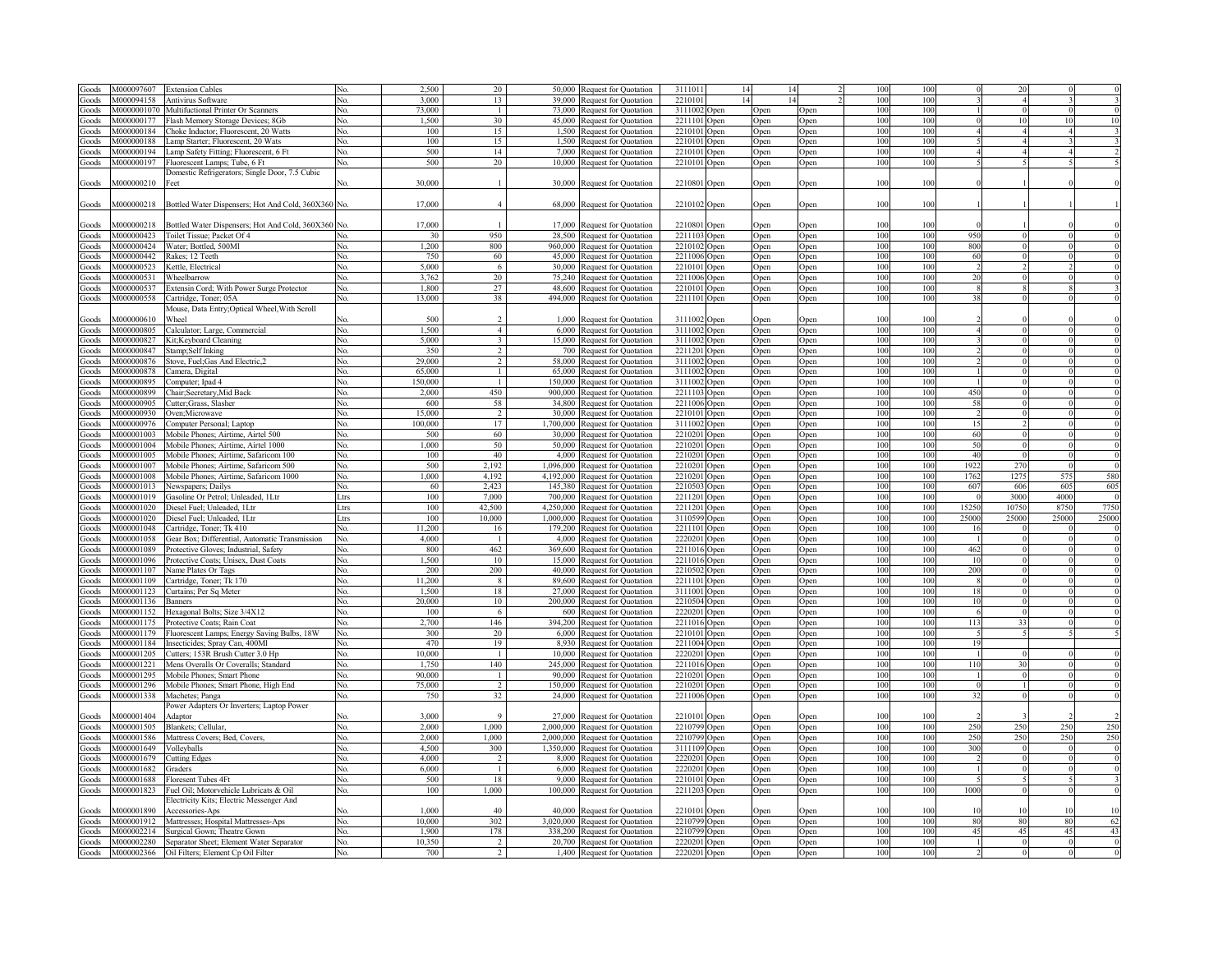| Goods          | M000097607  | <b>Extension Cables</b>                                                                              |              | 2,500         | 20                   | 50.000    | <b>Request for Quotation</b>                                | 311101                       |                  |              |                  | 10         | 10         |                 |                |       |                                                                      |
|----------------|-------------|------------------------------------------------------------------------------------------------------|--------------|---------------|----------------------|-----------|-------------------------------------------------------------|------------------------------|------------------|--------------|------------------|------------|------------|-----------------|----------------|-------|----------------------------------------------------------------------|
| Goods          | M000094158  | Antivirus Software                                                                                   | $N_{\Omega}$ | 3.000         | 13                   | 39.000    | Request for Quotation                                       | 221010                       |                  |              |                  | 100        | 100        |                 |                |       |                                                                      |
|                | M0000001070 | Multifuctional Printer Or Scanners                                                                   | No.          | 73,000        | $\overline{1}$       | 73.000    |                                                             | 3111002                      |                  |              |                  | 100        | 100        |                 |                |       |                                                                      |
| Goods          |             |                                                                                                      |              |               |                      |           | Request for Quotation                                       |                              | )pen             | Open         | Open             |            |            |                 |                |       |                                                                      |
| Goods          | M000000177  | Flash Memory Storage Devices; 8Gb                                                                    | No.          | 1.500         | 30                   |           | 45,000 Request for Quotation                                | 221110                       | Open             | Open         | Open             | 100        | 100        |                 | 10             |       |                                                                      |
| Goods          | M000000184  | Choke Inductor; Fluorescent, 20 Watts                                                                | No.          | 100           | 15                   |           | 1,500 Request for Quotation                                 | 221010                       | Open             | Open         | Open             | 100        | 100        |                 |                |       |                                                                      |
| Goods          | M000000188  | Lamp Starter; Fluorescent, 20 Wats                                                                   | No.          | 100           | 15                   |           | 1,500 Request for Quotation                                 | 2210101                      | <b>Open</b>      | Open         | Open             | 100        | 100        |                 |                |       |                                                                      |
| Goods          | M000000194  | Lamp Safety Fitting; Fluorescent, 6 Ft                                                               | No.          | 500           | 14                   |           | 7,000 Request for Quotation                                 | 2210101                      | Open             | Open         | Open             | 100        | 100        |                 |                |       |                                                                      |
| Goods          | M000000197  | Fluorescent Lamps; Tube, 6 Ft                                                                        | No.          | 500           | 20                   |           | 10,000 Request for Quotation                                | 2210101                      | Open             | Open         | Open             | 100        | 100        |                 |                |       |                                                                      |
|                |             | Domestic Refrigerators; Single Door, 7.5 Cubic                                                       |              |               |                      |           |                                                             |                              |                  |              |                  |            |            |                 |                |       |                                                                      |
| Goods          | M000000210  | Feet                                                                                                 |              | 30,000        |                      |           | 30,000 Request for Quotation                                | 2210801 Open                 |                  | Open         | Open             | 100        | 100        |                 |                |       |                                                                      |
|                |             |                                                                                                      |              |               |                      |           |                                                             |                              |                  |              |                  |            |            |                 |                |       |                                                                      |
|                |             |                                                                                                      |              |               |                      |           |                                                             |                              |                  |              |                  |            |            |                 |                |       |                                                                      |
| Goods          | M000000218  | Bottled Water Dispensers; Hot And Cold, 360X360 No.                                                  |              | 17,000        | $\overline{4}$       |           | 68,000 Request for Quotation                                | 2210102 Open                 |                  | Open         | Open             | 100        | 100        |                 |                |       |                                                                      |
|                |             |                                                                                                      |              |               |                      |           |                                                             |                              |                  |              |                  |            |            |                 |                |       |                                                                      |
| Goods          | M000000218  | Bottled Water Dispensers; Hot And Cold, 360X360 No                                                   |              | 17,000        |                      |           | 17,000 Request for Quotation                                | 2210801                      | Open             | Open         | <b>Dpen</b>      | 100        | 100        |                 |                |       |                                                                      |
| Goods          | M000000423  | Toilet Tissue; Packet Of 4                                                                           |              | 30            | 950                  |           | 28,500 Request for Quotation                                | 2211103 Open                 |                  | Open         | Open             | 100        | 100        | 950             |                |       |                                                                      |
| Goods          | M000000424  | Water; Bottled, 500Ml                                                                                | No.          | 1,200         | 800                  |           | 960,000 Request for Quotation                               | 2210102                      | Open             | Open         | Open             | 100        | 100        | 800             |                |       |                                                                      |
| Goods          | M000000442  | Rakes: 12 Teeth                                                                                      | No.          | 750           | 60                   |           | 45,000 Request for Quotation                                | 2211006                      |                  |              |                  | 100        | 100        | 60              |                |       |                                                                      |
|                |             |                                                                                                      |              |               |                      |           |                                                             |                              | Open             | Open         | <b>Open</b>      |            |            |                 |                |       |                                                                      |
| Goods          | M000000523  | Cettle, Electrical                                                                                   | No           | 5,000         | 6                    |           | 30,000 Request for Quotation                                | 221010                       | Open             | Open         | <b>Open</b>      | 100        | 100        |                 |                |       |                                                                      |
| Goods          | M000000531  | Wheelbarrow                                                                                          | No.          | 3,762         | 20                   | 75,240    | Request for Ouotation                                       | 2211006                      | Open             | Open         | <b>Open</b>      | 100        | 100        | 2(              |                |       |                                                                      |
| Goods          | M000000537  | Extensin Cord; With Power Surge Protector                                                            |              | 1,800         | 27                   |           | 48,600 Request for Quotation                                | 221010                       | Open             | Open         | ) <sub>pen</sub> | 100        | 100        |                 |                |       |                                                                      |
| Goods          | M000000558  | Cartridge, Toner: 05A                                                                                | No.          | 13,000        | 38                   |           | 494,000 Request for Quotation                               | 2211101                      | Open             | Open         | Open             | 100        | 100        | 35              |                |       |                                                                      |
|                |             | Mouse, Data Entry; Optical Wheel, With Scroll                                                        |              |               |                      |           |                                                             |                              |                  |              |                  |            |            |                 |                |       |                                                                      |
| Goods          | M000000610  | Wheel                                                                                                |              | 500           |                      |           | 1,000 Request for Quotation                                 | 3111002 Open                 |                  | Open         | ben              | 100        | 100        |                 |                |       |                                                                      |
| Goods          | M000000805  | Calculator; Large, Commercial                                                                        | No.          | 1,500         | $\overline{4}$       |           | 6,000 Request for Quotation                                 | 3111002                      | Open             | Open         | Open             | 100        | 100        |                 |                |       |                                                                      |
|                |             |                                                                                                      |              |               |                      |           |                                                             |                              |                  |              |                  |            |            |                 |                |       |                                                                      |
| Goods          | M000000827  | Kit:Kevboard Cleaning                                                                                | No.          | 5,000         |                      |           | 15,000 Request for Quotation                                | 3111002                      | Open             | Open         | <b>Open</b>      | 100        | 100        |                 |                |       |                                                                      |
| Goods          | M000000847  | Stamp;Self Inking                                                                                    | No.          | 350           |                      | 700 l     | <b>Request for Quotation</b>                                | 2211201                      | Open             | Open         | Open             | 100        | 100        |                 |                |       |                                                                      |
| Goods          | M000000876  | Stove, Fuel; Gas And Electric, 2                                                                     | No.          | 29,000        |                      | 58.000    | <b>Request for Quotation</b>                                | 311100                       | Open             | Open         | <b>Dpen</b>      | 100        | 100        |                 |                |       |                                                                      |
| Goods          | M000000878  | Camera, Digital                                                                                      | No.          | 65.000        |                      |           | 65,000 Request for Quotation                                | 3111003                      | Open             | Open         | <b>Dpen</b>      | 100        | 100        |                 |                |       |                                                                      |
| Goods          | V000000895  | Computer; Ipad 4                                                                                     | Nο.          | 150.000       |                      |           | 150,000 Request for Quotation                               | 3111003                      | ) <sub>pen</sub> | Open         | <b>Open</b>      | 100        | 100        |                 |                |       |                                                                      |
| Goods          | V000000899  | Chair; Secretary, Mid Back                                                                           | No.          | 2.000         | 450                  |           | 900,000 Request for Quotation                               | 2211103                      | ) <sub>pen</sub> | Open         | Open             | 100        | 100        | 450             | $\theta$       |       |                                                                      |
|                | M000000905  |                                                                                                      |              |               | 58                   |           |                                                             | 221100                       |                  |              |                  |            | 100        | 58              |                |       |                                                                      |
| Goods          |             | Cutter;Grass, Slasher                                                                                | No.          | 600           |                      |           | 34,800 Request for Quotation                                |                              | )pen             | Open         | Open             | 100        |            |                 | $\mathbf{0}$   |       |                                                                      |
| Goods          | M000000930  | Oven:Microwave                                                                                       | No.          | 15,000        | $\mathcal{D}$        |           | 30,000 Request for Quotation                                | 2210101                      | Open             | Open         | Open             | 100        | 100        |                 | $\mathbf{0}$   |       |                                                                      |
| Goods          | M000000976  | Computer Personal; Laptop                                                                            | No.          | 100,000       | 17                   | 1,700,000 | Request for Quotation                                       | 3111002                      | ) <sub>pen</sub> | Open         | Open             | 100        | 100        | 15              | $\mathfrak{D}$ |       |                                                                      |
| Goods          | M000001003  | Mobile Phones; Airtime, Airtel 500                                                                   | No.          | 500           | 60                   | 30,000    | <b>Request for Quotation</b>                                | 221020                       | Open             | Open         | Open             | 100        | 100        | 60              | $\mathbf{0}$   |       |                                                                      |
| Goods          | M000001004  | Mobile Phones; Airtime, Airtel 1000                                                                  | Nο.          | 1,000         | 50                   | 50.000    | <b>Request for Quotation</b>                                | 221020                       | Open             | Open         | Open             | 100        | 100        | 50              | $\mathbf{0}$   |       |                                                                      |
| Goods          | M000001005  | Mobile Phones; Airtime, Safaricom 100                                                                | No.          | 100           | 40                   |           | 4,000 Request for Quotation                                 | 221020                       | Open             | Open         | Open             | 100        | 100        | 4(              | $\theta$       |       |                                                                      |
| Goods          | M000001007  | Mobile Phones; Airtime, Safaricom 500                                                                | No.          | 500           | 2.192                |           | 1,096,000 Request for Quotation                             | 2210201 Open                 |                  | Open         | Open             | 100        | 100        | 1922            | 270            |       |                                                                      |
| Goods          | M000001008  | Mobile Phones; Airtime, Safaricom 1000                                                               | No.          | 1,000         | 4 1 9 2              |           | 4,192,000 Request for Quotation                             | 2210201 Open                 |                  |              |                  | 100        | 100        | 1762            | 1275           | 57    | 580                                                                  |
|                |             |                                                                                                      |              |               |                      |           |                                                             |                              |                  | Open         | Open             |            |            |                 |                |       |                                                                      |
| Goods          | M000001013  | Newspapers; Dailys                                                                                   | No.          | 60            | 2.423                |           | 145.380 Request for Ouotation                               | 2210503                      | Open             | Open         | Open             | 100        | 100        | 607             | 606            | 605   | 605                                                                  |
| <b>Goods</b>   | M000001019  | Gasoline Or Petrol; Unleaded, 1Ltr                                                                   | Ltrs         | 100           | 7.000                |           | 700,000 Request for Ouotation                               | 2211201 Open                 |                  | Open         | Open             | 100        | 100        |                 | 3000           | 4000  |                                                                      |
| <b>Goods</b>   | M000001020  | Diesel Fuel; Unleaded, 1Ltr                                                                          | Ltrs         | 100           | 42,500               |           | 4,250,000 Request for Quotation                             | 2211201                      | Open             | Open         | Open             | 100        | 100        | 15250           | 10750          | 8750  | 7750                                                                 |
| <b>Goods</b>   | M000001020  | Diesel Fuel; Unleaded, 1Ltr                                                                          | Ltrs         | 100           | 10,000               |           | 1,000,000 Request for Quotation                             | 3110599                      | Open             | Open         | Open             | 100        | 100        | 25000           | 25000          | 25000 | 25000                                                                |
| Goods          | M000001048  |                                                                                                      |              |               |                      |           |                                                             |                              |                  |              |                  |            |            |                 |                |       |                                                                      |
| Goods          |             |                                                                                                      | No.          |               | 16                   |           |                                                             |                              |                  |              |                  |            |            |                 |                |       |                                                                      |
|                |             | Cartridge, Toner; Tk 410                                                                             |              | 11.200        |                      |           | 179,200 Request for Quotation                               | 2211101                      | Open             | Open         | Open             | 100        | 100        | 16              |                |       |                                                                      |
|                | M000001058  | Gear Box; Differential, Automatic Transmission                                                       | No.          | 4.000         | -1                   |           | 4,000 Request for Quotation                                 | 2220201                      | Open             | Open         | Open             | 100        | 100        |                 |                |       |                                                                      |
| Goods          | M000001089  | Protective Gloves; Industrial, Safety                                                                | No.          | 800           | 462                  | 369.600   | Request for Quotation                                       | 2211016                      | Open             | Open         | Open             | 100        | 100        | 462             |                |       |                                                                      |
| <b>Goods</b>   | M000001096  | Protective Coats; Unisex, Dust Coats                                                                 | No.          | 1.500         | 10                   |           | 15,000 Request for Quotation                                | 2211016                      | Open             | Open         | Open             | 100        | 100        | 10              |                |       |                                                                      |
| Goods          | M000001107  | Name Plates Or Tags                                                                                  | No.          | 200           | 200                  | 40,000    | Request for Quotation                                       | 2210502                      | Open             | Open         | Open             | 100        | 100        | 200             |                |       |                                                                      |
| <b>Goods</b>   | M000001109  | Cartridge, Toner: Tk 170                                                                             | Nο.          | 11.200        | -8                   |           | 89,600 Request for Quotation                                | 2211101                      | Open             | Open         | Open             | 100        | 100        | - 8             | $\Omega$       |       |                                                                      |
| Goods          | M000001123  | Curtains; Per Sq Meter                                                                               | No.          | 1.500         | 18                   | 27,000    | <b>Request for Quotation</b>                                | 3111001                      | Open             | Open         | Open             | 100        | 100        | 18              |                |       |                                                                      |
|                | M000001136  |                                                                                                      | Nο           | 20,000        | 10                   | 200.000   |                                                             | 2210504                      |                  |              |                  | 100        | 100        | $\overline{10}$ |                |       |                                                                      |
| Goods          | M000001152  | Banners                                                                                              |              | 100           |                      | 600       | <b>Request for Quotation</b>                                |                              | Open             | Open         | Open             | 100        | 100        |                 |                |       |                                                                      |
| Goods          |             | Hexagonal Bolts; Size 3/4X12                                                                         | No.          |               | 6                    |           | Request for Quotation                                       | 2220201                      | Open             | Open         | Open             |            |            |                 |                |       |                                                                      |
| Goods          | M000001175  | Protective Coats; Rain Coat                                                                          | No.          | 2,700         | 146                  | 394,200   | Request for Quotation                                       | 2211016                      | Open             | Open         | Open             | 100        | 100        | 113             | 33             |       |                                                                      |
| Goods          | M000001179  | Fluorescent Lamps; Energy Saving Bulbs, 18W                                                          | No.          | 300           | 20                   | 6.000     | <b>Request for Quotation</b>                                | 2210101                      | Open             | Open         | Open             | 100        | 100        |                 |                |       |                                                                      |
| Goods          | M000001184  | Insecticides; Spray Can, 400Ml                                                                       | No.          | 470           | 19                   | 8.930     | <b>Request for Quotation</b>                                | 2211004                      | Open             | Open         | Open             | 100        | 100        | 19              |                |       |                                                                      |
| Goods          | M000001205  | Cutters; 153R Brush Cutter 3.0 Hp                                                                    | No.          | 10,000        | -1                   |           | 10,000 Request for Quotation                                | 2220201                      | Open             | Open         | Open             | 100        | 100        |                 |                |       |                                                                      |
| Goods          | M000001221  | Mens Overalls Or Coveralls; Standard                                                                 | No.          | 1.750         | 140                  |           | 245,000 Request for Quotation                               | 2211016                      | Open             | Open         | Open             | 100        | 100        | 110             | 30             |       |                                                                      |
|                | M000001295  |                                                                                                      |              | 90.000        | $\overline{1}$       |           |                                                             |                              |                  |              |                  | 100        | 100        |                 | $\Omega$       |       |                                                                      |
| Goods          |             | Mobile Phones; Smart Phone                                                                           | No.          |               | $\mathcal{L}$        |           | 90,000 Request for Quotation                                | 2210201 Open                 |                  | Open         | Open             | 100        | 100        | $^{\circ}$      | $\overline{1}$ |       |                                                                      |
| Goods          | M000001296  | Mobile Phones; Smart Phone, High End                                                                 | No.          | 75,000        |                      |           | 150,000 Request for Quotation                               | 2210201 Open                 |                  | Open         | Open             |            |            |                 |                |       |                                                                      |
| Goods          | M000001338  | Machetes; Panga                                                                                      | No.          | 750           | 32                   |           | 24,000 Request for Quotation                                | 2211006 Open                 |                  | Open         | Open             | 100        | 100        | 32              | $\Omega$       |       |                                                                      |
|                |             | Power Adapters Or Inverters; Laptop Power                                                            |              |               |                      |           |                                                             |                              |                  |              |                  |            |            |                 |                |       |                                                                      |
| Goods          | M000001404  | Adaptor                                                                                              | N٥           | 3,000         | $\Omega$             |           | 27,000 Request for Quotation                                | 2210101 Open                 |                  | Open         | Open             | 100        | 100        |                 |                |       |                                                                      |
| Goods          | M000001505  | Blankets; Cellular,                                                                                  | No.          | 2.000         | 1,000                |           | 2,000,000 Request for Quotation                             | 2210799 Open                 |                  | Open         | Open             | 100        | 100        | 250             | 250            | 250   |                                                                      |
| Goods          | M000001586  | Mattress Covers; Bed, Covers,                                                                        | No.          | 2.000         | 1.000                |           | 2,000,000 Request for Quotation                             | 2210799 Open                 |                  | Open         | Open             | 100        | 100        | 250             | 250            | 250   |                                                                      |
| Goods          | M000001649  | Volleyballs                                                                                          | No.          | 4.500         | 300                  |           | 1,350,000 Request for Quotation                             |                              |                  |              |                  | 100        | 100        | 300             |                |       |                                                                      |
|                |             |                                                                                                      |              | 4.000         | $\mathcal{D}$        |           |                                                             | 3111109 Open                 |                  | Open         | Open             | 100        | 100        |                 |                |       |                                                                      |
| Goods          | M000001679  | <b>Cutting Edges</b>                                                                                 | No.          |               |                      |           | 8,000 Request for Quotation                                 | 2220201 Open                 |                  | Open         | Open             |            |            |                 |                |       |                                                                      |
| Goods          | M000001682  | Graders                                                                                              | No.          | 6,000         |                      |           | 6,000 Request for Quotation                                 | 2220201 Open                 |                  | Open         | Open             | 100        | 100        |                 |                |       |                                                                      |
| Goods          | M000001688  | Floresent Tubes 4Ft                                                                                  | No.          | 500           | 18                   |           | 9,000 Request for Quotation                                 | 2210101 Open                 |                  | Open         | Open             | 100        | 100        |                 |                |       |                                                                      |
| Goods          | M000001823  | Fuel Oil; Motorvehicle Lubricats & Oil                                                               | No.          | 100           | 1,000                |           | 100,000 Request for Quotation                               | 2211203 Open                 |                  | Open         | Open             | 100        | 100        | 1000            |                |       |                                                                      |
|                |             | Electricity Kits; Electric Messenger And                                                             |              |               |                      |           |                                                             |                              |                  |              |                  |            |            |                 |                |       |                                                                      |
| Goods          | V000001890  | Accessories-Aps                                                                                      |              | 1.000         | 40                   |           | 40,000 Request for Quotation                                | 2210101 Open                 |                  | Open         | Open             | 100        | 100        |                 |                |       |                                                                      |
| Goods          |             |                                                                                                      | No.          | 10,000        | 302                  |           |                                                             |                              |                  |              |                  | 100        | 100        | 80              | 80             | -80   |                                                                      |
| Goods          | M000001912  | Mattresses; Hospital Mattresses-Aps                                                                  | No.          |               |                      |           | 3,020,000 Request for Quotation                             | 2210799 Open                 |                  | Open         | Open             | 100        | 100        |                 | 45             | 45    |                                                                      |
|                | M000002214  | Surgical Gown; Theatre Gown                                                                          |              | 1,900         | 178<br>$\mathcal{L}$ |           | 338,200 Request for Quotation                               | 2210799 Open                 |                  | Open         | Open             |            |            | 45              |                |       |                                                                      |
| Goods<br>Goods |             | M000002280 Separator Sheet; Element Water Separator<br>M000002366 Oil Filters; Element Cp Oil Filter | No.<br>No.   | 10,350<br>700 | $\mathcal{D}$        |           | 20,700 Request for Quotation<br>1,400 Request for Quotation | 2220201 Open<br>2220201 Open |                  | Open<br>Open | Open<br>Open     | 100<br>100 | 100<br>100 |                 |                |       | $\overline{c}$<br>$\epsilon$<br>$\epsilon$<br>250<br>250<br>62<br>43 |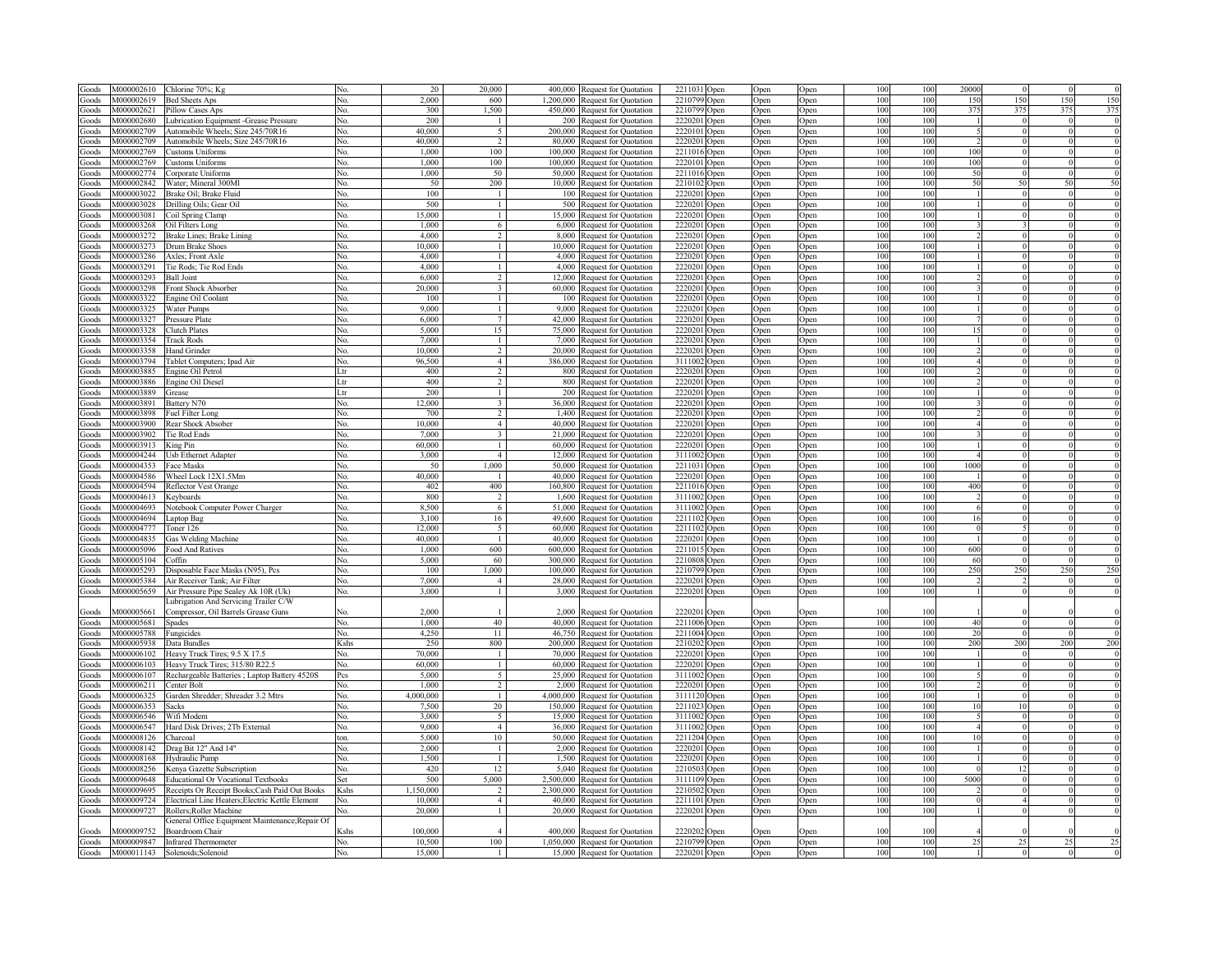| Goods        | M000002610 | Chlorine 70%; Kg                                 |              | 20        | 20,000                  |          | 400,000 Request for Quotation   | 2211031 Open |                  | Open | Open        | 100 | 100 | 20000                  |                       |          |            |
|--------------|------------|--------------------------------------------------|--------------|-----------|-------------------------|----------|---------------------------------|--------------|------------------|------|-------------|-----|-----|------------------------|-----------------------|----------|------------|
| Goods        | M000002619 | <b>Bed Sheets Aps</b>                            | No.          | 2.000     | 600                     |          | 1,200,000 Request for Quotation | 2210799 Open |                  | Open | Open        | 100 | 100 | 150                    | 150                   | 150      | 150        |
| Goods        | M000002621 | Pillow Cases Aps                                 | No.          | 300       | 1.500                   |          | 450,000 Request for Quotation   | 2210799 Open |                  | Open | Open        | 100 | 100 | 375                    | 375                   | 375      | 375        |
| Goods        | M000002680 | <b>Lubrication Equipment -Grease Pressure</b>    | No.          | 200       |                         |          | 200 Request for Quotation       | 2220201      |                  |      |             | 100 | 100 |                        |                       |          |            |
|              | M000002709 |                                                  |              | 40.000    | $\tilde{\mathcal{L}}$   |          |                                 | 2220101      | Open             | Open | Open        | 100 |     |                        |                       |          |            |
| Goods        |            | Automobile Wheels; Size 245/70R16                | No.          |           |                         |          | 200,000 Request for Quotation   |              | Open             | Open | Open        |     | 100 |                        |                       |          |            |
| Goods        | M000002709 | Automobile Wheels: Size 245/70R16                | No.          | 40,000    | $\mathcal{D}$           |          | 80,000 Request for Ouotation    | 2220201      | Open             | Open | Open        | 100 | 100 |                        |                       |          |            |
| Goods        | M000002769 | <b>Customs Uniforms</b>                          | No.          | 1,000     | 100                     |          | 100,000 Request for Ouotation   | 2211016      | )pen             | Open | Open        | 100 | 100 | 100                    |                       |          |            |
| Goods        | M000002769 | <b>Customs Uniforms</b>                          | No.          | 1,000     | 100                     |          | 100,000 Request for Quotation   | 2220101      | Open             | Open | Open        | 100 | 100 | 100                    | $\Omega$              |          |            |
| Goods        | M000002774 | Corporate Uniforms                               | No.          | 1,000     | 50                      |          | 50,000 Request for Quotation    | 2211016      | Open             | Open | Open        | 100 | 100 | 50                     | $\mathbf{0}$          |          |            |
| Goods        | M000002842 | Water; Mineral 300Ml                             | No.          | 50        | 200                     |          | 10,000 Request for Quotation    | 2210102      | Open             | Open | Open        | 100 | 100 | 50                     | 50                    | 50       |            |
| Goods        | M000003022 | Brake Oil: Brake Fluid                           | No.          | 100       | $\overline{1}$          |          | 100 Request for Ouotation       | 2220201      | Open             | Open | Open        | 100 | 100 |                        | $\overline{0}$        |          |            |
| Goods        | M000003028 | Drilling Oils; Gear Oil                          | No.          | 500       | $\mathbf{1}$            |          | 500 Request for Quotation       | 2220201      | )pen             | Open | <b>Dpen</b> | 100 | 100 |                        | $\Omega$              |          |            |
| Goods        | M000003081 | Coil Spring Clamp                                | No.          | 15,000    | $\mathbf{1}$            | 15.000   | <b>Request for Ouotation</b>    | 2220201      |                  | Open | <b>Dpen</b> | 100 | 100 |                        | $\Omega$              |          |            |
|              | M000003268 |                                                  | Nο.          | 1,000     | 6                       | 6.000    |                                 | 222020       | )pen             |      |             | 100 | 100 |                        |                       |          |            |
| Goods        |            | Oil Filters Long                                 |              |           |                         |          | <b>Request for Ouotation</b>    |              | )pen             | Open | <b>Dpen</b> |     |     |                        |                       |          |            |
| Goods        | M000003272 | Brake Lines; Brake Lining                        | N٥           | 4.000     |                         | 8.000    | Request for Quotation           | 222020       | )pen             | Open | Open        | 100 | 100 |                        |                       |          |            |
| Goods        | M000003273 | Drum Brake Shoes                                 | NΩ           | 10,000    |                         | 10.000   | Request for Quotation           | 222020       | ) <sub>pen</sub> | Open | Open        | 100 | 100 |                        |                       |          |            |
| Goods        | M000003286 | Axles; Front Axle                                | Nο           | 4.000     |                         | 4,000    | <b>Request for Ouotation</b>    | 222020       | ) <sub>pen</sub> | Open | Open        | 100 | 100 |                        | $\Omega$              |          |            |
| Goods        | M000003291 | Tie Rods; Tie Rod Ends                           | No.          | 4.000     |                         |          | 4,000 Request for Quotation     | 2220201      | ) <sub>pen</sub> | Open | Open        | 100 | 100 |                        | $\Omega$              |          |            |
| Goods        | M000003293 | <b>Ball Joint</b>                                | No.          | 6,000     | $\overline{2}$          |          | 12,000 Request for Quotation    | 2220201      | Open             | Open | Open        | 100 | 100 |                        | $\theta$              |          |            |
| Goods        | M000003298 | Front Shock Absorber                             | No.          | 20,000    | $\mathbf{3}$            |          | 60,000 Request for Quotation    | 2220201      | Open             | Open | Open        | 100 | 100 |                        | $\mathbf{0}$          |          |            |
| Goods        | M000003322 | Engine Oil Coolant                               | No.          | 100       | $\overline{1}$          |          | 100 Request for Quotation       | 2220201      | Open             | Open | Open        | 100 | 100 |                        | $\theta$              |          |            |
| Goods        | M000003325 | <b>Water Pumps</b>                               | No.          | 9.000     | $\overline{1}$          |          | 9,000 Request for Quotation     | 2220201      | Open             | Open | Open        | 100 | 100 |                        | $\theta$              |          |            |
|              | M000003327 |                                                  | No.          | 6,000     | $\tau$                  |          |                                 | 2220201      |                  |      |             | 100 | 100 |                        | $\mathbf{0}$          |          |            |
| Goods        |            | Pressure Plate                                   |              |           |                         |          | 42,000 Request for Quotation    |              | Open             | Open | Open        |     |     |                        |                       |          |            |
| Goods        | M000003328 | Clutch Plates                                    | No.          | 5,000     | 15                      |          | 75,000 Request for Quotation    | 2220201      | Open             | Open | Open        | 100 | 100 | 15                     | $\theta$              |          |            |
| Goods        | M000003354 | <b>Track Rods</b>                                | No.          | 7,000     | $\overline{1}$          |          | 7,000 Request for Quotation     | 2220201      | Open             | Open | Open        | 100 | 100 |                        | $\mathbf{0}$          |          |            |
| Goods        | M000003358 | Hand Grinder                                     | No.          | 10.000    | $\mathcal{D}$           |          | 20,000 Request for Quotation    | 2220201      | Open             | Open | Open        | 100 | 100 |                        | $\theta$              |          |            |
| Goods        | M000003794 | Tablet Computers; Ipad Air                       | No.          | 96,500    | $\overline{4}$          |          | 386,000 Request for Quotation   | 3111002      | ) <sub>pen</sub> | Open | Open        | 100 | 100 |                        |                       |          |            |
| Goods        | M000003885 | Engine Oil Petrol                                | Ltr          | 400       |                         |          | 800 Request for Quotation       | 2220201 Open |                  | Open | Open        | 100 | 100 |                        |                       |          |            |
| Goods        | M000003886 | Engine Oil Diesel                                | Ltr          | 400       |                         |          | 800 Request for Ouotation       | 2220201      | Open             | Open | <b>Open</b> | 100 | 100 |                        |                       |          |            |
| Goods        | M000003889 | Grease                                           |              | 200       |                         |          | 200 Request for Ouotation       | 2220201      | Open             | Open | <b>Open</b> | 100 | 100 |                        |                       |          |            |
| Goods        | M000003891 | Battery N70                                      | No.          | 12,000    | $\overline{\mathbf{3}}$ |          | 36,000 Request for Quotation    | 222020       | Open             | Open | Open        | 100 | 100 |                        |                       |          |            |
|              | M000003898 |                                                  | No.          | 700       |                         |          |                                 | 222020       |                  |      |             | 100 | 100 |                        |                       |          |            |
| Goods        |            | Fuel Filter Long                                 |              |           |                         |          | 1,400 Request for Quotation     |              | Open             | Open | Open        |     |     |                        |                       |          |            |
| Goods        | M000003900 | Rear Shock Absober                               | No.          | 10,000    | $\overline{4}$          | $40.000$ | Request for Quotation           | 222020       | Open             | Open | Open        | 100 | 100 |                        |                       |          |            |
| Goods        | M000003902 | <b>Tie Rod Ends</b>                              | No.          | 7.000     | 3                       | 21,000   | Request for Quotation           | 222020       | Open             | Open | Open        | 100 | 100 |                        |                       |          |            |
| Goods        | M000003913 | King Pin                                         | No.          | 60.000    |                         | 60.000   | <b>Request for Quotation</b>    | 222020       | Open             | Open | Open        | 100 | 100 |                        | $\theta$              |          |            |
| Goods        | M000004244 | Usb Ethernet Adapter                             | No.          | 3.000     | $\overline{4}$          | 12.000   | equest for Quotation            | 3111003      | Open             | Open | Open        | 100 | 100 |                        |                       |          |            |
| Goods        | M000004353 | Face Masks                                       | No.          | 50        | 1.000                   | 50.000   | <b>Request for Quotation</b>    | 221103       | Open             | Open | Open        | 100 | 100 | 1000                   |                       |          |            |
| Goods        | M000004586 | Wheel Lock 12X1.5Mm                              | No.          | 40.000    |                         |          | 40,000 Request for Quotation    | 2220201      | Open             | Open | Open        | 100 | 100 |                        | $\theta$              |          |            |
| Goods        | M000004594 | <b>Reflector Vest Orange</b>                     | No.          | 402       | 400                     |          | 160,800 Request for Quotation   | 2211016      | Open             | Open | Open        | 100 | 100 | 400                    | $\mathbf{0}$          |          |            |
| Goods        | M000004613 | Keyboards                                        | No.          | 800       | $\mathcal{D}$           |          | 1,600 Request for Quotation     | 3111002      | Open             | Open | Open        | 100 | 100 |                        | $\mathbf{0}$          |          |            |
| Goods        | M000004693 |                                                  | No.          | 8.500     | 6                       |          | 51,000 Request for Ouotation    | 3111002      |                  |      |             | 100 | 100 |                        | $\theta$              |          |            |
|              |            | Notebook Computer Power Charger                  |              |           |                         |          |                                 |              | Open             | Open | Open        |     |     |                        |                       |          |            |
| <b>Goods</b> | M000004694 | Laptop Bag                                       | No.          | 3.100     | 16                      |          | 49,600 Request for Quotation    | 2211102      | Open             | Open | Open        | 100 | 100 | 16                     | $\theta$              |          |            |
| Goods        | M000004777 | Toner 126                                        | No.          | 12,000    | $\overline{5}$          |          | 60,000 Request for Quotation    | 2211102 Open |                  | Open | Open        | 100 | 100 | $\epsilon$             | $\tilde{\mathcal{L}}$ |          |            |
| Goods        | M000004835 | Gas Welding Machine                              | No.          | 40,000    | $\overline{1}$          |          | 40,000 Request for Quotation    | 2220201 Open |                  | Open | Open        | 100 | 100 |                        | $\theta$              |          |            |
| Goods        | M000005096 | Food And Ratives                                 | No.          | 1,000     | 600                     |          | 600,000 Request for Quotation   | 2211015 Open |                  | Open | Open        | 100 | 100 | 600                    |                       |          |            |
| <b>Goods</b> | M000005104 | Coffin                                           | No.          | 5.000     | 60                      |          | 300,000 Request for Quotation   | 2210808      | Open             | Open | Open        | 100 | 100 | 60                     |                       |          |            |
| <b>Goods</b> | M000005293 | Disposable Face Masks (N95), Pcs                 | No.          | 100       | 1.000                   |          | 100,000 Request for Quotation   | 2210799      | Open             | Open | Open        | 100 | 100 | 250                    | 250                   | 250      | 250        |
| <b>Goods</b> | M000005384 | Air Receiver Tank; Air Filter                    | No.          | 7,000     | $\overline{4}$          |          | 28,000 Request for Quotation    | 2220201      | Open             | Open | Open        | 100 | 100 |                        |                       |          |            |
| Goods        | M000005659 | Air Pressure Pipe Sealey Ak 10R (Uk)             | No.          | 3,000     |                         |          | 3,000 Request for Quotation     | 2220201 Open |                  | Open | Open        | 100 | 100 |                        |                       |          |            |
|              |            |                                                  |              |           |                         |          |                                 |              |                  |      |             |     |     |                        |                       |          |            |
|              |            | Lubrigation And Servicing Trailer C/W            |              | 2.000     |                         | 2.000    |                                 |              |                  |      |             | 100 | 100 |                        |                       |          |            |
| Goods        | M000005661 | Compressor, Oil Barrels Grease Guns              | Nο.          |           |                         |          | Request for Quotation           | 2220201 Open |                  | Open | Open        |     |     |                        |                       |          |            |
| Goods        | M000005681 | Spades                                           | No.          | 1.000     | 40                      |          | 40,000 Request for Quotation    | 2211006      | Open             | Open | Open        | 100 | 100 | 40                     | $\Omega$              | $\Omega$ | $\epsilon$ |
| Goods        | M000005788 | Fungicides                                       | No.          | 4,250     | 11                      |          | 46,750 Request for Quotation    | 2211004      | Open             | Open | Open        | 100 | 100 | 20                     | $\theta$              | $\Omega$ | $\epsilon$ |
| Goods        | M000005938 | Data Bundles                                     | Kshs         | 250       | 800                     |          | 200,000 Request for Quotation   | 2210202 Open |                  | Open | Open        | 100 | 100 | 200                    | 200                   | 200      | 200        |
| Goods        |            | M000006102 Heavy Truck Tires; 9.5 X 17.5         | No.          | 70,000    | -1                      |          | 70,000 Request for Quotation    | 2220201 Open |                  | Open | Open        | 100 | 100 |                        |                       |          |            |
| Goods        | M000006103 | Heavy Truck Tires; 315/80 R22.5                  | No.          | 60,000    | $\overline{1}$          |          | 60,000 Request for Quotation    | 2220201 Open |                  | Open | Open        | 100 | 100 |                        |                       |          |            |
| Goods        | M000006107 | Rechargeable Batteries; Laptop Battery 4520S     | Pcs          | 5.000     | $\sim$                  |          | 25,000 Request for Quotation    | 3111002 Open |                  | Open | Open        | 100 | 100 |                        |                       |          |            |
| Goods        | M000006211 | Center Bolt                                      | No.          | 1,000     | $\mathcal{D}$           |          | 2,000 Request for Quotation     | 2220201 Open |                  | Open | Open        | 100 | 100 |                        |                       |          |            |
| Goods        | M000006325 | Garden Shredder; Shreader 3.2 Mtrs               | No.          | 4,000,000 | $\mathbf{1}$            |          | 4,000,000 Request for Quotation | 3111120 Open |                  | Open | Open        | 100 | 100 |                        |                       |          |            |
| Goods        | M000006353 | Sacks                                            | No.          | 7,500     | 20                      |          | 150,000 Request for Quotation   | 2211023 Open |                  |      |             | 100 | 100 | 10                     | 10                    |          |            |
|              | M000006546 |                                                  |              | 3.000     | $\sim$                  |          |                                 |              |                  | Open | Open        | 100 | 100 |                        |                       |          |            |
| Goods        |            | Wifi Modem                                       | No.          |           |                         |          | 15,000 Request for Quotation    | 3111002 Open |                  | Open | Open        |     |     |                        |                       |          |            |
| Goods        | M000006547 | Hard Disk Drives; 2Tb External                   | No.          | 9.000     | $\overline{4}$          |          | 36,000 Request for Quotation    | 3111002 Open |                  | Open | Open        | 100 | 100 | $\boldsymbol{\Lambda}$ | $\theta$              |          |            |
| Goods        | M000008126 | Charcoal                                         | ton.         | 5,000     | 10                      |          | 50,000 Request for Quotation    | 2211204 Open |                  | Open | Open        | 100 | 100 | 10                     |                       |          |            |
| Goods        | M000008142 | Drag Bit 12" And 14"                             | No.          | 2,000     |                         |          | 2,000 Request for Quotation     | 2220201 Open |                  | Open | Open        | 100 | 100 |                        |                       |          |            |
| Goods        | M000008168 | Hydraulic Pump                                   | No.          | 1,500     |                         |          | 1,500 Request for Quotation     | 2220201 Open |                  | Open | Open        | 100 | 100 |                        |                       |          |            |
| Goods        | M000008256 | Kenya Gazette Subscription                       | No.          | 420       | 12                      |          | 5,040 Request for Quotation     | 2210503 Open |                  | Open | Open        | 100 | 100 |                        | 12                    |          |            |
| Goods        | M000009648 | <b>Educational Or Vocational Textbooks</b>       | Set          | 500       | 5.000                   |          | 2,500,000 Request for Quotation | 3111109 Open |                  | Open | Open        | 100 | 100 | 5000                   |                       |          |            |
| Goods        | M000009695 | Receipts Or Receipt Books; Cash Paid Out Books   | Kshs         | 1.150.000 | $\overline{2}$          |          | 2,300,000 Request for Quotation | 2210502 Open |                  | Open | Open        | 100 | 100 |                        |                       |          |            |
| Goods        | M000009724 | Electrical Line Heaters; Electric Kettle Element | No.          | 10.000    | $\overline{4}$          |          | 40,000 Request for Quotation    | 2211101 Open |                  | Open | Open        | 100 | 100 |                        |                       |          |            |
| Goods        | M000009727 | Rollers; Roller Machine                          | N٥           | 20,000    |                         |          | 20,000 Request for Quotation    | 2220201 Open |                  |      |             | 100 | 100 |                        |                       |          |            |
|              |            |                                                  |              |           |                         |          |                                 |              |                  | Open | Open        |     |     |                        |                       |          |            |
|              |            | General Office Equipment Maintenance; Repair Of  |              |           |                         |          |                                 |              |                  |      |             |     |     |                        |                       |          |            |
| Goods        | 4000009752 | Boardroom Chair                                  | <b>K</b> shs | 100.000   |                         |          | 400,000 Request for Quotation   | 2220202 Open |                  | Open | Open        | 100 | 100 |                        |                       |          |            |
| Goods        | M000009847 | <b>Infrared Thermometer</b>                      | No.          | 10.500    | 100                     |          | 1,050,000 Request for Quotation | 2210799 Open |                  | Open | Open        | 100 | 100 |                        |                       |          |            |
| Goods        |            | M000011143 Solenoids; Solenoid                   | No.          | 15,000    |                         |          | 15,000 Request for Quotation    | 2220201 Open |                  | Open | Open        | 100 | 100 |                        |                       |          |            |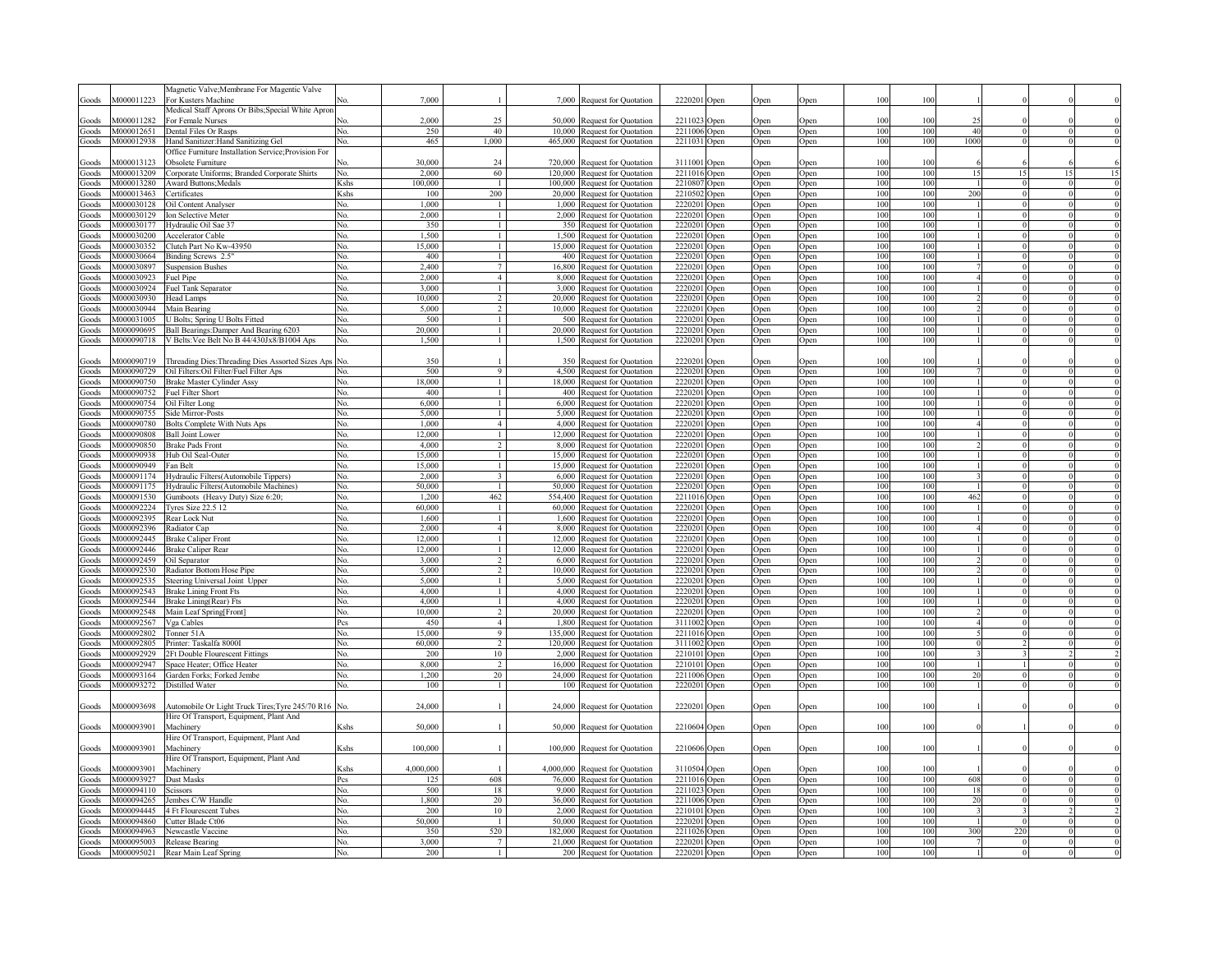|                |                          | Magnetic Valve; Membrane For Magentic Valve                                          |                                                                                                                                                                                                               |                  |                                |                 |                                                                 |                              |                            |              |              |            |            |          |                      |          |  |
|----------------|--------------------------|--------------------------------------------------------------------------------------|---------------------------------------------------------------------------------------------------------------------------------------------------------------------------------------------------------------|------------------|--------------------------------|-----------------|-----------------------------------------------------------------|------------------------------|----------------------------|--------------|--------------|------------|------------|----------|----------------------|----------|--|
| Goods          | M000011223               | For Kusters Machine                                                                  |                                                                                                                                                                                                               | 7,000            |                                |                 | 7,000 Request for Quotation                                     | 2220201 Open                 |                            | Open         | Open         | 100        | 100        |          |                      |          |  |
|                |                          | Medical Staff Aprons Or Bibs; Special White Apror                                    |                                                                                                                                                                                                               |                  |                                |                 |                                                                 |                              |                            |              |              |            |            |          |                      |          |  |
| Goods<br>Goods | M000011282<br>M000012651 | For Female Nurses<br>Dental Files Or Rasps                                           | Nο<br>Nο.                                                                                                                                                                                                     | 2.000<br>250     | 25<br>40                       |                 | 50,000 Request for Quotation<br>10,000 Request for Quotation    | 2211023 Open<br>2211006      | <b>Open</b>                | Open<br>Open | Open<br>Open | 100<br>100 | 100<br>100 | 25<br>40 |                      |          |  |
| Goods          | M000012938               | Hand Sanitizer: Hand Sanitizing Gel                                                  | No.                                                                                                                                                                                                           | 465              | 1,000                          |                 | 465,000 Request for Quotation                                   | 2211031                      | <b>Open</b>                | Open         | Open         | 100        | 100        | 1000     |                      |          |  |
|                |                          | Office Furniture Installation Service; Provision For                                 |                                                                                                                                                                                                               |                  |                                |                 |                                                                 |                              |                            |              |              |            |            |          |                      |          |  |
| Goods          | M000013123               | Obsolete Furniture                                                                   |                                                                                                                                                                                                               | 30,000           | 24                             |                 | 720,000 Request for Quotation                                   | 3111001                      | <b>Open</b>                | Open         | Open         | 100        | 100        |          |                      |          |  |
| Goods          | M000013209               | Corporate Uniforms; Branded Corporate Shirts                                         | No.                                                                                                                                                                                                           | 2,000            | 60                             |                 | 120,000 Request for Quotation                                   | 2211016                      | <b>Open</b>                | Open         | Open         | 100        | 100        | 15       | 15                   |          |  |
| Goods          | M000013280               | <b>Award Buttons; Medals</b>                                                         | Kshs                                                                                                                                                                                                          | 100,000          | $\overline{1}$                 |                 | 100,000 Request for Quotation                                   | 2210807                      | <b>Open</b>                | Open         | Open         | 100        | 100        |          | $\theta$             |          |  |
| Goods          | M000013463               | Certificates                                                                         | Kshs                                                                                                                                                                                                          | 100              | 200                            |                 | 20,000 Request for Quotation                                    | 2210502                      | )pen                       | Open         | Open         | 100        | 100        | 200      | $\overline{0}$       |          |  |
| Goods          | M000030128               | <b>Dil Content Analyser</b>                                                          | No.                                                                                                                                                                                                           | 1.000            | $\mathbf{1}$                   | 1,000           | Request for Quotation                                           | 2220201                      | ) <sub>pen</sub>           | Open         | Open         | 100        | 100        |          | $\Omega$<br>$\Omega$ |          |  |
| Goods          | M000030129<br>M000030177 | Ion Selective Meter                                                                  | No.<br>No.                                                                                                                                                                                                    | 2,000<br>350     | $\mathbf{1}$<br>$\mathbf{1}$   | 2,000<br>350    | Request for Quotation                                           | 2220201<br>2220201           | ) <sub>pen</sub>           | Open         | Open         | 100<br>100 | 100<br>100 |          | $\Omega$             |          |  |
| Goods<br>Goods | M000030200               | Hydraulic Oil Sae 37<br>Accelerator Cable                                            | No.                                                                                                                                                                                                           | 1,500            | $\mathbf{1}$                   |                 | Request for Quotation<br>1,500 Request for Quotation            | 2220201                      | <b>Open</b><br><b>Open</b> | Open<br>Open | Open<br>Open | 100        | 100        |          | $\Omega$             |          |  |
| Goods          | M000030352               | Clutch Part No Kw-43950                                                              | No.                                                                                                                                                                                                           | 15,000           | $\mathbf{1}$                   |                 | 15,000 Request for Quotation                                    | 2220201                      | <b>Open</b>                | Open         | Open         | 100        | 100        |          | $\theta$             |          |  |
| Goods          | M000030664               | Binding Screws 2.5"                                                                  | No.                                                                                                                                                                                                           | 400              | $\mathbf{1}$                   | 400             | Request for Quotation                                           | 2220201                      | <b>Open</b>                | Open         | Open         | 100        | 100        |          | $\theta$             |          |  |
| Goods          | M000030897               | <b>Suspension Bushes</b>                                                             | No.                                                                                                                                                                                                           | 2,400            | $\overline{7}$                 |                 | 16,800 Request for Quotation                                    | 2220201                      | <b>Open</b>                | Open         | Open         | 100        | 100        |          | $\theta$             |          |  |
| Goods          | M000030923               | Fuel Pipe                                                                            | No.                                                                                                                                                                                                           | 2,000            | $\overline{4}$                 |                 | 8,000 Request for Quotation                                     | 2220201                      | Open                       | Open         | Open         | 100        | 100        |          | $\theta$             |          |  |
| Goods          | M000030924               | Fuel Tank Separator                                                                  | No.                                                                                                                                                                                                           | 3,000            |                                |                 | 3,000 Request for Quotation                                     | 2220201                      | Open                       | Open         | Open         | 100        | 100        |          |                      |          |  |
| Goods          | M000030930               | Head Lamps                                                                           | No.                                                                                                                                                                                                           | 10,000           | $\mathfrak{D}$                 |                 | 20,000 Request for Quotation                                    | 2220201                      | Open                       | Open         | Open         | 100        | 100        |          |                      |          |  |
| Goods          | M000030944               | Main Bearing                                                                         | No.                                                                                                                                                                                                           | 5,000            | $\mathfrak{D}$                 |                 | 10,000 Request for Quotation                                    | 2220201                      | Open                       | Open         | Open         | 100        | 100        |          |                      |          |  |
| Goods          | M000031005               | J Bolts; Spring U Bolts Fitted                                                       | No.                                                                                                                                                                                                           | 500              | $\mathbf{1}$<br>$\mathbf{1}$   |                 | 500 Request for Quotation                                       | 2220201                      | <b>Open</b>                | Open         | Open         | 100        | 100<br>100 |          | $\theta$             |          |  |
| Goods          | M000090695<br>M000090718 | Ball Bearings: Damper And Bearing 6203<br>V Belts: Vee Belt No B 44/430Jx8/B1004 Aps | No.<br>No.                                                                                                                                                                                                    | 20,000<br>1,500  |                                |                 | 20,000 Request for Quotation<br>1,500 Request for Quotation     | 2220201<br>2220201 Open      | Open                       | Open         | Open         | 100<br>100 | 100        |          |                      |          |  |
| Goods          |                          |                                                                                      |                                                                                                                                                                                                               |                  |                                |                 |                                                                 |                              |                            | Open         | Open         |            |            |          |                      |          |  |
| Goods          | 4000090719               | Threading Dies: Threading Dies Assorted Sizes Aps                                    | No.                                                                                                                                                                                                           | 350              |                                | 350             | <b>Request for Quotation</b>                                    | 2220201                      | Open                       | Open         | )pen         | 100        | 100        |          |                      |          |  |
| Goods          | M000090729               | Oil Filters: Oil Filter/Fuel Filter Aps                                              | Nο.                                                                                                                                                                                                           | 500              | $\mathbf Q$                    |                 | 4,500 Request for Quotation                                     | 2220201                      | Open                       | Open         | Open         | 100        | 100        |          |                      |          |  |
| Goods          | M000090750               | <b>Brake Master Cylinder Assy</b>                                                    | No.                                                                                                                                                                                                           | 18,000           | $\mathbf{1}$                   |                 | 18,000 Request for Quotation                                    | 2220201                      | Open                       | Open         | Open         | 100        | 100        |          |                      |          |  |
| Goods          | M000090752               | Fuel Filter Short                                                                    | No.                                                                                                                                                                                                           | 400              | $\mathbf{1}$                   |                 | 400 Request for Quotation                                       | 2220201                      | Open                       | Open         | Open         | 100        | 100        |          |                      |          |  |
| Goods          | M000090754               | Oil Filter Long                                                                      | No.                                                                                                                                                                                                           | 6,000            | $\mathbf{1}$                   |                 | 6,000 Request for Quotation                                     | 2220201 Open                 |                            | Open         | Open         | 100        | 100        |          | $\theta$             |          |  |
| Goods          | M000090755               | <b>Side Mirror-Posts</b>                                                             | No.                                                                                                                                                                                                           | 5.000            | $\mathbf{1}$                   |                 | 5,000 Request for Quotation                                     | 2220201 Open                 |                            | Open         | Open         | 100        | 100        |          | $\mathbf{0}$         |          |  |
| Goods          | M000090780               | <b>Bolts Complete With Nuts Aps</b>                                                  | Nο.                                                                                                                                                                                                           | 1.000            | $\overline{4}$                 |                 | 4,000 Request for Quotation                                     | 2220201                      | Open                       | Open         | Open         | 100        | 100        |          | $\theta$             |          |  |
| Goods          | M000090808<br>M000090850 | <b>Ball Joint Lower</b>                                                              | No.                                                                                                                                                                                                           | 12.000<br>4.000  |                                | 12.000<br>8.000 | <b>Request for Quotation</b>                                    | 2220201                      | Open                       | Open         | Open         | 100<br>100 | 100<br>100 |          | $\mathbf{0}$         |          |  |
| Goods<br>Goods | M000090938               | <b>Brake Pads Front</b><br>Hub Oil Seal-Outer                                        | No.<br>No.                                                                                                                                                                                                    | 15.000           | 2<br>$\mathbf{1}$              | 15.000          | Request for Quotation<br>Request for Quotation                  | 2220201<br>2220201           | Open<br><b>Open</b>        | Open<br>Open | Open<br>Open | 100        | 100        |          | $\Omega$<br>$\theta$ |          |  |
| Goods          | M000090949               | Fan Belt                                                                             | No.                                                                                                                                                                                                           | 15.000           | $\mathbf{1}$                   | 15.000          | Request for Quotation                                           | 2220201                      | <b>Open</b>                | Open         | Open         | 100        | 100        |          | $\mathbf{0}$         |          |  |
| Goods          | M000091174               | <b>Hydraulic Filters</b> (Automobile Tippers)                                        | Nο.                                                                                                                                                                                                           | 2,000            | $\overline{\mathbf{3}}$        | 6.000           | Request for Quotation                                           | 2220201                      | <b>Open</b>                | Open         | Open         | 100        | 100        |          | $\Omega$             |          |  |
| Goods          | M000091175               | <b>Hydraulic Filters</b> (Automobile Machines)                                       | No.                                                                                                                                                                                                           | 50,000           | $\mathbf{1}$                   | 50,000          | Request for Quotation                                           | 2220201                      | <b>Open</b>                | Open         | Open         | 100        | 100        |          | $\mathbf{0}$         |          |  |
| Goods          | M000091530               | Gumboots (Heavy Duty) Size 6:20;                                                     | No.                                                                                                                                                                                                           | 1.200            | 462                            |                 | 554,400 Request for Quotation                                   | 2211016                      | <b>Open</b>                | Open         | Open         | 100        | 100        | 462      | $\Omega$             |          |  |
| Goods          | M000092224               | Tyres Size 22.5 12                                                                   | Nο.                                                                                                                                                                                                           | 60,000           | $\mathbf{1}$                   |                 | 60,000 Request for Quotation                                    | 2220201                      | <b>Open</b>                | Open         | Open         | 100        | 100        |          | $\theta$             |          |  |
| Goods          | M000092395               | Rear Lock Nut                                                                        | Nο.                                                                                                                                                                                                           | 1.600            | $\mathbf{1}$                   |                 | 1,600 Request for Quotation                                     | 2220201                      | Open                       | Open         | Open         | 100        | 100        |          | $\theta$             |          |  |
| Goods          | M000092396               | Radiator Cap                                                                         | No.                                                                                                                                                                                                           | 2,000            | $\overline{4}$                 |                 | 8,000 Request for Quotation                                     | 2220201                      | <b>Open</b>                | Open         | Open         | 100        | 100        |          |                      |          |  |
| Goods          | M000092445               | <b>Brake Caliper Front</b>                                                           | No.                                                                                                                                                                                                           | 12.000<br>12.000 | $\mathbf{1}$                   |                 | 12,000 Request for Quotation                                    | 2220201<br>2220201           | <b>Open</b>                | Open         | Open         | 100<br>100 | 100<br>100 |          |                      |          |  |
| Goods<br>Goods | M000092446<br>M000092459 | Brake Caliper Rear<br>Oil Separator                                                  | No.<br>No.                                                                                                                                                                                                    | 3,000            | $\mathbf{1}$<br>$\overline{2}$ | 6.000           | 12,000 Request for Quotation<br>Request for Quotation           | 2220201                      | <b>Open</b>                | Open         | Open         | 100        | 100        |          |                      |          |  |
| Goods          | M000092530               | Radiator Bottom Hose Pipe                                                            | No.                                                                                                                                                                                                           | 5,000            | 2                              | 10.000          | Request for Quotation                                           | 2220201                      | <b>Open</b><br><b>Open</b> | Open<br>Open | Open<br>Open | 100        | 100        |          | $\Omega$             |          |  |
| Goods          | M000092535               | Steering Universal Joint Upper                                                       | No.                                                                                                                                                                                                           | 5,000            | 1                              | 5000            | Request for Quotation                                           | 2220201                      | <b>Open</b>                | Open         | Open         | 100        | 100        |          | $\Omega$             |          |  |
| Goods          | M000092543               | <b>Brake Lining Front Fts</b>                                                        | No.                                                                                                                                                                                                           | 4.000            | $\overline{1}$                 |                 | 4,000 Request for Quotation                                     | 2220201                      | <b>Open</b>                | Open         | Open         | 100        | 100        |          |                      |          |  |
| Goods          | M000092544               | Brake Lining(Rear) Fts                                                               | No.                                                                                                                                                                                                           | 4,000            | $\mathbf{1}$                   |                 | 4,000 Request for Quotation                                     | 2220201                      | <b>Open</b>                | Open         | Open         | 100        | 100        |          | $\Omega$             |          |  |
| Goods          | M000092548               | Main Leaf Spring[Front]                                                              | No.                                                                                                                                                                                                           | 10,000           | 2                              |                 | 20,000 Request for Quotation                                    | 2220201                      | <b>Open</b>                | Open         | Open         | 100        | 100        |          | $\theta$             | $\Omega$ |  |
| Goods          | M000092567               | Vga Cables                                                                           | Pcs                                                                                                                                                                                                           | 450              | $\overline{4}$                 |                 | 1,800 Request for Quotation                                     | 3111002                      | <b>Open</b>                | Open         | Open         | 100        | 100        |          | $\mathbf{0}$         | $\Omega$ |  |
| Goods          | M000092802               | Tonner 51A                                                                           | No.                                                                                                                                                                                                           | 15,000           | $\overline{9}$                 |                 | 135,000 Request for Quotation                                   | 2211016                      | Open                       | Open         | Open         | 100        | 100        |          | $\theta$             |          |  |
| Goods          | M000092805               | Printer: Taskalfa 8000I                                                              | No.                                                                                                                                                                                                           | 60,000           | $\mathcal{L}$<br>10            |                 | 120,000 Request for Quotation                                   | 3111002                      | Open                       | Open         | Open         | 100        | 100        |          |                      |          |  |
| Goods<br>Goods | M000092929<br>M000092947 | 2Ft Double Flourescent Fittings<br>Space Heater; Office Heater                       | No.<br>No.                                                                                                                                                                                                    | 200<br>8,000     | $\overline{2}$                 |                 | 2,000 Request for Quotation<br>16,000 Request for Quotation     | 2210101 Open<br>2210101 Open |                            | Open         | Open         | 100<br>100 | 100<br>100 |          |                      |          |  |
| Goods          | M000093164               | Garden Forks; Forked Jembe                                                           | No.                                                                                                                                                                                                           | 1,200            | 20                             |                 | 24,000 Request for Quotation                                    | 2211006 Open                 |                            | Open<br>Open | Open<br>Open | 100        | 100        | 20       |                      |          |  |
| Goods          |                          | M000093272 Distilled Water                                                           | No.                                                                                                                                                                                                           | 100              | $\mathbf{1}$                   |                 | 100 Request for Quotation                                       | 2220201 Open                 |                            | Open         | Open         | 100        | 100        |          |                      |          |  |
|                |                          |                                                                                      |                                                                                                                                                                                                               |                  |                                |                 |                                                                 |                              |                            |              |              |            |            |          |                      |          |  |
| Goods          | M000093698               | Automobile Or Light Truck Tires; Tyre 245/70 R16                                     | No.                                                                                                                                                                                                           | 24,000           |                                |                 | 24,000 Request for Quotation                                    | 2220201 Open                 |                            | Open         | Open         | 100        | 100        |          |                      |          |  |
|                |                          | Hire Of Transport, Equipment, Plant And                                              |                                                                                                                                                                                                               |                  |                                |                 |                                                                 |                              |                            |              |              |            |            |          |                      |          |  |
| Goods          | M000093901               | Machinery                                                                            | <shs< td=""><td>50,000</td><td></td><td></td><td>50,000 Request for Quotation</td><td>2210604 Open</td><td></td><td>Open</td><td>Open</td><td>100</td><td>100</td><td></td><td></td><td></td><td></td></shs<> | 50,000           |                                |                 | 50,000 Request for Quotation                                    | 2210604 Open                 |                            | Open         | Open         | 100        | 100        |          |                      |          |  |
|                |                          | Iire Of Transport, Equipment, Plant And                                              |                                                                                                                                                                                                               |                  |                                |                 |                                                                 |                              |                            |              |              |            |            |          |                      |          |  |
| Goods          | M000093901               | Machinery                                                                            | Kshs                                                                                                                                                                                                          | 100,000          |                                |                 | 100,000 Request for Quotation                                   | 2210606 Open                 |                            | Open         | Open         | 100        | 100        |          |                      |          |  |
|                |                          | Iire Of Transport, Equipment, Plant And                                              |                                                                                                                                                                                                               |                  |                                |                 |                                                                 |                              |                            |              |              |            |            |          |                      |          |  |
| Goods<br>Goods | M000093901<br>M000093927 | Machinery<br>Dust Masks                                                              | Kshs<br>Pcs                                                                                                                                                                                                   | 4,000,000<br>125 | 608                            |                 | 4,000,000 Request for Quotation<br>76,000 Request for Quotation | 3110504 Open<br>2211016 Open |                            | Open         | Open         | 100<br>100 | 100<br>100 | 608      |                      |          |  |
| Goods          | M000094110               | scissors                                                                             | No.                                                                                                                                                                                                           | 500              | 18                             |                 | 9,000 Request for Quotation                                     | 2211023 Open                 |                            | Open<br>Open | Open<br>Open | 100        | 100        | 18       |                      |          |  |
| Goods          | M000094265               | lembes C/W Handle                                                                    | Nο.                                                                                                                                                                                                           | 1,800            | 20                             |                 | 36,000 Request for Quotation                                    | 2211006 Open                 |                            | Open         | Open         | 100        | 100        | 20       |                      |          |  |
| Goods          | M000094445               | 4 Ft Flourescent Tubes                                                               | N٥                                                                                                                                                                                                            | 200              | 10                             | 2.000           | <b>Request for Quotation</b>                                    | 2210101 Open                 |                            | Open         | Open         | 100        | 100        |          |                      |          |  |
| Goods          | M000094860               | Cutter Blade Ct06                                                                    | Nο.                                                                                                                                                                                                           | 50,000           | $\mathbf{1}$                   | 50.000          | <b>Request for Quotation</b>                                    | 2220201 Open                 |                            | Open         | Open         | 100        | 100        |          |                      |          |  |
| Goods          | M000094963               | Jewcastle Vaccine                                                                    | Nο.                                                                                                                                                                                                           | 350              | 520                            | 182.000         | <b>Request for Quotation</b>                                    | 2211026                      | Open                       | Open         | Open         | 100        | 100        | 300      | 220                  |          |  |
| Goods          | M000095003               | <b>Release Bearing</b>                                                               | Nο                                                                                                                                                                                                            | 3.000            |                                |                 | 21,000 Request for Quotation                                    | 2220201                      | Open                       | Open         | Open         | 100        | 100        |          |                      |          |  |
| Goods          | M000095021               | Rear Main Leaf Spring                                                                | Nο                                                                                                                                                                                                            | 200              |                                |                 | 200 Request for Quotation                                       | 2220201 Open                 |                            | Open         | Open         | 100        | 100        |          |                      |          |  |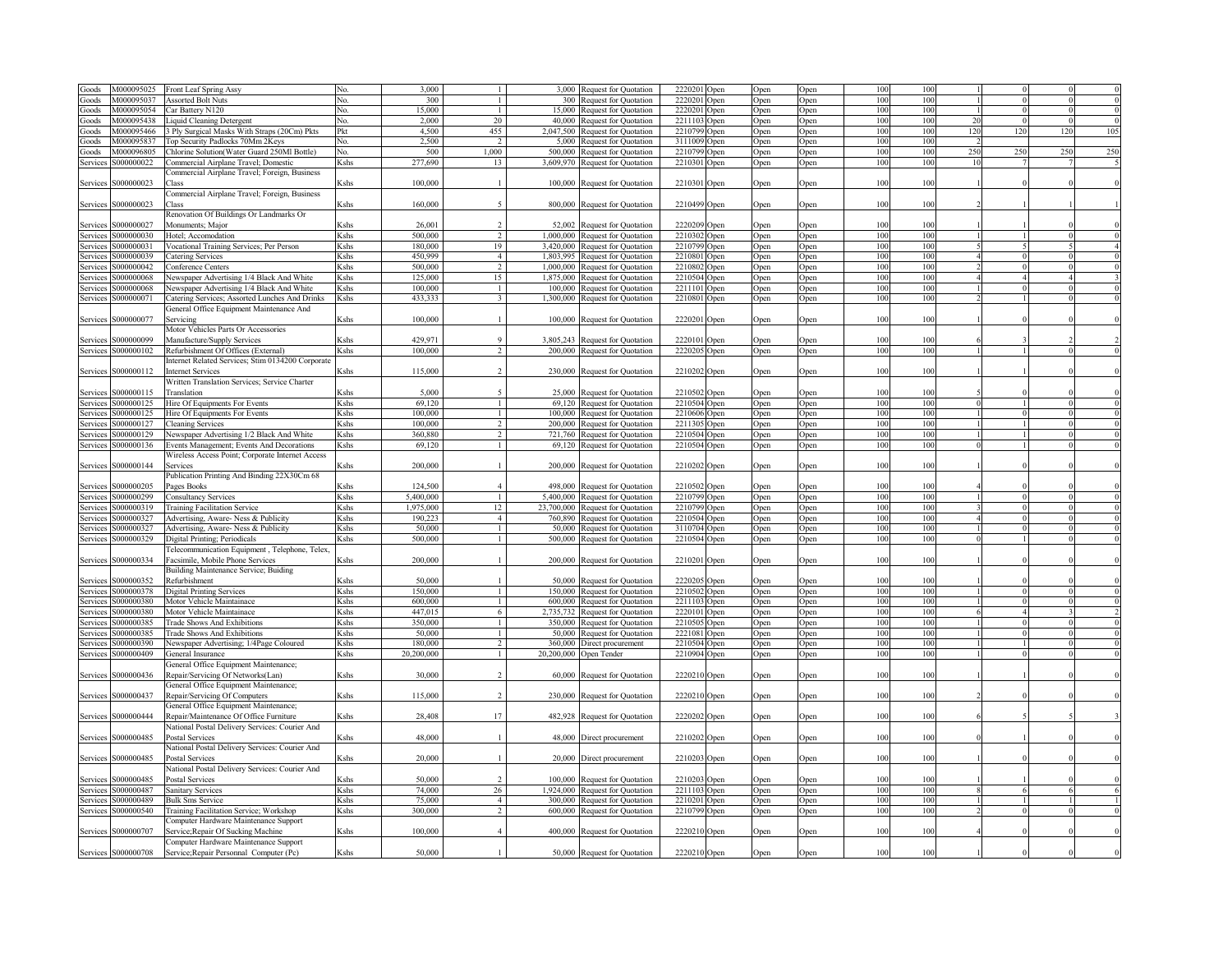| Goods    | M000095025          | Front Leaf Spring Assy                                                           |                                                                                                                                                                                                                | 3.000      |                        | 3.000     | Request for Quotation            | 2220201                 | Open             | Open | Open             | 100 | 10  |     |          |     |     |
|----------|---------------------|----------------------------------------------------------------------------------|----------------------------------------------------------------------------------------------------------------------------------------------------------------------------------------------------------------|------------|------------------------|-----------|----------------------------------|-------------------------|------------------|------|------------------|-----|-----|-----|----------|-----|-----|
| Goods    | M000095037          | <b>Assorted Bolt Nuts</b>                                                        | No.                                                                                                                                                                                                            | 300        |                        | 300       | Request for Quotation            | 2220201                 | Open             | Open | Open             | 100 | 100 |     |          |     |     |
|          | M000095054          | Car Battery N120                                                                 | No.                                                                                                                                                                                                            | 15,000     |                        | 15,000    |                                  | 2220201                 |                  |      |                  | 100 | 100 |     | $\Omega$ |     |     |
| Goods    |                     |                                                                                  |                                                                                                                                                                                                                |            |                        |           | Request for Quotation            |                         | Open             | Open | Open             |     |     |     |          |     |     |
| Goods    | M000095438          | iquid Cleaning Detergent                                                         | No.                                                                                                                                                                                                            | 2,000      | 20                     | 40,000    | Request for Quotation            | 2211103                 | )pen             | Open | Open             | 100 | 100 | 20  | $\Omega$ |     |     |
| Goods    | M000095466          | 3 Ply Surgical Masks With Straps (20Cm) Pkts                                     | Pkt                                                                                                                                                                                                            | 4,500      | 455                    | 2,047,500 | <b>Request for Quotation</b>     | 2210799                 | )pen             | Open | Open             | 100 | 100 | 120 | 120      | 120 | 105 |
| Goods    | M000095837          | Top Security Padlocks 70Mm 2Keys                                                 | No.                                                                                                                                                                                                            | 2,500      | $\overline{2}$         |           | 5,000 Request for Quotation      | 3111009                 | )pen             | Open | Open             | 100 | 100 |     |          |     |     |
| Goods    | M000096805          | Chlorine Solution(Water Guard 250Ml Bottle)                                      | No.                                                                                                                                                                                                            | 500        | 1,000                  |           | 500,000 Request for Quotation    | 2210799                 | )pen             | Open | Open             | 100 | 100 | 250 | 250      | 250 | 250 |
| Services | \$000000022         | Commercial Airplane Travel; Domestic                                             | Kshs                                                                                                                                                                                                           | 277,690    | 13                     |           | 3,609,970 Request for Quotation  | 2210301                 | Open             | Open | Open             | 100 | 100 | 10  |          |     |     |
|          |                     | Commercial Airplane Travel; Foreign, Business                                    |                                                                                                                                                                                                                |            |                        |           |                                  |                         |                  |      |                  |     |     |     |          |     |     |
| Services | S000000023          | Class                                                                            | Kshs                                                                                                                                                                                                           | 100,000    |                        |           | 100,000 Request for Quotation    | 2210301 Open            |                  | Open | Open             | 100 | 100 |     |          |     |     |
|          |                     |                                                                                  |                                                                                                                                                                                                                |            |                        |           |                                  |                         |                  |      |                  |     |     |     |          |     |     |
|          |                     | Commercial Airplane Travel; Foreign, Business                                    |                                                                                                                                                                                                                |            |                        |           |                                  |                         |                  |      |                  |     |     |     |          |     |     |
| Services | S000000023          | lass                                                                             | Kshs                                                                                                                                                                                                           | 160,000    | $\tilde{\mathcal{L}}$  |           | 800,000 Request for Quotation    | 2210499 Open            |                  | Open | Open             | 100 | 100 |     |          |     |     |
|          |                     | Renovation Of Buildings Or Landmarks Or                                          |                                                                                                                                                                                                                |            |                        |           |                                  |                         |                  |      |                  |     |     |     |          |     |     |
| Services | S000000027          | Monuments; Major                                                                 | Kshs                                                                                                                                                                                                           | 26,001     |                        |           | 52,002 Request for Quotation     | 2220209                 | Open             | Open | <b>Open</b>      | 100 | 100 |     |          |     |     |
| Services | S000000030          | Hotel; Accomodation                                                              | Kshs                                                                                                                                                                                                           | 500,000    | $\mathcal{D}$          |           | 1,000,000 Request for Quotation  | 2210302                 | Open             | Open | Open             | 100 | 100 |     |          |     |     |
| Services | S000000031          | Vocational Training Services; Per Person                                         | Kshs                                                                                                                                                                                                           | 180,000    | 19                     |           | 3,420,000 Request for Quotation  | 2210799                 | Open             | Open | Open             | 100 | 100 |     |          |     |     |
|          | S000000039          | Catering Services                                                                | Kshs                                                                                                                                                                                                           | 450,999    | $\overline{4}$         |           | 1,803,995 Request for Quotation  | 2210801                 |                  |      |                  | 100 | 100 |     |          |     |     |
| Services |                     |                                                                                  |                                                                                                                                                                                                                |            |                        |           |                                  |                         | Open             | Open | <b>Open</b>      |     |     |     |          |     |     |
| Services | S000000042          | Conference Centers                                                               | Kshs                                                                                                                                                                                                           | 500,000    | $\mathcal{D}$          |           | 1,000,000 Request for Quotation  | 2210802                 | )pen             | Open | <b>Open</b>      | 100 | 100 |     |          |     |     |
| Service  | \$000000068         | Newspaper Advertising 1/4 Black And White                                        | Kshs                                                                                                                                                                                                           | 125,000    | 15                     | 1,875,000 | equest for Quotation             | 221050                  | ) <sub>pen</sub> | Open | Open             | 100 | 100 |     |          |     |     |
| Service: | 3000000068          | Newspaper Advertising 1/4 Black And White                                        | Kshs                                                                                                                                                                                                           | 100,000    |                        |           | 100,000 Request for Quotation    | 221110                  | Open             | Open | ) <sub>pen</sub> | 100 | 100 |     |          |     |     |
| Services | S000000071          | latering Services; Assorted Lunches And Drinks                                   | Kshs                                                                                                                                                                                                           | 433,333    | $\ddot{\mathbf{3}}$    |           | 1,300,000 Request for Quotation  | 2210801                 | Open             | Open | Open             | 100 | 100 |     |          |     |     |
|          |                     | General Office Equipment Maintenance And                                         |                                                                                                                                                                                                                |            |                        |           |                                  |                         |                  |      |                  |     |     |     |          |     |     |
| Services | \$000000077         | Servicine                                                                        | Kshs                                                                                                                                                                                                           | 100,000    |                        |           | 100,000 Request for Quotation    | 2220201 Open            |                  | Open | Open             | 100 | 100 |     |          |     |     |
|          |                     | Motor Vehicles Parts Or Accessories                                              |                                                                                                                                                                                                                |            |                        |           |                                  |                         |                  |      |                  |     |     |     |          |     |     |
|          | \$000000099         |                                                                                  | shs)                                                                                                                                                                                                           | 429.971    | $\ddot{Q}$             |           |                                  | 2220101                 |                  |      |                  | 100 | 100 |     |          |     |     |
| Services |                     | Manufacture/Supply Services                                                      |                                                                                                                                                                                                                |            |                        |           | 3,805,243 Request for Quotation  |                         | Open             | Open | )pen             |     |     |     |          |     |     |
| Services | S000000102          | Refurbishment Of Offices (External)                                              | Kshs                                                                                                                                                                                                           | 100,000    |                        |           | 200,000 Request for Quotation    | 2220205 Open            |                  | Open | Open             | 100 | 100 |     |          |     |     |
|          |                     | internet Related Services; Stim 0134200 Corporate                                |                                                                                                                                                                                                                |            |                        |           |                                  |                         |                  |      |                  |     |     |     |          |     |     |
| Services | S000000112          | Internet Services                                                                | Kshs                                                                                                                                                                                                           | 115,000    | $\overline{2}$         |           | 230,000 Request for Quotation    | 2210202 Open            |                  | Open | Open             | 100 | 100 |     |          |     |     |
|          |                     | Written Translation Services; Service Charter                                    |                                                                                                                                                                                                                |            |                        |           |                                  |                         |                  |      |                  |     |     |     |          |     |     |
| Services | S000000115          | Translation                                                                      | <shs< td=""><td>5,000</td><td></td><td></td><td>25,000 Request for Quotation</td><td>2210502</td><td>Open</td><td>Open</td><td>Open</td><td>100</td><td>100</td><td></td><td></td><td></td><td></td></shs<>    | 5,000      |                        |           | 25,000 Request for Quotation     | 2210502                 | Open             | Open | Open             | 100 | 100 |     |          |     |     |
| Services | \$000000125         |                                                                                  | Kshs                                                                                                                                                                                                           | 69.120     |                        |           | 69.120 Request for Ouotation     | 2210504                 |                  |      |                  | 100 | 100 |     |          |     |     |
|          |                     | Hire Of Equipments For Events                                                    |                                                                                                                                                                                                                |            |                        |           |                                  |                         | Open             | Open | Open             |     |     |     |          |     |     |
| Services | \$000000125         | Hire Of Equipments For Events                                                    | <b>K</b> shs                                                                                                                                                                                                   | 100,000    | $\mathbf{1}$           |           | 100,000 Request for Ouotation    | 2210606                 | )pen             | Open | Open             | 100 | 100 |     |          |     |     |
| Services | S000000127          | <b>leaning Services</b>                                                          | <b>K</b> shs                                                                                                                                                                                                   | 100,000    | $\mathfrak{D}$         |           | 200,000 Request for Quotation    | 221130:                 | )pen             | Open | Open             | 100 | 100 |     |          |     |     |
| Services | S000000129          | Newspaper Advertising 1/2 Black And White                                        | Kshs                                                                                                                                                                                                           | 360,880    | 2                      |           | 721,760 Request for Quotation    | 2210504                 | Open             | Open | Open             | 100 | 100 |     |          |     |     |
| Services | S000000136          | Events Management; Events And Decorations                                        | Kshs                                                                                                                                                                                                           | 69,120     | 1                      |           | 69,120 Request for Quotation     | 2210504                 | Open             | Open | Open             | 100 | 100 |     |          |     |     |
|          |                     | Wireless Access Point; Corporate Internet Access                                 |                                                                                                                                                                                                                |            |                        |           |                                  |                         |                  |      |                  |     |     |     |          |     |     |
| Services | S000000144          | Services                                                                         | Kshs                                                                                                                                                                                                           | 200,000    |                        |           | 200,000 Request for Quotation    | 2210202 Open            |                  | Open | Open             | 100 | 100 |     |          |     |     |
|          |                     |                                                                                  |                                                                                                                                                                                                                |            |                        |           |                                  |                         |                  |      |                  |     |     |     |          |     |     |
|          |                     | Publication Printing And Binding 22X30Cm 68                                      |                                                                                                                                                                                                                |            |                        |           |                                  |                         |                  |      |                  |     |     |     |          |     |     |
| Services | \$000000205         | Pages Books                                                                      | <b>K</b> shs                                                                                                                                                                                                   | 124,500    | $\overline{A}$         |           | 498,000 Request for Quotation    | 2210502 Open            |                  | Open | Open             | 100 | 100 |     |          |     |     |
| Services | S000000299          | Consultancy Services                                                             | <b>K</b> shs                                                                                                                                                                                                   | 5,400,000  | -1                     |           | 5,400,000 Request for Quotation  | 2210799                 | Open             | Open | Open             | 100 | 100 |     |          |     |     |
| Services | S000000319          | <b>Training Facilitation Service</b>                                             | Kshs                                                                                                                                                                                                           | 1,975,000  | 12                     |           | 23,700,000 Request for Quotation | 2210799                 | Open             | Open | Open             | 100 | 100 |     |          |     |     |
| Service: | \$000000327         | Advertising, Aware- Ness & Publicity                                             | Kshs                                                                                                                                                                                                           | 190.223    | $\overline{a}$         | 760.890   | Request for Quotation            | 2210504                 | Open             | Open | Open             | 100 | 100 |     |          |     |     |
| Services | S000000327          | Advertising, Aware- Ness & Publicity                                             | Kshs                                                                                                                                                                                                           | 50,000     |                        |           | 50,000 Request for Quotation     | 3110704                 | Open             | Open | Open             | 100 | 100 |     |          |     |     |
| Services | S000000329          | Digital Printing; Periodicals                                                    | Kshs                                                                                                                                                                                                           | 500,000    |                        |           | 500,000 Request for Quotation    | 2210504                 | Open             | Open | Open             | 100 | 100 |     |          |     |     |
|          |                     |                                                                                  |                                                                                                                                                                                                                |            |                        |           |                                  |                         |                  |      |                  |     |     |     |          |     |     |
|          |                     | Felecommunication Equipment, Telephone, Telex,                                   |                                                                                                                                                                                                                |            |                        |           |                                  |                         |                  |      |                  |     |     |     |          |     |     |
| Services | S000000334          | Facsimile, Mobile Phone Services                                                 | Kshs                                                                                                                                                                                                           | 200,000    |                        |           | 200,000 Request for Quotation    | 2210201 Open            |                  | Open | Open             | 100 | 100 |     |          |     |     |
|          |                     | Building Maintenance Service; Buiding                                            |                                                                                                                                                                                                                |            |                        |           |                                  |                         |                  |      |                  |     |     |     |          |     |     |
| Services | \$000000352         | Refurbishment                                                                    | <shs< td=""><td></td><td></td><td></td><td></td><td></td><td></td><td></td><td></td><td></td><td></td><td></td><td></td><td></td><td></td></shs<>                                                              |            |                        |           |                                  |                         |                  |      |                  |     |     |     |          |     |     |
| Services | S000000378          | <b>Digital Printing Services</b>                                                 |                                                                                                                                                                                                                | 50,000     |                        | 50.000    | Request for Quotation            |                         |                  | Open | Open             | 100 | 100 |     |          |     |     |
| Services | S000000380          |                                                                                  |                                                                                                                                                                                                                | 150,000    | $\overline{1}$         |           |                                  | 2220205 Open<br>2210502 |                  |      |                  | 100 | 100 |     |          |     |     |
| Services |                     |                                                                                  | Kshs                                                                                                                                                                                                           | 600,000    | $\overline{1}$         |           | 150,000 Request for Quotation    | 2211103                 | Open             | Open | Open             |     |     |     | $\theta$ |     |     |
|          |                     | Motor Vehicle Maintainace                                                        | Kshs                                                                                                                                                                                                           |            |                        |           | 600,000 Request for Quotation    |                         | Open             | Open | Open             | 100 | 100 |     |          |     |     |
|          | \$000000380         | Motor Vehicle Maintainace                                                        | Kshs                                                                                                                                                                                                           | 447,015    | 6                      |           | 2,735,732 Request for Quotation  | 2220101                 | Open             | Open | Open             | 100 | 100 |     |          |     |     |
| Services | \$000000385         | <b>Trade Shows And Exhibitions</b>                                               | Kshs                                                                                                                                                                                                           | 350,000    | -1                     |           | 350,000 Request for Quotation    | 2210505                 | Open             | Open | Open             | 100 | 100 |     |          |     |     |
| Services | \$000000385         | <b>Trade Shows And Exhibitions</b>                                               | Kshs                                                                                                                                                                                                           | 50,000     | $\mathbf{1}$           |           | 50,000 Request for Quotation     | 2221081                 | Open             | Open | Open             | 100 | 100 |     |          |     |     |
| Services | \$000000390         | Newspaper Advertising; 1/4Page Coloured                                          | Kshs                                                                                                                                                                                                           | 180,000    | $\mathcal{D}$          |           | 360,000 Direct procurement       | 2210504                 | Open             | Open | Open             | 100 | 100 |     |          |     |     |
| Services | S000000409          | General Insurance                                                                | Kshs                                                                                                                                                                                                           | 20,200,000 |                        |           | 20,200,000 Open Tender           | 2210904 Open            |                  | Open | Open             | 100 | 100 |     |          |     |     |
|          |                     | General Office Equipment Maintenance;                                            |                                                                                                                                                                                                                |            |                        |           |                                  |                         |                  |      |                  |     |     |     |          |     |     |
|          |                     |                                                                                  |                                                                                                                                                                                                                |            |                        |           |                                  |                         |                  |      |                  |     |     |     |          |     |     |
| Services | S000000436          | Repair/Servicing Of Networks(Lan)                                                | Kshs                                                                                                                                                                                                           | 30,000     |                        |           | 60,000 Request for Quotation     | 2220210 Open            |                  | Open | Open             | 100 | 100 |     |          |     |     |
|          |                     | General Office Equipment Maintenance;                                            |                                                                                                                                                                                                                |            |                        |           |                                  |                         |                  |      |                  |     |     |     |          |     |     |
| Services | S000000437          | Repair/Servicing Of Computers                                                    | Kshs                                                                                                                                                                                                           | 115,000    |                        |           | 230,000 Request for Quotation    | 2220210 Open            |                  | Open | Open             | 100 | 100 |     |          |     |     |
|          |                     | General Office Equipment Maintenance;                                            |                                                                                                                                                                                                                |            |                        |           |                                  |                         |                  |      |                  |     |     |     |          |     |     |
|          | Services S000000444 | Repair/Maintenance Of Office Furniture                                           | Kshs                                                                                                                                                                                                           | 28,408     | 17                     |           | 482,928 Request for Quotation    | 2220202 Open            |                  | Open | Open             | 100 | 100 |     |          |     |     |
|          |                     | National Postal Delivery Services: Courier And                                   |                                                                                                                                                                                                                |            |                        |           |                                  |                         |                  |      |                  |     |     |     |          |     |     |
|          |                     | Postal Services                                                                  | Kshs                                                                                                                                                                                                           | 48,000     |                        |           |                                  | 2210202 Open            |                  | Open | Open             | 100 | 100 |     |          |     |     |
|          | Services S000000485 |                                                                                  |                                                                                                                                                                                                                |            |                        |           | 48,000 Direct procurement        |                         |                  |      |                  |     |     |     |          |     |     |
|          |                     | National Postal Delivery Services: Courier And                                   |                                                                                                                                                                                                                |            |                        |           |                                  |                         |                  |      |                  |     |     |     |          |     |     |
|          | Services S000000485 | Postal Services                                                                  | Kshs                                                                                                                                                                                                           | 20,000     |                        |           | 20,000 Direct procurement        | 2210203 Open            |                  | Open | Open             | 100 | 100 |     |          |     |     |
|          |                     | National Postal Delivery Services: Courier And                                   |                                                                                                                                                                                                                |            |                        |           |                                  |                         |                  |      |                  |     |     |     |          |     |     |
| Services | S000000485          | Postal Services                                                                  | <shs< td=""><td>50,000</td><td></td><td></td><td>100,000 Request for Quotation</td><td>2210203 Open</td><td></td><td>Open</td><td>Open</td><td>100</td><td>100</td><td></td><td></td><td></td><td></td></shs<> | 50,000     |                        |           | 100,000 Request for Quotation    | 2210203 Open            |                  | Open | Open             | 100 | 100 |     |          |     |     |
| Services | \$000000487         | <b>Sanitary Services</b>                                                         | Kshs                                                                                                                                                                                                           | 74,000     | 26                     |           | 1,924,000 Request for Quotation  | 2211103 Open            |                  | Open | Open             | 100 | 100 |     |          |     |     |
| Services | \$000000489         | <b>Bulk Sms Service</b>                                                          | Kshs                                                                                                                                                                                                           | 75.000     | $\boldsymbol{\Lambda}$ |           | 300,000 Request for Quotation    | 2210201 Open            |                  | Open | Open             | 100 | 100 |     |          |     |     |
| Services | S000000540          | Training Facilitation Service; Workshop                                          | Kshs                                                                                                                                                                                                           | 300.000    |                        |           | 600,000 Request for Quotation    | 2210799                 | Open             | Open |                  | 100 | 100 |     |          |     |     |
|          |                     | Computer Hardware Maintenance Support                                            |                                                                                                                                                                                                                |            |                        |           |                                  |                         |                  |      | Open             |     |     |     |          |     |     |
|          |                     |                                                                                  |                                                                                                                                                                                                                |            |                        |           |                                  |                         |                  |      |                  |     |     |     |          |     |     |
|          | Services S000000707 | Service; Repair Of Sucking Machine                                               | Kshs                                                                                                                                                                                                           | 100,000    |                        |           | 400,000 Request for Quotation    | 2220210 Open            |                  | Open | Open             | 100 | 100 |     |          |     |     |
|          | Services S000000708 | Computer Hardware Maintenance Support<br>Service; Repair Personnal Computer (Pc) | Kshs                                                                                                                                                                                                           | 50,000     |                        |           | 50,000 Request for Quotation     | 2220210 Open            |                  | Open | Open             | 100 | 100 |     |          |     |     |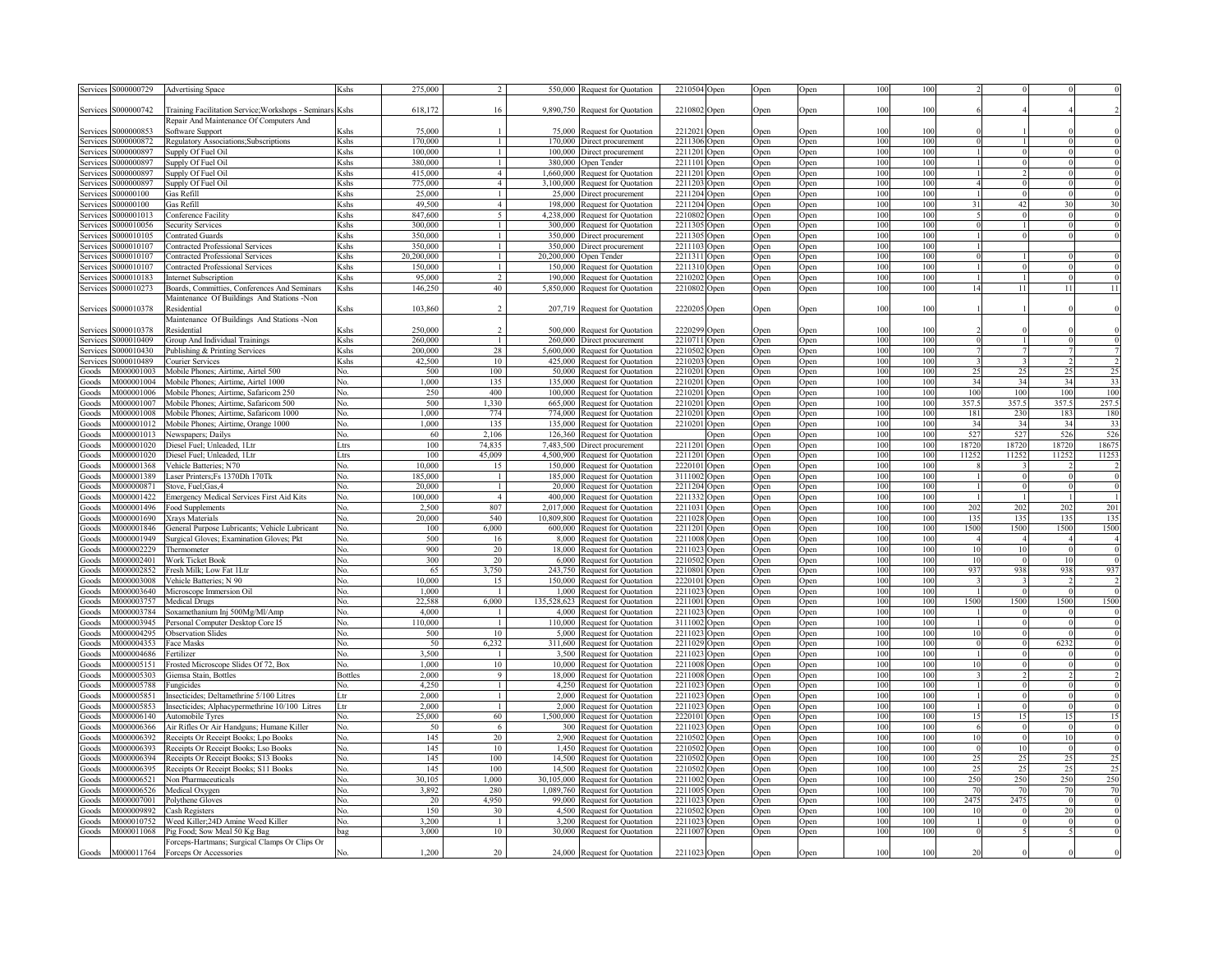| Services S000000729                    | <b>Advertising Space</b>                                          | Kshs                                                                                                                                                                                                                              | 275,000            | $2^{1}$                        |                      | 550,000 Request for Quotation                               | 2210504 Open                 | Open                       | Open         | 100        | 100        |            |                      |           |                                  |
|----------------------------------------|-------------------------------------------------------------------|-----------------------------------------------------------------------------------------------------------------------------------------------------------------------------------------------------------------------------------|--------------------|--------------------------------|----------------------|-------------------------------------------------------------|------------------------------|----------------------------|--------------|------------|------------|------------|----------------------|-----------|----------------------------------|
|                                        |                                                                   |                                                                                                                                                                                                                                   |                    |                                |                      |                                                             |                              |                            |              |            |            |            |                      |           |                                  |
| Services S000000742                    | Training Facilitation Service; Workshops - Seminars Kshs          |                                                                                                                                                                                                                                   | 618,172            | 16                             |                      | 9,890,750 Request for Quotation                             | 2210802 Open                 | Open                       | Open         | 100        | 100        |            |                      |           |                                  |
|                                        | Repair And Maintenance Of Computers And                           |                                                                                                                                                                                                                                   |                    |                                |                      |                                                             |                              |                            |              |            |            |            |                      |           |                                  |
| \$000000853<br><b>Services</b>         | Software Support                                                  | Kshs                                                                                                                                                                                                                              | 75,000             |                                |                      | 75,000 Request for Quotation                                | 2212021<br>Open              | <b>Dpen</b>                | Open         | 100        | 100        |            |                      |           |                                  |
| \$000000872<br>Services                | Regulatory Associations; Subscriptions                            | Kshs                                                                                                                                                                                                                              | 170,000            | $\mathbf{1}$                   |                      | 170,000 Direct procurement                                  | 2211306 Open                 | <b>Open</b>                | Open         | 100        | 100        |            |                      |           |                                  |
| \$000000897<br>Services                | Supply Of Fuel Oil                                                | Kshs                                                                                                                                                                                                                              | 100.000            | $\mathbf{1}$                   |                      | 100,000 Direct procurement                                  | 2211201 Open                 | <b>Dpen</b>                | Open         | 100        | 100        |            |                      |           |                                  |
| \$000000897<br>Services<br>\$000000897 | Supply Of Fuel Oil                                                | Kshs<br>Kshs                                                                                                                                                                                                                      | 380.000<br>415.000 | $\mathbf{1}$<br>$\overline{4}$ | 380.000<br>1.660.000 | Open Tender                                                 | 2211101 Open                 | <b>Jpen</b>                | Open         | 100<br>100 | 100<br>100 |            |                      |           |                                  |
| Services<br>Services<br>\$000000897    | Supply Of Fuel Oil<br>Supply Of Fuel Oil                          | Kshs                                                                                                                                                                                                                              | 775.000            | $\overline{4}$                 | 3.100.000            | equest for Quotation<br>lequest for Quotation               | 2211201 Open<br>2211203      | <b>Dpen</b>                | Open         | 100        | 100        |            |                      |           |                                  |
| \$00000100                             | as Refill                                                         | <b>K</b> shs                                                                                                                                                                                                                      | 25,000             | $\mathbf{1}$                   | 25.000               | Direct procurement                                          | Open<br>2211204 Open         | <b>Open</b><br><b>Dpen</b> | Open<br>Open | 100        | 100        |            |                      |           |                                  |
| Services<br>\$00000100<br>Services     | as Refill                                                         | Kshs                                                                                                                                                                                                                              | 49,500             | $\overline{4}$                 | 198.000              | equest for Quotation                                        | 2211204 Open                 | <b>Dpen</b>                | Open         | 100        | 100        | 31         | 42                   |           | 30                               |
| \$000001013<br>Services                | Conference Facility                                               | Kshs                                                                                                                                                                                                                              | 847.600            | 5                              | 4.238.000            | equest for Quotation                                        | 2210802<br>Open              | <b>Dpen</b>                | Open         | 100        | 100        |            |                      |           |                                  |
| \$000010056<br>Services                | Security Services                                                 | Kshs                                                                                                                                                                                                                              | 300,000            | $\mathbf{1}$                   | 300 000              | <b>Request for Quotation</b>                                | 2211305 Open                 | <b>Jpen</b>                | Open         | 100        | 100        |            |                      |           |                                  |
| 3000010105<br>Services                 | <b>Contrated Guards</b>                                           | Kshs                                                                                                                                                                                                                              | 350,000            | $\mathbf{1}$                   | 350,000              | Direct procurement                                          | 2211305<br>Open              | <b>Dpen</b>                | Open         | 100        | 100        |            |                      |           |                                  |
| \$000010107<br>Service                 | <b>Contracted Professional Services</b>                           | Kshs                                                                                                                                                                                                                              | 350,000            | $\mathbf{1}$                   | 350,000              | Direct procurement                                          | 2211103<br>Open              | )pen                       | Open         | 100        | 100        |            |                      |           |                                  |
| \$000010107<br>Service                 | <b>Contracted Professional Services</b>                           | Kshs                                                                                                                                                                                                                              | 20,200,000         | $\mathbf{1}$                   | 20,200,000           | ) pen Tender                                                | 2211311<br>Open              | )pen                       | Open         | 100        | 100        |            |                      |           |                                  |
| \$000010107<br>Service                 | Contracted Professional Services                                  | Kshs                                                                                                                                                                                                                              | 150,000            | $\mathbf{1}$                   | 150.000              | <b>Request for Quotation</b>                                | 2211310<br>Open              | )pen                       | Open         | 100        | 100        |            |                      |           |                                  |
| \$000010183<br>Service                 | <b>Internet Subscription</b>                                      | Kshs                                                                                                                                                                                                                              | 95,000             | $\overline{2}$                 | 190,000              | <b>Request for Quotation</b>                                | 2210202<br>)pen              | )pen                       | Open         | 100        | 100        |            |                      |           |                                  |
| \$000010273<br>Services                | Boards, Committies, Conferences And Seminars                      | Kshs                                                                                                                                                                                                                              | 146,250            | 40                             | 5,850,000            | Request for Quotation                                       | 2210802<br>)pen              | <b>Open</b>                | Open         | 100        | 100        | 14         |                      | 11        | 11                               |
|                                        | Maintenance Of Buildings And Stations -Non                        |                                                                                                                                                                                                                                   |                    |                                |                      |                                                             |                              |                            |              |            |            |            |                      |           |                                  |
| S000010378<br>Services                 | Residential                                                       | Kshs                                                                                                                                                                                                                              | 103,860            | 2                              |                      | 207,719 Request for Quotation                               | 2220205<br>Open              | Open                       | Open         | 100        | 100        |            |                      |           |                                  |
|                                        | Maintenance Of Buildings And Stations -Non                        |                                                                                                                                                                                                                                   |                    |                                |                      |                                                             |                              |                            |              |            |            |            |                      |           |                                  |
| \$000010378<br>Services                | Residential                                                       | <shs< td=""><td>250,000</td><td><math>\mathcal{D}</math></td><td>500,000</td><td>Request for Ouotation</td><td>2220299<br/>Open</td><td>)pen</td><td>Open</td><td>100</td><td>100</td><td></td><td></td><td></td><td></td></shs<> | 250,000            | $\mathcal{D}$                  | 500,000              | Request for Ouotation                                       | 2220299<br>Open              | )pen                       | Open         | 100        | 100        |            |                      |           |                                  |
| S000010409<br>Services                 | Group And Individual Trainings                                    | Kshs                                                                                                                                                                                                                              | 260,000            | $\mathbf{1}$                   | 260,000              | Direct procurement                                          | 2210711<br>Open              | ) <sub>pen</sub>           | Open         | 100        | 100        |            |                      |           |                                  |
| S000010430<br>Services                 | Publishing & Printing Services                                    | Kshs                                                                                                                                                                                                                              | 200.000            | 28                             |                      | 5,600,000 Request for Quotation                             | 2210502<br>Open              | <b>Dpen</b>                | Open         | 100        | 100        |            |                      |           |                                  |
| S000010489<br>Services                 | Courier Services                                                  | Kshs                                                                                                                                                                                                                              | 42,500             | 10                             |                      | 425,000 Request for Quotation                               | 2210203<br>Open              | <b>Dpen</b>                | Open         | 100        | 100        |            |                      |           |                                  |
| M000001003<br>Goods                    | Mobile Phones; Airtime, Airtel 500                                | No.                                                                                                                                                                                                                               | 500                | 100                            | 50.000               | <b>Request for Quotation</b>                                | 2210201<br>Open              | <b>Dpen</b>                | Open         | 100        | 100        | 25         | 25                   | 25        | 25                               |
| M000001004<br>Goods                    | Mobile Phones; Airtime, Airtel 1000                               | No.                                                                                                                                                                                                                               | 1,000              | 135                            | 135,000              | <b>Request for Quotation</b>                                | 2210201<br>Open              | <b>Dpen</b>                | Open         | 100        | 100        | 34         | 34                   | 34        | 33                               |
| M000001006<br>Goods                    | Mobile Phones; Airtime, Safaricom 250                             | No.                                                                                                                                                                                                                               | 250                | 400                            | 100,000              | <b>Request for Quotation</b>                                | 2210201<br>Open              | <b>D</b> pen               | Open         | 100        | 100        | 100        | 100                  | 100       | 100                              |
| M000001007<br>Goods                    | Mobile Phones: Airtime. Safaricom 500                             | No.                                                                                                                                                                                                                               | 500                | 1.330                          | 665,000              | Request for Quotation                                       | 2210201<br>Open              | <b>Dpen</b>                | Open         | 100        | 100        | 357.5      | 357.                 | 357.5     | 257.5                            |
| M000001008<br>Goods<br>M000001012      | Mobile Phones; Airtime, Safaricom 1000                            | No.<br>No.                                                                                                                                                                                                                        | 1,000<br>1,000     | 774<br>135                     | 774,000<br>135,000   | Request for Quotation                                       | 2210201<br>Open<br>2210201   | )pen                       | Open         | 100<br>100 | 100<br>100 | 181<br>34  | 230<br>$\mathcal{Z}$ | 183<br>34 | 180<br>33                        |
| Goods<br>M000001013<br>Goods           | Mobile Phones; Airtime, Orange 1000<br>Newspapers; Dailys         | No.                                                                                                                                                                                                                               | 60                 | 2,106                          | 126,360              | Request for Quotation<br><b>Request for Ouotation</b>       | ) <sub>pen</sub><br>)pen     | )pen<br>)pen               | Open<br>Open | 100        | 100        | 527        | 52'                  | 526       | 526                              |
| M000001020<br>Goods                    | Diesel Fuel; Unleaded, 1Ltr                                       | Ltrs                                                                                                                                                                                                                              | 100                | 74,835                         | 7,483,500            | Direct procurement                                          | 2211201<br>Open              | )pen                       | Open         | 100        | 100        | 18720      | 1872                 | 18720     | 18675                            |
| M000001020<br>Goods                    | Diesel Fuel; Unleaded, 1Ltr                                       | Ltrs                                                                                                                                                                                                                              | 100                | 45,009                         | 4,500,900            | Request for Quotation                                       | 2211201<br>Open              | )pen                       | Open         | 100        | 100        | 11252      | 1125                 | 1125      | 11253                            |
| M000001368<br>Goods                    | Vehicle Batteries: N70                                            | No.                                                                                                                                                                                                                               | 10,000             | 15                             | 150,000              | Request for Quotation                                       | 2220101<br>Open              | )pen                       | Open         | 100        | 100        |            |                      |           |                                  |
| Goods<br>M000001389                    | Laser Printers; Fs 1370Dh 170Tk                                   | Nο.                                                                                                                                                                                                                               | 185,000            | $\mathbf{1}$                   | 185,000              | equest for Quotation                                        | 3111002<br>) <sub>pen</sub>  | <b>Dpen</b>                | Open         | 100        | 100        |            |                      |           | $\overline{0}$                   |
| Goods<br>M000000871                    | Stove, Fuel;Gas,4                                                 | Nο.                                                                                                                                                                                                                               | 20.000             | $\mathbf{1}$                   | 20.000               | equest for Quotation                                        | 2211204<br><b>Open</b>       | <b>D</b> pen               | Open         | 100        | 100        |            |                      |           | $\overline{0}$                   |
| Goods<br>M000001422                    | <b>Emergency Medical Services First Aid Kits</b>                  | No.                                                                                                                                                                                                                               | 100.000            | $\overline{4}$                 | 400.000              | Request for Quotation                                       | 2211333<br>Open              | <b>Dpen</b>                | Open         | 100        | 100        |            |                      |           |                                  |
| Goods<br>M000001496                    | Food Supplements                                                  | No.                                                                                                                                                                                                                               | 2.500              | 807                            | 2.017.000            | Request for Quotation                                       | 2211031<br>Open              | <b>Jpen</b>                | Open         | 100        | 100        | 202        | 202                  | 202       | 201                              |
| 0921000001<br>Goods                    | Xravs Materials                                                   | No.                                                                                                                                                                                                                               | 20,000             | 540                            | 10,809,800           | Request for Quotation                                       | 2211028<br>Open              | Open                       | Open         | 100        | 100        | 135        | 135                  | 135       | 135                              |
| M000001846<br>Goods                    | General Purpose Lubricants; Vehicle Lubricant                     | No.                                                                                                                                                                                                                               | 100                | 6,000                          | 600,000              | Request for Quotation                                       | 2211201<br>Open              | Open                       | Open         | 100        | 100        | 1500       | 1500                 | 1500      | 1500                             |
| M000001949<br>Goods                    | Surgical Gloves; Examination Gloves; Pkt                          | No.                                                                                                                                                                                                                               | 500                | 16                             | 8.000                | <b>Request for Quotation</b>                                | 2211008<br>Open              | <b>Dpen</b>                | Open         | 100        | 100        |            |                      |           | $\overline{4}$                   |
| M000002229<br>Goods                    | Thermometer                                                       | No.                                                                                                                                                                                                                               | 900                | 20                             | 18,000               | Request for Quotation                                       | 2211023<br>Open              | <b>Dpen</b>                | Open         | 100        | 100        | 10         | 10                   |           | $\overline{0}$                   |
| Goods<br>M000002401                    | <b>Work Ticket Book</b>                                           | No.                                                                                                                                                                                                                               | 300                | 20                             | 6,000                | Request for Quotation                                       | 2210502<br>Open              | <b>Open</b>                | Open         | 100        | 100        | 10         |                      | 10        | $\overline{0}$                   |
| Goods<br>M000002852                    | Fresh Milk; Low Fat 1Ltr                                          | No.                                                                                                                                                                                                                               | 65                 | 3,750                          | 243,750              | <b>Request for Quotation</b>                                | 2210801<br>Open              | <b>Open</b>                | Open         | 100        | 100        | 937        | 938                  | 938       | 937                              |
| M000003008<br>Goods                    | Vehicle Batteries: N 90                                           | No.                                                                                                                                                                                                                               | 10,000             | 15                             | 150,000              | Request for Quotation                                       | 2220101<br>Open              | <b>Dpen</b>                | Open         | 100        | 100        |            |                      |           | $\overline{2}$                   |
| M000003640<br>Goods                    | Microscope Immersion Oil                                          | No.                                                                                                                                                                                                                               | 1.000              | $\mathbf{1}$                   | 1.000                | Request for Quotation                                       | 2211023<br>Open              | <b>Dpen</b>                | Open         | 100        | 100        |            |                      |           | $\overline{0}$                   |
| M000003757<br>Goods<br>M000003784      | <b>Medical Drugs</b>                                              | No.                                                                                                                                                                                                                               | 22.588<br>4,000    | 6,000                          | 135,528,623<br>4 000 | Request for Quotation                                       | 2211001<br>Open<br>2211023   | <b>Open</b>                | Open         | 100<br>100 | 100<br>100 | 1500       | 1500                 | 1500      | 1500                             |
| Goods<br>M000003945                    | Soxamethanium Inj 500Mg/Ml/Amp                                    | No.                                                                                                                                                                                                                               | 110,000            | $\mathbf{1}$<br>$\overline{1}$ | 110 000              | Request for Quotation                                       | Open<br>3111002              | )pen                       | Open         | 100        | 100        |            |                      |           | $\bf{0}$                         |
| Goods<br>M000004295<br>Goods           | Personal Computer Desktop Core I5<br><b>Observation Slides</b>    | No.<br>No.                                                                                                                                                                                                                        | 500                | 10                             | 5.000                | Request for Quotation<br>Request for Quotation              | Open<br>2211023<br>Open      | ) <sub>pen</sub><br>)pen   | Open<br>Open | 100        | 100        | 10         |                      |           | $\overline{0}$<br>$\overline{0}$ |
| M000004353<br>Goods                    | Face Masks                                                        | No.                                                                                                                                                                                                                               | 50                 | 6,232                          | 311.600              | Request for Quotation                                       | 2211029<br>Open              | <b>Dpen</b>                | Open         | 100        | 100        | $^{\circ}$ | $\Omega$             | 6232      | $\overline{0}$                   |
| M000004686<br>Goods                    | Fertilizer                                                        | No.                                                                                                                                                                                                                               | 3.500              | -1                             | 3.500                | Request for Quotation                                       | 2211023 Open                 | Open                       | Open         | 100        | 100        |            | $\Omega$             |           | $\overline{0}$                   |
| Goods<br>M000005151                    | Frosted Microscope Slides Of 72, Box                              | No.                                                                                                                                                                                                                               | 1.000              | 10                             | 10,000               | Request for Quotation                                       | 2211008 Open                 | Open                       | Open         | 100        | 100        | 10         | $\Omega$             |           | $\overline{0}$                   |
| Goods<br>M000005303                    | Giemsa Stain, Bottles                                             | <b>Bottles</b>                                                                                                                                                                                                                    | 2.000              | 9                              |                      | 18,000 Request for Quotation                                | 2211008 Open                 | Open                       | Open         | 100        | 100        |            |                      |           | $\overline{\phantom{a}}$         |
| M000005788<br>Goods                    | Fungicides                                                        | No.                                                                                                                                                                                                                               | 4,250              | $\mathbf{1}$                   |                      | 4,250 Request for Quotation                                 | 2211023 Open                 | Open                       | Open         | 100        | 100        |            |                      |           | $\theta$                         |
| Goods<br>M000005851                    | Insecticides; Deltamethrine 5/100 Litres                          | Ltr                                                                                                                                                                                                                               | 2,000              | $\mathbf{1}$                   | 2,000                | Request for Quotation                                       | 2211023 Open                 | Open                       | Open         | 100        | 100        |            |                      |           | $\overline{0}$                   |
| Goods<br>M000005853                    | Insecticides; Alphacypermethrine 10/100 Litres                    | Ltr                                                                                                                                                                                                                               | 2,000              | $\mathbf{1}$                   | 2.000                | Request for Quotation                                       | 2211023 Open                 | Open                       | Open         | 100        | 100        |            |                      |           | $\Omega$                         |
| M000006140<br>Goods                    | Automobile Tyres                                                  | No.                                                                                                                                                                                                                               | 25,000             | 60                             |                      | 1,500,000 Request for Quotation                             | 2220101 Open                 | Open                       | Open         | 100        | 100        | 15         | 15                   | 15        | 15                               |
| M000006366<br>Goods                    | Air Rifles Or Air Handguns; Humane Killer                         | No.                                                                                                                                                                                                                               | 50                 | 6                              |                      | 300 Request for Quotation                                   | 2211023 Open                 | Open                       | Open         | 100        | 100        | 6          | $\Omega$             |           | $\overline{0}$                   |
| M000006392<br>Goods                    | Receipts Or Receipt Books; Lpo Books                              | No.                                                                                                                                                                                                                               | 145                | 20                             |                      | 2,900 Request for Quotation                                 | 2210502 Open                 | Open                       | Open         | 100        | 100        | 10         | $\Omega$             | 10        | $\overline{0}$                   |
| M000006393<br>Goods                    | Receipts Or Receipt Books; Lso Books                              | No.                                                                                                                                                                                                                               | 145                | 10                             |                      | 1,450 Request for Quotation                                 | 2210502 Open                 | Open                       | Open         | 100        | 100        |            | 10                   |           | $\Omega$                         |
| M000006394<br>Goods                    | Receipts Or Receipt Books; S13 Books                              | No.                                                                                                                                                                                                                               | 145                | 100                            |                      | 14,500 Request for Quotation                                | 2210502 Open                 | Open                       | Open         | 100        | 100        | 25         | 25                   | 25        | 25                               |
| M000006395<br>Goods                    | Receipts Or Receipt Books; S11 Books                              | No.                                                                                                                                                                                                                               | 145                | 100                            | 14,500               | equest for Quotation                                        | 2210502 Open                 | <b>Dpen</b>                | Open         | 100        | 100        | 25         | 25                   | 25        | 25                               |
| Goods<br>M000006521                    | Non Pharmaceuticals                                               | No.                                                                                                                                                                                                                               | 30.105             | 1.000                          | 30.105.000           | equest for Quotation                                        | 2211002 Open                 | <b>Dpen</b>                | Open         | 100        | 100        | 250        | 250                  | 250       | 250                              |
| M000006526<br>Goods                    | Medical Oxygen                                                    | Nο.                                                                                                                                                                                                                               | 3.892              | 280                            | 1.089.760            | equest for Quotation                                        | 2211005 Open                 | <b>Dpen</b>                | Open         | 100        | 100        | 70         | 70                   |           | 70                               |
| M000007001<br>Goods                    | Polythene Gloves                                                  | Nο.                                                                                                                                                                                                                               | 20                 | 4.950                          | 99.000               | <b>Request for Quotation</b>                                | 2211023 Open                 | Open                       | Open         | 100        | 100        | 2475       | 2475                 |           |                                  |
| M000009892<br>Goods<br>M000010752      | Cash Registers                                                    | Nο                                                                                                                                                                                                                                | 150<br>3,200       | 30<br>$\mathbf{1}$             | 4.500                | lequest for Quotation                                       | 2210502 Open<br>2211023 Open | Open                       | Open         | 100<br>100 | 100<br>100 | 10         |                      |           |                                  |
| Goods<br>Goods<br>M000011068           | Weed Killer;24D Amine Weed Killer<br>Pig Food; Sow Meal 50 Kg Bag | bag                                                                                                                                                                                                                               | 3,000              | 10                             |                      | 3,200 Request for Quotation<br>30,000 Request for Quotation | 2211007 Open                 | Open<br>Open               | Open<br>Open | 100        | 100        |            |                      |           |                                  |
|                                        | Forceps-Hartmans; Surgical Clamps Or Clips Or                     |                                                                                                                                                                                                                                   |                    |                                |                      |                                                             |                              |                            |              |            |            |            |                      |           |                                  |
| Goods                                  | M000011764 Forceps Or Accessories                                 | Nο                                                                                                                                                                                                                                | 1,200              | 20                             |                      | 24,000 Request for Quotation                                | 2211023 Open                 | Open                       | Open         | 100        | 100        | 20         |                      |           |                                  |
|                                        |                                                                   |                                                                                                                                                                                                                                   |                    |                                |                      |                                                             |                              |                            |              |            |            |            |                      |           |                                  |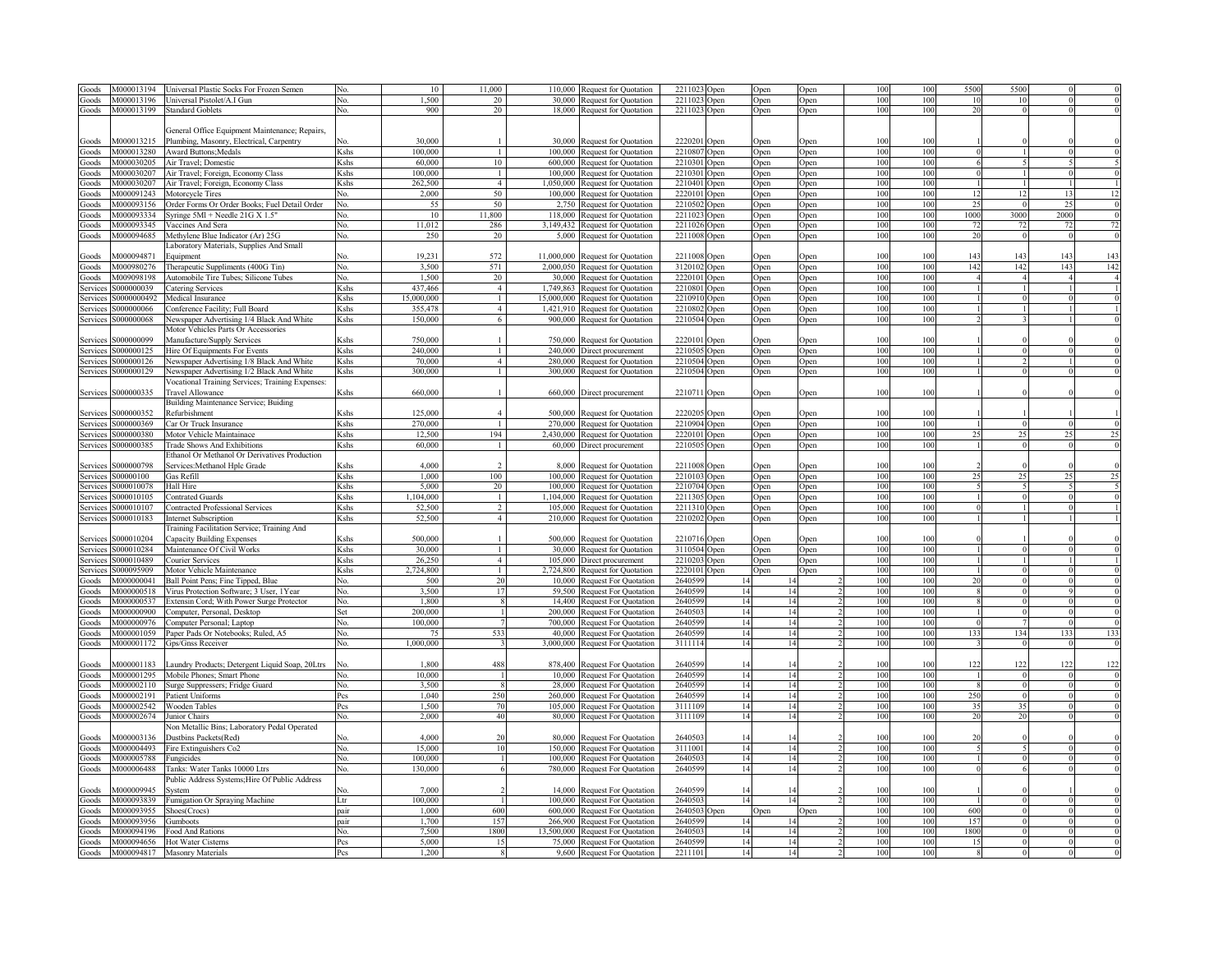| Goods    | M000013194               | Jniversal Plastic Socks For Frozen Semen              | N٥                                                                                                                                                                                                                                                            | 10             | 11 000                 | 110 000    | Request for Quotation            | 2211023          | Open             | Open     | Open | 100        | 100        | 5500       | 550  |      |                                                                                                                                                      |
|----------|--------------------------|-------------------------------------------------------|---------------------------------------------------------------------------------------------------------------------------------------------------------------------------------------------------------------------------------------------------------------|----------------|------------------------|------------|----------------------------------|------------------|------------------|----------|------|------------|------------|------------|------|------|------------------------------------------------------------------------------------------------------------------------------------------------------|
| Goods    | M000013196               | Jniversal Pistolet/A.I Gun                            | No.                                                                                                                                                                                                                                                           | 1.500          | 20                     | 30,000     | Request for Quotation            | 2211023          | <b>Open</b>      | Open     | Open | 100        | 100        | 10         |      |      |                                                                                                                                                      |
| Goods    | M000013199               | <b>Standard Goblets</b>                               | No.                                                                                                                                                                                                                                                           | 900            | 20                     | 18,000     | Request for Quotation            | 2211023          | <b>Open</b>      | Open     | Open | 100        | 100        | 20         |      |      |                                                                                                                                                      |
|          |                          |                                                       |                                                                                                                                                                                                                                                               |                |                        |            |                                  |                  |                  |          |      |            |            |            |      |      |                                                                                                                                                      |
|          |                          | General Office Equipment Maintenance; Repairs,        |                                                                                                                                                                                                                                                               |                |                        |            |                                  |                  |                  |          |      |            |            |            |      |      |                                                                                                                                                      |
| Goods    | M000013215               | Plumbing, Masonry, Electrical, Carpentry              |                                                                                                                                                                                                                                                               | 30,000         |                        | 30,000     | <b>Request for Quotation</b>     | 2220201          | <b>Dpen</b>      | Open     | Open | 100        | 100        |            |      |      |                                                                                                                                                      |
| Goods    | M000013280               | <b>Award Buttons; Medals</b>                          | Kshs                                                                                                                                                                                                                                                          | 100,000        | $\overline{1}$         |            | 100,000 Request for Quotation    | 2210807          | <b>Open</b>      | Open     | Open | 100        | 100        |            |      |      | $\Omega$                                                                                                                                             |
| Goods    | M000030205               | Air Travel; Domestic                                  | Kshs                                                                                                                                                                                                                                                          | 60,000         | 10                     |            | 600,000 Request for Quotation    | 2210301          | <b>Open</b>      | Open     | Open | 100        | 100        |            |      |      |                                                                                                                                                      |
| Goods    | M000030207               | Air Travel; Foreign, Economy Class                    | Kshs                                                                                                                                                                                                                                                          | 100.000        | $\overline{1}$         |            | 100,000 Request for Quotation    | 2210301          | <b>Open</b>      | Open     | Open | 100        | 100        | $^{\circ}$ |      |      | $\Omega$                                                                                                                                             |
| Goods    | M000030207               | Air Travel; Foreign, Economy Class                    | Kshs                                                                                                                                                                                                                                                          | 262.500        | $\overline{4}$         | 1,050,000  | Request for Quotation            | 2210401          | <b>Open</b>      | Open     | Open | 100        | 100        |            |      |      |                                                                                                                                                      |
| Goods    | M000091243               | Motorcycle Tires                                      | No.                                                                                                                                                                                                                                                           | 2,000          | 50                     | 100,000    | Request for Quotation            | 2220101          | <b>Open</b>      | Open     | Open | 100        | 100        | 12         |      |      | 12                                                                                                                                                   |
|          | M000093156               |                                                       |                                                                                                                                                                                                                                                               | 55             | 50                     | 2,750      |                                  | 2210502          |                  |          |      | 100        | 100        | 25         |      | 25   | $\Omega$                                                                                                                                             |
| Goods    |                          | Order Forms Or Order Books; Fuel Detail Order         | No.                                                                                                                                                                                                                                                           |                |                        |            | Request for Quotation            |                  | )pen             | Open     | Open |            |            | 1000       |      | 2000 | $\theta$                                                                                                                                             |
| Goods    | M000093334               | Syringe 5Ml + Needle 21G X 1.5"                       | No.                                                                                                                                                                                                                                                           | 10             | 11,800                 | 118,000    | Request for Quotation            | 2211023          | )pen             | Open     | Open | 100        | 100        |            | 3000 |      |                                                                                                                                                      |
| Goods    | M000093345               | Vaccines And Sera                                     | No.                                                                                                                                                                                                                                                           | 11,012         | 286                    | 3,149,432  | Request for Quotation            | 2211026          | <b>Open</b>      | Open     | Open | 100        | 100        | 72         |      |      | 72                                                                                                                                                   |
| Goods    | M000094685               | Methylene Blue Indicator (Ar) 25G                     | No.                                                                                                                                                                                                                                                           | 250            | 20                     |            | 5,000 Request for Quotation      | 2211008          | <b>Open</b>      | Open     | Open | 100        | 100        | 20         |      |      |                                                                                                                                                      |
|          |                          | aboratory Materials, Supplies And Small               |                                                                                                                                                                                                                                                               |                |                        |            |                                  |                  |                  |          |      |            |            |            |      |      |                                                                                                                                                      |
| Goods    | V1000094871              | duipment                                              |                                                                                                                                                                                                                                                               | 19,231         | 572                    |            | 11,000,000 Request for Quotation | 2211008          | <b>Dpen</b>      | Open     | Open | 100        | 100        | 143        | 14.  | 14.  | 143                                                                                                                                                  |
| Goods    | M000980276               | Therapeutic Suppliments (400G Tin)                    | No.                                                                                                                                                                                                                                                           | 3.500          | 571                    | 2,000,050  | Request for Quotation            | 3120102          | <b>Open</b>      | Open     | Open | 100        | 100        | 142        | 142  | 143  | 142                                                                                                                                                  |
| Goods    | M009098198               | Automobile Tire Tubes; Silicone Tubes                 | No.                                                                                                                                                                                                                                                           | 1.500          | 20                     | 30,000     | <b>Request for Quotation</b>     | 222010           | ) <sub>pen</sub> | Open     | Open | 100        | 100        |            |      |      |                                                                                                                                                      |
| Service: | \$000000039              | Catering Services                                     | Kshs                                                                                                                                                                                                                                                          | 437,466        | $\overline{4}$         | 1.749.863  | Request for Quotation            | 221080           | ) <sub>pen</sub> | Open     | Open | 100        | 100        |            |      |      |                                                                                                                                                      |
| Services | S0000000492              | Medical Insurance                                     | <shs< td=""><td>15,000,000</td><td><math>\mathbf{1}</math></td><td>15,000,000</td><td>Request for Quotation</td><td>2210910</td><td>)pen</td><td>Open</td><td>Open</td><td>100</td><td>100</td><td></td><td></td><td></td><td><math>\theta</math></td></shs<> | 15,000,000     | $\mathbf{1}$           | 15,000,000 | Request for Quotation            | 2210910          | )pen             | Open     | Open | 100        | 100        |            |      |      | $\theta$                                                                                                                                             |
| Services | S000000066               | Conference Facility; Full Board                       | Kshs                                                                                                                                                                                                                                                          | 355,478        | $\overline{4}$         | 1.421.910  | <b>Request for Quotation</b>     | 2210802          | )pen             | Open     | Open | 100        | 100        |            |      |      |                                                                                                                                                      |
| Services | \$000000068              | Newspaper Advertising 1/4 Black And White             | Kshs                                                                                                                                                                                                                                                          | 150,000        | 6                      |            | 900,000 Request for Quotation    | 2210504          | )pen             | Open     | Open | 100        | 100        |            |      |      |                                                                                                                                                      |
|          |                          | Motor Vehicles Parts Or Accessories                   |                                                                                                                                                                                                                                                               |                |                        |            |                                  |                  |                  |          |      |            |            |            |      |      |                                                                                                                                                      |
| Service: | 5000000099               | Manufacture/Supply Services                           | <shs< td=""><td>750,000</td><td></td><td>750.000</td><td>Request for Quotation</td><td>222010</td><td>)pen</td><td>Open</td><td>Open</td><td>100</td><td>100</td><td></td><td></td><td></td><td></td></shs<>                                                  | 750,000        |                        | 750.000    | Request for Quotation            | 222010           | )pen             | Open     | Open | 100        | 100        |            |      |      |                                                                                                                                                      |
| Services | \$000000125              | Hire Of Equipments For Events                         | Kshs                                                                                                                                                                                                                                                          | 240,000        | $\mathbf{1}$           | 240.000    | Direct procurement               | 221050:          | )pen             | Open     | Open | 100        | 100        |            |      |      | $\theta$                                                                                                                                             |
| Services | S000000126               | Newspaper Advertising 1/8 Black And White             | Kshs                                                                                                                                                                                                                                                          | 70,000         | $\overline{4}$         | 280.000    | Request for Quotation            | 2210504          | )pen             | Open     | Open | 100        | 100        |            |      |      | $\overline{0}$                                                                                                                                       |
| Services | S000000129               | Newspaper Advertising 1/2 Black And White             | Kshs                                                                                                                                                                                                                                                          | 300,000        | $\mathbf{1}$           | 300,000    | Request for Quotation            | 2210504          |                  |          | Open | 100        | 100        |            |      |      |                                                                                                                                                      |
|          |                          | Vocational Training Services; Training Expenses:      |                                                                                                                                                                                                                                                               |                |                        |            |                                  |                  | Open             | Open     |      |            |            |            |      |      |                                                                                                                                                      |
|          | S000000335               | <b>Travel Allowance</b>                               |                                                                                                                                                                                                                                                               | 660,000        |                        |            |                                  |                  |                  |          |      | 100        | 100        |            |      |      |                                                                                                                                                      |
| Services |                          |                                                       | Kshs                                                                                                                                                                                                                                                          |                |                        |            | 660,000 Direct procurement       | 2210711 Open     |                  | Open     | Open |            |            |            |      |      |                                                                                                                                                      |
|          |                          | Building Maintenance Service; Buiding                 |                                                                                                                                                                                                                                                               |                |                        |            |                                  |                  |                  |          |      |            |            |            |      |      |                                                                                                                                                      |
| Services | \$000000352              | Refurbishment                                         | <b>K</b> shs                                                                                                                                                                                                                                                  | 125,000        | $\overline{4}$         | 500,000    | Request for Quotation            | 2220205          | Open             | Open     | Open | 100        | 100        |            |      |      |                                                                                                                                                      |
| Services | S000000369               | Car Or Truck Insurance                                | Kshs                                                                                                                                                                                                                                                          | 270,000        | $\mathbf{1}$           | 270,000    | Request for Quotation            | 2210904          | <b>Open</b>      | Open     | Open | 100        | 100        |            |      |      | $\overline{0}$                                                                                                                                       |
| Services | S000000380               | Motor Vehicle Maintainace                             | <b>K</b> shs                                                                                                                                                                                                                                                  | 12,500         | 194                    | 2,430,000  | Request for Quotation            | 2220101          | <b>Open</b>      | )pen     | Open | 100        | 100        | 25         |      |      | 25                                                                                                                                                   |
| Services | S000000385               | <b>Trade Shows And Exhibitions</b>                    | Kshs                                                                                                                                                                                                                                                          | 60,000         | -1                     | 60,000     | Direct procurement               | 221050:          | <b>Open</b>      | Open     | Open | 100        | 100        |            |      |      | $\overline{0}$                                                                                                                                       |
|          |                          | Ethanol Or Methanol Or Derivatives Production         |                                                                                                                                                                                                                                                               |                |                        |            |                                  |                  |                  |          |      |            |            |            |      |      |                                                                                                                                                      |
| Service: | S000000798               | Services: Methanol Hplc Grade                         | K shs                                                                                                                                                                                                                                                         | 4,000          | $\mathcal{D}$          | 8,000      | Request for Quotation            | 2211008          | Open             |          | Open | 100        | 100        |            |      |      |                                                                                                                                                      |
|          |                          |                                                       |                                                                                                                                                                                                                                                               |                |                        |            |                                  |                  |                  | Open     |      |            |            |            |      |      |                                                                                                                                                      |
| Services | S00000100                | Gas Refill                                            | Kshs                                                                                                                                                                                                                                                          | 1,000          | 100                    | 100,000    | Request for Quotation            | 2210103          | <b>Open</b>      | Open     | Open | 100        | 100        | 25         |      |      |                                                                                                                                                      |
| Services | \$000010078              | Hall Hire                                             | Kshs                                                                                                                                                                                                                                                          | 5,000          | 20                     | 100 000    |                                  | 2210704          |                  |          |      | 100        | 100        |            |      |      |                                                                                                                                                      |
|          | \$000010105              |                                                       |                                                                                                                                                                                                                                                               | 1.104,000      | $\overline{1}$         | 1 104 000  | Request for Quotation            | 2211305          | <b>Open</b>      | Open     | Open | 100        | 100        |            |      |      |                                                                                                                                                      |
| Services | \$000010107              | Contrated Guards                                      | Kshs                                                                                                                                                                                                                                                          | 52,500         |                        | 105.000    | Request for Quotation            |                  | <b>Open</b>      | Open     | Open | 100        | 100        |            |      |      |                                                                                                                                                      |
| Services |                          | Contracted Professional Services                      | Kshs                                                                                                                                                                                                                                                          |                | 2<br>$\overline{4}$    |            | Request for Quotation            | 2211310          | <b>Open</b>      | Open     | Open | 100        |            |            |      |      |                                                                                                                                                      |
| Services | S000010183               | <b>Internet Subscription</b>                          | Kshs                                                                                                                                                                                                                                                          | 52,500         |                        | 210,000    | Request for Quotation            | 2210202          | Open             | Open     | Open |            | 100        |            |      |      |                                                                                                                                                      |
|          |                          | <b>Training Facilitation Service; Training And</b>    |                                                                                                                                                                                                                                                               |                |                        |            |                                  |                  |                  |          |      |            |            |            |      |      |                                                                                                                                                      |
| Services | \$000010204              | Capacity Building Expenses                            | Kshs                                                                                                                                                                                                                                                          | 500,000        |                        | 500,000    | Request for Quotation            | 2210716          | Open             | Open     | Open | 100        | 100        |            |      |      |                                                                                                                                                      |
| Services | S000010284               | Maintenance Of Civil Works                            | Kshs                                                                                                                                                                                                                                                          | 30,000         | $\overline{1}$         |            | 30,000 Request for Quotation     | 3110504 Open     |                  | Open     | Open | 100        | 100        |            |      |      |                                                                                                                                                      |
| Services | S000010489               | Courier Services                                      | Kshs                                                                                                                                                                                                                                                          | 26,250         | $\overline{4}$         |            | 105,000 Direct procurement       | 2210203 Open     |                  | Open     | Open | 100        | 100        |            |      |      |                                                                                                                                                      |
| Services | S000095909               | Motor Vehicle Maintenance                             | Kshs                                                                                                                                                                                                                                                          | 2,724,800      | $\overline{1}$         | 2,724,800  | Request for Quotation            | 2220101 Open     |                  | Open     | Open | 100        | 100        |            |      |      |                                                                                                                                                      |
| Goods    | M000000041               | Ball Point Pens; Fine Tipped, Blue                    | No.                                                                                                                                                                                                                                                           | 500            | 20                     |            | 10,000 Request For Quotation     | 2640599          | 14               |          |      | 100        | 100        | 20         |      |      |                                                                                                                                                      |
| Goods    | M000000518               | Virus Protection Software; 3 User, 1Year              | No.                                                                                                                                                                                                                                                           | 3.500          | 17                     | 59,500     | <b>Request For Quotation</b>     | 2640599          | 14               | 14       |      | 100        | 100        |            |      |      |                                                                                                                                                      |
| Goods    | M000000537               | Extensin Cord; With Power Surge Protector             | No.                                                                                                                                                                                                                                                           | 1.800          | $\mathbf{\mathcal{R}}$ |            | 14,400 Request For Quotation     | 2640599          | 14               | 14       |      | 100        | 100        |            |      |      |                                                                                                                                                      |
| Goods    | M000000900               | Computer, Personal, Desktop                           | Set                                                                                                                                                                                                                                                           | 200,000        |                        |            | 200,000 Request For Quotation    | 2640503          | 14               | 14       |      | 100        | 100        |            |      |      |                                                                                                                                                      |
| Goods    | M000000976               | Computer Personal; Laptop                             | No.                                                                                                                                                                                                                                                           | 100,000        |                        |            | 700,000 Request For Quotation    | 2640599          | 14               | 14       |      | 100        | 100        |            |      |      |                                                                                                                                                      |
| Goods    | M000001059               | Paper Pads Or Notebooks; Ruled, A5                    | No.                                                                                                                                                                                                                                                           | 75             | 533                    |            | 40,000 Request For Quotation     | 2640599          | 14               | 14       |      | 100        | 100        | 133        | 134  | 133  |                                                                                                                                                      |
| Goods    | M000001172               | Gps/Gnss Receiver                                     | No.                                                                                                                                                                                                                                                           | 1,000,000      |                        |            | 3,000,000 Request For Quotation  | 311111           | 14               | 14       |      | 100        | 100        |            |      |      |                                                                                                                                                      |
|          |                          |                                                       |                                                                                                                                                                                                                                                               |                |                        |            |                                  |                  |                  |          |      |            |            |            |      |      |                                                                                                                                                      |
| Goods    | 4000001183               | aundry Products; Detergent Liquid Soap, 20Ltrs        | No.                                                                                                                                                                                                                                                           | 1.800          | 488                    | 878,400    | <b>Request For Quotation</b>     | 2640599          |                  |          |      | 100        | 100        | 122        | 122  |      |                                                                                                                                                      |
| Goods    | M000001295               | Mobile Phones; Smart Phone                            | No.                                                                                                                                                                                                                                                           | 10,000         |                        |            | 10,000 Request For Quotation     | 2640599          | 14               | 14       |      | 100        | 100        |            |      |      |                                                                                                                                                      |
| Goods    | V000002110               | Surge Suppressers; Fridge Guard                       | No.                                                                                                                                                                                                                                                           | 3.500          |                        | 28.000     | <b>Request For Quotation</b>     | 264059           | 14               | 14       |      | 100        | 100        |            |      |      |                                                                                                                                                      |
|          | M000002191               |                                                       | Pcs                                                                                                                                                                                                                                                           |                |                        | 260,000    |                                  |                  | 14               | 14       |      | 100        | 100        | 250        |      |      |                                                                                                                                                      |
| Goods    | M000002542               | Patient Uniforms                                      | Pes                                                                                                                                                                                                                                                           | 1,040<br>1,500 | 250<br>70              | 105.000    | Request For Quotation            | 264059<br>311110 | 14               | 14       |      | 100        | 100        | 35         | 35   |      |                                                                                                                                                      |
| Goods    |                          | Wooden Tables                                         |                                                                                                                                                                                                                                                               |                |                        |            | <b>Request For Quotation</b>     |                  |                  |          |      |            |            |            |      |      |                                                                                                                                                      |
| Goods    | M000002674               | <b>Junior Chairs</b>                                  | No.                                                                                                                                                                                                                                                           | 2,000          | 40                     |            | 80,000 Request For Quotation     | 311110           | 14               |          |      | 100        | 100        | 20         |      |      | 25<br>$\theta$<br>$\overline{0}$<br>-1<br>$\overline{0}$<br>$\overline{0}$<br>$\theta$<br>$\overline{0}$<br>$\overline{0}$<br>$\theta$<br>133<br>122 |
|          |                          | Von Metallic Bins; Laboratory Pedal Operated          |                                                                                                                                                                                                                                                               |                |                        |            |                                  |                  |                  |          |      |            |            |            |      |      |                                                                                                                                                      |
| Goods    | 4000003136               | Dustbins Packets(Red)                                 | Nο                                                                                                                                                                                                                                                            | 4.000          | 20                     | 80.000     | <b>Request For Quotation</b>     | 264050           |                  |          |      | 100        | 100        | 20         |      |      |                                                                                                                                                      |
| Goods    | M000004493               | Fire Extinguishers Co2                                | No.                                                                                                                                                                                                                                                           | 15,000         | 10                     |            | 150,000 Request For Quotation    | 311100           | 14               | 14       |      | 100        | 100        |            |      |      |                                                                                                                                                      |
| Goods    | M000005788               | ungicides                                             | N٥                                                                                                                                                                                                                                                            | 100.000        |                        |            | 100,000 Request For Quotation    | 264050           | 14               | 14       |      | 100        | 100        |            |      |      |                                                                                                                                                      |
| Goods    | M000006488               | <b>Tanks: Water Tanks 10000 Ltrs</b>                  | N٥                                                                                                                                                                                                                                                            | 130,000        |                        |            | 780,000 Request For Quotation    | 264059           | 14               | 14       |      | 100        | 100        |            |      |      |                                                                                                                                                      |
|          |                          | Public Address Systems; Hire Of Public Address        |                                                                                                                                                                                                                                                               |                |                        |            |                                  |                  |                  |          |      |            |            |            |      |      |                                                                                                                                                      |
| Goods    | M000009945               | švstem                                                |                                                                                                                                                                                                                                                               | 7,000          |                        |            | 14,000 Request For Quotation     | 2640599          |                  |          |      | 100        | 100        |            |      |      |                                                                                                                                                      |
| Goods    | M000093839               | umigation Or Spraying Machine                         | Ltr                                                                                                                                                                                                                                                           | 100,000        |                        | 100,000    | <b>Request For Quotation</b>     | 264050           | 14               |          |      | 100        | 100        |            |      |      |                                                                                                                                                      |
| Goods    | M000093955               | Shoes(Crocs)                                          | pair                                                                                                                                                                                                                                                          | 1,000          | 600                    | 600,000    | <b>Request For Quotation</b>     | 2640503          | )pen             | Open     | Open | 100        | 100        | 600        |      |      |                                                                                                                                                      |
| Goods    | V1000093956              | iumboots                                              | nair                                                                                                                                                                                                                                                          | 1.700          | 15'                    | 266,900    | Request For Quotation            | 264059           | 14               |          |      | 100        | 100        | 157        |      |      |                                                                                                                                                      |
| Goods    | V000094196               | ood And Rations                                       | Nο.                                                                                                                                                                                                                                                           | 7,500          | 1800                   | 13,500,000 | <b>Request For Quotation</b>     | 264050           | 14               | 14       |      | 100        | 100        | 1800       |      |      |                                                                                                                                                      |
| Goods    | M000094656<br>M000094817 | <b>Hot Water Cisterns</b><br><b>Masonry Materials</b> | Pes                                                                                                                                                                                                                                                           | 5,000<br>1.200 | 15                     |            | 75,000 Request For Quotation     | 264059<br>221110 | 14<br>14         | 14<br>14 |      | 100<br>100 | 100<br>100 | 15         |      |      |                                                                                                                                                      |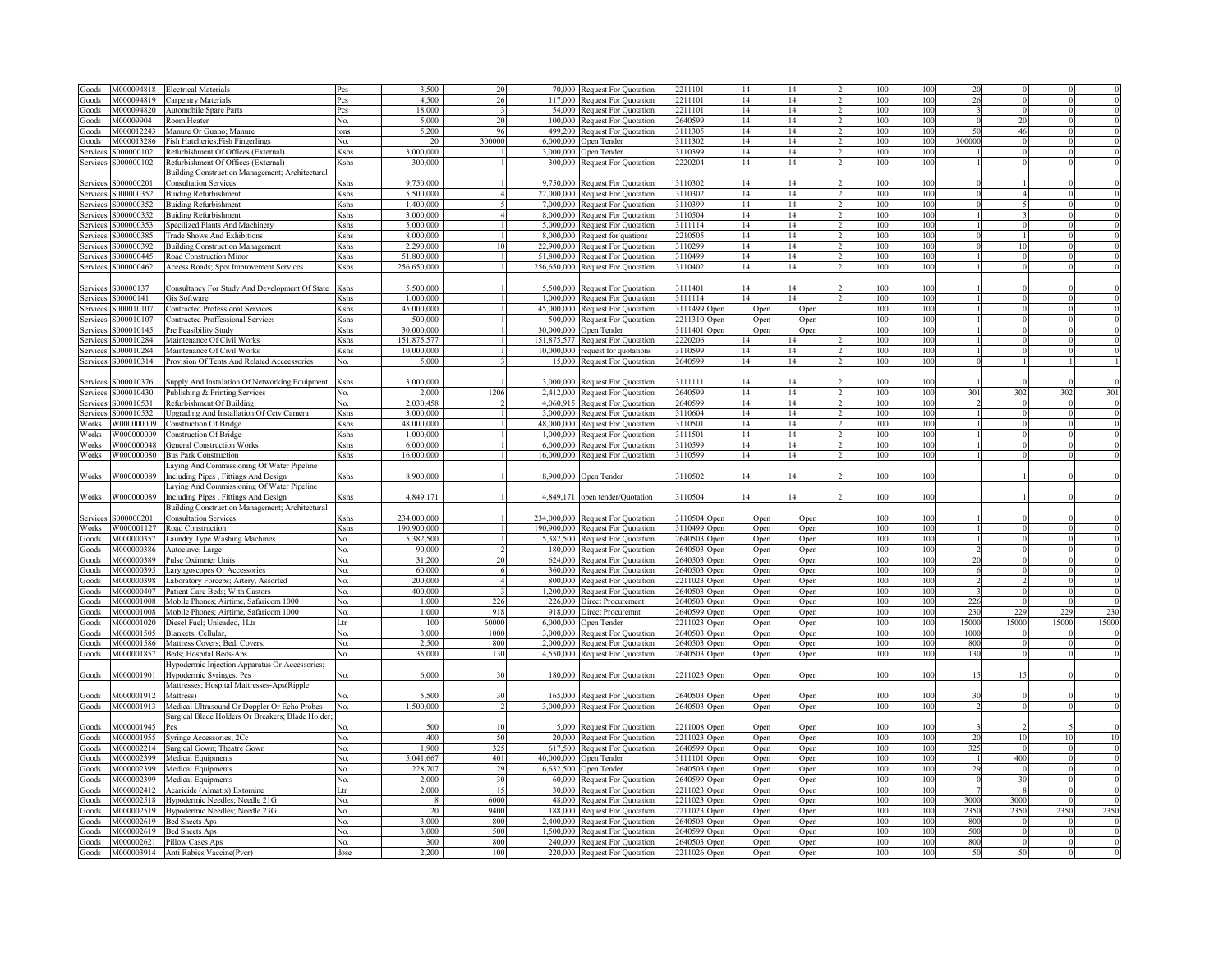| ioods        | 0000094818        | <b>Electrical Materials</b>                      |                                                                                                                                                                                                                  | 3.500              | 20           | 70,000      | <b>Request For Quotation</b>      | 221110<br>14    | 14   |      | 100 | 100 | $\gamma$                 |                |       |       |
|--------------|-------------------|--------------------------------------------------|------------------------------------------------------------------------------------------------------------------------------------------------------------------------------------------------------------------|--------------------|--------------|-------------|-----------------------------------|-----------------|------|------|-----|-----|--------------------------|----------------|-------|-------|
| ioods        | 0000094819        | Carpentry Materials                              | Pes                                                                                                                                                                                                              | 4.500              | 26           | 117,000     | <b>Request For Quotation</b>      | 2211101<br>14   | 14   |      | 100 | 100 | 26                       | $\Omega$       |       |       |
| ioods        | M000094820        | <b>Automobile Spare Parts</b>                    | Pcs                                                                                                                                                                                                              | 18,000             |              |             | 54,000 Request For Quotation      | 2211101<br>14   | 14   |      | 100 | 100 |                          | $\Omega$       |       |       |
|              |                   |                                                  |                                                                                                                                                                                                                  |                    |              |             |                                   |                 |      |      |     |     |                          |                |       |       |
| ioods        | M00009904         | <b>Room Heater</b>                               | No.                                                                                                                                                                                                              | 5.000              | 20           | 100,000     | <b>Request For Quotation</b>      | 264059<br>14    | 14   |      | 100 | 100 |                          | 20             |       |       |
| ioods        | 4000012243        | Manure Or Guano; Manure                          | tons                                                                                                                                                                                                             | 5,200              | 96           | 499,200     | Request For Quotation             | 311130<br>14    | 14   |      | 100 | 100 | $\overline{\mathcal{L}}$ | 46             |       |       |
| ioods        | V1000013286       | ish Hatcheries; Fish Fingerlings                 | Ñο.                                                                                                                                                                                                              | 20                 | 300000       | 6,000,000   | Open Tender                       | 311130<br>14    | 14   |      | 100 | 100 | 300000                   | $\Omega$       |       |       |
| Service      | 000000102         | Refurbishment Of Offices (External)              | Kshs                                                                                                                                                                                                             | 3.000.000          |              | 3,000,000   | Open Tender                       | 3110399<br>14   | 14   |      | 100 | 100 |                          | $\Omega$       |       |       |
| Services     | S000000102        | Refurbishment Of Offices (External)              | Kshs                                                                                                                                                                                                             | 300,000            |              |             | 300,000 Request For Quotation     | 2220204<br>14   | 14   |      | 100 | 100 |                          | $\Omega$       |       |       |
|              |                   | Building Construction Management; Architectural  |                                                                                                                                                                                                                  |                    |              |             |                                   |                 |      |      |     |     |                          |                |       |       |
| Services     | 6000000201        | Consultation Services                            | Kshs                                                                                                                                                                                                             | 9,750,000          |              |             | 9,750,000 Request For Quotation   | 3110302<br>14   | 14   |      | 100 | 100 |                          |                |       |       |
| Service:     | \$000000352       | <b>Buiding Refurbishment</b>                     | Kshs                                                                                                                                                                                                             | 5.500.000          |              |             | 22,000,000 Request For Quotation  | 14<br>3110302   | 14   |      | 100 | 100 |                          |                |       |       |
| Service:     | \$000000352       | <b>Buiding Refurbishment</b>                     | Kshs                                                                                                                                                                                                             | 1,400,000          |              |             | 7,000,000 Request For Quotation   | 14<br>3110399   | 14   |      | 100 | 100 |                          |                |       |       |
| Service:     | S000000352        | <b>Buiding Refurbishment</b>                     | Kshs                                                                                                                                                                                                             | 3,000,000          |              |             | 8,000,000 Request For Quotation   | 14<br>3110504   | 14   |      | 100 | 100 |                          | $\mathbf{3}$   |       |       |
| Service      | S000000353        | Specilized Plants And Machinery                  | Kshs                                                                                                                                                                                                             | 5,000,000          |              |             | 5,000,000 Request For Quotation   | 14<br>3111114   | 14   |      | 100 | 100 |                          | $\theta$       |       |       |
| Service      | \$000000385       | <b>Trade Shows And Exhibitions</b>               | Kshs                                                                                                                                                                                                             | 8,000,000          |              |             | 8,000,000 Request for quations    | 221050:<br>14   | 14   |      | 100 | 100 |                          | $\mathbf{1}$   |       |       |
| Service      | S000000392        | <b>Building Construction Management</b>          | Kshs                                                                                                                                                                                                             | 2,290,000          | 10           |             |                                   | 3110299<br>14   | 14   |      | 100 | 100 |                          | 10             |       |       |
|              |                   |                                                  |                                                                                                                                                                                                                  |                    |              |             | 22,900,000 Request For Quotation  | 3110499<br>14   | 14   |      | 100 | 100 |                          | $\theta$       |       |       |
| ervice:      | S000000445        | Road Construction Minor                          | Kshs                                                                                                                                                                                                             | 51,800,000         |              |             | 51,800,000 Request For Quotation  |                 |      |      |     |     |                          |                |       |       |
| Services     | S000000462        | Access Roads; Spot Improvement Services          | Kshs                                                                                                                                                                                                             | 256,650,000        |              |             | 256,650,000 Request For Quotation | 311040<br>14    | 14   |      | 100 | 100 |                          |                |       |       |
|              |                   |                                                  |                                                                                                                                                                                                                  |                    |              |             |                                   |                 |      |      |     |     |                          |                |       |       |
| Service      | 00000137          | Consultancy For Study And Development Of State   | <shs< td=""><td>5,500,000</td><td></td><td></td><td>5,500,000 Request For Quotation</td><td>311140<br/>14</td><td></td><td></td><td>100</td><td>100</td><td></td><td></td><td></td><td></td></shs<>              | 5,500,000          |              |             | 5,500,000 Request For Quotation   | 311140<br>14    |      |      | 100 | 100 |                          |                |       |       |
| Service:     | 300000141         | is Software                                      | <shs< td=""><td>1.000.000</td><td></td><td></td><td>1,000,000 Request For Quotation</td><td>3111114<br/>14</td><td>14</td><td></td><td>100</td><td>100</td><td></td><td></td><td></td><td></td></shs<>           | 1.000.000          |              |             | 1,000,000 Request For Quotation   | 3111114<br>14   | 14   |      | 100 | 100 |                          |                |       |       |
| Service:     | 000010107         | <b>Contracted Professional Services</b>          | <shs< td=""><td>45,000,000</td><td></td><td></td><td>45,000,000 Request For Quotation</td><td>3111499<br/>Open</td><td>Open</td><td>)pen</td><td>100</td><td>100</td><td></td><td></td><td></td><td></td></shs<> | 45,000,000         |              |             | 45,000,000 Request For Quotation  | 3111499<br>Open | Open | )pen | 100 | 100 |                          |                |       |       |
| ervice:      | 000010107         | <b>Contracted Proffessional Services</b>         | <shs< td=""><td>500,000</td><td></td><td></td><td>500,000 Request For Quotation</td><td>2211310<br/>Open</td><td>Open</td><td>Open</td><td>100</td><td>100</td><td></td><td></td><td></td><td></td></shs<>       | 500,000            |              |             | 500,000 Request For Quotation     | 2211310<br>Open | Open | Open | 100 | 100 |                          |                |       |       |
| ervice:      | 6000010145        | Pre Feasibility Study                            | <shs< td=""><td>30,000,000</td><td></td><td>30,000,000</td><td>Open Tender</td><td>3111401<br/>Open</td><td>Open</td><td>Open</td><td>100</td><td>100</td><td></td><td></td><td></td><td></td></shs<>            | 30,000,000         |              | 30,000,000  | Open Tender                       | 3111401<br>Open | Open | Open | 100 | 100 |                          |                |       |       |
| ervice:      | 000010284         | Maintenance Of Civil Works                       | <shs< td=""><td>151,875,577</td><td></td><td>151,875,577</td><td><b>Request For Quotation</b></td><td>222020<br/>14</td><td></td><td></td><td>100</td><td>100</td><td></td><td></td><td></td><td></td></shs<>    | 151,875,577        |              | 151,875,577 | <b>Request For Quotation</b>      | 222020<br>14    |      |      | 100 | 100 |                          |                |       |       |
| ervices      | 000010284         | Maintenance Of Civil Works                       | <shs< td=""><td>10.000.000</td><td></td><td></td><td>10,000,000 request for quotations</td><td>311059<br/>14</td><td>14</td><td></td><td>100</td><td>100</td><td></td><td></td><td></td><td></td></shs<>         | 10.000.000         |              |             | 10,000,000 request for quotations | 311059<br>14    | 14   |      | 100 | 100 |                          |                |       |       |
| Services     | 000010314         | Provision Of Tents And Related Acceessories      | No.                                                                                                                                                                                                              | 5.000              |              |             | 15,000 Request For Quotation      | 264059<br>14    | 14   |      | 100 | 100 |                          |                |       |       |
|              |                   |                                                  |                                                                                                                                                                                                                  |                    |              |             |                                   |                 |      |      |     |     |                          |                |       |       |
| Service      | 000010376         |                                                  | Kshs                                                                                                                                                                                                             | 3,000,000          |              |             | 3,000,000 Request For Quotation   | 311111<br>14    | 14   |      | 100 | 100 |                          |                |       |       |
|              |                   | Supply And Instalation Of Networking Equipment   |                                                                                                                                                                                                                  |                    |              |             |                                   |                 |      |      |     |     |                          |                |       |       |
| Services     | \$000010430       | Publishing & Printing Services                   | No.                                                                                                                                                                                                              | 2,000              | 1206         |             | 2,412,000 Request For Quotation   | 264059<br>14    | 14   |      | 100 | 100 | 301                      | 302            | 302   | 301   |
| Services     | \$000010531       | Refurbishment Of Building                        | No.                                                                                                                                                                                                              | 2.030.458          |              |             | 4,060,915 Request For Quotation   | 264059<br>14    | 14   |      | 100 | 100 |                          | $\theta$       |       |       |
| Service      | \$000010532       | Jpgrading And Installation Of Cctv Camera        | Kshs                                                                                                                                                                                                             | 3,000,000          |              |             | 3,000,000 Request For Quotation   | 3110604<br>14   | 14   |      | 100 | 100 |                          | $\theta$       |       |       |
| Works        | W000000009        | Construction Of Bridge                           | Kshs                                                                                                                                                                                                             | 48,000,000         |              |             | 48,000,000 Request For Quotation  | 311050<br>14    | 14   |      | 100 | 100 |                          |                |       |       |
| <b>Norks</b> | W000000009        | Construction Of Bridge                           | <b>Kshs</b>                                                                                                                                                                                                      | 1.000.000          |              |             | 1,000,000 Request For Quotation   | 311150<br>14    | 14   |      | 100 | 100 |                          |                |       |       |
| Vorks        | W000000048        | General Construction Works                       | <b>Kshs</b>                                                                                                                                                                                                      | 6,000,000          |              |             | 6,000,000 Request For Quotation   | 311059<br>14    | 14   |      | 100 | 100 |                          |                |       |       |
| Works        | W000000080        | <b>Bus Park Construction</b>                     | <b>K</b> shs                                                                                                                                                                                                     | 16,000,000         |              |             | 16,000,000 Request For Quotation  | 3110599<br>14   | 14   |      | 100 | 100 |                          |                |       |       |
|              |                   | aying And Commissioning Of Water Pipeline        |                                                                                                                                                                                                                  |                    |              |             |                                   |                 |      |      |     |     |                          |                |       |       |
| Works        | W000000089        | Including Pipes, Fittings And Design             | <shs< td=""><td>8,900,000</td><td></td><td></td><td>8,900,000 Open Tender</td><td>3110502<br/>14</td><td>14</td><td></td><td>100</td><td>100</td><td></td><td></td><td></td><td></td></shs<>                     | 8,900,000          |              |             | 8,900,000 Open Tender             | 3110502<br>14   | 14   |      | 100 | 100 |                          |                |       |       |
|              |                   | aying And Commissioning Of Water Pipeline        |                                                                                                                                                                                                                  |                    |              |             |                                   |                 |      |      |     |     |                          |                |       |       |
| Works        | W000000089        | Including Pipes, Fittings And Design             | Kshs                                                                                                                                                                                                             | 4,849,171          |              |             | 4,849,171 open tender/Quotation   | 3110504<br>14   | 14   |      | 100 | 100 |                          |                |       |       |
|              |                   | Building Construction Management; Architectural  |                                                                                                                                                                                                                  |                    |              |             |                                   |                 |      |      |     |     |                          |                |       |       |
|              | \$000000201       |                                                  |                                                                                                                                                                                                                  | 234,000,000        |              |             | 234,000,000 Request For Quotation | 3110504 Open    |      |      | 100 | 100 |                          |                |       |       |
| Service:     | W000001127        | Consultation Services                            | Kshs                                                                                                                                                                                                             | 190,900,000        |              |             |                                   | 3110499 Open    | Open | Open | 100 | 100 |                          |                |       |       |
| Works        |                   | Road Construction                                | Kshs                                                                                                                                                                                                             |                    |              |             | 190,900,000 Request For Quotation |                 | Open | Open |     |     |                          |                |       |       |
| Goods        | M000000357        | Laundry Type Washing Machines                    | No.                                                                                                                                                                                                              | 5,382,500          |              |             | 5,382,500 Request For Quotation   | 2640503 Open    | Open | Open | 100 | 100 |                          |                |       |       |
| Goods        | M000000386        | Autoclave; Large                                 | No.                                                                                                                                                                                                              | 90.000             |              |             | 180,000 Request For Quotation     | 2640503 Open    | Open | Open | 100 | 100 |                          | $\theta$       |       |       |
| Goods        | M000000389        | Pulse Oximeter Units                             | No.                                                                                                                                                                                                              | 31,200             | 20           |             | 624,000 Request For Quotation     | 2640503 Open    | Open | Open | 100 | 100 | 20                       |                |       |       |
| Goods        | M000000395        | Laryngoscopes Or Accessories                     | No.                                                                                                                                                                                                              | 60.000             |              |             | 360,000 Request For Quotation     | 2640503 Open    | Open | Open | 100 | 100 |                          |                |       |       |
| Goods        | <b>8020000013</b> | Laboratory Forceps; Artery, Assorted             | No.                                                                                                                                                                                                              | 200.000            |              |             | 800,000 Request For Quotation     | 2211023 Open    | Open | Open | 100 | 100 |                          |                |       |       |
| Goods        | M000000407        | Patient Care Beds; With Castors                  | No.                                                                                                                                                                                                              | 400,000            |              |             | 1,200,000 Request For Quotation   | 2640503 Open    | Open | Open | 100 | 100 |                          |                |       |       |
| Goods        | M000001008        | Mobile Phones; Airtime, Safaricom 1000           | No.                                                                                                                                                                                                              | 1.000              | 226          |             | 226,000 Direct Procurement        | 2640503 Open    | Open | Open | 100 | 100 | 226                      |                |       |       |
| ioods        | M000001008        | Mobile Phones; Airtime, Safaricom 1000           | No.                                                                                                                                                                                                              | 1,000              | 918          |             | 918,000 Direct Procuremnt         | 2640599 Open    | Open | Open | 100 | 100 | 230                      | 229            | 229   | 230   |
| ioods        | M000001020        | Diesel Fuel; Unleaded, 1Ltr                      | Ltr                                                                                                                                                                                                              | 100                | 60000        |             | 6,000,000 Open Tender             | 2211023 Open    | Open | Open | 100 | 100 | 15000                    | 15000          | 15000 | 15000 |
| ioods        | M000001505        | Blankets: Cellular.                              | No.                                                                                                                                                                                                              | 3,000              | 1000         |             | 3,000,000 Request For Quotation   | 2640503 Open    | Open | Open | 100 | 100 | 1000                     |                |       |       |
| ioods        | M000001586        | Mattress Covers; Bed, Covers,                    | No.                                                                                                                                                                                                              | 2.500              | 800          |             | 2,000,000 Request For Quotation   | 2640503 Open    | Open | Open | 100 | 100 | 800                      |                |       |       |
| ioods        | M000001857        | Beds; Hospital Beds-Aps                          | No.                                                                                                                                                                                                              | 35,000             | 13(          |             | 4,550,000 Request For Quotation   | 2640503 Open    | Open | Open | 100 | 100 | 130                      |                |       |       |
|              |                   | Iypodermic Injection Apparatus Or Accessories;   |                                                                                                                                                                                                                  |                    |              |             |                                   |                 |      |      |     |     |                          |                |       |       |
|              | V1000001901       |                                                  | N٥                                                                                                                                                                                                               | 6,000              | 30           |             |                                   |                 |      |      | 100 | 100 | 1 <sup>4</sup>           |                |       |       |
| Goods        |                   | <b>Iypodermic Syringes</b> ; Pcs                 |                                                                                                                                                                                                                  |                    |              |             | 180,000 Request For Quotation     | 2211023 Open    | Open | Open |     |     |                          |                |       |       |
|              |                   | Mattresses; Hospital Mattresses-Aps(Ripple       |                                                                                                                                                                                                                  |                    |              |             |                                   |                 |      |      |     |     |                          |                |       |       |
| Goods        | 4000001912        | Mattress)                                        |                                                                                                                                                                                                                  | 5.500              | 30           |             | 165,000 Request For Quotation     | 2640503 Open    | )pen | Open | 100 | 100 | 3(                       |                |       |       |
| Goods        | M000001913        | Medical Ultrasound Or Doppler Or Echo Probes     | No.                                                                                                                                                                                                              | 1,500,000          |              |             | 3,000,000 Request For Quotation   | 2640503 Open    | Open | Open | 100 | 100 |                          |                |       |       |
|              |                   | Surgical Blade Holders Or Breakers; Blade Holder |                                                                                                                                                                                                                  |                    |              |             |                                   |                 |      |      |     |     |                          |                |       |       |
| Goods        | 4000001945        |                                                  |                                                                                                                                                                                                                  | 500                | 10           |             | 5,000 Request For Quotation       | 2211008 Open    | Open | Open | 100 | 100 |                          |                |       |       |
| Goods        | M000001955        | Syringe Accessories; 2Cc                         | Nο                                                                                                                                                                                                               | 400                | 50           |             | 20,000 Request For Quotation      | 2211023 Open    | Open | Open | 100 | 100 | $\gamma$                 | 10             |       |       |
| Goods        | M000002214        | Surgical Gown; Theatre Gown                      | No.                                                                                                                                                                                                              | 1.900              | 325          |             | 617,500 Request For Quotation     | 2640599 Open    | Open | Open | 100 | 100 | 325                      | $\theta$       |       |       |
| Goods        | M000002399        | Medical Equipments                               | No.                                                                                                                                                                                                              | 5,041,667          | 401          |             | 40,000,000 Open Tender            | 3111101 Open    | Open | Open | 100 | 100 |                          | 400            |       |       |
| Goods        | M000002399        | Medical Equipments                               | No.                                                                                                                                                                                                              | 228,707            | 29           | 6,632,500   | Open Tender                       | 2640503 Open    | Open | Open | 100 | 100 | 29                       | $\theta$       |       |       |
| Goods        | V1000002399       | Medical Equipments                               | No.                                                                                                                                                                                                              | 2.000              | $30^{\circ}$ |             | 60,000 Request For Quotation      | 2640599 Open    | Open | Open | 100 | 100 |                          | 30             |       |       |
| Goods        | M000002412        | Acaricide (Almatix) Extomine                     | I tr                                                                                                                                                                                                             | 2,000              | 15           |             | 30,000 Request For Quotation      | 2211023 Open    | Open | Open | 100 | 100 |                          |                |       |       |
| Goods        | M000002518        | Hypodermic Needles; Needle 21G                   | No.                                                                                                                                                                                                              | $\mathbf{\hat{R}}$ | 6000         |             | 48,000 Request For Quotation      | 2211023 Open    | Open | Open | 100 | 100 | 3000                     | 3000           |       |       |
| Goods        | M000002519        | Hypodermic Needles; Needle 23G                   | No.                                                                                                                                                                                                              | 20                 | 9400         |             | 188,000 Request For Quotation     | 2211023 Open    | Open | Open | 100 | 100 | 2350                     | 2350           | 2350  | 2350  |
| Goods        | M000002619        | <b>Bed Sheets Aps</b>                            | No.                                                                                                                                                                                                              | 3.000              | 800          |             | 2,400,000 Request For Quotation   | 2640503 Open    | Open | Open | 100 | 100 | 800                      | $\mathbf{0}$   |       |       |
| Goods        | M000002619        | <b>Bed Sheets Aps</b>                            | No.                                                                                                                                                                                                              | 3,000              | 500          |             | 1,500,000 Request For Quotation   | 2640599 Open    | Open | Open | 100 | 100 | 500                      | $\overline{0}$ |       |       |
| Goods        |                   | M000002621 Pillow Cases Aps                      | No.                                                                                                                                                                                                              | 300                | 800          |             | 240,000 Request For Quotation     | 2640503 Open    | Open | Open | 100 | 100 | 800                      | $\overline{0}$ |       |       |
|              |                   |                                                  |                                                                                                                                                                                                                  | 2.200              | 100          |             |                                   |                 |      |      | 100 | 100 | 5(                       | 50             |       |       |
| Goods        |                   | M000003914 Anti Rabies Vaccine(Pvcr)             | dose                                                                                                                                                                                                             |                    |              |             | 220,000 Request For Quotation     | 2211026 Open    | Open | Open |     |     |                          |                |       |       |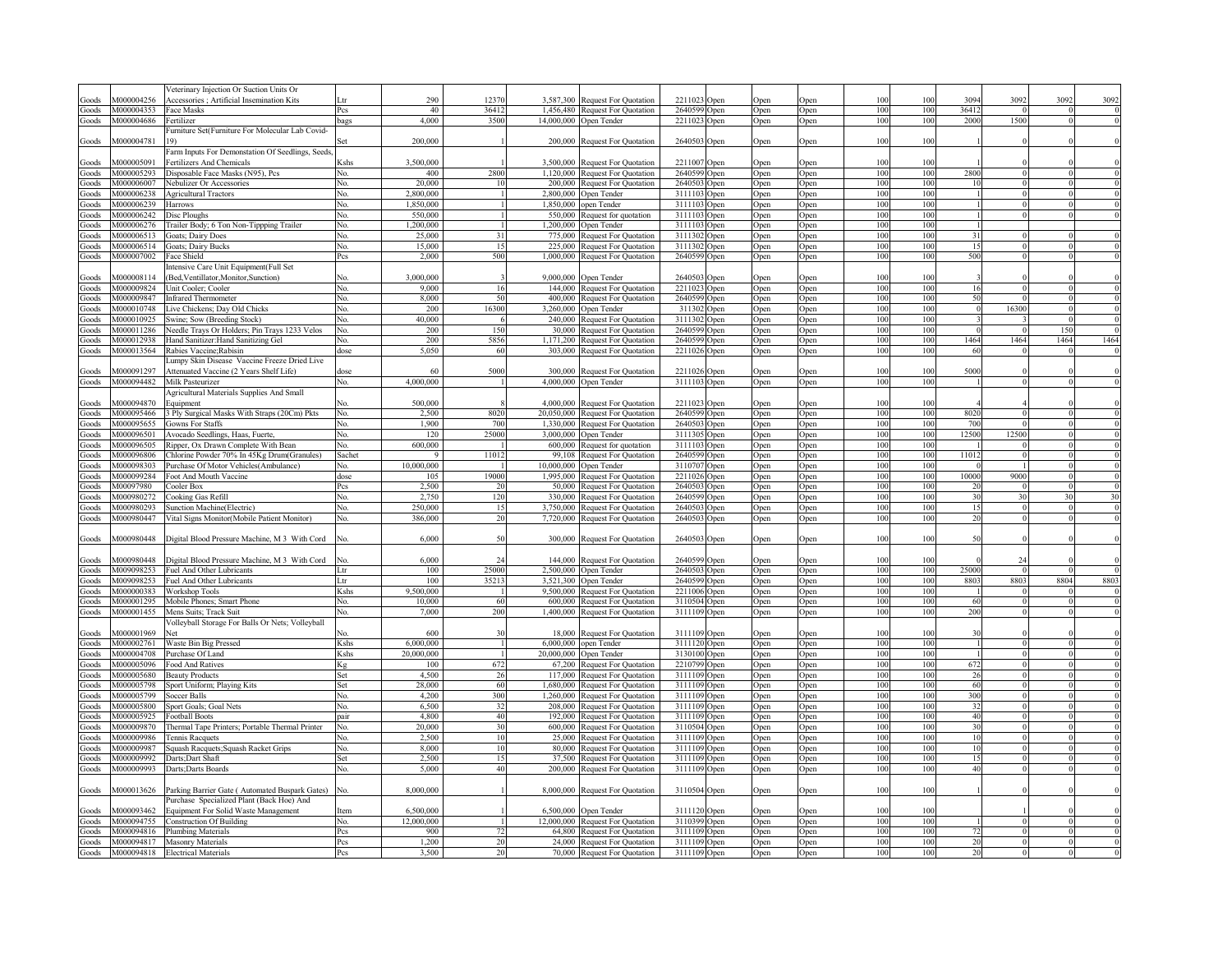|       |            | Veterinary Injection Or Suction Units Or           |                                                                                                                                                                                                                             |            |                |            |                                  |                             |             |      |     |     |       |          |      |                |
|-------|------------|----------------------------------------------------|-----------------------------------------------------------------------------------------------------------------------------------------------------------------------------------------------------------------------------|------------|----------------|------------|----------------------------------|-----------------------------|-------------|------|-----|-----|-------|----------|------|----------------|
| Goods | M000004256 |                                                    |                                                                                                                                                                                                                             | 290        | 12370          | 3 587 300  |                                  | 2211023                     |             |      | 100 | 100 | 3094  | 3092     | 3092 | 3092           |
|       | M000004353 | Accessories ; Artificial Insemination Kits         |                                                                                                                                                                                                                             | 40         | 36412          |            | <b>Request For Quotation</b>     | Open<br>2640599             | )pen        | Open | 100 |     | 36412 |          |      |                |
| Goods |            | Face Masks                                         | Pcs                                                                                                                                                                                                                         |            |                | 1,456,480  | Request For Quotation            | Open                        | <b>Open</b> | Open |     | 100 |       |          |      |                |
| Goods | M000004686 | Fertilizer                                         | bags                                                                                                                                                                                                                        | 4,000      | 3500           |            | 14,000,000 Open Tender           | 2211023<br>Open             | Open        | Open | 100 | 100 | 2000  | 1500     |      |                |
|       |            | Furniture Set(Furniture For Molecular Lab Covid-   |                                                                                                                                                                                                                             |            |                |            |                                  |                             |             |      |     |     |       |          |      |                |
| Goods | M000004781 |                                                    |                                                                                                                                                                                                                             | 200,000    |                |            | 200,000 Request For Quotation    | 2640503<br><b>Open</b>      | Open        | Open | 100 | 100 |       |          |      |                |
|       |            | Farm Inputs For Demonstation Of Seedlings, Seeds,  |                                                                                                                                                                                                                             |            |                |            |                                  |                             |             |      |     |     |       |          |      |                |
| Goods | M000005091 | Fertilizers And Chemicals                          | <shs< td=""><td>3,500,000</td><td></td><td>3,500,000</td><td><b>Request For Quotation</b></td><td>2211007<br/>Open</td><td><b>Dpen</b></td><td>Open</td><td>100</td><td>100</td><td></td><td></td><td></td><td></td></shs<> | 3,500,000  |                | 3,500,000  | <b>Request For Quotation</b>     | 2211007<br>Open             | <b>Dpen</b> | Open | 100 | 100 |       |          |      |                |
|       | M000005293 |                                                    |                                                                                                                                                                                                                             | 400        | 2800           |            |                                  |                             |             |      | 100 | 100 | 2800  |          |      | $\overline{0}$ |
| Goods |            | Disposable Face Masks (N95), Pcs                   | No.                                                                                                                                                                                                                         |            |                |            | 1,120,000 Request For Quotation  | 2640599 Open                | Open        | Open |     |     |       |          |      |                |
| Goods | M000006007 | Nebulizer Or Accessories                           | No.                                                                                                                                                                                                                         | 20,000     | 10             |            | 200,000 Request For Quotation    | 2640503 Open                | Open        | Open | 100 | 100 | 10    |          |      |                |
| Goods | M000006238 | <b>Agricultural Tractors</b>                       | No.                                                                                                                                                                                                                         | 2.800.000  | $\overline{1}$ |            | 2,800,000 Open Tender            | 3111103 Open                | Open        | Open | 100 | 100 |       |          |      |                |
| Goods | M000006239 | Harrows                                            | No.                                                                                                                                                                                                                         | 1.850.000  | $\mathbf{1}$   | 1,850,000  | open Tender                      | 3111103<br>Open             | <b>Dpen</b> | Open | 100 | 100 |       |          |      |                |
| Goods | M000006242 | Disc Ploughs                                       | No.                                                                                                                                                                                                                         | 550,000    |                | 550.000    | Request for quotation            | 3111103<br>Open             | <b>Dpen</b> | Open | 100 | 100 |       |          |      |                |
| Goods | M000006276 |                                                    | No.                                                                                                                                                                                                                         | 1.200.000  |                |            | 1,200,000 Open Tender            | 3111103                     |             |      | 100 | 100 |       |          |      |                |
|       |            | Trailer Body; 6 Ton Non-Tippping Trailer           |                                                                                                                                                                                                                             |            |                |            |                                  | Open                        | <b>Open</b> | Open |     |     |       |          |      |                |
| Goods | M000006513 | Goats; Dairy Does                                  | No.                                                                                                                                                                                                                         | 25,000     | 31             | 775,000    | <b>Request For Quotation</b>     | 3111302<br>)pen             | <b>Open</b> | Open | 100 | 100 | 31    |          |      |                |
| Goods | M000006514 | Goats: Dairy Bucks                                 | No.                                                                                                                                                                                                                         | 15,000     | 15             | 225,000    | <b>Request For Quotation</b>     | 3111302<br>)pen             | <b>Dpen</b> | Open | 100 | 100 | 15    |          |      |                |
| Goods | M000007002 | Face Shield                                        | Pcs                                                                                                                                                                                                                         | 2,000      | 500            |            | 1,000,000 Request For Quotation  | 2640599<br>)pen             | <b>Open</b> | Open | 100 | 100 | 500   |          |      |                |
|       |            | ntensive Care Unit Equipment(Full Set              |                                                                                                                                                                                                                             |            |                |            |                                  |                             |             |      |     |     |       |          |      |                |
| Goods | 4000008114 | Bed, Ventillator, Monitor, Sunction)               | N٥                                                                                                                                                                                                                          | 3,000,000  |                | 9,000,000  | Open Tender                      | 264050                      |             | Open | 100 | 100 |       |          |      |                |
|       |            |                                                    |                                                                                                                                                                                                                             |            |                |            |                                  | )pen                        | <b>Jpen</b> |      |     |     |       |          |      |                |
| Goods | M000009824 | Jnit Cooler: Cooler                                | No.                                                                                                                                                                                                                         | 9,000      | 16             |            | 144,000 Request For Quotation    | 2211023<br>) <sub>pen</sub> | <b>Dpen</b> | Open | 100 | 100 | 16    |          |      |                |
| Goods | M000009847 | <b>Infrared Thermometer</b>                        | No.                                                                                                                                                                                                                         | 8,000      | 50             |            | 400,000 Request For Quotation    | 2640599<br>)pen             | )pen        | Open | 100 | 100 | 50    |          |      |                |
| Goods | M000010748 | Live Chickens; Day Old Chicks                      | No.                                                                                                                                                                                                                         | 200        | 16300          |            | 3,260,000 Open Tender            | 311302<br>)pen              | )pen        | Open | 100 | 100 |       | 16300    |      |                |
| Goods | M000010925 | Swine; Sow (Breeding Stock)                        | No.                                                                                                                                                                                                                         | 40,000     |                | 240,000    | <b>Request For Quotation</b>     | 3111302<br>)pen             | )pen        | Open | 100 | 100 |       |          |      | $\theta$       |
| Goods | M000011286 | Veedle Trays Or Holders; Pin Trays 1233 Velos      | No.                                                                                                                                                                                                                         | 200        | 150            | 30,000     | <b>Request For Quotation</b>     | 2640599<br>)pen             | )pen        | Open | 100 | 100 |       |          | 150  |                |
|       | M000012938 |                                                    | Ñο                                                                                                                                                                                                                          | 200        | 5856           | 1.171.200  |                                  | 2640599                     | <b>Open</b> |      | 100 | 100 | 1464  | 1464     | 1464 | 1464           |
| Goods |            | Hand Sanitizer: Hand Sanitizing Gel                |                                                                                                                                                                                                                             |            |                |            | <b>Request For Quotation</b>     | )pen                        |             | Open |     |     |       |          |      |                |
| Goods | M000013564 | Rabies Vaccine; Rabisin                            | dose                                                                                                                                                                                                                        | 5.050      | 60             |            | 303,000 Request For Quotation    | 2211026<br><b>Jpen</b>      | <b>Open</b> | Open | 100 | 100 | 60    |          |      |                |
|       |            | Jumpy Skin Disease Vaccine Freeze Dried Live       |                                                                                                                                                                                                                             |            |                |            |                                  |                             |             |      |     |     |       |          |      |                |
| Goods | M000091297 | Attenuated Vaccine (2 Years Shelf Life)            | dose                                                                                                                                                                                                                        | 60         | 5000           | 300.000    | <b>Request For Quotation</b>     | 2211026<br>) pen            | ) pen       | Open | 100 | 100 | 5000  |          |      | $\Omega$       |
| Goods | M000094482 | Milk Pasteurizer                                   | No.                                                                                                                                                                                                                         | 4,000,000  |                |            | 4,000,000 Open Tender            | 3111103 Open                | Open        | Open | 100 | 100 |       |          |      | $\overline{0}$ |
|       |            | Agricultural Materials Supplies And Small          |                                                                                                                                                                                                                             |            |                |            |                                  |                             |             |      |     |     |       |          |      |                |
|       |            |                                                    |                                                                                                                                                                                                                             |            |                |            |                                  |                             |             |      |     |     |       |          |      |                |
| Goods | M000094870 | Equipment                                          |                                                                                                                                                                                                                             | 500,000    |                | 4,000,000  | <b>Request For Quotation</b>     | 2211023<br>Open             | <b>Open</b> | Open | 100 | 100 |       |          |      |                |
| Goods | M000095466 | B Ply Surgical Masks With Straps (20Cm) Pkts       | No.                                                                                                                                                                                                                         | 2.500      | 8020           | 20,050,000 | <b>Request For Quotation</b>     | 2640599<br>Open             | <b>Dpen</b> | Open | 100 | 100 | 8020  |          |      | $\overline{0}$ |
| Goods | M000095655 | <b>Gowns For Staffs</b>                            | No.                                                                                                                                                                                                                         | 1.900      | 700            | 1,330,000  | Request For Quotation            | 2640503<br>Open             | <b>Dpen</b> | Open | 100 | 100 | 700   |          |      | $\overline{0}$ |
| Goods | M000096501 | Avocado Seedlings, Haas, Fuerte,                   | No.                                                                                                                                                                                                                         | 120        | 25000          | 3.000.000  | Open Tender                      | 3111305<br>Open             | <b>Dpen</b> | Open | 100 | 100 | 12500 | 12500    |      | $\overline{0}$ |
| Goods | M000096505 | Ripper, Ox Drawn Complete With Bean                | No.                                                                                                                                                                                                                         | 600,000    |                | 600 000    | Request for quotation            | 3111103<br>Open             | <b>Open</b> | Open | 100 | 100 |       |          |      | $\overline{0}$ |
|       | M000096806 |                                                    |                                                                                                                                                                                                                             |            |                |            |                                  |                             |             |      |     |     |       |          |      |                |
| Goods |            | Chlorine Powder 70% In 45Kg Drum(Granules)         | Sachet                                                                                                                                                                                                                      |            | 11012          | 99,108     | <b>Request For Quotation</b>     | 2640599<br>Open             | <b>Open</b> | Open | 100 | 100 | 11012 |          |      | $\Omega$       |
| Goods | M000098303 | Purchase Of Motor Vehicles (Ambulance)             | No.                                                                                                                                                                                                                         | 10,000,000 |                | 10,000,000 | Open Tender                      | 3110707<br>Open             | <b>Dpen</b> | Open | 100 | 100 |       |          |      | $\Omega$       |
| Goods | M000099284 | Foot And Mouth Vaccine                             | dose                                                                                                                                                                                                                        | 105        | 19000          | 1,995,000  | <b>Request For Quotation</b>     | 2211026<br>Open             | <b>Dpen</b> | Open | 100 | 100 | 10000 | 9000     |      | $\Omega$       |
| Goods | M00097980  | Cooler Box                                         | Pcs                                                                                                                                                                                                                         | 2.500      | 20             | 50,000     | <b>Request For Quotation</b>     | 2640503<br>Open             | <b>Dpen</b> | Open | 100 | 100 | 20    |          |      | $\Omega$       |
| Goods | M000980272 | Cooking Gas Refill                                 | No.                                                                                                                                                                                                                         | 2.750      | 120            | 330,000    | <b>Request For Quotation</b>     | 2640599<br>Open             |             | Open | 100 | 100 | 30    | 30       |      | 30             |
|       | M000980293 |                                                    |                                                                                                                                                                                                                             | 250,000    | 15             | 3,750,000  |                                  | 2640503                     | <b>Open</b> |      | 100 | 100 |       |          |      |                |
| Goods |            | Sunction Machine(Electric)                         | No.                                                                                                                                                                                                                         |            |                |            | <b>Request For Quotation</b>     | Open                        | )pen        | Open |     |     | 15    |          |      | $\overline{0}$ |
| Goods | M000980447 | Vital Signs Monitor(Mobile Patient Monitor)        | No.                                                                                                                                                                                                                         | 386,000    | 20             |            | 7,720,000 Request For Quotation  | 2640503<br>Open             | <b>Open</b> | Open | 100 | 100 | 20    |          |      |                |
|       |            |                                                    |                                                                                                                                                                                                                             |            |                |            |                                  |                             |             |      |     |     |       |          |      |                |
| Goods | M000980448 | Digital Blood Pressure Machine, M 3 With Cord      | No.                                                                                                                                                                                                                         | 6,000      | 50             | 300,000    | <b>Request For Quotation</b>     | 2640503 Open                | <b>Dpen</b> | Open | 100 | 100 | 50    |          |      |                |
|       |            |                                                    |                                                                                                                                                                                                                             |            |                |            |                                  |                             |             |      |     |     |       |          |      |                |
|       | M000980448 | Digital Blood Pressure Machine, M 3 With Cord      | N٥                                                                                                                                                                                                                          | 6.000      | 24             | 144 000    |                                  | 2640599                     |             |      | 100 | 100 |       | 24       |      | $\Omega$       |
| Goods | M009098253 |                                                    |                                                                                                                                                                                                                             | 100        | 25000          |            | <b>Request For Quotation</b>     | Open<br>2640503             | )pen        | Open | 100 | 100 | 25000 |          |      | $\overline{0}$ |
| Goods |            | Fuel And Other Lubricants                          | Ltr                                                                                                                                                                                                                         |            |                |            | 2,500,000 Open Tender            | Open                        | Open        | Open |     |     |       |          |      |                |
| Goods | M009098253 | Fuel And Other Lubricants                          | Ltr                                                                                                                                                                                                                         | 100        | 35213          |            | 3,521,300 Open Tender            | 2640599<br>Open             | <b>Open</b> | Open | 100 | 100 | 8803  | 8803     | 8804 | 8803           |
| Goods | M000000383 | Workshop Tools                                     | Kshs                                                                                                                                                                                                                        | 9,500,000  |                |            | 9,500,000 Request For Quotation  | 2211006<br>Open             | )pen        | Open | 100 | 100 |       |          |      | $\overline{0}$ |
| Goods |            | M000001295 Mobile Phones; Smart Phone              | No.                                                                                                                                                                                                                         | 10.000     | 60             |            | 600,000 Request For Quotation    | 3110504<br>Open             | <b>Dpen</b> | Open | 100 | 100 | 60    | $\Omega$ |      | $\overline{0}$ |
|       | M000001455 |                                                    |                                                                                                                                                                                                                             | 7,000      | 200            |            | 1,400,000 Request For Quotation  | 3111109 Open                |             |      | 100 | 100 | 200   |          |      | $\overline{0}$ |
| Goods |            | Mens Suits; Track Suit                             | No.                                                                                                                                                                                                                         |            |                |            |                                  |                             | Open        | Open |     |     |       |          |      |                |
|       |            | Volleyball Storage For Balls Or Nets; Volleyball   |                                                                                                                                                                                                                             |            |                |            |                                  |                             |             |      |     |     |       |          |      |                |
| Goods | M000001969 | Net                                                |                                                                                                                                                                                                                             | 600        | 30             |            | 18,000 Request For Quotation     | 3111109 Open                | <b>Open</b> | Open | 100 | 100 | 30    |          |      |                |
| Goods | M000002761 | Waste Bin Big Pressed                              | Kshs                                                                                                                                                                                                                        | 6,000,000  | $\overline{1}$ |            | 6,000,000 open Tender            | 3111120 Open                | Open        | Open | 100 | 100 |       |          |      | $\theta$       |
| Goods | M000004708 | Purchase Of Land                                   | Kshs                                                                                                                                                                                                                        | 20.000.000 |                |            | 20,000,000 Open Tender           | 3130100 Open                | Open        | Open | 100 | 100 |       |          |      | $\Omega$       |
| Goods | M000005096 | Food And Ratives                                   | Κg                                                                                                                                                                                                                          | 100        | 672            |            | 67,200 Request For Quotation     | 2210799 Open                | Open        | Open | 100 | 100 | 672   |          |      |                |
| Goods | M000005680 | <b>Beauty Products</b>                             | Set                                                                                                                                                                                                                         | 4,500      | 26             |            | 117,000 Request For Quotation    | 3111109 Open                |             |      | 100 | 100 | 26    |          |      |                |
|       |            |                                                    |                                                                                                                                                                                                                             |            |                |            |                                  |                             | Open        | Open |     |     |       |          |      |                |
| Goods | M000005798 | Sport Uniform; Playing Kits                        | Set                                                                                                                                                                                                                         | 28,000     | 60             |            | 1,680,000 Request For Quotation  | 3111109 Open                | <b>Open</b> | Open | 100 | 100 | 60    |          |      |                |
| Goods | M000005799 | Soccer Balls                                       | No.                                                                                                                                                                                                                         | 4,200      | 300            |            | 1,260,000 Request For Quotation  | 3111109 Open                | <b>Open</b> | Open | 100 | 100 | 300   |          |      |                |
| Goods | M000005800 | Sport Goals; Goal Nets                             | No.                                                                                                                                                                                                                         | 6,500      | 32             |            | 208,000 Request For Quotation    | 3111109 Open                | <b>Open</b> | Open | 100 | 100 | 32    |          |      |                |
| Goods | M000005925 | Football Boots                                     | pair                                                                                                                                                                                                                        | 4.800      | 40             |            | 192,000 Request For Quotation    | 3111109 Open                | <b>Open</b> | Open | 100 | 100 | 40    |          |      |                |
| Goods | M000009870 | Thermal Tape Printers; Portable Thermal Printer    | No.                                                                                                                                                                                                                         | 20,000     | 30             |            | 600,000 Request For Quotation    | 3110504 Open                | Open        | Open | 100 | 100 | 30    |          |      |                |
|       | M000009986 |                                                    |                                                                                                                                                                                                                             |            |                |            |                                  |                             |             |      | 100 |     |       |          |      |                |
| Goods |            | <b>Tennis Racquets</b>                             | No.                                                                                                                                                                                                                         | 2,500      | 10             | 25,000     | <b>Request For Quotation</b>     | 3111109 Open                | Open        | Open |     | 100 | 10    |          |      |                |
| Goods | M000009987 | Squash Racquets; Squash Racket Grips               | No.                                                                                                                                                                                                                         | 8,000      | 10             | 80,000     | <b>Request For Quotation</b>     | 3111109<br>Open             | <b>Dpen</b> | Open | 100 | 100 | 10    |          |      |                |
| Goods | M000009992 | Darts; Dart Shaft                                  | Set                                                                                                                                                                                                                         | 2.500      | 15             |            | 37,500 Request For Quotation     | 3111109 Open                | <b>Dpen</b> | Open | 100 | 100 | 15    |          |      |                |
| Goods | M000009993 | Darts; Darts Boards                                | No.                                                                                                                                                                                                                         | 5.000      | 40             |            | 200,000 Request For Quotation    | 3111109 Open                | Open        | Open | 100 | 100 | 40    |          |      |                |
|       |            |                                                    |                                                                                                                                                                                                                             |            |                |            |                                  |                             |             |      |     |     |       |          |      |                |
| Goods | M000013626 | Parking Barrier Gate (Automated Buspark Gates) No. |                                                                                                                                                                                                                             | 8.000.000  |                |            | 8,000,000 Request For Quotation  | 3110504 Open                |             |      | 100 | 100 |       |          |      |                |
|       |            |                                                    |                                                                                                                                                                                                                             |            |                |            |                                  |                             | Open        | Open |     |     |       |          |      |                |
|       |            | Purchase Specialized Plant (Back Hoe) And          |                                                                                                                                                                                                                             |            |                |            |                                  |                             |             |      |     |     |       |          |      |                |
| Goods | M000093462 | Equipment For Solid Waste Management               | Item                                                                                                                                                                                                                        | 6.500.000  |                |            | 6.500,000 Open Tender            | 3111120 Open                | <b>Jpen</b> | Open | 100 | 100 |       |          |      |                |
| Goods | M000094755 | <b>Construction Of Building</b>                    | No.                                                                                                                                                                                                                         | 12,000,000 |                |            | 12,000,000 Request For Quotation | 3110399<br>Open             | Open        | Open | 100 | 100 |       |          |      |                |
| Goods | M000094816 | Plumbing Materials                                 | Pcs                                                                                                                                                                                                                         | 900        |                |            | 64,800 Request For Quotation     | 3111109<br>Open             | Open        | Open | 100 | 100 |       |          |      |                |
| Goods | M000094817 | <b>Masonry Materials</b>                           | Pcs                                                                                                                                                                                                                         | 1.200      |                |            | 24,000 Request For Quotation     | 3111109<br>Open             | <b>Open</b> | Open | 100 | 100 |       |          |      |                |
|       | M000094818 | <b>Electrical Materials</b>                        | Pcs                                                                                                                                                                                                                         | 3.500      | 20             |            | 70,000 Request For Quotation     | 3111109 Open                | Open        | Open | 100 | 100 | 20    |          |      |                |
| Goods |            |                                                    |                                                                                                                                                                                                                             |            |                |            |                                  |                             |             |      |     |     |       |          |      |                |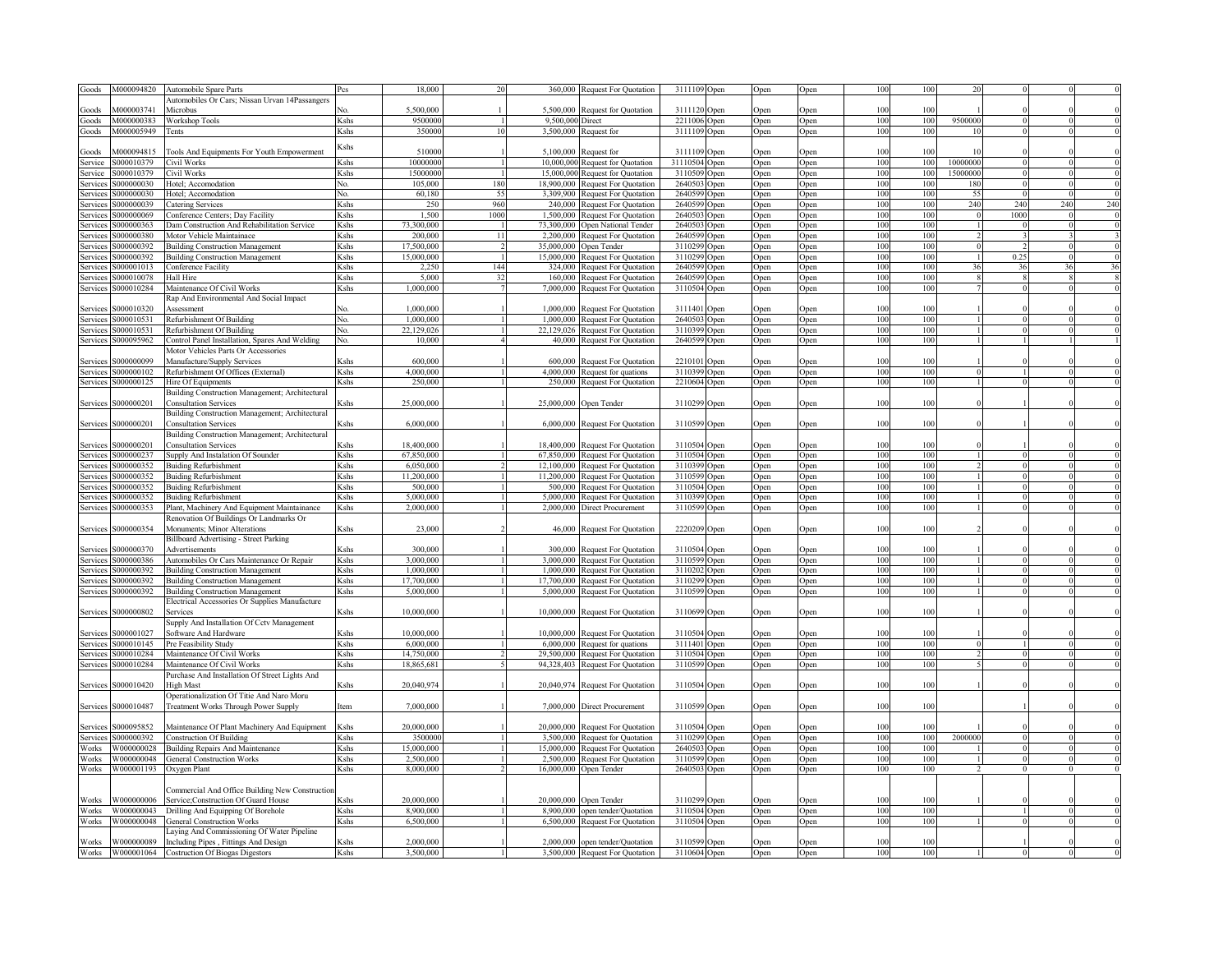| Goods           | M000094820          | <b>Automobile Spare Parts</b>                   | 2cs                                                                                                                                                                                                                    | 18,000     |                | 360.000    | <b>Request For Quotation</b>                                        | 3111109 Open                 | Open         | Open | 100             | 100 |                |      |     |                |
|-----------------|---------------------|-------------------------------------------------|------------------------------------------------------------------------------------------------------------------------------------------------------------------------------------------------------------------------|------------|----------------|------------|---------------------------------------------------------------------|------------------------------|--------------|------|-----------------|-----|----------------|------|-----|----------------|
|                 |                     | Automobiles Or Cars; Nissan Urvan 14Passangers  |                                                                                                                                                                                                                        |            |                |            |                                                                     |                              |              |      |                 |     |                |      |     |                |
| Goods           | M000003741          | Microbus                                        | N٥                                                                                                                                                                                                                     | 5,500,000  |                | 5,500,000  | Request for Quotation                                               | 3111120<br>Open              | <b>Dpen</b>  | Open | 100             | 100 |                |      |     |                |
| Goods           | M000000383          | Workshop Tools                                  | Kshs                                                                                                                                                                                                                   | 9500000    |                | 9,500,000  | Direct                                                              | 2211006<br>Open              | <b>Dpen</b>  | Open | 100             | 100 | 9500000        |      |     |                |
| Goods           | M000005949          | l'ents                                          | Kshs                                                                                                                                                                                                                   | 350000     | 10             | 3,500,000  | Request for                                                         | 3111109<br>Open              | <b>Open</b>  | Open | 100             | 100 | 1 <sup>1</sup> |      |     |                |
|                 |                     |                                                 |                                                                                                                                                                                                                        |            |                |            |                                                                     |                              |              |      |                 |     |                |      |     |                |
| Goods           | 4000094815          | Tools And Equipments For Youth Empowerment      | Kshs                                                                                                                                                                                                                   | 51000      |                | 5,100,000  |                                                                     | 3111109                      |              |      | 100             | 100 |                |      |     |                |
|                 | \$000010379         | Civil Works                                     | Kshs                                                                                                                                                                                                                   | 1000000    |                |            | Request for                                                         | Open<br>31110504             | <b>P</b> en  | Open | 100             | 100 | 10000000       |      |     |                |
| Service         | \$000010379         |                                                 |                                                                                                                                                                                                                        | 15000000   |                |            | 10,000,000 Request for Quotation                                    | <b>Open</b><br>3110509       | <b>Open</b>  | Open |                 |     | 15000000       |      |     |                |
| Service         |                     | Civil Works                                     | Kshs                                                                                                                                                                                                                   |            |                |            | 15,000,000 Request for Quotation                                    | ) <sub>pen</sub>             | <b>Open</b>  | Open | 100             | 100 |                |      |     |                |
| Services        | \$000000030         | Hotel; Accomodation                             | No.                                                                                                                                                                                                                    | 105,000    | 180            |            | 18,900,000 Request For Quotation                                    | 2640503<br><b>Open</b>       | <b>Dpen</b>  | Open | 100             | 100 | 180            |      |     |                |
| Services        | \$000000030         | Hotel; Accomodation                             | No.                                                                                                                                                                                                                    | 60,180     | 55             |            | 3,309,900 Request For Quotation                                     | 2640599<br><b>Open</b>       | Open         | Open | 100             | 100 | 55             |      |     |                |
| Services        | \$000000039         | Catering Services                               | Kshs                                                                                                                                                                                                                   | 250        | 960            |            | 240,000 Request For Quotation                                       | 2640599<br><b>Open</b>       | Open         | Open | 100             | 100 | 240            | 240  | 240 | 240            |
| Services        | \$000000069         | Conference Centers; Day Facility                | Kshs                                                                                                                                                                                                                   | 1,500      | 1000           |            | 1,500,000 Request For Quotation                                     | 2640503<br>Open              | Open         | Open | 100             | 100 |                | 1000 |     |                |
| Services        | \$000000363         | Dam Construction And Rehabilitation Service     | Kshs                                                                                                                                                                                                                   | 73,300,000 |                |            | 73,300,000 Open National Tender                                     | 2640503<br>Open              | Open         | Open | 100             | 100 |                |      |     |                |
| Services        | 5000000380          | Motor Vehicle Maintainace                       | Kshs                                                                                                                                                                                                                   | 200,000    | 11             | 2,200,000  | Request For Quotation                                               | 2640599<br><b>Open</b>       | <b>Dpen</b>  | Open | 100             | 100 |                |      |     |                |
| Services        | 5000000392          | <b>Building Construction Management</b>         | Kshs                                                                                                                                                                                                                   | 17,500,000 | $\mathcal{L}$  | 35,000,000 | Open Tender                                                         | 3110299<br><b>Open</b>       | <b>Dpen</b>  | Open | 100             | 100 |                |      |     |                |
| Services        | 3000000392          | <b>Building Construction Management</b>         | Kshs                                                                                                                                                                                                                   | 15,000,000 | $\overline{1}$ | 15,000,000 | Request For Quotation                                               | 3110299<br><b>Open</b>       | <b>Open</b>  | Open | 100             | 100 |                | 0.25 |     |                |
| Services        | \$000001013         | Conference Facility                             | Kshs                                                                                                                                                                                                                   | 2.250      | 144            |            | 324,000 Request For Quotation                                       | 2640599<br><b>Open</b>       | Open         | Open | 100             | 100 | 36             | 36   | 36  | 36             |
| Services        | \$000010078         | Hall Hire                                       | Kshs                                                                                                                                                                                                                   | 5,000      | 32             |            | 160,000 Request For Quotation                                       | 2640599<br><b>Open</b>       | )pen         | Open | 100             | 100 |                |      |     |                |
| Services        | \$000010284         | Maintenance Of Civil Works                      | Kshs                                                                                                                                                                                                                   | 1,000,000  |                |            | 7,000,000 Request For Quotation                                     | 3110504<br><b>Open</b>       | <b>Dpen</b>  | Open | 100             | 100 |                |      |     |                |
|                 |                     | Rap And Environmental And Social Impact         |                                                                                                                                                                                                                        |            |                |            |                                                                     |                              |              |      |                 |     |                |      |     |                |
| services        | 6000010320          | <b>Assessment</b>                               |                                                                                                                                                                                                                        | 1,000,000  |                | 1,000,000  | <b>Request For Quotation</b>                                        | 3111401<br><b>Dpen</b>       | )pen         | Open | 100             | 100 |                |      |     |                |
| Services        | \$000010531         | Refurbishment Of Building                       | Nο.                                                                                                                                                                                                                    | 1,000,000  |                | 1,000,000  | <b>Request For Quotation</b>                                        | 2640503<br>Open              | <b>D</b> pen | Open | 100             | 100 |                |      |     |                |
| services        | 3000010531          | Refurbishment Of Building                       | Nο.                                                                                                                                                                                                                    | 22,129,026 |                | 22,129,026 | <b>Request For Quotation</b>                                        | 3110399<br><b>Open</b>       | <b>D</b> pen | Open | 100             | 100 |                |      |     |                |
|                 | 6000095962          | 'ontrol Panel Installation, Spares And Welding  |                                                                                                                                                                                                                        | 10,000     |                |            | 40,000 Request For Quotation                                        | 2640599                      |              |      | 100             | 100 |                |      |     |                |
| Services        |                     | Motor Vehicles Parts Or Accessories             | No.                                                                                                                                                                                                                    |            |                |            |                                                                     | ) <sub>pen</sub>             | <b>Open</b>  | Open |                 |     |                |      |     |                |
|                 |                     |                                                 |                                                                                                                                                                                                                        |            |                |            |                                                                     |                              |              |      |                 |     |                |      |     |                |
| services        | 6000000099          | Manufacture/Supply Services                     | .<br>shs                                                                                                                                                                                                               | 600,000    |                | 600,000    | <b>Request For Quotation</b>                                        | 2210101<br>)pen              | <b>Dpen</b>  | Open | 100             | 100 |                |      |     |                |
| Services        | 6000000102          | Refurbishment Of Offices (External)             | <b>Zshs</b>                                                                                                                                                                                                            | 4,000,000  |                |            | 4,000,000 Request for quations                                      | 3110399<br><b>Open</b>       | <b>D</b> pen | Open | 100             | 100 |                |      |     |                |
| Services        | 3000000125          | Hire Of Equipments                              | Kshs                                                                                                                                                                                                                   | 250,000    |                |            | 250,000 Request For Quotation                                       | 2210604<br>) <sub>pen</sub>  | Open         | Open | 100             | 100 |                |      |     |                |
|                 |                     | Building Construction Management; Architectural |                                                                                                                                                                                                                        |            |                |            |                                                                     |                              |              |      |                 |     |                |      |     |                |
| Services        | S000000201          | <b>Consultation Services</b>                    | <b>Zshs</b>                                                                                                                                                                                                            | 25,000,000 |                |            | 25,000,000 Open Tender                                              | 3110299<br>Open              | Open         | Open | 100             | 100 |                |      |     |                |
|                 |                     | Building Construction Management; Architectural |                                                                                                                                                                                                                        |            |                |            |                                                                     |                              |              |      |                 |     |                |      |     |                |
| Services        | S000000201          | <b>Consultation Services</b>                    | Kshs                                                                                                                                                                                                                   | 6,000,000  |                |            | 6,000,000 Request For Quotation                                     | 3110599<br>Open              | Open         | Open | 100             | 100 |                |      |     |                |
|                 |                     | Building Construction Management; Architectural |                                                                                                                                                                                                                        |            |                |            |                                                                     |                              |              |      |                 |     |                |      |     |                |
| Services        | 6000000201          | <b>Consultation Services</b>                    | <shs< td=""><td>18,400,000</td><td></td><td>18,400,000</td><td>Request For Quotation</td><td>3110504<br/>Open</td><td><b>Dpen</b></td><td>Open</td><td>100</td><td>100</td><td></td><td></td><td></td><td></td></shs<> | 18,400,000 |                | 18,400,000 | Request For Quotation                                               | 3110504<br>Open              | <b>Dpen</b>  | Open | 100             | 100 |                |      |     |                |
| Services        | \$000000237         | Supply And Instalation Of Sounder               | Kshs                                                                                                                                                                                                                   | 67,850,000 |                |            | 67,850,000 Request For Quotation                                    | 3110504<br>Open              | <b>Dpen</b>  | Open | 100             | 100 |                |      |     | $\mathbf 0$    |
| Services        | S000000352          | <b>Buiding Refurbishment</b>                    | <b>K</b> shs                                                                                                                                                                                                           | 6,050,000  |                |            | 12,100,000 Request For Quotation                                    | 3110399<br>Open              | <b>Open</b>  | Open | 100             | 100 |                |      |     | $\mathbf 0$    |
| Services        | 6000000352          | <b>Buiding Refurbishment</b>                    | Kshs                                                                                                                                                                                                                   | 11,200,000 |                | 11,200,000 | Request For Quotation                                               | 3110599<br>Open              | )pen         | Open | 100             | 100 |                |      |     | $\overline{0}$ |
| Services        | 6000000352          | <b>Buiding Refurbishment</b>                    | Kshs                                                                                                                                                                                                                   | 500,000    |                | 500,000    | <b>Request For Quotation</b>                                        | 3110504<br>Open              | <b>Open</b>  | Open | 100             | 100 |                |      |     | $\overline{0}$ |
| Services        | S000000352          | <b>Buiding Refurbishment</b>                    | Kshs                                                                                                                                                                                                                   | 5,000,000  |                | 5,000,000  | <b>Request For Quotation</b>                                        | 3110399<br>Open              | <b>Dpen</b>  | Open | 100             | 100 |                |      |     | $\theta$       |
| Services        | \$000000353         | Plant, Machinery And Equipment Maintainance     | Kshs                                                                                                                                                                                                                   | 2,000,000  |                |            | 2,000,000 Direct Procurement                                        | 3110599<br>Open              | <b>Open</b>  | Open | 100             | 100 |                |      |     |                |
|                 |                     | Renovation Of Buildings Or Landmarks Or         |                                                                                                                                                                                                                        |            |                |            |                                                                     |                              |              |      |                 |     |                |      |     |                |
|                 | S000000354          | Monuments; Minor Alterations                    | Kshs                                                                                                                                                                                                                   | 23,000     |                | 46,000     | Request For Quotation                                               | 2220209                      |              |      | 100             | 100 |                |      |     |                |
| Services        |                     |                                                 |                                                                                                                                                                                                                        |            |                |            |                                                                     | Open                         | Open         | Open |                 |     |                |      |     |                |
|                 | \$000000370         | <b>Billboard Advertising - Street Parking</b>   |                                                                                                                                                                                                                        | 300,000    |                | 300 000    |                                                                     |                              |              |      |                 |     |                |      |     |                |
| Services        |                     | Advertisements                                  | Kshs                                                                                                                                                                                                                   | 3.000.000  |                |            | Request For Quotation                                               | 3110504<br>Open<br>3110599   | <b>Dpen</b>  | Open | 100             | 100 |                |      |     |                |
| Services        | S000000386          | Automobiles Or Cars Maintenance Or Repair       | Kshs                                                                                                                                                                                                                   |            |                |            | 3,000,000 Request For Quotation                                     | Open                         | <b>Open</b>  | Open | 100             | 100 |                |      |     | $\mathbf 0$    |
| Services        | \$000000392         | <b>Building Construction Management</b>         | Kshs                                                                                                                                                                                                                   | 1.000.000  |                |            | 1,000,000 Request For Quotation                                     | 3110202<br>Open              | <b>Dpen</b>  | Open | 100             | 100 |                |      |     | $\mathbf 0$    |
| Services        | S000000392          | <b>Building Construction Management</b>         | Kshs                                                                                                                                                                                                                   | 17,700,000 |                |            | 17,700,000 Request For Quotation                                    | 3110299<br>Open              | Open         | Open | 100             | 100 |                |      |     | $\theta$       |
| <b>Services</b> | S000000392          | <b>Building Construction Management</b>         | Kshs                                                                                                                                                                                                                   | 5.000.000  |                |            | 5,000,000 Request For Quotation                                     | 3110599<br>Open              | Open         | Open | 100             | 100 |                |      |     |                |
|                 |                     | Electrical Accessories Or Supplies Manufacture  |                                                                                                                                                                                                                        |            |                |            |                                                                     |                              |              |      |                 |     |                |      |     |                |
| Services        | S000000802          | Services                                        | Kshs                                                                                                                                                                                                                   | 10,000,000 |                |            | 10,000,000 Request For Quotation                                    | 3110699<br>Open              | Open         | Open | 100             | 100 |                |      |     |                |
|                 |                     | Supply And Installation Of Cctv Management      |                                                                                                                                                                                                                        |            |                |            |                                                                     |                              |              |      |                 |     |                |      |     |                |
| Services        | S000001027          | Software And Hardware                           | Kshs                                                                                                                                                                                                                   | 10.000.000 |                | 10,000,000 | <b>Request For Quotation</b>                                        | 3110504<br>Open              | <b>Dpen</b>  | Open | 100             | 100 |                |      |     |                |
| Services        | S000010145          | Pre Feasibility Study                           | Kshs                                                                                                                                                                                                                   | 6.000.000  |                |            | 6,000,000 Request for quations                                      | 3111401 Open                 | Open         | Open | 100             | 100 |                |      |     | $\sqrt{ }$     |
| Services        | S000010284          | Maintenance Of Civil Works                      | Kshs                                                                                                                                                                                                                   | 14,750,000 |                |            | 29,500,000 Request For Quotation                                    | 3110504<br>Open              | Open         | Open | 100             | 100 |                |      |     | $\theta$       |
| Services        | S000010284          | Maintenance Of Civil Works                      | Kshs                                                                                                                                                                                                                   | 18,865,681 |                |            | 94,328,403 Request For Quotation                                    | 3110599<br>Open              | Open         | Open | 100             | 100 |                |      |     |                |
|                 |                     | Purchase And Installation Of Street Lights And  |                                                                                                                                                                                                                        |            |                |            |                                                                     |                              |              |      |                 |     |                |      |     |                |
|                 | Services S000010420 | High Mast                                       | Kshs                                                                                                                                                                                                                   | 20,040,974 |                |            | 20,040,974 Request For Quotation                                    | 3110504 Open                 | Open         | Open | 100             | 100 |                |      |     |                |
|                 |                     | Operationalization Of Titie And Naro Moru       |                                                                                                                                                                                                                        |            |                |            |                                                                     |                              |              |      |                 |     |                |      |     |                |
| Services        | S000010487          | Treatment Works Through Power Supply            | Item                                                                                                                                                                                                                   | 7,000,000  |                |            | 7,000,000 Direct Procurement                                        | 3110599 Open                 | Open         | Open | 100             | 100 |                |      |     |                |
|                 |                     |                                                 |                                                                                                                                                                                                                        |            |                |            |                                                                     |                              |              |      |                 |     |                |      |     |                |
| Services        | \$000095852         | Maintenance Of Plant Machinery And Equipment    | <b>K</b> shs                                                                                                                                                                                                           | 20,000,000 |                | 20.000.000 | <b>Request For Quotation</b>                                        | 3110504 Open                 | <b>D</b> pen | Open | 100             | 100 |                |      |     |                |
| Services        | S000000392          | <b>Construction Of Building</b>                 | Kshs                                                                                                                                                                                                                   | 3500000    |                |            | 3,500,000 Request for Quotation                                     | 3110299 Open                 | Open         | Open | 100             | 100 | 2000000        |      |     |                |
|                 | W000000028          |                                                 |                                                                                                                                                                                                                        | 15,000,000 |                |            |                                                                     | 2640503                      |              |      | 10 <sup>c</sup> | 100 |                |      |     |                |
| Works<br>Works  | W000000048          | <b>Building Repairs And Maintenance</b>         | Kshs<br><b>K</b> shs                                                                                                                                                                                                   | 2,500,000  |                |            | 15,000,000 Request For Quotation<br>2,500,000 Request For Quotation | Open<br>3110599              | <b>Dpen</b>  | Open | 100             | 100 |                |      |     |                |
|                 |                     | <b>General Construction Works</b>               |                                                                                                                                                                                                                        |            |                |            |                                                                     | <b>Dpen</b>                  | <b>Dpen</b>  | Open |                 |     |                |      |     |                |
| Works           | W000001193          | Oxygen Plant                                    | <b>K</b> shs                                                                                                                                                                                                           | 8,000,000  |                |            | 16,000,000 Open Tender                                              | 2640503<br>Open              | Open         | Open | 100             | 100 |                |      |     |                |
|                 |                     |                                                 |                                                                                                                                                                                                                        |            |                |            |                                                                     |                              |              |      |                 |     |                |      |     |                |
|                 |                     | Commercial And Office Building New Construction |                                                                                                                                                                                                                        |            |                |            |                                                                     |                              |              |      |                 |     |                |      |     |                |
| Works           | W000000006          | Service;Construction Of Guard House             | <b>K</b> shs                                                                                                                                                                                                           | 20.000.000 |                |            | 20,000,000 Open Tender                                              | 3110299 Open                 | Open         | Open | 100             | 100 |                |      |     |                |
| Works           |                     | W000000043 Drilling And Equipping Of Borehole   | Kshs                                                                                                                                                                                                                   | 8.900.000  |                |            | 8,900,000 open tender/Quotation                                     | 3110504 Open                 | Open         | Open | 100             | 100 |                |      |     |                |
| Works           |                     | <b>General Construction Works</b>               | Kshs                                                                                                                                                                                                                   | 6,500,000  |                |            | 6,500,000 Request For Quotation                                     | 3110504 Open                 | Open         | Open |                 | 100 |                |      |     |                |
|                 | W000000048          |                                                 |                                                                                                                                                                                                                        |            |                |            |                                                                     |                              |              |      |                 |     |                |      |     |                |
|                 |                     | Laying And Commissioning Of Water Pipeline      |                                                                                                                                                                                                                        |            |                |            |                                                                     |                              |              |      |                 |     |                |      |     |                |
| Works           | W000000089          | Including Pipes, Fittings And Design            | <b>K</b> shs                                                                                                                                                                                                           | 2,000,000  |                |            | 2,000,000 open tender/Quotation                                     | 3110599 Open<br>3110604 Open | Open         | Open | 10 <sub>0</sub> | 100 |                |      |     |                |